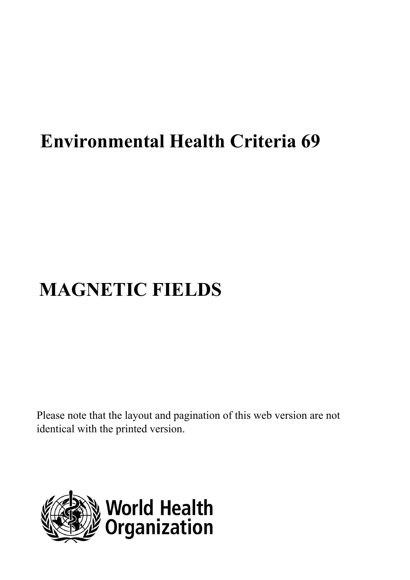## **Environmental Health Criteria 69**

# **MAGNETIC FIELDS**

Please note that the layout and pagination of this web version are not identical with the printed version.

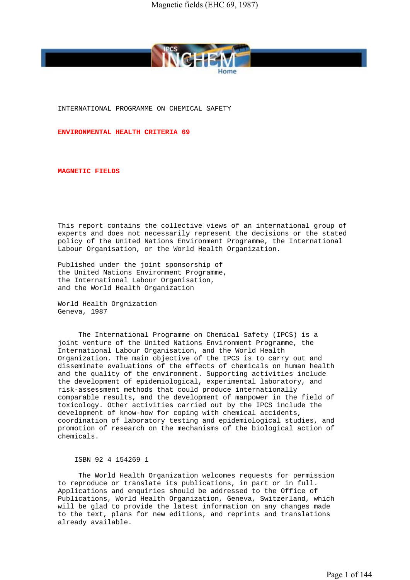

INTERNATIONAL PROGRAMME ON CHEMICAL SAFETY

**ENVIRONMENTAL HEALTH CRITERIA 69**

**MAGNETIC FIELDS**

 This report contains the collective views of an international group of experts and does not necessarily represent the decisions or the stated policy of the United Nations Environment Programme, the International Labour Organisation, or the World Health Organization.

 Published under the joint sponsorship of the United Nations Environment Programme, the International Labour Organisation, and the World Health Organization

 World Health Orgnization Geneva, 1987

 The International Programme on Chemical Safety (IPCS) is a joint venture of the United Nations Environment Programme, the International Labour Organisation, and the World Health Organization. The main objective of the IPCS is to carry out and disseminate evaluations of the effects of chemicals on human health and the quality of the environment. Supporting activities include the development of epidemiological, experimental laboratory, and risk-assessment methods that could produce internationally comparable results, and the development of manpower in the field of toxicology. Other activities carried out by the IPCS include the development of know-how for coping with chemical accidents, coordination of laboratory testing and epidemiological studies, and promotion of research on the mechanisms of the biological action of chemicals.

ISBN 92 4 154269 1

 The World Health Organization welcomes requests for permission to reproduce or translate its publications, in part or in full. Applications and enquiries should be addressed to the Office of Publications, World Health Organization, Geneva, Switzerland, which will be glad to provide the latest information on any changes made to the text, plans for new editions, and reprints and translations already available.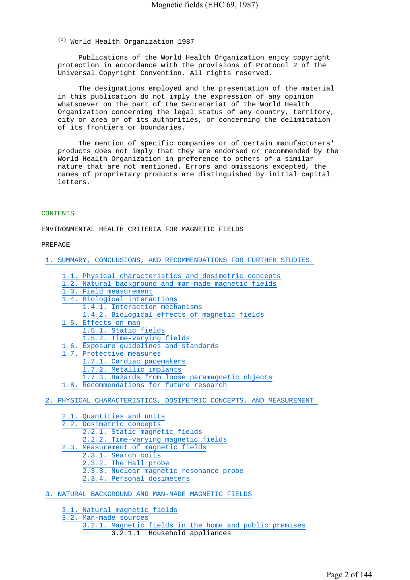(c) World Health Organization 1987

 Publications of the World Health Organization enjoy copyright protection in accordance with the provisions of Protocol 2 of the Universal Copyright Convention. All rights reserved.

 The designations employed and the presentation of the material in this publication do not imply the expression of any opinion whatsoever on the part of the Secretariat of the World Health Organization concerning the legal status of any country, territory, city or area or of its authorities, or concerning the delimitation of its frontiers or boundaries.

 The mention of specific companies or of certain manufacturers' products does not imply that they are endorsed or recommended by the World Health Organization in preference to others of a similar nature that are not mentioned. Errors and omissions excepted, the names of proprietary products are distinguished by initial capital letters.

#### **CONTENTS**

ENVIRONMENTAL HEALTH CRITERIA FOR MAGNETIC FIELDS

#### PREFACE

1. SUMMARY, CONCLUSIONS, AND RECOMMENDATIONS FOR FURTHER STUDIES

- 1.1. Physical characteristics and dosimetric concepts
- 1.2. Natural background and man-made magnetic fields
- 1.3. Field measurement 1.4. Biological interactions 1.4.1. Interaction mechanisms 1.4.2. Biological effects of magnetic fields 1.5. Effects on man 1.5.1. Static fields 1.5.2. Time-varying fields 1.6. Exposure guidelines and standards 1.7. Protective measures 1.7.1. Cardiac pacemakers 1.7.2. Metallic implants 1.7.3. Hazards from loose paramagnetic objects
- 1.8. Recommendations for future research

2. PHYSICAL CHARACTERISTICS, DOSIMETRIC CONCEPTS, AND MEASUREMENT

2.1. Quantities and units 2.2. Dosimetric concepts 2.2.1. Static magnetic fields 2.2.2. Time-varying magnetic fields 2.3. Measurement of magnetic fields 2.3.1. Search coils 2.3.2. The Hall probe 2.3.3. Nuclear magnetic resonance probe 2.3.4. Personal dosimeters

3. NATURAL BACKGROUND AND MAN-MADE MAGNETIC FIELDS

3.1. Natural magnetic fields

3.2. Man-made sources 3.2.1. Magnetic fields in the home and public premises 3.2.1.1 Household appliances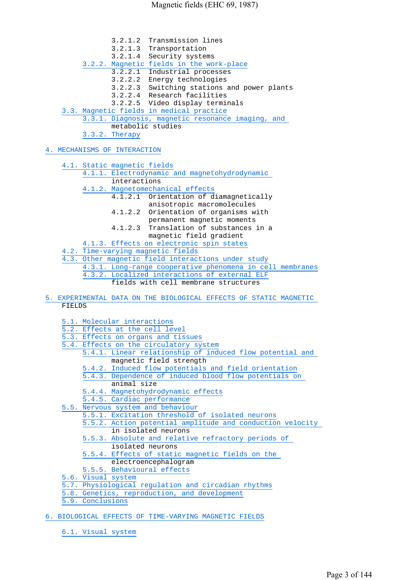3.2.1.2 Transmission lines 3.2.1.3 Transportation 3.2.1.4 Security systems 3.2.2. Magnetic fields in the work-place 3.2.2.1 Industrial processes 3.2.2.2 Energy technologies 3.2.2.3 Switching stations and power plants 3.2.2.4 Research facilities 3.2.2.5 Video display terminals 3.3. Magnetic fields in medical practice 3.3.1. Diagnosis, magnetic resonance imaging, and metabolic studies 3.3.2. Therapy

4. MECHANISMS OF INTERACTION

- 4.1. Static magnetic fields 4.1.1. Electrodynamic and magnetohydrodynamic interactions 4.1.2. Magnetomechanical effects 4.1.2.1 Orientation of diamagnetically anisotropic macromolecules 4.1.2.2 Orientation of organisms with permanent magnetic moments 4.1.2.3 Translation of substances in a magnetic field gradient 4.1.3. Effects on electronic spin states 4.2. Time-varying magnetic fields 4.3. Other magnetic field interactions under study 4.3.1. Long-range cooperative phenomena in cell membranes 4.3.2. Localized interactions of external ELF fields with cell membrane structures
- 5. EXPERIMENTAL DATA ON THE BIOLOGICAL EFFECTS OF STATIC MAGNETIC FIELDS

5.1. Molecular interactions

- 5.2. Effects at the cell level
- 5.3. Effects on organs and tissues
- 5.4. Effects on the circulatory system
	- 5.4.1. Linear relationship of induced flow potential and magnetic field strength
		- 5.4.2. Induced flow potentials and field orientation
		- 5.4.3. Dependence of induced blood flow potentials on animal size
		- 5.4.4. Magnetohydrodynamic effects
- 5.4.5. Cardiac performance
- 5.5. Nervous system and behaviour
	- 5.5.1. Excitation threshold of isolated neurons
		- 5.5.2. Action potential amplitude and conduction velocity in isolated neurons
		- 5.5.3. Absolute and relative refractory periods of
		- isolated neurons
		- 5.5.4. Effects of static magnetic fields on the
		- electroencephalogram
	- 5.5.5. Behavioural effects
- 5.6. Visual system
- 5.7. Physiological regulation and circadian rhythms
- 5.8. Genetics, reproduction, and development
- 5.9. Conclusions
- 6. BIOLOGICAL EFFECTS OF TIME-VARYING MAGNETIC FIELDS
	- 6.1. Visual system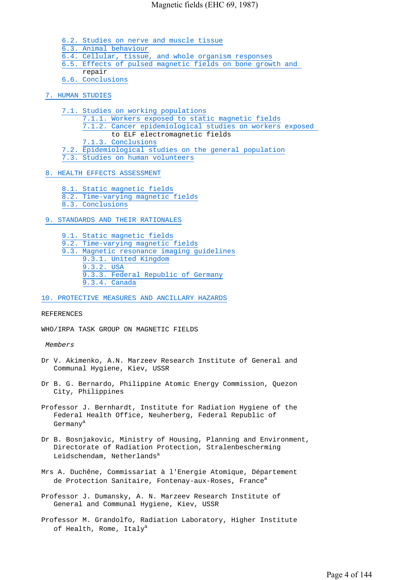- 6.2. Studies on nerve and muscle tissue
- 6.3. Animal behaviour
- 6.4. Cellular, tissue, and whole organism responses
- 6.5. Effects of pulsed magnetic fields on bone growth and
	- repair
- 6.6. Conclusions
- 7. HUMAN STUDIES
	- 7.1. Studies on working populations
		- 7.1.1. Workers exposed to static magnetic fields 7.1.2. Cancer epidemiological studies on workers exposed
		- to ELF electromagnetic fields
	- 7.1.3. Conclusions
	- Epidemiological studies on the general population
	- 7.3. Studies on human volunteers

## 8. HEALTH EFFECTS ASSESSMENT

- 8.1. Static magnetic fields
- 8.2. Time-varying magnetic fields
- 8.3. Conclusions
- 9. STANDARDS AND THEIR RATIONALES
	- 9.1. Static magnetic fields
	- 9.2. Time-varying magnetic fields
	- 9.3. Magnetic resonance imaging guidelines 9.3.1. United Kingdom 9.3.2. USA 9.3.3. Federal Republic of Germany
		- 9.3.4. Canada

## 10. PROTECTIVE MEASURES AND ANCILLARY HAZARDS

## REFERENCES

WHO/IRPA TASK GROUP ON MAGNETIC FIELDS

## *Members*

- Dr V. Akimenko, A.N. Marzeev Research Institute of General and Communal Hygiene, Kiev, USSR
- Dr B. G. Bernardo, Philippine Atomic Energy Commission, Quezon City, Philippines
- Professor J. Bernhardt, Institute for Radiation Hygiene of the Federal Health Office, Neuherberg, Federal Republic of Germanya
- Dr B. Bosnjakovic, Ministry of Housing, Planning and Environment, Directorate of Radiation Protection, Stralenbescherming Leidschendam, Netherlands<sup>a</sup>
- Mrs A. Duchêne, Commissariat à l'Energie Atomique, Département de Protection Sanitaire, Fontenay-aux-Roses, France<sup>a</sup>
- Professor J. Dumansky, A. N. Marzeev Research Institute of General and Communal Hygiene, Kiev, USSR
- Professor M. Grandolfo, Radiation Laboratory, Higher Institute of Health, Rome, Italy<sup>a</sup>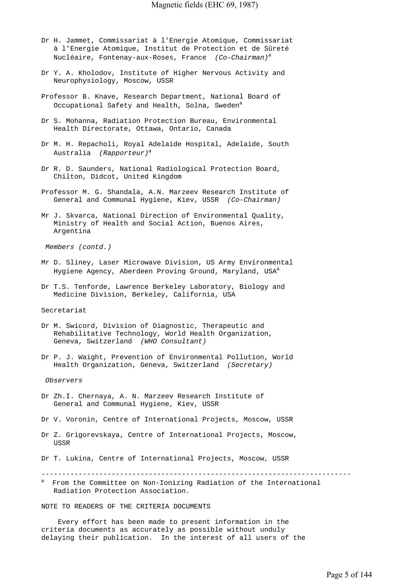- Dr H. Jammet, Commissariat à l'Energie Atomique, Commissariat à l'Energie Atomique, Institut de Protection et de Sûreté Nucléaire, Fontenay-aux-Roses, France *(Co-Chairman)<sup>a</sup>*
- Dr Y. A. Kholodov, Institute of Higher Nervous Activity and Neurophysiology, Moscow, USSR
- Professor B. Knave, Research Department, National Board of Occupational Safety and Health, Solna, Sweden<sup>a</sup>
- Dr S. Mohanna, Radiation Protection Bureau, Environmental Health Directorate, Ottawa, Ontario, Canada
- Dr M. H. Repacholi, Royal Adelaide Hospital, Adelaide, South Australia *(Rapporteur)<sup>a</sup>*
- Dr R. D. Saunders, National Radiological Protection Board, Chilton, Didcot, United Kingdom
- Professor M. G. Shandala, A.N. Marzeev Research Institute of General and Communal Hygiene, Kiev, USSR *(Co-Chairman)*
- Mr J. Skvarca, National Direction of Environmental Quality, Ministry of Health and Social Action, Buenos Aires, Argentina

 *Members (contd.)*

- Mr D. Sliney, Laser Microwave Division, US Army Environmental Hygiene Agency, Aberdeen Proving Ground, Maryland, USA<sup>a</sup>
- Dr T.S. Tenforde, Lawrence Berkeley Laboratory, Biology and Medicine Division, Berkeley, California, USA

Secretariat

- Dr M. Swicord, Division of Diagnostic, Therapeutic and Rehabilitative Technology, World Health Organization, Geneva, Switzerland *(WHO Consultant)*
- Dr P. J. Waight, Prevention of Environmental Pollution, World Health Organization, Geneva, Switzerland *(Secretary)*

 *Observers*

- Dr Zh.I. Chernaya, A. N. Marzeev Research Institute of General and Communal Hygiene, Kiev, USSR
- Dr V. Voronin, Centre of International Projects, Moscow, USSR
- Dr Z. Grigorevskaya, Centre of International Projects, Moscow, USSR

Dr T. Lukina, Centre of International Projects, Moscow, USSR

---------------------------------------------------------------------------

a From the Committee on Non-Ionizing Radiation of the International Radiation Protection Association.

NOTE TO READERS OF THE CRITERIA DOCUMENTS

 Every effort has been made to present information in the criteria documents as accurately as possible without unduly delaying their publication. In the interest of all users of the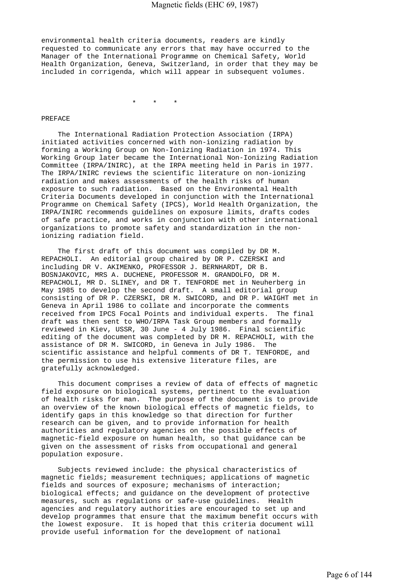environmental health criteria documents, readers are kindly requested to communicate any errors that may have occurred to the Manager of the International Programme on Chemical Safety, World Health Organization, Geneva, Switzerland, in order that they may be included in corrigenda, which will appear in subsequent volumes.

\* \* \*

#### PREFACE

 The International Radiation Protection Association (IRPA) initiated activities concerned with non-ionizing radiation by forming a Working Group on Non-Ionizing Radiation in 1974. This Working Group later became the International Non-Ionizing Radiation Committee (IRPA/INIRC), at the IRPA meeting held in Paris in 1977. The IRPA/INIRC reviews the scientific literature on non-ionizing radiation and makes assessments of the health risks of human exposure to such radiation. Based on the Environmental Health Criteria Documents developed in conjunction with the International Programme on Chemical Safety (IPCS), World Health Organization, the IRPA/INIRC recommends guidelines on exposure limits, drafts codes of safe practice, and works in conjunction with other international organizations to promote safety and standardization in the nonionizing radiation field.

 The first draft of this document was compiled by DR M. REPACHOLI. An editorial group chaired by DR P. CZERSKI and including DR V. AKIMENKO, PROFESSOR J. BERNHARDT, DR B. BOSNJAKOVIC, MRS A. DUCHENE, PROFESSOR M. GRANDOLFO, DR M. REPACHOLI, MR D. SLINEY, and DR T. TENFORDE met in Neuherberg in May 1985 to develop the second draft. A small editorial group consisting of DR P. CZERSKI, DR M. SWICORD, and DR P. WAIGHT met in Geneva in April 1986 to collate and incorporate the comments received from IPCS Focal Points and individual experts. The final draft was then sent to WHO/IRPA Task Group members and formally reviewed in Kiev, USSR, 30 June - 4 July 1986. Final scientific editing of the document was completed by DR M. REPACHOLI, with the assistance of DR M. SWICORD, in Geneva in July 1986. The scientific assistance and helpful comments of DR T. TENFORDE, and the permission to use his extensive literature files, are gratefully acknowledged.

 This document comprises a review of data of effects of magnetic field exposure on biological systems, pertinent to the evaluation of health risks for man. The purpose of the document is to provide an overview of the known biological effects of magnetic fields, to identify gaps in this knowledge so that direction for further research can be given, and to provide information for health authorities and regulatory agencies on the possible effects of magnetic-field exposure on human health, so that guidance can be given on the assessment of risks from occupational and general population exposure.

 Subjects reviewed include: the physical characteristics of magnetic fields; measurement techniques; applications of magnetic fields and sources of exposure; mechanisms of interaction; biological effects; and guidance on the development of protective measures, such as regulations or safe-use guidelines. Health agencies and regulatory authorities are encouraged to set up and develop programmes that ensure that the maximum benefit occurs with the lowest exposure. It is hoped that this criteria document will provide useful information for the development of national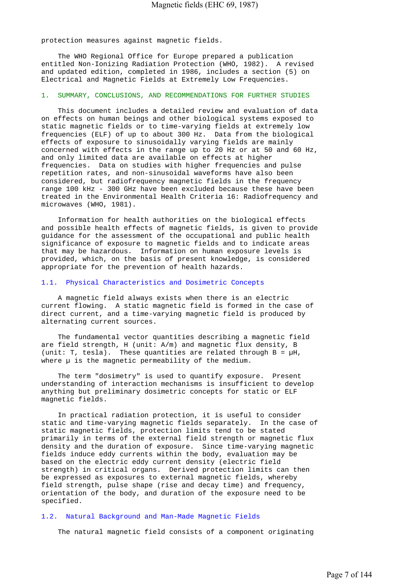protection measures against magnetic fields.

 The WHO Regional Office for Europe prepared a publication entitled Non-Ionizing Radiation Protection (WHO, 1982). A revised and updated edition, completed in 1986, includes a section (5) on Electrical and Magnetic Fields at Extremely Low Frequencies.

## 1. SUMMARY, CONCLUSIONS, AND RECOMMENDATIONS FOR FURTHER STUDIES

 This document includes a detailed review and evaluation of data on effects on human beings and other biological systems exposed to static magnetic fields or to time-varying fields at extremely low frequencies (ELF) of up to about 300 Hz. Data from the biological effects of exposure to sinusoidally varying fields are mainly concerned with effects in the range up to 20 Hz or at 50 and 60 Hz, and only limited data are available on effects at higher frequencies. Data on studies with higher frequencies and pulse repetition rates, and non-sinusoidal waveforms have also been considered, but radiofrequency magnetic fields in the frequency range 100 kHz - 300 GHz have been excluded because these have been treated in the Environmental Health Criteria 16: Radiofrequency and microwaves (WHO, 1981).

 Information for health authorities on the biological effects and possible health effects of magnetic fields, is given to provide guidance for the assessment of the occupational and public health significance of exposure to magnetic fields and to indicate areas that may be hazardous. Information on human exposure levels is provided, which, on the basis of present knowledge, is considered appropriate for the prevention of health hazards.

#### 1.1. Physical Characteristics and Dosimetric Concepts

 A magnetic field always exists when there is an electric current flowing. A static magnetic field is formed in the case of direct current, and a time-varying magnetic field is produced by alternating current sources.

 The fundamental vector quantities describing a magnetic field are field strength, H (unit: A/m) and magnetic flux density, B (unit: T, tesla). These quantities are related through  $B = \mu H$ , where  $\mu$  is the magnetic permeability of the medium.

 The term "dosimetry" is used to quantify exposure. Present understanding of interaction mechanisms is insufficient to develop anything but preliminary dosimetric concepts for static or ELF magnetic fields.

 In practical radiation protection, it is useful to consider static and time-varying magnetic fields separately. In the case of static magnetic fields, protection limits tend to be stated primarily in terms of the external field strength or magnetic flux density and the duration of exposure. Since time-varying magnetic fields induce eddy currents within the body, evaluation may be based on the electric eddy current density (electric field strength) in critical organs. Derived protection limits can then be expressed as exposures to external magnetic fields, whereby field strength, pulse shape (rise and decay time) and frequency, orientation of the body, and duration of the exposure need to be specified.

## 1.2. Natural Background and Man-Made Magnetic Fields

The natural magnetic field consists of a component originating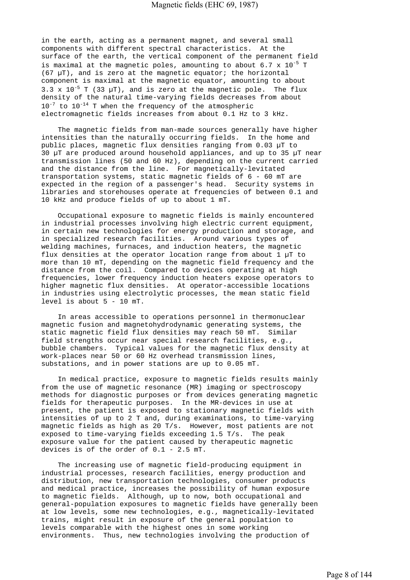in the earth, acting as a permanent magnet, and several small components with different spectral characteristics. At the surface of the earth, the vertical component of the permanent field is maximal at the magnetic poles, amounting to about  $6.7 \times 10^{-5}$  T (67 µT), and is zero at the magnetic equator; the horizontal component is maximal at the magnetic equator, amounting to about 3.3 x  $10^{-5}$  T (33  $\mu$ T), and is zero at the magnetic pole. The flux density of the natural time-varying fields decreases from about  $10^{-7}$  to  $10^{-14}$  T when the frequency of the atmospheric electromagnetic fields increases from about 0.1 Hz to 3 kHz.

 The magnetic fields from man-made sources generally have higher intensities than the naturally occurring fields. In the home and public places, magnetic flux densities ranging from 0.03 µT to 30 µT are produced around household appliances, and up to 35 µT near transmission lines (50 and 60 Hz), depending on the current carried and the distance from the line. For magnetically-levitated transportation systems, static magnetic fields of 6 - 60 mT are expected in the region of a passenger's head. Security systems in libraries and storehouses operate at frequencies of between 0.1 and 10 kHz and produce fields of up to about 1 mT.

 Occupational exposure to magnetic fields is mainly encountered in industrial processes involving high electric current equipment, in certain new technologies for energy production and storage, and in specialized research facilities. Around various types of welding machines, furnaces, and induction heaters, the magnetic flux densities at the operator location range from about 1 µT to more than 10 mT, depending on the magnetic field frequency and the distance from the coil. Compared to devices operating at high frequencies, lower frequency induction heaters expose operators to higher magnetic flux densities. At operator-accessible locations in industries using electrolytic processes, the mean static field level is about 5 - 10 mT.

 In areas accessible to operations personnel in thermonuclear magnetic fusion and magnetohydrodynamic generating systems, the static magnetic field flux densities may reach 50 mT. Similar field strengths occur near special research facilities, e.g., bubble chambers. Typical values for the magnetic flux density at work-places near 50 or 60 Hz overhead transmission lines, substations, and in power stations are up to 0.05 mT.

 In medical practice, exposure to magnetic fields results mainly from the use of magnetic resonance (MR) imaging or spectroscopy methods for diagnostic purposes or from devices generating magnetic fields for therapeutic purposes. In the MR-devices in use at present, the patient is exposed to stationary magnetic fields with intensities of up to 2 T and, during examinations, to time-varying magnetic fields as high as 20 T/s. However, most patients are not exposed to time-varying fields exceeding 1.5 T/s. The peak exposure value for the patient caused by therapeutic magnetic devices is of the order of 0.1 - 2.5 mT.

 The increasing use of magnetic field-producing equipment in industrial processes, research facilities, energy production and distribution, new transportation technologies, consumer products and medical practice, increases the possibility of human exposure to magnetic fields. Although, up to now, both occupational and general-population exposures to magnetic fields have generally been at low levels, some new technologies, e.g., magnetically-levitated trains, might result in exposure of the general population to levels comparable with the highest ones in some working environments. Thus, new technologies involving the production of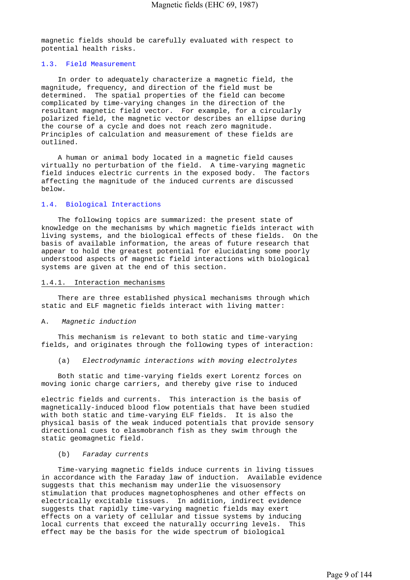magnetic fields should be carefully evaluated with respect to potential health risks.

#### 1.3. Field Measurement

 In order to adequately characterize a magnetic field, the magnitude, frequency, and direction of the field must be determined. The spatial properties of the field can become complicated by time-varying changes in the direction of the resultant magnetic field vector. For example, for a circularly polarized field, the magnetic vector describes an ellipse during the course of a cycle and does not reach zero magnitude. Principles of calculation and measurement of these fields are outlined.

 A human or animal body located in a magnetic field causes virtually no perturbation of the field. A time-varying magnetic field induces electric currents in the exposed body. The factors affecting the magnitude of the induced currents are discussed below.

#### 1.4. Biological Interactions

 The following topics are summarized: the present state of knowledge on the mechanisms by which magnetic fields interact with living systems, and the biological effects of these fields. On the basis of available information, the areas of future research that appear to hold the greatest potential for elucidating some poorly understood aspects of magnetic field interactions with biological systems are given at the end of this section.

#### 1.4.1. Interaction mechanisms

 There are three established physical mechanisms through which static and ELF magnetic fields interact with living matter:

#### A. *Magnetic induction*

 This mechanism is relevant to both static and time-varying fields, and originates through the following types of interaction:

(a) *Electrodynamic interactions with moving electrolytes*

 Both static and time-varying fields exert Lorentz forces on moving ionic charge carriers, and thereby give rise to induced

electric fields and currents. This interaction is the basis of magnetically-induced blood flow potentials that have been studied with both static and time-varying ELF fields. It is also the physical basis of the weak induced potentials that provide sensory directional cues to elasmobranch fish as they swim through the static geomagnetic field.

#### (b) *Faraday currents*

 Time-varying magnetic fields induce currents in living tissues in accordance with the Faraday law of induction. Available evidence suggests that this mechanism may underlie the visuosensory stimulation that produces magnetophosphenes and other effects on electrically excitable tissues. In addition, indirect evidence suggests that rapidly time-varying magnetic fields may exert effects on a variety of cellular and tissue systems by inducing local currents that exceed the naturally occurring levels. This effect may be the basis for the wide spectrum of biological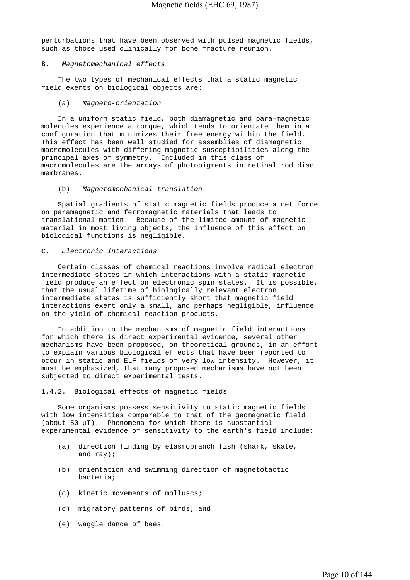perturbations that have been observed with pulsed magnetic fields, such as those used clinically for bone fracture reunion.

#### B. *Magnetomechanical effects*

 The two types of mechanical effects that a static magnetic field exerts on biological objects are:

#### (a) *Magneto-orientation*

 In a uniform static field, both diamagnetic and para-magnetic molecules experience a torque, which tends to orientate them in a configuration that minimizes their free energy within the field. This effect has been well studied for assemblies of diamagnetic macromolecules with differing magnetic susceptibilities along the principal axes of symmetry. Included in this class of macromolecules are the arrays of photopigments in retinal rod disc membranes.

#### (b) *Magnetomechanical translation*

 Spatial gradients of static magnetic fields produce a net force on paramagnetic and ferromagnetic materials that leads to translational motion. Because of the limited amount of magnetic material in most living objects, the influence of this effect on biological functions is negligible.

#### C. *Electronic interactions*

 Certain classes of chemical reactions involve radical electron intermediate states in which interactions with a static magnetic field produce an effect on electronic spin states. It is possible, that the usual lifetime of biologically relevant electron intermediate states is sufficiently short that magnetic field interactions exert only a small, and perhaps negligible, influence on the yield of chemical reaction products.

 In addition to the mechanisms of magnetic field interactions for which there is direct experimental evidence, several other mechanisms have been proposed, on theoretical grounds, in an effort to explain various biological effects that have been reported to occur in static and ELF fields of very low intensity. However, it must be emphasized, that many proposed mechanisms have not been subjected to direct experimental tests.

#### 1.4.2. Biological effects of magnetic fields

 Some organisms possess sensitivity to static magnetic fields with low intensities comparable to that of the geomagnetic field (about 50 µT). Phenomena for which there is substantial experimental evidence of sensitivity to the earth's field include:

- (a) direction finding by elasmobranch fish (shark, skate, and ray);
- (b) orientation and swimming direction of magnetotactic bacteria;
- (c) kinetic movements of molluscs;
- (d) migratory patterns of birds; and
- (e) waggle dance of bees.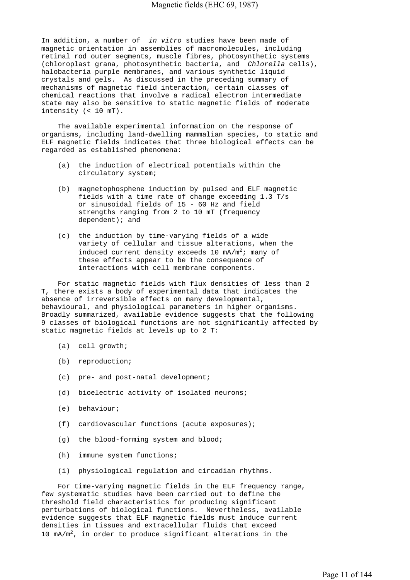In addition, a number of *in vitro* studies have been made of magnetic orientation in assemblies of macromolecules, including retinal rod outer segments, muscle fibres, photosynthetic systems (chloroplast grana, photosynthetic bacteria, and *Chlorella* cells), halobacteria purple membranes, and various synthetic liquid crystals and gels. As discussed in the preceding summary of mechanisms of magnetic field interaction, certain classes of chemical reactions that involve a radical electron intermediate state may also be sensitive to static magnetic fields of moderate intensity (< 10 mT).

 The available experimental information on the response of organisms, including land-dwelling mammalian species, to static and ELF magnetic fields indicates that three biological effects can be regarded as established phenomena:

- (a) the induction of electrical potentials within the circulatory system;
- (b) magnetophosphene induction by pulsed and ELF magnetic fields with a time rate of change exceeding 1.3 T/s or sinusoidal fields of 15 - 60 Hz and field strengths ranging from 2 to 10 mT (frequency dependent); and
- (c) the induction by time-varying fields of a wide variety of cellular and tissue alterations, when the induced current density exceeds 10 mA/m<sup>2</sup>; many of these effects appear to be the consequence of interactions with cell membrane components.

 For static magnetic fields with flux densities of less than 2 T, there exists a body of experimental data that indicates the absence of irreversible effects on many developmental, behavioural, and physiological parameters in higher organisms. Broadly summarized, available evidence suggests that the following 9 classes of biological functions are not significantly affected by static magnetic fields at levels up to 2 T:

- (a) cell growth;
- (b) reproduction;
- (c) pre- and post-natal development;
- (d) bioelectric activity of isolated neurons;
- (e) behaviour;
- (f) cardiovascular functions (acute exposures);
- (g) the blood-forming system and blood;
- (h) immune system functions;
- (i) physiological regulation and circadian rhythms.

 For time-varying magnetic fields in the ELF frequency range, few systematic studies have been carried out to define the threshold field characteristics for producing significant perturbations of biological functions. Nevertheless, available evidence suggests that ELF magnetic fields must induce current densities in tissues and extracellular fluids that exceed 10  $mA/m^2$ , in order to produce significant alterations in the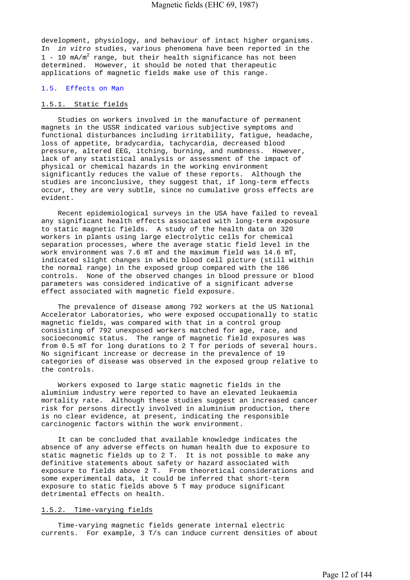development, physiology, and behaviour of intact higher organisms. In *in vitro* studies, various phenomena have been reported in the 1 - 10 mA/m<sup>2</sup> range, but their health significance has not been determined. However, it should be noted that therapeutic applications of magnetic fields make use of this range.

#### 1.5. Effects on Man

## 1.5.1. Static fields

 Studies on workers involved in the manufacture of permanent magnets in the USSR indicated various subjective symptoms and functional disturbances including irritability, fatigue, headache, loss of appetite, bradycardia, tachycardia, decreased blood pressure, altered EEG, itching, burning, and numbness. However, lack of any statistical analysis or assessment of the impact of physical or chemical hazards in the working environment significantly reduces the value of these reports. Although the studies are inconclusive, they suggest that, if long-term effects occur, they are very subtle, since no cumulative gross effects are evident.

 Recent epidemiological surveys in the USA have failed to reveal any significant health effects associated with long-term exposure to static magnetic fields. A study of the health data on 320 workers in plants using large electrolytic cells for chemical separation processes, where the average static field level in the work environment was 7.6 mT and the maximum field was 14.6 mT, indicated slight changes in white blood cell picture (still within the normal range) in the exposed group compared with the 186 controls. None of the observed changes in blood pressure or blood parameters was considered indicative of a significant adverse effect associated with magnetic field exposure.

 The prevalence of disease among 792 workers at the US National Accelerator Laboratories, who were exposed occupationally to static magnetic fields, was compared with that in a control group consisting of 792 unexposed workers matched for age, race, and socioeconomic status. The range of magnetic field exposures was from 0.5 mT for long durations to 2 T for periods of several hours. No significant increase or decrease in the prevalence of 19 categories of disease was observed in the exposed group relative to the controls.

 Workers exposed to large static magnetic fields in the aluminium industry were reported to have an elevated leukaemia mortality rate. Although these studies suggest an increased cancer risk for persons directly involved in aluminium production, there is no clear evidence, at present, indicating the responsible carcinogenic factors within the work environment.

 It can be concluded that available knowledge indicates the absence of any adverse effects on human health due to exposure to static magnetic fields up to 2 T. It is not possible to make any definitive statements about safety or hazard associated with exposure to fields above 2 T. From theoretical considerations and some experimental data, it could be inferred that short-term exposure to static fields above 5 T may produce significant detrimental effects on health.

#### 1.5.2. Time-varying fields

 Time-varying magnetic fields generate internal electric currents. For example, 3 T/s can induce current densities of about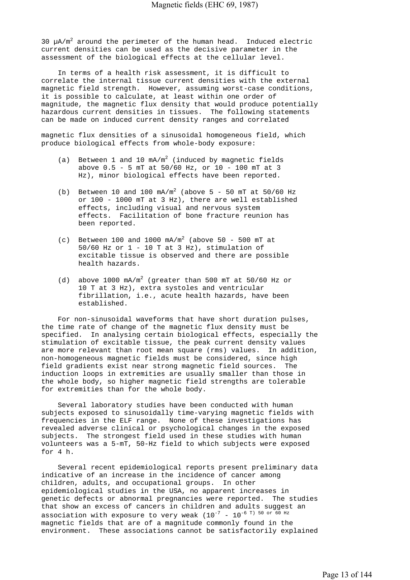$30 \mu A/m^2$  around the perimeter of the human head. Induced electric current densities can be used as the decisive parameter in the assessment of the biological effects at the cellular level.

 In terms of a health risk assessment, it is difficult to correlate the internal tissue current densities with the external magnetic field strength. However, assuming worst-case conditions, it is possible to calculate, at least within one order of magnitude, the magnetic flux density that would produce potentially hazardous current densities in tissues. The following statements can be made on induced current density ranges and correlated

magnetic flux densities of a sinusoidal homogeneous field, which produce biological effects from whole-body exposure:

- (a) Between 1 and 10 mA/m<sup>2</sup> (induced by magnetic fields above 0.5 - 5 mT at 50/60 Hz, or 10 - 100 mT at 3 Hz), minor biological effects have been reported.
- (b) Between 10 and 100  $mA/m^2$  (above 5 50 mT at 50/60 Hz or 100 - 1000 mT at 3 Hz), there are well established effects, including visual and nervous system effects. Facilitation of bone fracture reunion has been reported.
- (c) Between 100 and 1000 mA/m<sup>2</sup> (above 50 500 mT at 50/60 Hz or 1 - 10 T at 3 Hz), stimulation of excitable tissue is observed and there are possible health hazards.
- (d) above  $1000 \text{ mA/m}^2$  (greater than 500 mT at 50/60 Hz or 10 T at 3 Hz), extra systoles and ventricular fibrillation, i.e., acute health hazards, have been established.

 For non-sinusoidal waveforms that have short duration pulses, the time rate of change of the magnetic flux density must be specified. In analysing certain biological effects, especially the stimulation of excitable tissue, the peak current density values are more relevant than root mean square (rms) values. In addition, non-homogeneous magnetic fields must be considered, since high field gradients exist near strong magnetic field sources. The induction loops in extremities are usually smaller than those in the whole body, so higher magnetic field strengths are tolerable for extremities than for the whole body.

 Several laboratory studies have been conducted with human subjects exposed to sinusoidally time-varying magnetic fields with frequencies in the ELF range. None of these investigations has revealed adverse clinical or psychological changes in the exposed subjects. The strongest field used in these studies with human volunteers was a 5-mT, 50-Hz field to which subjects were exposed for 4 h.

 Several recent epidemiological reports present preliminary data indicative of an increase in the incidence of cancer among children, adults, and occupational groups. In other epidemiological studies in the USA, no apparent increases in genetic defects or abnormal pregnancies were reported. The studies that show an excess of cancers in children and adults suggest an association with exposure to very weak  $(10^{-7} - 10^{-6})$  50 or 60 Hz magnetic fields that are of a magnitude commonly found in the environment. These associations cannot be satisfactorily explained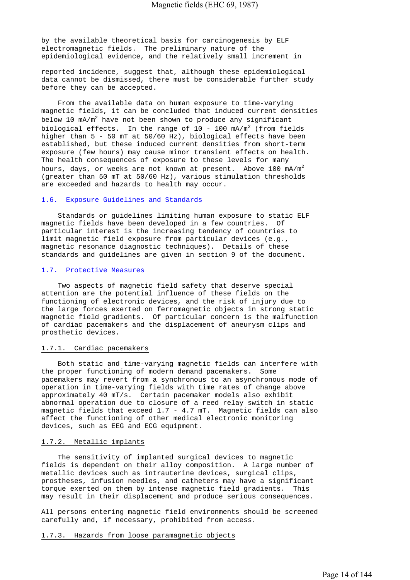by the available theoretical basis for carcinogenesis by ELF electromagnetic fields. The preliminary nature of the epidemiological evidence, and the relatively small increment in

reported incidence, suggest that, although these epidemiological data cannot be dismissed, there must be considerable further study before they can be accepted.

 From the available data on human exposure to time-varying magnetic fields, it can be concluded that induced current densities below 10 mA/m $^2$  have not been shown to produce any significant biological effects. In the range of  $10 - 100$  mA/m<sup>2</sup> (from fields higher than 5 - 50 mT at 50/60 Hz), biological effects have been established, but these induced current densities from short-term exposure (few hours) may cause minor transient effects on health. The health consequences of exposure to these levels for many hours, days, or weeks are not known at present. Above 100 mA/m<sup>2</sup> (greater than 50 mT at 50/60 Hz), various stimulation thresholds are exceeded and hazards to health may occur.

## 1.6. Exposure Guidelines and Standards

 Standards or guidelines limiting human exposure to static ELF magnetic fields have been developed in a few countries. Of particular interest is the increasing tendency of countries to limit magnetic field exposure from particular devices (e.g., magnetic resonance diagnostic techniques). Details of these standards and guidelines are given in section 9 of the document.

#### 1.7. Protective Measures

 Two aspects of magnetic field safety that deserve special attention are the potential influence of these fields on the functioning of electronic devices, and the risk of injury due to the large forces exerted on ferromagnetic objects in strong static magnetic field gradients. Of particular concern is the malfunction of cardiac pacemakers and the displacement of aneurysm clips and prosthetic devices.

#### 1.7.1. Cardiac pacemakers

 Both static and time-varying magnetic fields can interfere with the proper functioning of modern demand pacemakers. Some pacemakers may revert from a synchronous to an asynchronous mode of operation in time-varying fields with time rates of change above approximately 40 mT/s. Certain pacemaker models also exhibit abnormal operation due to closure of a reed relay switch in static magnetic fields that exceed 1.7 - 4.7 mT. Magnetic fields can also affect the functioning of other medical electronic monitoring devices, such as EEG and ECG equipment.

#### 1.7.2. Metallic implants

 The sensitivity of implanted surgical devices to magnetic fields is dependent on their alloy composition. A large number of metallic devices such as intrauterine devices, surgical clips, prostheses, infusion needles, and catheters may have a significant torque exerted on them by intense magnetic field gradients. This may result in their displacement and produce serious consequences.

All persons entering magnetic field environments should be screened carefully and, if necessary, prohibited from access.

1.7.3. Hazards from loose paramagnetic objects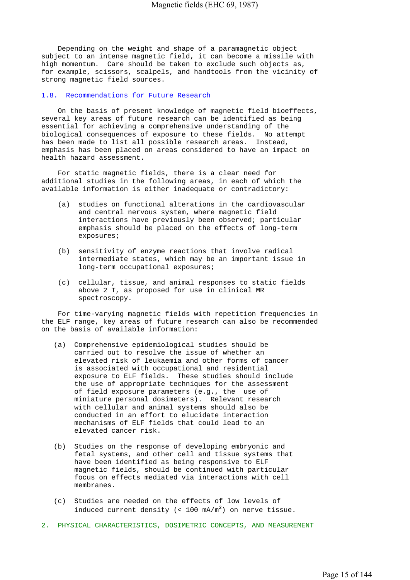Depending on the weight and shape of a paramagnetic object subject to an intense magnetic field, it can become a missile with high momentum. Care should be taken to exclude such objects as, for example, scissors, scalpels, and handtools from the vicinity of strong magnetic field sources.

## 1.8. Recommendations for Future Research

 On the basis of present knowledge of magnetic field bioeffects, several key areas of future research can be identified as being essential for achieving a comprehensive understanding of the biological consequences of exposure to these fields. No attempt has been made to list all possible research areas. Instead, emphasis has been placed on areas considered to have an impact on health hazard assessment.

 For static magnetic fields, there is a clear need for additional studies in the following areas, in each of which the available information is either inadequate or contradictory:

- (a) studies on functional alterations in the cardiovascular and central nervous system, where magnetic field interactions have previously been observed; particular emphasis should be placed on the effects of long-term exposures;
- (b) sensitivity of enzyme reactions that involve radical intermediate states, which may be an important issue in long-term occupational exposures;
- (c) cellular, tissue, and animal responses to static fields above 2 T, as proposed for use in clinical MR spectroscopy.

 For time-varying magnetic fields with repetition frequencies in the ELF range, key areas of future research can also be recommended on the basis of available information:

- (a) Comprehensive epidemiological studies should be carried out to resolve the issue of whether an elevated risk of leukaemia and other forms of cancer is associated with occupational and residential exposure to ELF fields. These studies should include the use of appropriate techniques for the assessment of field exposure parameters (e.g., the use of miniature personal dosimeters). Relevant research with cellular and animal systems should also be conducted in an effort to elucidate interaction mechanisms of ELF fields that could lead to an elevated cancer risk.
- (b) Studies on the response of developing embryonic and fetal systems, and other cell and tissue systems that have been identified as being responsive to ELF magnetic fields, should be continued with particular focus on effects mediated via interactions with cell membranes.
- (c) Studies are needed on the effects of low levels of induced current density (<  $100$  mA/m<sup>2</sup>) on nerve tissue.
- 2. PHYSICAL CHARACTERISTICS, DOSIMETRIC CONCEPTS, AND MEASUREMENT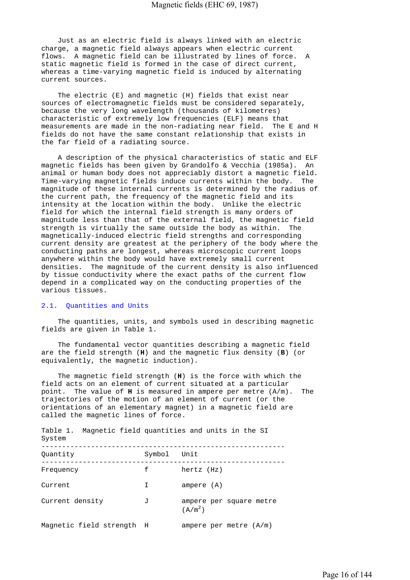Just as an electric field is always linked with an electric charge, a magnetic field always appears when electric current flows. A magnetic field can be illustrated by lines of force. A static magnetic field is formed in the case of direct current, whereas a time-varying magnetic field is induced by alternating current sources.

 The electric (E) and magnetic (H) fields that exist near sources of electromagnetic fields must be considered separately, because the very long wavelength (thousands of kilometres) characteristic of extremely low frequencies (ELF) means that measurements are made in the non-radiating near field. The E and H fields do not have the same constant relationship that exists in the far field of a radiating source.

 A description of the physical characteristics of static and ELF magnetic fields has been given by Grandolfo & Vecchia (1985a). An animal or human body does not appreciably distort a magnetic field. Time-varying magnetic fields induce currents within the body. The magnitude of these internal currents is determined by the radius of the current path, the frequency of the magnetic field and its intensity at the location within the body. Unlike the electric field for which the internal field strength is many orders of magnitude less than that of the external field, the magnetic field strength is virtually the same outside the body as within. The magnetically-induced electric field strengths and corresponding current density are greatest at the periphery of the body where the conducting paths are longest, whereas microscopic current loops anywhere within the body would have extremely small current densities. The magnitude of the current density is also influenced by tissue conductivity where the exact paths of the current flow depend in a complicated way on the conducting properties of the various tissues.

## 2.1. Quantities and Units

 The quantities, units, and symbols used in describing magnetic fields are given in Table 1.

 The fundamental vector quantities describing a magnetic field are the field strength (**H**) and the magnetic flux density (**B**) (or equivalently, the magnetic induction).

 The magnetic field strength (**H**) is the force with which the field acts on an element of current situated at a particular point. The value of **H** is measured in ampere per metre (A/m). The trajectories of the motion of an element of current (or the orientations of an elementary magnet) in a magnetic field are called the magnetic lines of force.

| Table 1. Magnetic field quantities and units in the SI<br>System |             |                                                |
|------------------------------------------------------------------|-------------|------------------------------------------------|
| Quantity                                                         | Symbol Unit |                                                |
| Frequency                                                        | f           | hertz (Hz)                                     |
| Current                                                          | I           | ampere (A)                                     |
| Current density                                                  | J           | ampere per square metre<br>(A/m <sup>2</sup> ) |
| Magnetic field strength H                                        |             | ampere per metre $(A/m)$                       |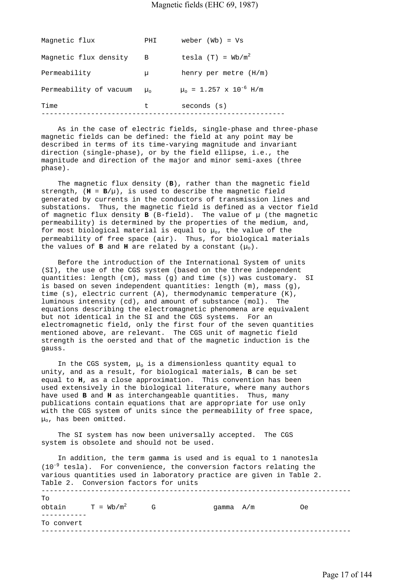## Magnetic fields (EHC 69, 1987)

| Magnetic flux          | PHI            | weber $(Wb) = Vs$                      |
|------------------------|----------------|----------------------------------------|
| Magnetic flux density  | B              | tesla $(T) = Wb/m^2$                   |
| Permeability           | μ              | henry per metre $(H/m)$                |
| Permeability of vacuum | $\mu_{\alpha}$ | $\mu_0$ = 1.257 x 10 <sup>-6</sup> H/m |
| Time                   | t.             | seconds (s)                            |
|                        |                |                                        |

 As in the case of electric fields, single-phase and three-phase magnetic fields can be defined: the field at any point may be described in terms of its time-varying magnitude and invariant direction (single-phase), or by the field ellipse, i.e., the magnitude and direction of the major and minor semi-axes (three phase).

 The magnetic flux density (**B**), rather than the magnetic field strength,  $(H = B/u)$ , is used to describe the magnetic field generated by currents in the conductors of transmission lines and substations. Thus, the magnetic field is defined as a vector field of magnetic flux density  $B$  (B-field). The value of  $\mu$  (the magnetic permeability) is determined by the properties of the medium, and, for most biological material is equal to  $\mu_o$ , the value of the permeability of free space (air). Thus, for biological materials the values of **B** and **H** are related by a constant  $(\mu_0)$ .

 Before the introduction of the International System of units (SI), the use of the CGS system (based on the three independent quantities: length (cm), mass (g) and time (s)) was customary. SI is based on seven independent quantities: length (m), mass (g), time (s), electric current (A), thermodynamic temperature (K), luminous intensity (cd), and amount of substance (mol). The equations describing the electromagnetic phenomena are equivalent but not identical in the SI and the CGS systems. For an electromagnetic field, only the first four of the seven quantities mentioned above, are relevant. The CGS unit of magnetic field strength is the oersted and that of the magnetic induction is the gauss.

In the CGS system,  $\mu_0$  is a dimensionless quantity equal to unity, and as a result, for biological materials, **B** can be set equal to **H**, as a close approximation. This convention has been used extensively in the biological literature, where many authors have used **B** and **H** as interchangeable quantities. Thus, many publications contain equations that are appropriate for use only with the CGS system of units since the permeability of free space,  $u_0$ , has been omitted.

 The SI system has now been universally accepted. The CGS system is obsolete and should not be used.

 In addition, the term gamma is used and is equal to 1 nanotesla  $(10^{-9}$  tesla). For convenience, the conversion factors relating the various quantities used in laboratory practice are given in Table 2. Table 2. Conversion factors for units --------------------------------------------------------------------------- To obtain  $T = Wb/m^2$  G gamma  $A/m$  Oe ----------- To convert ---------------------------------------------------------------------------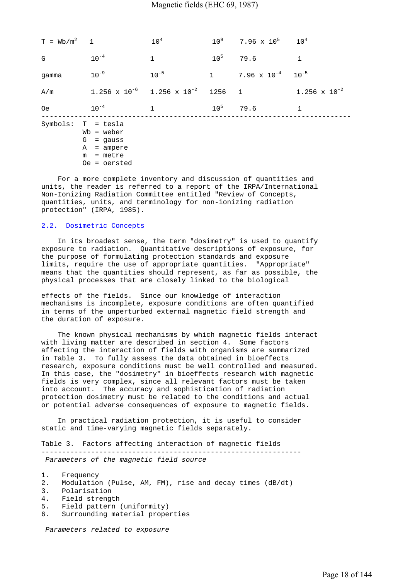| $T = Wb/m^2$ 1 |                                                                                                    | 10 <sup>4</sup>                          | $10^9$          | $7.96 \times 10^5$ $10^4$        |                        |
|----------------|----------------------------------------------------------------------------------------------------|------------------------------------------|-----------------|----------------------------------|------------------------|
| G.             | $10^{-4}$                                                                                          | $\mathbf{1}$                             | 10 <sup>5</sup> | 79.6                             | $\mathbf{1}$           |
| qamma          | $10^{-9}$                                                                                          | $10^{-5}$                                |                 | 1 7.96 $\times$ 10 <sup>-4</sup> | $10^{-5}$              |
| A/m            |                                                                                                    | $1.256 \times 10^{-6}$ 1.256 x $10^{-2}$ | 1256 1          |                                  | $1.256 \times 10^{-2}$ |
| 0e             | $10^{-4}$                                                                                          | $\mathbf{1}$                             |                 | $10^5$ 79.6                      | $\mathbf{1}$           |
|                | Symbols: T = tesla<br>$Wb = weber$<br>$G = gauss$<br>$A = ampere$<br>$m =$ metre<br>$0e =$ oersted |                                          |                 |                                  |                        |

 For a more complete inventory and discussion of quantities and units, the reader is referred to a report of the IRPA/International Non-Ionizing Radiation Committee entitled "Review of Concepts, quantities, units, and terminology for non-ionizing radiation protection" (IRPA, 1985).

#### 2.2. Dosimetric Concepts

 In its broadest sense, the term "dosimetry" is used to quantify exposure to radiation. Quantitative descriptions of exposure, for the purpose of formulating protection standards and exposure limits, require the use of appropriate quantities. "Appropriate" means that the quantities should represent, as far as possible, the physical processes that are closely linked to the biological

effects of the fields. Since our knowledge of interaction mechanisms is incomplete, exposure conditions are often quantified in terms of the unperturbed external magnetic field strength and the duration of exposure.

 The known physical mechanisms by which magnetic fields interact with living matter are described in section 4. Some factors affecting the interaction of fields with organisms are summarized in Table 3. To fully assess the data obtained in bioeffects research, exposure conditions must be well controlled and measured. In this case, the "dosimetry" in bioeffects research with magnetic fields is very complex, since all relevant factors must be taken into account. The accuracy and sophistication of radiation protection dosimetry must be related to the conditions and actual or potential adverse consequences of exposure to magnetic fields.

 In practical radiation protection, it is useful to consider static and time-varying magnetic fields separately.

Table 3. Factors affecting interaction of magnetic fields ---------------------------------------------------------------  *Parameters of the magnetic field source*

- 2. Modulation (Pulse, AM, FM), rise and decay times (dB/dt)
- 3. Polarisation
- 4. Field strength
- 5. Field pattern (uniformity)
- 6. Surrounding material properties

 *Parameters related to exposure*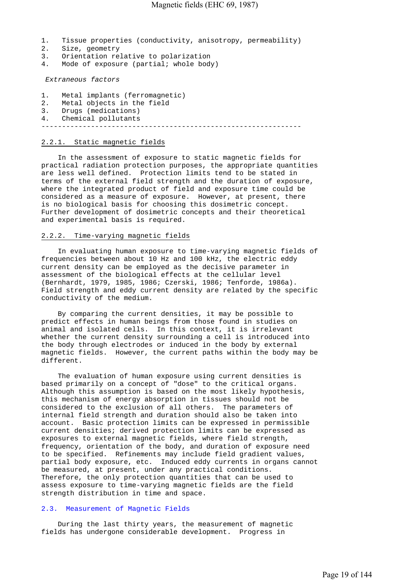- 1. Tissue properties (conductivity, anisotropy, permeability)
- 2. Size, geometry
- 3. Orientation relative to polarization
- 4. Mode of exposure (partial; whole body)

 *Extraneous factors*

- 1. Metal implants (ferromagnetic)
- 2. Metal objects in the field
- 3. Drugs (medications)
- 4. Chemical pollutants

---------------------------------------------------------------

## 2.2.1. Static magnetic fields

 In the assessment of exposure to static magnetic fields for practical radiation protection purposes, the appropriate quantities are less well defined. Protection limits tend to be stated in terms of the external field strength and the duration of exposure, where the integrated product of field and exposure time could be considered as a measure of exposure. However, at present, there is no biological basis for choosing this dosimetric concept. Further development of dosimetric concepts and their theoretical and experimental basis is required.

#### 2.2.2. Time-varying magnetic fields

 In evaluating human exposure to time-varying magnetic fields of frequencies between about 10 Hz and 100 kHz, the electric eddy current density can be employed as the decisive parameter in assessment of the biological effects at the cellular level (Bernhardt, 1979, 1985, 1986; Czerski, 1986; Tenforde, 1986a). Field strength and eddy current density are related by the specific conductivity of the medium.

 By comparing the current densities, it may be possible to predict effects in human beings from those found in studies on animal and isolated cells. In this context, it is irrelevant whether the current density surrounding a cell is introduced into the body through electrodes or induced in the body by external magnetic fields. However, the current paths within the body may be different.

 The evaluation of human exposure using current densities is based primarily on a concept of "dose" to the critical organs. Although this assumption is based on the most likely hypothesis, this mechanism of energy absorption in tissues should not be considered to the exclusion of all others. The parameters of internal field strength and duration should also be taken into account. Basic protection limits can be expressed in permissible current densities; derived protection limits can be expressed as exposures to external magnetic fields, where field strength, frequency, orientation of the body, and duration of exposure need to be specified. Refinements may include field gradient values, partial body exposure, etc. Induced eddy currents in organs cannot be measured, at present, under any practical conditions. Therefore, the only protection quantities that can be used to assess exposure to time-varying magnetic fields are the field strength distribution in time and space.

## 2.3. Measurement of Magnetic Fields

 During the last thirty years, the measurement of magnetic fields has undergone considerable development. Progress in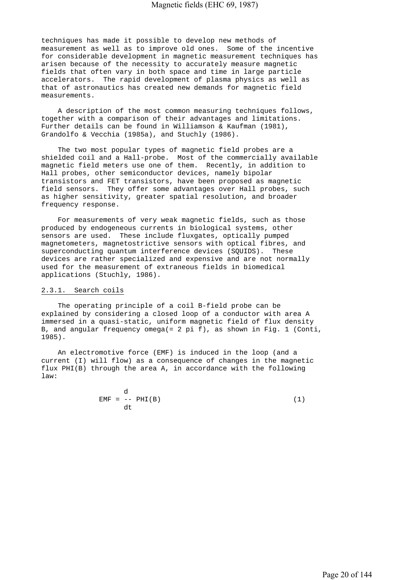techniques has made it possible to develop new methods of measurement as well as to improve old ones. Some of the incentive for considerable development in magnetic measurement techniques has arisen because of the necessity to accurately measure magnetic fields that often vary in both space and time in large particle accelerators. The rapid development of plasma physics as well as that of astronautics has created new demands for magnetic field measurements.

 A description of the most common measuring techniques follows, together with a comparison of their advantages and limitations. Further details can be found in Williamson & Kaufman (1981), Grandolfo & Vecchia (1985a), and Stuchly (1986).

 The two most popular types of magnetic field probes are a shielded coil and a Hall-probe. Most of the commercially available magnetic field meters use one of them. Recently, in addition to Hall probes, other semiconductor devices, namely bipolar transistors and FET transistors, have been proposed as magnetic field sensors. They offer some advantages over Hall probes, such as higher sensitivity, greater spatial resolution, and broader frequency response.

 For measurements of very weak magnetic fields, such as those produced by endogeneous currents in biological systems, other sensors are used. These include fluxgates, optically pumped magnetometers, magnetostrictive sensors with optical fibres, and superconducting quantum interference devices (SQUIDS). These devices are rather specialized and expensive and are not normally used for the measurement of extraneous fields in biomedical applications (Stuchly, 1986).

## 2.3.1. Search coils

 The operating principle of a coil B-field probe can be explained by considering a closed loop of a conductor with area A immersed in a quasi-static, uniform magnetic field of flux density B, and angular frequency omega(= 2 pi f), as shown in Fig. 1 (Conti, 1985).

 An electromotive force (EMF) is induced in the loop (and a current (I) will flow) as a consequence of changes in the magnetic flux PHI(B) through the area A, in accordance with the following law:

| $EMF = -- PHI(B)$ | (1) |
|-------------------|-----|
|                   |     |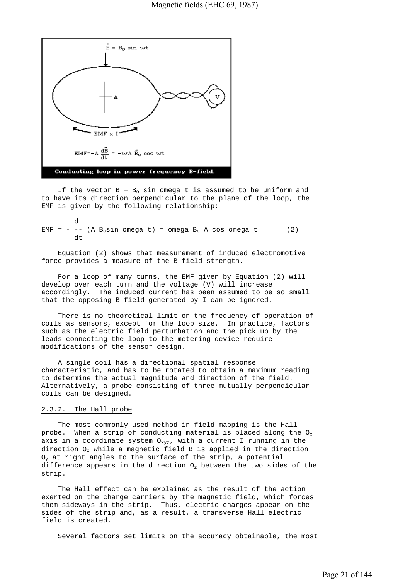

If the vector  $B = B_0$  sin omega t is assumed to be uniform and to have its direction perpendicular to the plane of the loop, the EMF is given by the following relationship:

 d EMF =  $- -$  (A B<sub>o</sub>sin omega t) = omega B<sub>o</sub> A cos omega t (2) dt

 Equation (2) shows that measurement of induced electromotive force provides a measure of the B-field strength.

 For a loop of many turns, the EMF given by Equation (2) will develop over each turn and the voltage (V) will increase accordingly. The induced current has been assumed to be so small that the opposing B-field generated by I can be ignored.

 There is no theoretical limit on the frequency of operation of coils as sensors, except for the loop size. In practice, factors such as the electric field perturbation and the pick up by the leads connecting the loop to the metering device require modifications of the sensor design.

 A single coil has a directional spatial response characteristic, and has to be rotated to obtain a maximum reading to determine the actual magnitude and direction of the field. Alternatively, a probe consisting of three mutually perpendicular coils can be designed.

#### 2.3.2. The Hall probe

 The most commonly used method in field mapping is the Hall probe. When a strip of conducting material is placed along the  $O_x$ axis in a coordinate system  $O_{xyz}$ , with a current I running in the direction  $O_x$  while a magnetic field B is applied in the direction  $O_v$  at right angles to the surface of the strip, a potential difference appears in the direction  $O<sub>z</sub>$  between the two sides of the strip.

 The Hall effect can be explained as the result of the action exerted on the charge carriers by the magnetic field, which forces them sideways in the strip. Thus, electric charges appear on the sides of the strip and, as a result, a transverse Hall electric field is created.

Several factors set limits on the accuracy obtainable, the most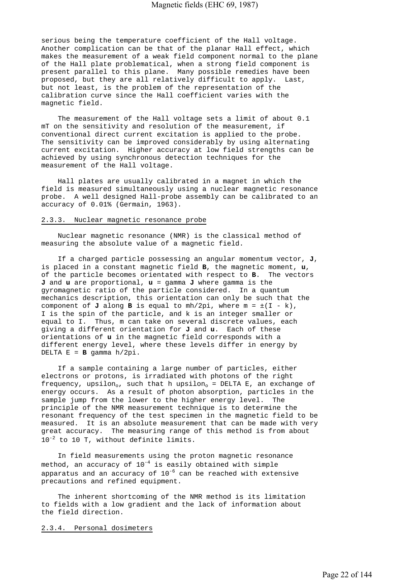serious being the temperature coefficient of the Hall voltage. Another complication can be that of the planar Hall effect, which makes the measurement of a weak field component normal to the plane of the Hall plate problematical, when a strong field component is present parallel to this plane. Many possible remedies have been proposed, but they are all relatively difficult to apply. Last, but not least, is the problem of the representation of the calibration curve since the Hall coefficient varies with the magnetic field.

 The measurement of the Hall voltage sets a limit of about 0.1 mT on the sensitivity and resolution of the measurement, if conventional direct current excitation is applied to the probe. The sensitivity can be improved considerably by using alternating current excitation. Higher accuracy at low field strengths can be achieved by using synchronous detection techniques for the measurement of the Hall voltage.

 Hall plates are usually calibrated in a magnet in which the field is measured simultaneously using a nuclear magnetic resonance probe. A well designed Hall-probe assembly can be calibrated to an accuracy of 0.01% (Germain, 1963).

#### 2.3.3. Nuclear magnetic resonance probe

 Nuclear magnetic resonance (NMR) is the classical method of measuring the absolute value of a magnetic field.

 If a charged particle possessing an angular momentum vector, **J**, is placed in a constant magnetic field **B**, the magnetic moment, **u**, of the particle becomes orientated with respect to **B**. The vectors **J** and **u** are proportional, **u** = gamma **J** where gamma is the gyromagnetic ratio of the particle considered. In a quantum mechanics description, this orientation can only be such that the component of  $J$  along  $B$  is equal to  $mh/2pi$ , where  $m = \pm (I - k)$ , I is the spin of the particle, and k is an integer smaller or equal to I. Thus, m can take on several discrete values, each giving a different orientation for **J** and **u**. Each of these orientations of **u** in the magnetic field corresponds with a different energy level, where these levels differ in energy by DELTA E = **B** gamma h/2pi.

 If a sample containing a large number of particles, either electrons or protons, is irradiated with photons of the right frequency, upsilon<sub>o</sub>, such that h upsilon<sub>o</sub> = DELTA E, an exchange of energy occurs. As a result of photon absorption, particles in the sample jump from the lower to the higher energy level. The principle of the NMR measurement technique is to determine the resonant frequency of the test specimen in the magnetic field to be measured. It is an absolute measurement that can be made with very great accuracy. The measuring range of this method is from about 10-2 to 10 T, without definite limits.

 In field measurements using the proton magnetic resonance method, an accuracy of  $10^{-4}$  is easily obtained with simple apparatus and an accuracy of  $10^{-6}$  can be reached with extensive precautions and refined equipment.

 The inherent shortcoming of the NMR method is its limitation to fields with a low gradient and the lack of information about the field direction.

2.3.4. Personal dosimeters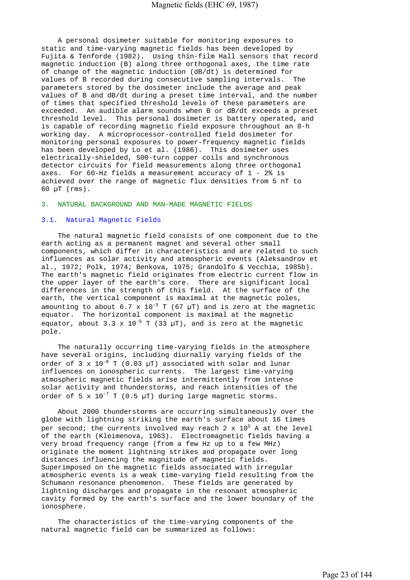A personal dosimeter suitable for monitoring exposures to static and time-varying magnetic fields has been developed by Fujita & Tenforde (1982). Using thin-film Hall sensors that record magnetic induction (B) along three orthogonal axes, the time rate of change of the magnetic induction (dB/dt) is determined for values of B recorded during consecutive sampling intervals. The parameters stored by the dosimeter include the average and peak values of B and dB/dt during a preset time interval, and the number of times that specified threshold levels of these parameters are exceeded. An audible alarm sounds when B or dB/dt exceeds a preset threshold level. This personal dosimeter is battery operated, and is capable of recording magnetic field exposure throughout an 8-h working day. A microprocessor-controlled field dosimeter for monitoring personal exposures to power-frequency magnetic fields has been developed by Lo et al. (1986). This dosimeter uses electrically-shielded, 500-turn copper coils and synchronous detector circuits for field measurements along three orthogonal axes. For 60-Hz fields a measurement accuracy of 1 - 2% is achieved over the range of magnetic flux densities from 5 nT to 60 µT (rms).

#### 3. NATURAL BACKGROUND AND MAN-MADE MAGNETIC FIELDS

#### 3.1. Natural Magnetic Fields

 The natural magnetic field consists of one component due to the earth acting as a permanent magnet and several other small components, which differ in characteristics and are related to such influences as solar activity and atmospheric events (Aleksandrov et al., 1972; Polk, 1974; Benkova, 1975; Grandolfo & Vecchia, 1985b). The earth's magnetic field originates from electric current flow in the upper layer of the earth's core. There are significant local differences in the strength of this field. At the surface of the earth, the vertical component is maximal at the magnetic poles, amounting to about 6.7 x  $10^{-5}$  T (67  $\mu$ T) and is zero at the magnetic equator. The horizontal component is maximal at the magnetic equator, about 3.3 x  $10^{-5}$  T (33 µT), and is zero at the magnetic pole.

 The naturally occurring time-varying fields in the atmosphere have several origins, including diurnally varying fields of the order of  $3 \times 10^{-8}$  T (0.03 µT) associated with solar and lunar influences on ionospheric currents. The largest time-varying atmospheric magnetic fields arise intermittently from intense solar activity and thunderstorms, and reach intensities of the order of 5 x  $10^{-7}$  T (0.5 µT) during large magnetic storms.

 About 2000 thunderstorms are occurring simultaneously over the globe with lightning striking the earth's surface about 16 times per second; the currents involved may reach 2 x  $10^5$  A at the level of the earth (Kleimenova, 1963). Electromagnetic fields having a very broad frequency range (from a few Hz up to a few MHz) originate the moment lightning strikes and propagate over long distances influencing the magnitude of magnetic fields. Superimposed on the magnetic fields associated with irregular atmospheric events is a weak time-varying field resulting from the Schumann resonance phenomenon. These fields are generated by lightning discharges and propagate in the resonant atmospheric cavity formed by the earth's surface and the lower boundary of the ionosphere.

 The characteristics of the time-varying components of the natural magnetic field can be summarized as follows: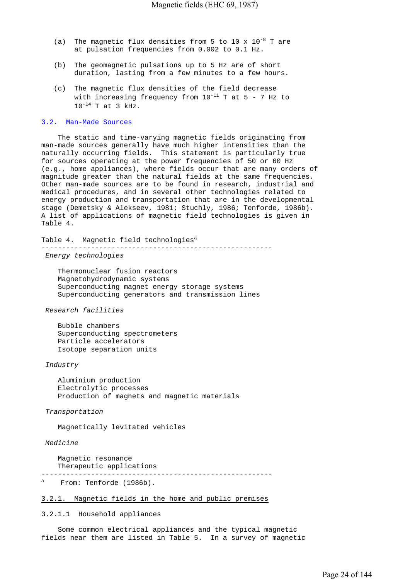- (a) The magnetic flux densities from 5 to 10 x  $10^{-8}$  T are at pulsation frequencies from 0.002 to 0.1 Hz.
- (b) The geomagnetic pulsations up to 5 Hz are of short duration, lasting from a few minutes to a few hours.
- (c) The magnetic flux densities of the field decrease with increasing frequency from  $10^{-11}$  T at 5 - 7 Hz to  $10^{-14}$  T at 3 kHz.

#### 3.2. Man-Made Sources

 The static and time-varying magnetic fields originating from man-made sources generally have much higher intensities than the naturally occurring fields. This statement is particularly true for sources operating at the power frequencies of 50 or 60 Hz (e.g., home appliances), where fields occur that are many orders of magnitude greater than the natural fields at the same frequencies. Other man-made sources are to be found in research, industrial and medical procedures, and in several other technologies related to energy production and transportation that are in the developmental stage (Demetsky & Alekseev, 1981; Stuchly, 1986; Tenforde, 1986b). A list of applications of magnetic field technologies is given in Table 4.

Table 4. Magnetic field technologies<sup>a</sup> --------------------------------------------------------

 *Energy technologies*

 Thermonuclear fusion reactors Magnetohydrodynamic systems Superconducting magnet energy storage systems Superconducting generators and transmission lines

 *Research facilities*

 Bubble chambers Superconducting spectrometers Particle accelerators Isotope separation units

 *Industry*

 Aluminium production Electrolytic processes Production of magnets and magnetic materials

 *Transportation*

Magnetically levitated vehicles

#### *Medicine*

 Magnetic resonance Therapeutic applications

--------------------------------------------------------

a From: Tenforde (1986b).

#### 3.2.1. Magnetic fields in the home and public premises

3.2.1.1 Household appliances

 Some common electrical appliances and the typical magnetic fields near them are listed in Table 5. In a survey of magnetic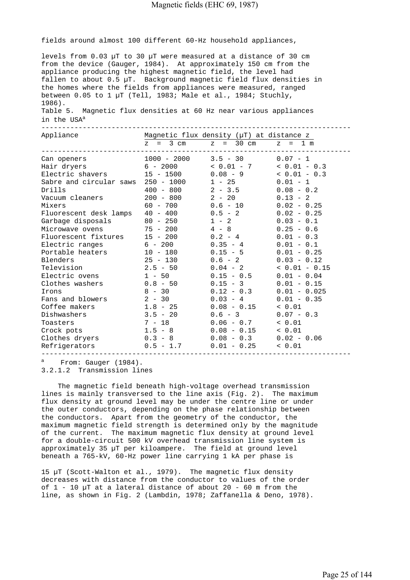fields around almost 100 different 60-Hz household appliances,

levels from 0.03 µT to 30 µT were measured at a distance of 30 cm from the device (Gauger, 1984). At approximately 150 cm from the appliance producing the highest magnetic field, the level had fallen to about 0.5 µT. Background magnetic field flux densities in the homes where the fields from appliances were measured, ranged between  $0.05$  to 1 µT (Tell, 1983; Male et al., 1984; Stuchly, 1986).

Table 5. Magnetic flux densities at 60 Hz near various appliances in the USA<sup>a</sup>

| Appliance                                              |                     | Magnetic flux density (µT) at distance z |                |
|--------------------------------------------------------|---------------------|------------------------------------------|----------------|
|                                                        |                     | $z = 3$ cm $z = 30$ cm $z = 1$ m         |                |
| Can openers                                            |                     | $1000 - 2000$ $3.5 - 30$ $0.07 - 1$      |                |
| Hair dryers $6 - 2000$ $\lt 0.01 - 7$ $\lt 0.01 - 0.3$ |                     |                                          |                |
| Electric shavers $15 - 1500$ $0.08 - 9$ $0.01 - 0.3$   |                     |                                          |                |
| Sabre and circular saws $250 - 1000$ 1 - 25            |                     |                                          | $0.01 - 1$     |
| Drills                                                 | $400 - 800$ 2 - 3.5 |                                          | $0.08 - 0.2$   |
| Vacuum cleaners $200 - 800$ $2 - 20$                   |                     |                                          | $0.13 - 2$     |
| Mixers                                                 | $60 - 700$ 0.6 - 10 |                                          | $0.02 - 0.25$  |
| Fluorescent desk lamps $40 - 400$ $0.5 - 2$            |                     |                                          | $0.02 - 0.25$  |
| Garbage disposals 80 - 250                             |                     | $1 - 2$                                  | $0.03 - 0.1$   |
| Microwave ovens $75 - 200$ $4 - 8$                     |                     |                                          | $0.25 - 0.6$   |
| Fluorescent fixtures $15 - 200$ 0.2 - 4                |                     |                                          | $0.01 - 0.3$   |
| Electric ranges $6 - 200$ $0.35 - 4$                   |                     |                                          | $0.01 - 0.1$   |
| Portable heaters 10 - 180                              |                     | $0.15 - 5$                               | $0.01 - 0.25$  |
| Blenders                                               | $25 - 130$ 0.6 - 2  |                                          | $0.03 - 0.12$  |
| Television                                             |                     | $2.5 - 50$ 0.04 - 2 < 0.01 - 0.15        |                |
| Electric ovens                                         | $1 - 50$ 0.15 - 0.5 |                                          | $0.01 - 0.04$  |
| $Clothes washers$ $0.8 - 50$                           |                     | $0.15 - 3$                               | $0.01 - 0.15$  |
| Irons                                                  | $8 - 30$ 0.12 - 0.3 |                                          | $0.01 - 0.025$ |
| Fans and blowers                                       | $2 - 30$            | $0.03 - 4$                               | $0.01 - 0.35$  |
| Coffee makers                                          | $1.8 - 25$          | $0.08 - 0.15$                            | < 0.01         |
| Dishwashers                                            | $3.5 - 20$          | $0.6 - 3$                                | $0.07 - 0.3$   |
| Toasters                                               | $7 - 18$ 0.06 - 0.7 |                                          | < 0.01         |
| Crock pots                                             |                     | $1.5 - 8$ 0.08 - 0.15 < 0.01             |                |
| Clothes dryers $0.3 - 8$ $0.08 - 0.3$ $0.02 - 0.06$    |                     |                                          |                |
|                                                        |                     |                                          |                |
| __________________                                     |                     |                                          |                |

a From: Gauger (1984).

3.2.1.2 Transmission lines

 The magnetic field beneath high-voltage overhead transmission lines is mainly transversed to the line axis (Fig. 2). The maximum flux density at ground level may be under the centre line or under the outer conductors, depending on the phase relationship between the conductors. Apart from the geometry of the conductor, the maximum magnetic field strength is determined only by the magnitude of the current. The maximum magnetic flux density at ground level for a double-circuit 500 kV overhead transmission line system is approximately 35 µT per kiloampere. The field at ground level beneath a 765-kV, 60-Hz power line carrying 1 kA per phase is

15 µT (Scott-Walton et al., 1979). The magnetic flux density decreases with distance from the conductor to values of the order of  $1 - 10$  uT at a lateral distance of about 20 - 60 m from the line, as shown in Fig. 2 (Lambdin, 1978; Zaffanella & Deno, 1978).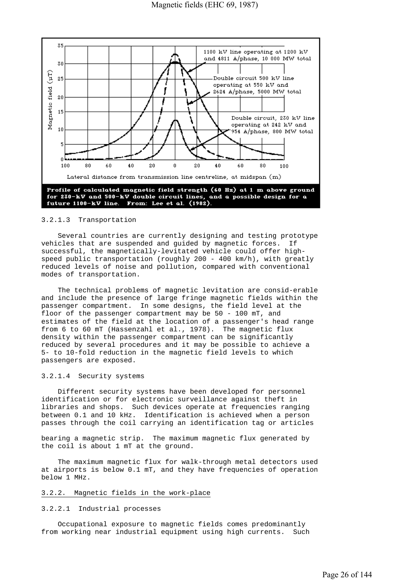

#### 3.2.1.3 Transportation

 Several countries are currently designing and testing prototype vehicles that are suspended and guided by magnetic forces. If successful, the magnetically-levitated vehicle could offer highspeed public transportation (roughly 200 - 400 km/h), with greatly reduced levels of noise and pollution, compared with conventional modes of transportation.

 The technical problems of magnetic levitation are consid-erable and include the presence of large fringe magnetic fields within the passenger compartment. In some designs, the field level at the floor of the passenger compartment may be 50 - 100 mT, and estimates of the field at the location of a passenger's head range from 6 to 60 mT (Hassenzahl et al., 1978). The magnetic flux density within the passenger compartment can be significantly reduced by several procedures and it may be possible to achieve a 5- to 10-fold reduction in the magnetic field levels to which passengers are exposed.

#### 3.2.1.4 Security systems

 Different security systems have been developed for personnel identification or for electronic surveillance against theft in libraries and shops. Such devices operate at frequencies ranging between 0.1 and 10 kHz. Identification is achieved when a person passes through the coil carrying an identification tag or articles

bearing a magnetic strip. The maximum magnetic flux generated by the coil is about 1 mT at the ground.

 The maximum magnetic flux for walk-through metal detectors used at airports is below 0.1 mT, and they have frequencies of operation below 1 MHz.

#### 3.2.2. Magnetic fields in the work-place

#### 3.2.2.1 Industrial processes

 Occupational exposure to magnetic fields comes predominantly from working near industrial equipment using high currents. Such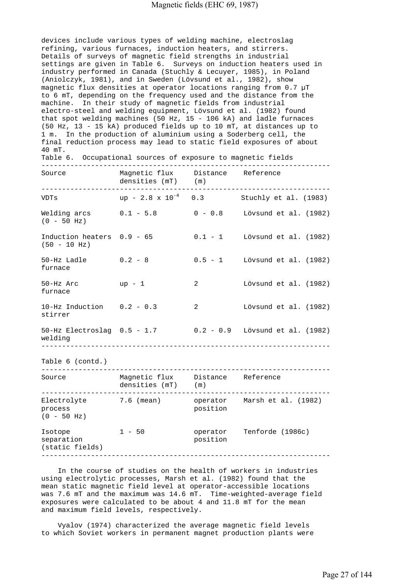devices include various types of welding machine, electroslag refining, various furnaces, induction heaters, and stirrers. Details of surveys of magnetic field strengths in industrial settings are given in Table 6. Surveys on induction heaters used in industry performed in Canada (Stuchly & Lecuyer, 1985), in Poland (Aniolczyk, 1981), and in Sweden (Lövsund et al., 1982), show magnetic flux densities at operator locations ranging from  $0.7 \mu T$ to 6 mT, depending on the frequency used and the distance from the machine. In their study of magnetic fields from industrial electro-steel and welding equipment, Lövsund et al. (1982) found that spot welding machines (50 Hz,  $15 - 106$  kA) and ladle furnaces (50 Hz, 13 - 15 kA) produced fields up to 10 mT, at distances up to 1 m. In the production of aluminium using a Soderberg cell, the final reduction process may lead to static field exposures of about  $40$  mT.<br>Table  $6$ 

| Table 6. Occupational sources of exposure to magnetic fields |                                                        |   |                                                             |
|--------------------------------------------------------------|--------------------------------------------------------|---|-------------------------------------------------------------|
| Source                                                       | Magnetic flux Distance Reference<br>densities (mT) (m) |   |                                                             |
| VDTs                                                         |                                                        |   | up - $2.8 \times 10^{-4}$ 0.3 Stuchly et al. (1983)         |
| $(0 - 50 Hz)$                                                |                                                        |   | Welding $arcs$ 0.1 - 5.8 0 - 0.8 Lövsund et al. (1982)      |
| $(50 - 10 Hz)$                                               |                                                        |   | Induction heaters $0.9 - 65$ 0.1 - 1 Lövsund et al. (1982)  |
| $50-Hz$ Ladle $0.2 - 8$<br>furnace                           |                                                        |   | 0.5 - 1 Lövsund et al. (1982)                               |
| 50-Hz Arc<br>furnace                                         | $up - 1$                                               | 2 | Lövsund et al. (1982)                                       |
| 10-Hz Induction $0.2 - 0.3$<br>stirrer                       |                                                        | 2 | Lövsund et al. (1982)                                       |
| welding                                                      |                                                        |   | 50-Hz Electroslag 0.5 - 1.7 0.2 - 0.9 Lövsund et al. (1982) |
| Table 6 (contd.)                                             |                                                        |   |                                                             |
| Source Magnetic flux Distance Reference                      |                                                        |   |                                                             |

| Magnetic Tinx<br>densities (mT) | (m)                  | <b>KETELENCE</b>    |
|---------------------------------|----------------------|---------------------|
| 7.6 (mean)                      | operator<br>position | Marsh et al. (1982) |
| $1 - 50$                        | operator<br>position | Tenforde (1986c)    |
|                                 |                      | DISLANCE            |

 In the course of studies on the health of workers in industries using electrolytic processes, Marsh et al. (1982) found that the mean static magnetic field level at operator-accessible locations was 7.6 mT and the maximum was 14.6 mT. Time-weighted-average field exposures were calculated to be about 4 and 11.8 mT for the mean and maximum field levels, respectively.

 Vyalov (1974) characterized the average magnetic field levels to which Soviet workers in permanent magnet production plants were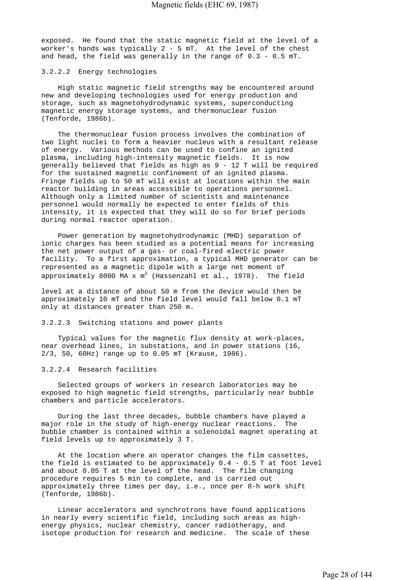exposed. He found that the static magnetic field at the level of a worker's hands was typically 2 - 5 mT. At the level of the chest and head, the field was generally in the range of  $0.3 - 0.5$  mT.

#### 3.2.2.2 Energy technologies

 High static magnetic field strengths may be encountered around new and developing technologies used for energy production and storage, such as magnetohydrodynamic systems, superconducting magnetic energy storage systems, and thermonuclear fusion (Tenforde, 1986b).

 The thermonuclear fusion process involves the combination of two light nuclei to form a heavier nucleus with a resultant release of energy. Various methods can be used to confine an ignited plasma, including high-intensity magnetic fields. It is now generally believed that fields as high as 9 - 12 T will be required for the sustained magnetic confinement of an ignited plasma. Fringe fields up to 50 mT will exist at locations within the main reactor building in areas accessible to operations personnel. Although only a limited number of scientists and maintenance personnel would normally be expected to enter fields of this intensity, it is expected that they will do so for brief periods during normal reactor operation.

 Power generation by magnetohydrodynamic (MHD) separation of ionic charges has been studied as a potential means for increasing the net power output of a gas- or coal-fired electric power facility. To a first approximation, a typical MHD generator can be represented as a magnetic dipole with a large net moment of approximately 8000 MA x  $\texttt{m}^2$  (Hassenzahl et al., 1978). The field

level at a distance of about 50 m from the device would then be approximately 10 mT and the field level would fall below 0.1 mT only at distances greater than 250 m.

#### 3.2.2.3 Switching stations and power plants

 Typical values for the magnetic flux density at work-places, near overhead lines, in substations, and in power stations (16, 2/3, 50, 60Hz) range up to 0.05 mT (Krause, 1986).

#### 3.2.2.4 Research facilities

 Selected groups of workers in research laboratories may be exposed to high magnetic field strengths, particularly near bubble chambers and particle accelerators.

 During the last three decades, bubble chambers have played a major role in the study of high-energy nuclear reactions. The bubble chamber is contained within a solenoidal magnet operating at field levels up to approximately 3 T.

 At the location where an operator changes the film cassettes, the field is estimated to be approximately 0.4 - 0.5 T at foot level and about 0.05 T at the level of the head. The film changing procedure requires 5 min to complete, and is carried out approximately three times per day, i.e., once per 8-h work shift (Tenforde, 1986b).

 Linear accelerators and synchrotrons have found applications in nearly every scientific field, including such areas as highenergy physics, nuclear chemistry, cancer radiotherapy, and isotope production for research and medicine. The scale of these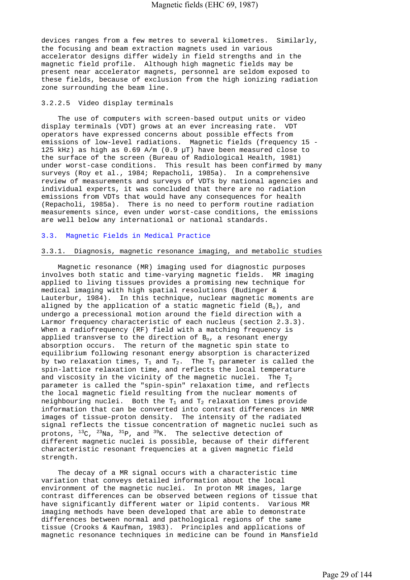devices ranges from a few metres to several kilometres. Similarly, the focusing and beam extraction magnets used in various accelerator designs differ widely in field strengths and in the magnetic field profile. Although high magnetic fields may be present near accelerator magnets, personnel are seldom exposed to these fields, because of exclusion from the high ionizing radiation zone surrounding the beam line.

#### 3.2.2.5 Video display terminals

 The use of computers with screen-based output units or video display terminals (VDT) grows at an ever increasing rate. VDT operators have expressed concerns about possible effects from emissions of low-level radiations. Magnetic fields (frequency 15 - 125 kHz) as high as 0.69 A/m (0.9 µT) have been measured close to the surface of the screen (Bureau of Radiological Health, 1981) under worst-case conditions. This result has been confirmed by many surveys (Roy et al., 1984; Repacholi, 1985a). In a comprehensive review of measurements and surveys of VDTs by national agencies and individual experts, it was concluded that there are no radiation emissions from VDTs that would have any consequences for health (Repacholi, 1985a). There is no need to perform routine radiation measurements since, even under worst-case conditions, the emissions are well below any international or national standards.

#### 3.3. Magnetic Fields in Medical Practice

#### 3.3.1. Diagnosis, magnetic resonance imaging, and metabolic studies

 Magnetic resonance (MR) imaging used for diagnostic purposes involves both static and time-varying magnetic fields. MR imaging applied to living tissues provides a promising new technique for medical imaging with high spatial resolutions (Budinger & Lauterbur, 1984). In this technique, nuclear magnetic moments are aligned by the application of a static magnetic field  $(B_0)$ , and undergo a precessional motion around the field direction with a Larmor frequency characteristic of each nucleus (section 2.3.3). When a radiofrequency (RF) field with a matching frequency is applied transverse to the direction of  $B_0$ , a resonant energy absorption occurs. The return of the magnetic spin state to equilibrium following resonant energy absorption is characterized by two relaxation times,  $T_1$  and  $T_2$ . The  $T_1$  parameter is called the spin-lattice relaxation time, and reflects the local temperature and viscosity in the vicinity of the magnetic nuclei. The  $T_2$ parameter is called the "spin-spin" relaxation time, and reflects the local magnetic field resulting from the nuclear moments of neighbouring nuclei. Both the  $T_1$  and  $T_2$  relaxation times provide information that can be converted into contrast differences in NMR images of tissue-proton density. The intensity of the radiated signal reflects the tissue concentration of magnetic nuclei such as protons,  $^{13}$ C,  $^{23}$ Na,  $^{31}$ P, and  $^{39}$ K. The selective detection of different magnetic nuclei is possible, because of their different characteristic resonant frequencies at a given magnetic field strength.

 The decay of a MR signal occurs with a characteristic time variation that conveys detailed information about the local environment of the magnetic nuclei. In proton MR images, large contrast differences can be observed between regions of tissue that have significantly different water or lipid contents. Various MR imaging methods have been developed that are able to demonstrate differences between normal and pathological regions of the same tissue (Crooks & Kaufman, 1983). Principles and applications of magnetic resonance techniques in medicine can be found in Mansfield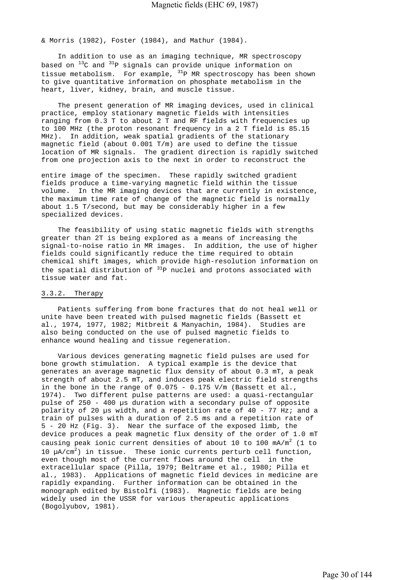& Morris (1982), Foster (1984), and Mathur (1984).

 In addition to use as an imaging technique, MR spectroscopy based on  $^{13}$ C and  $^{31}$ P signals can provide unique information on tissue metabolism. For example,  ${}^{31}P$  MR spectroscopy has been shown to give quantitative information on phosphate metabolism in the heart, liver, kidney, brain, and muscle tissue.

 The present generation of MR imaging devices, used in clinical practice, employ stationary magnetic fields with intensities ranging from 0.3 T to about 2 T and RF fields with frequencies up to 100 MHz (the proton resonant frequency in a 2 T field is 85.15 MHz). In addition, weak spatial gradients of the stationary magnetic field (about 0.001 T/m) are used to define the tissue location of MR signals. The gradient direction is rapidly switched from one projection axis to the next in order to reconstruct the

entire image of the specimen. These rapidly switched gradient fields produce a time-varying magnetic field within the tissue volume. In the MR imaging devices that are currently in existence, the maximum time rate of change of the magnetic field is normally about 1.5 T/second, but may be considerably higher in a few specialized devices.

 The feasibility of using static magnetic fields with strengths greater than 2T is being explored as a means of increasing the signal-to-noise ratio in MR images. In addition, the use of higher fields could significantly reduce the time required to obtain chemical shift images, which provide high-resolution information on the spatial distribution of  $31P$  nuclei and protons associated with tissue water and fat.

#### 3.3.2. Therapy

 Patients suffering from bone fractures that do not heal well or unite have been treated with pulsed magnetic fields (Bassett et al., 1974, 1977, 1982; Mitbreit & Manyachin, 1984). Studies are also being conducted on the use of pulsed magnetic fields to enhance wound healing and tissue regeneration.

 Various devices generating magnetic field pulses are used for bone growth stimulation. A typical example is the device that generates an average magnetic flux density of about 0.3 mT, a peak strength of about 2.5 mT, and induces peak electric field strengths in the bone in the range of 0.075 - 0.175 V/m (Bassett et al., 1974). Two different pulse patterns are used: a quasi-rectangular pulse of 250 - 400 µs duration with a secondary pulse of opposite polarity of 20 µs width, and a repetition rate of 40 - 77 Hz; and a train of pulses with a duration of 2.5 ms and a repetition rate of 5 - 20 Hz (Fig. 3). Near the surface of the exposed limb, the device produces a peak magnetic flux density of the order of 1.0 mT causing peak ionic current densities of about 10 to 100  $mA/m^2$  (1 to 10  $\mu$ A/cm<sup>2</sup>) in tissue. These ionic currents perturb cell function, even though most of the current flows around the cell in the extracellular space (Pilla, 1979; Beltrame et al., 1980; Pilla et al., 1983). Applications of magnetic field devices in medicine are rapidly expanding. Further information can be obtained in the monograph edited by Bistolfi (1983). Magnetic fields are being widely used in the USSR for various therapeutic applications (Bogolyubov, 1981).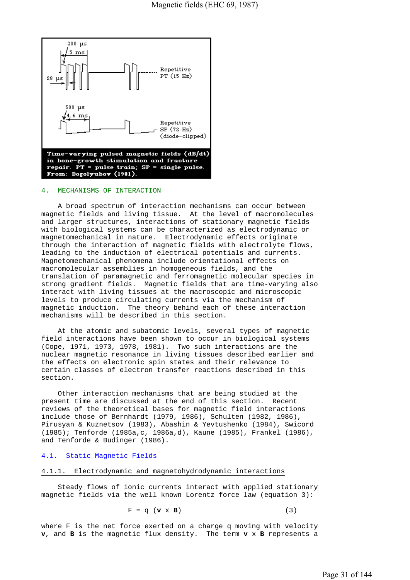

#### 4. MECHANISMS OF INTERACTION

 A broad spectrum of interaction mechanisms can occur between magnetic fields and living tissue. At the level of macromolecules and larger structures, interactions of stationary magnetic fields with biological systems can be characterized as electrodynamic or magnetomechanical in nature. Electrodynamic effects originate through the interaction of magnetic fields with electrolyte flows, leading to the induction of electrical potentials and currents. Magnetomechanical phenomena include orientational effects on macromolecular assemblies in homogeneous fields, and the translation of paramagnetic and ferromagnetic molecular species in strong gradient fields. Magnetic fields that are time-varying also interact with living tissues at the macroscopic and microscopic levels to produce circulating currents via the mechanism of magnetic induction. The theory behind each of these interaction mechanisms will be described in this section.

 At the atomic and subatomic levels, several types of magnetic field interactions have been shown to occur in biological systems (Cope, 1971, 1973, 1978, 1981). Two such interactions are the nuclear magnetic resonance in living tissues described earlier and the effects on electronic spin states and their relevance to certain classes of electron transfer reactions described in this section.

 Other interaction mechanisms that are being studied at the present time are discussed at the end of this section. Recent reviews of the theoretical bases for magnetic field interactions include those of Bernhardt (1979, 1986), Schulten (1982, 1986), Pirusyan & Kuznetsov (1983), Abashin & Yevtushenko (1984), Swicord (1985); Tenforde (1985a,c, 1986a,d), Kaune (1985), Frankel (1986), and Tenforde & Budinger (1986).

#### 4.1. Static Magnetic Fields

#### 4.1.1. Electrodynamic and magnetohydrodynamic interactions

 Steady flows of ionic currents interact with applied stationary magnetic fields via the well known Lorentz force law (equation 3):

$$
F = q \left( \mathbf{v} \times \mathbf{B} \right) \tag{3}
$$

where F is the net force exerted on a charge q moving with velocity **v**, and **B** is the magnetic flux density. The term **v** x **B** represents a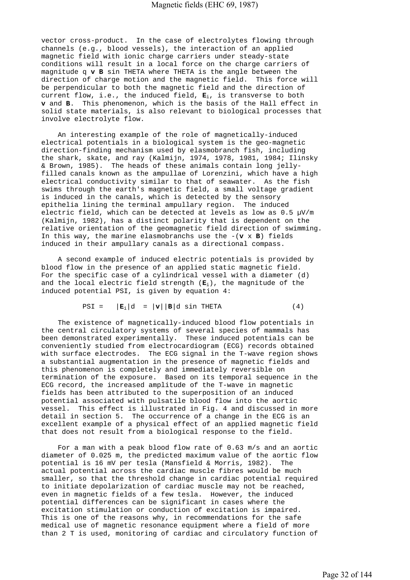vector cross-product. In the case of electrolytes flowing through channels (e.g., blood vessels), the interaction of an applied magnetic field with ionic charge carriers under steady-state conditions will result in a local force on the charge carriers of magnitude q **v B** sin THETA where THETA is the angle between the direction of charge motion and the magnetic field. This force will be perpendicular to both the magnetic field and the direction of current flow, i.e., the induced field,  $\mathbf{E}_i$ , is transverse to both **v** and **B**. This phenomenon, which is the basis of the Hall effect in solid state materials, is also relevant to biological processes that involve electrolyte flow.

 An interesting example of the role of magnetically-induced electrical potentials in a biological system is the geo-magnetic direction-finding mechanism used by elasmobranch fish, including the shark, skate, and ray (Kalmijn, 1974, 1978, 1981, 1984; Ilinsky & Brown, 1985). The heads of these animals contain long jellyfilled canals known as the ampullae of Lorenzini, which have a high electrical conductivity similar to that of seawater. As the fish swims through the earth's magnetic field, a small voltage gradient is induced in the canals, which is detected by the sensory epithelia lining the terminal ampullary region. The induced electric field, which can be detected at levels as low as 0.5 µV/m (Kalmijn, 1982), has a distinct polarity that is dependent on the relative orientation of the geomagnetic field direction of swimming. In this way, the marine elasmobranchs use the  $-(\mathbf{v} \times \mathbf{B})$  fields induced in their ampullary canals as a directional compass.

 A second example of induced electric potentials is provided by blood flow in the presence of an applied static magnetic field. For the specific case of a cylindrical vessel with a diameter (d) and the local electric field strength (**E**i), the magnitude of the induced potential PSI, is given by equation 4:

$$
PSI = |E_i|d = |v||B|d \sin THETA
$$
 (4)

 The existence of magnetically-induced blood flow potentials in the central circulatory systems of several species of mammals has been demonstrated experimentally. These induced potentials can be conveniently studied from electrocardiogram (ECG) records obtained with surface electrodes. The ECG signal in the T-wave region shows a substantial augmentation in the presence of magnetic fields and this phenomenon is completely and immediately reversible on termination of the exposure. Based on its temporal sequence in the ECG record, the increased amplitude of the T-wave in magnetic fields has been attributed to the superposition of an induced potential associated with pulsatile blood flow into the aortic vessel. This effect is illustrated in Fig. 4 and discussed in more detail in section 5. The occurrence of a change in the ECG is an excellent example of a physical effect of an applied magnetic field that does not result from a biological response to the field.

 For a man with a peak blood flow rate of 0.63 m/s and an aortic diameter of 0.025 m, the predicted maximum value of the aortic flow potential is 16 mV per tesla (Mansfield & Morris, 1982). The actual potential across the cardiac muscle fibres would be much smaller, so that the threshold change in cardiac potential required to initiate depolarization of cardiac muscle may not be reached, even in magnetic fields of a few tesla. However, the induced potential differences can be significant in cases where the excitation stimulation or conduction of excitation is impaired. This is one of the reasons why, in recommendations for the safe medical use of magnetic resonance equipment where a field of more than 2 T is used, monitoring of cardiac and circulatory function of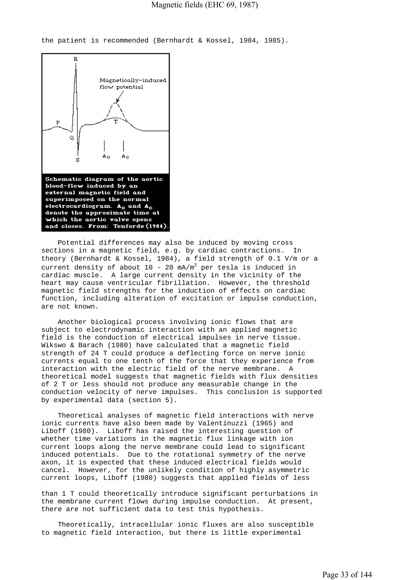the patient is recommended (Bernhardt & Kossel, 1984, 1985).



 Potential differences may also be induced by moving cross sections in a magnetic field, e.g. by cardiac contractions. In theory (Bernhardt & Kossel, 1984), a field strength of 0.1 V/m or a current density of about  $10$  -  $20$  mA/m<sup>2</sup> per tesla is induced in cardiac muscle. A large current density in the vicinity of the heart may cause ventricular fibrillation. However, the threshold magnetic field strengths for the induction of effects on cardiac function, including alteration of excitation or impulse conduction, are not known.

 Another biological process involving ionic flows that are subject to electrodynamic interaction with an applied magnetic field is the conduction of electrical impulses in nerve tissue. Wikswo & Barach (1980) have calculated that a magnetic field strength of 24 T could produce a deflecting force on nerve ionic currents equal to one tenth of the force that they experience from interaction with the electric field of the nerve membrane. A theoretical model suggests that magnetic fields with flux densities of 2 T or less should not produce any measurable change in the conduction velocity of nerve impulses. This conclusion is supported by experimental data (section 5).

 Theoretical analyses of magnetic field interactions with nerve ionic currents have also been made by Valentinuzzi (1965) and Liboff (1980). Liboff has raised the interesting question of whether time variations in the magnetic flux linkage with ion current loops along the nerve membrane could lead to significant induced potentials. Due to the rotational symmetry of the nerve axon, it is expected that these induced electrical fields would cancel. However, for the unlikely condition of highly asymmetric current loops, Liboff (1980) suggests that applied fields of less

than 1 T could theoretically introduce significant perturbations in the membrane current flows during impulse conduction. At present, there are not sufficient data to test this hypothesis.

 Theoretically, intracellular ionic fluxes are also susceptible to magnetic field interaction, but there is little experimental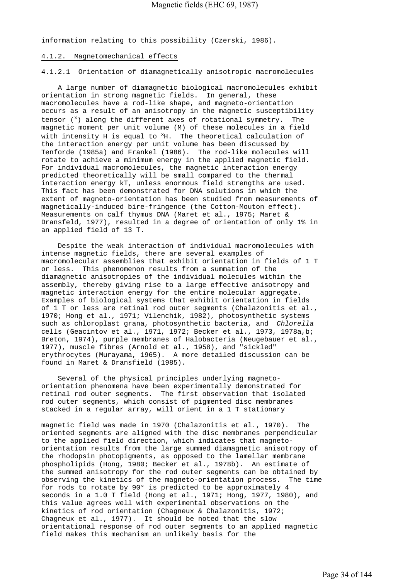information relating to this possibility (Czerski, 1986).

#### 4.1.2. Magnetomechanical effects

4.1.2.1 Orientation of diamagnetically anisotropic macromolecules

 A large number of diamagnetic biological macromolecules exhibit orientation in strong magnetic fields. In general, these macromolecules have a rod-like shape, and magneto-orientation occurs as a result of an anisotropy in the magnetic susceptibility tensor  $($ <sup>x</sup>) along the different axes of rotational symmetry. The magnetic moment per unit volume (M) of these molecules in a field with intensity H is equal to  ${}^{\text{x}}$ H. The theoretical calculation of the interaction energy per unit volume has been discussed by Tenforde (1985a) and Frankel (1986). The rod-like molecules will rotate to achieve a minimum energy in the applied magnetic field. For individual macromolecules, the magnetic interaction energy predicted theoretically will be small compared to the thermal interaction energy kT, unless enormous field strengths are used. This fact has been demonstrated for DNA solutions in which the extent of magneto-orientation has been studied from measurements of magnetically-induced bire-fringence (the Cotton-Mouton effect). Measurements on calf thymus DNA (Maret et al., 1975; Maret & Dransfeld, 1977), resulted in a degree of orientation of only 1% in an applied field of 13 T.

 Despite the weak interaction of individual macromolecules with intense magnetic fields, there are several examples of macromolecular assemblies that exhibit orientation in fields of 1 T or less. This phenomenon results from a summation of the diamagnetic anisotropies of the individual molecules within the assembly, thereby giving rise to a large effective anisotropy and magnetic interaction energy for the entire molecular aggregate. Examples of biological systems that exhibit orientation in fields of 1 T or less are retinal rod outer segments (Chalazonitis et al., 1970; Hong et al., 1971; Vilenchik, 1982), photosynthetic systems such as chloroplast grana, photosynthetic bacteria, and *Chlorella*  cells (Geacintov et al., 1971, 1972; Becker et al., 1973, 1978a,b; Breton, 1974), purple membranes of Halobacteria (Neugebauer et al., 1977), muscle fibres (Arnold et al., 1958), and "sickled" erythrocytes (Murayama, 1965). A more detailed discussion can be found in Maret & Dransfield (1985).

 Several of the physical principles underlying magnetoorientation phenomena have been experimentally demonstrated for retinal rod outer segments. The first observation that isolated rod outer segments, which consist of pigmented disc membranes stacked in a regular array, will orient in a 1 T stationary

magnetic field was made in 1970 (Chalazonitis et al., 1970). The oriented segments are aligned with the disc membranes perpendicular to the applied field direction, which indicates that magnetoorientation results from the large summed diamagnetic anisotropy of the rhodopsin photopigments, as opposed to the lamellar membrane phospholipids (Hong, 1980; Becker et al., 1978b). An estimate of the summed anisotropy for the rod outer segments can be obtained by observing the kinetics of the magneto-orientation process. The time for rods to rotate by 90° is predicted to be approximately 4 seconds in a 1.0 T field (Hong et al., 1971; Hong, 1977, 1980), and this value agrees well with experimental observations on the kinetics of rod orientation (Chagneux & Chalazonitis, 1972; Chagneux et al., 1977). It should be noted that the slow orientational response of rod outer segments to an applied magnetic field makes this mechanism an unlikely basis for the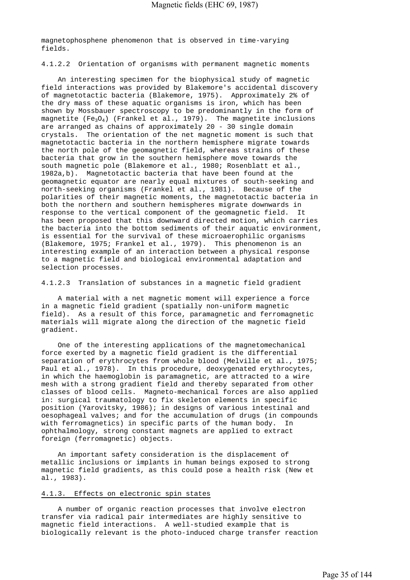magnetophosphene phenomenon that is observed in time-varying fields.

4.1.2.2 Orientation of organisms with permanent magnetic moments

 An interesting specimen for the biophysical study of magnetic field interactions was provided by Blakemore's accidental discovery of magnetotactic bacteria (Blakemore, 1975). Approximately 2% of the dry mass of these aquatic organisms is iron, which has been shown by Mossbauer spectroscopy to be predominantly in the form of magnetite ( $Fe<sub>3</sub>O<sub>4</sub>$ ) (Frankel et al., 1979). The magnetite inclusions are arranged as chains of approximately 20 - 30 single domain crystals. The orientation of the net magnetic moment is such that magnetotactic bacteria in the northern hemisphere migrate towards the north pole of the geomagnetic field, whereas strains of these bacteria that grow in the southern hemisphere move towards the south magnetic pole (Blakemore et al., 1980; Rosenblatt et al., 1982a,b). Magnetotactic bacteria that have been found at the geomagnetic equator are nearly equal mixtures of south-seeking and north-seeking organisms (Frankel et al., 1981). Because of the polarities of their magnetic moments, the magnetotactic bacteria in both the northern and southern hemispheres migrate downwards in response to the vertical component of the geomagnetic field. It has been proposed that this downward directed motion, which carries the bacteria into the bottom sediments of their aquatic environment, is essential for the survival of these microaerophilic organisms (Blakemore, 1975; Frankel et al., 1979). This phenomenon is an interesting example of an interaction between a physical response to a magnetic field and biological environmental adaptation and selection processes.

4.1.2.3 Translation of substances in a magnetic field gradient

 A material with a net magnetic moment will experience a force in a magnetic field gradient (spatially non-uniform magnetic field). As a result of this force, paramagnetic and ferromagnetic materials will migrate along the direction of the magnetic field gradient.

 One of the interesting applications of the magnetomechanical force exerted by a magnetic field gradient is the differential separation of erythrocytes from whole blood (Melville et al., 1975; Paul et al., 1978). In this procedure, deoxygenated erythrocytes, in which the haemoglobin is paramagnetic, are attracted to a wire mesh with a strong gradient field and thereby separated from other classes of blood cells. Magneto-mechanical forces are also applied in: surgical traumatology to fix skeleton elements in specific position (Yarovitsky, 1986); in designs of various intestinal and oesophageal valves; and for the accumulation of drugs (in compounds with ferromagnetics) in specific parts of the human body. In ophthalmology, strong constant magnets are applied to extract foreign (ferromagnetic) objects.

 An important safety consideration is the displacement of metallic inclusions or implants in human beings exposed to strong magnetic field gradients, as this could pose a health risk (New et al., 1983).

## 4.1.3. Effects on electronic spin states

 A number of organic reaction processes that involve electron transfer via radical pair intermediates are highly sensitive to magnetic field interactions. A well-studied example that is biologically relevant is the photo-induced charge transfer reaction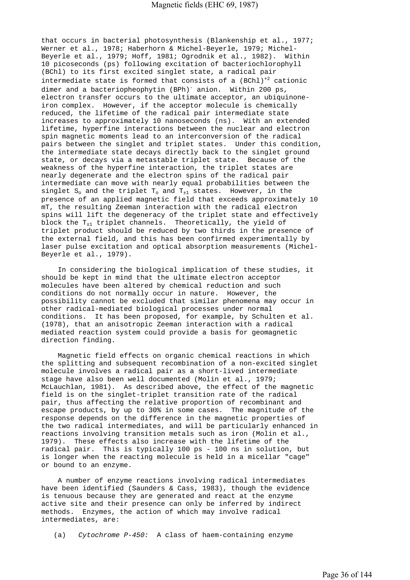that occurs in bacterial photosynthesis (Blankenship et al., 1977; Werner et al., 1978; Haberhorn & Michel-Beyerle, 1979; Michel-Beyerle et al., 1979; Hoff, 1981; Ogrodnik et al., 1982). Within 10 picoseconds (ps) following excitation of bacteriochlorophyll (BChl) to its first excited singlet state, a radical pair intermediate state is formed that consists of a  $(BChl)^{1/2}$  cationic dimer and a bacteriopheophytin (BPh)<sup>-</sup> anion. Within 200 ps, electron transfer occurs to the ultimate acceptor, an ubiquinoneiron complex. However, if the acceptor molecule is chemically reduced, the lifetime of the radical pair intermediate state increases to approximately 10 nanoseconds (ns). With an extended lifetime, hyperfine interactions between the nuclear and electron spin magnetic moments lead to an interconversion of the radical pairs between the singlet and triplet states. Under this condition, the intermediate state decays directly back to the singlet ground state, or decays via a metastable triplet state. Because of the weakness of the hyperfine interaction, the triplet states are nearly degenerate and the electron spins of the radical pair intermediate can move with nearly equal probabilities between the singlet  $S_0$  and the triplet  $T_0$  and  $T_{+1}$  states. However, in the presence of an applied magnetic field that exceeds approximately 10 mT, the resulting Zeeman interaction with the radical electron spins will lift the degeneracy of the triplet state and effectively block the  $T_{+1}$  triplet channels. Theoretically, the yield of triplet product should be reduced by two thirds in the presence of the external field, and this has been confirmed experimentally by laser pulse excitation and optical absorption measurements (Michel-Beyerle et al., 1979).

 In considering the biological implication of these studies, it should be kept in mind that the ultimate electron acceptor molecules have been altered by chemical reduction and such conditions do not normally occur in nature. However, the possibility cannot be excluded that similar phenomena may occur in other radical-mediated biological processes under normal conditions. It has been proposed, for example, by Schulten et al. (1978), that an anisotropic Zeeman interaction with a radical mediated reaction system could provide a basis for geomagnetic direction finding.

 Magnetic field effects on organic chemical reactions in which the splitting and subsequent recombination of a non-excited singlet molecule involves a radical pair as a short-lived intermediate stage have also been well documented (Molin et al., 1979; McLauchlan, 1981). As described above, the effect of the magnetic field is on the singlet-triplet transition rate of the radical pair, thus affecting the relative proportion of recombinant and escape products, by up to 30% in some cases. The magnitude of the response depends on the difference in the magnetic properties of the two radical intermediates, and will be particularly enhanced in reactions involving transition metals such as iron (Molin et al., 1979). These effects also increase with the lifetime of the radical pair. This is typically 100 ps - 100 ns in solution, but is longer when the reacting molecule is held in a micellar "cage" or bound to an enzyme.

 A number of enzyme reactions involving radical intermediates have been identified (Saunders & Cass, 1983), though the evidence is tenuous because they are generated and react at the enzyme active site and their presence can only be inferred by indirect methods. Enzymes, the action of which may involve radical intermediates, are:

(a) *Cytochrome P-450:* A class of haem-containing enzyme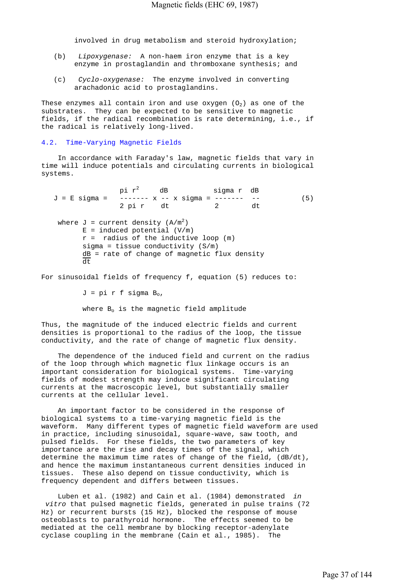involved in drug metabolism and steroid hydroxylation;

- (b) *Lipoxygenase:* A non-haem iron enzyme that is a key enzyme in prostaglandin and thromboxane synthesis; and
- (c) *Cyclo-oxygenase:* The enzyme involved in converting arachadonic acid to prostaglandins.

These enzymes all contain iron and use oxygen  $(0<sub>2</sub>)$  as one of the substrates. They can be expected to be sensitive to magnetic fields, if the radical recombination is rate determining, i.e., if the radical is relatively long-lived.

### 4.2. Time-Varying Magnetic Fields

 In accordance with Faraday's law, magnetic fields that vary in time will induce potentials and circulating currents in biological systems.

 $J = E$  sigma =  $-\frac{P^2}{P^2}$  dB sigma r dB<br> $J = E$  sigma =  $-\frac{P^2}{P^2}$  x sigma =  $-\frac{P^2}{P^2}$  $\begin{array}{ccccccccc} - & - & - & - & x & - & x & \text{sigma} & = & - & - & - & - & - & (5) \\ 2 \text{ pi} & x & dt & 2 & dt & \end{array}$ 2 pi r dt 2 where  $J = current density (A/m<sup>2</sup>)$  $E = induced potential (V/m)$  $r =$  radius of the inductive loop (m) sigma = tissue conductivity  $(S/m)$  $dB =$  rate of change of magnetic flux density  $\overline{d^+}$ 

For sinusoidal fields of frequency f, equation (5) reduces to:

 $J = pi$  r f sigma  $B_0$ ,

where  $B_0$  is the magnetic field amplitude

Thus, the magnitude of the induced electric fields and current densities is proportional to the radius of the loop, the tissue conductivity, and the rate of change of magnetic flux density.

 The dependence of the induced field and current on the radius of the loop through which magnetic flux linkage occurs is an important consideration for biological systems. Time-varying fields of modest strength may induce significant circulating currents at the macroscopic level, but substantially smaller currents at the cellular level.

 An important factor to be considered in the response of biological systems to a time-varying magnetic field is the waveform. Many different types of magnetic field waveform are used in practice, including sinusoidal, square-wave, saw tooth, and pulsed fields. For these fields, the two parameters of key importance are the rise and decay times of the signal, which determine the maximum time rates of change of the field, (dB/dt), and hence the maximum instantaneous current densities induced in tissues. These also depend on tissue conductivity, which is frequency dependent and differs between tissues.

 Luben et al. (1982) and Cain et al. (1984) demonstrated *in vitro* that pulsed magnetic fields, generated in pulse trains (72 Hz) or recurrent bursts (15 Hz), blocked the response of mouse osteoblasts to parathyroid hormone. The effects seemed to be mediated at the cell membrane by blocking receptor-adenylate cyclase coupling in the membrane (Cain et al., 1985). The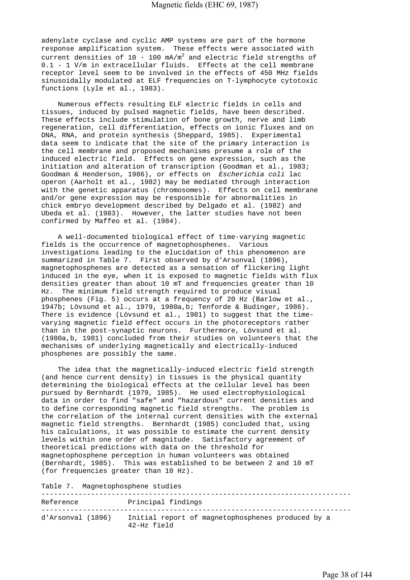adenylate cyclase and cyclic AMP systems are part of the hormone response amplification system. These effects were associated with current densities of  $10$  -  $100$  mA/m<sup>2</sup> and electric field strengths of 0.1 - 1 V/m in extracellular fluids. Effects at the cell membrane receptor level seem to be involved in the effects of 450 MHz fields sinusoidally modulated at ELF frequencies on T-lymphocyte cytotoxic functions (Lyle et al., 1983).

 Numerous effects resulting ELF electric fields in cells and tissues, induced by pulsed magnetic fields, have been described. These effects include stimulation of bone growth, nerve and limb regeneration, cell differentiation, effects on ionic fluxes and on DNA, RNA, and protein synthesis (Sheppard, 1985). Experimental data seem to indicate that the site of the primary interaction is the cell membrane and proposed mechanisms presume a role of the induced electric field. Effects on gene expression, such as the initiation and alteration of transcription (Goodman et al., 1983; Goodman & Henderson, 1986), or effects on *Escherichia coli* lac operon (Aarholt et al., 1982) may be mediated through interaction with the genetic apparatus (chromosomes). Effects on cell membrane and/or gene expression may be responsible for abnormalities in chick embryo development described by Delgado et al. (1982) and Ubeda et al. (1983). However, the latter studies have not been confirmed by Maffeo et al. (1984).

 A well-documented biological effect of time-varying magnetic fields is the occurrence of magnetophosphenes. Various investigations leading to the elucidation of this phenomenon are summarized in Table 7. First observed by d'Arsonval (1896), magnetophosphenes are detected as a sensation of flickering light induced in the eye, when it is exposed to magnetic fields with flux densities greater than about 10 mT and frequencies greater than 10 Hz. The minimum field strength required to produce visual phosphenes (Fig. 5) occurs at a frequency of 20 Hz (Barlow et al., 1947b; Lövsund et al., 1979, 1980a,b; Tenforde & Budinger, 1986). There is evidence (Lövsund et al., 1981) to suggest that the timevarying magnetic field effect occurs in the photoreceptors rather than in the post-synaptic neurons. Furthermore, Lövsund et al. (1980a,b, 1981) concluded from their studies on volunteers that the mechanisms of underlying magnetically and electrically-induced phosphenes are possibly the same.

 The idea that the magnetically-induced electric field strength (and hence current density) in tissues is the physical quantity determining the biological effects at the cellular level has been pursued by Bernhardt (1979, 1985). He used electrophysiological data in order to find "safe" and "hazardous" current densities and to define corresponding magnetic field strengths. The problem is the correlation of the internal current densities with the external magnetic field strengths. Bernhardt (1985) concluded that, using his calculations, it was possible to estimate the current density levels within one order of magnitude. Satisfactory agreement of theoretical predictions with data on the threshold for magnetophosphene perception in human volunteers was obtained (Bernhardt, 1985). This was established to be between 2 and 10 mT (for frequencies greater than 10 Hz).

Table 7. Magnetophosphene studies

| Reference         | Principal findings                                                 |
|-------------------|--------------------------------------------------------------------|
| d'Arsonval (1896) | Initial report of magnetophosphenes produced by a<br>$42-Hz$ field |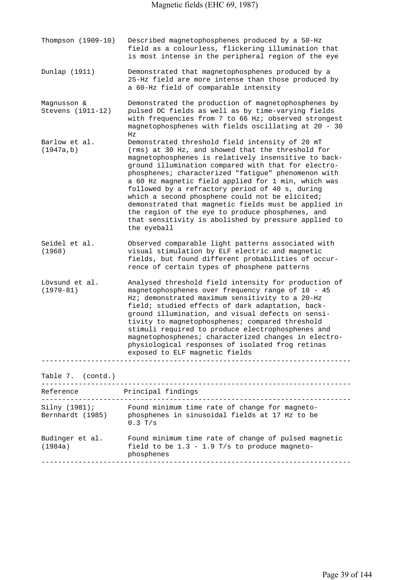| Described magnetophosphenes produced by a 50-Hz<br>field as a colourless, flickering illumination that<br>is most intense in the peripheral region of the eye                                                                                                                                                                                                                                                                                                                                                                                                                                                              |
|----------------------------------------------------------------------------------------------------------------------------------------------------------------------------------------------------------------------------------------------------------------------------------------------------------------------------------------------------------------------------------------------------------------------------------------------------------------------------------------------------------------------------------------------------------------------------------------------------------------------------|
| Demonstrated that magnetophosphenes produced by a<br>25-Hz field are more intense than those produced by<br>a 60-Hz field of comparable intensity                                                                                                                                                                                                                                                                                                                                                                                                                                                                          |
| Demonstrated the production of magnetophosphenes by<br>pulsed DC fields as well as by time-varying fields<br>with frequencies from 7 to 66 Hz; observed strongest<br>magnetophosphenes with fields oscillating at 20 - 30<br>Ηz                                                                                                                                                                                                                                                                                                                                                                                            |
| Demonstrated threshold field intensity of 20 mT<br>(rms) at 30 Hz, and showed that the threshold for<br>magnetophosphenes is relatively insensitive to back-<br>ground illumination compared with that for electro-<br>phosphenes; characterized "fatique" phenomenon with<br>a 60 Hz magnetic field applied for 1 min, which was<br>followed by a refractory period of 40 s, during<br>which a second phosphene could not be elicited;<br>demonstrated that magnetic fields must be applied in<br>the region of the eye to produce phosphenes, and<br>that sensitivity is abolished by pressure applied to<br>the eyeball |
| Observed comparable light patterns associated with<br>visual stimulation by ELF electric and magnetic<br>fields, but found different probabilities of occur-<br>rence of certain types of phosphene patterns                                                                                                                                                                                                                                                                                                                                                                                                               |
| Analysed threshold field intensity for production of<br>magnetophosphenes over frequency range of 10 - 45<br>Hz; demonstrated maximum sensitivity to a 20-Hz<br>field; studied effects of dark adaptation, back-<br>ground illumination, and visual defects on sensi-<br>tivity to magnetophosphenes; compared threshold<br>stimuli required to produce electrophosphenes and<br>magnetophosphenes; characterized changes in electro-<br>physiological responses of isolated frog retinas<br>exposed to ELF magnetic fields                                                                                                |
|                                                                                                                                                                                                                                                                                                                                                                                                                                                                                                                                                                                                                            |
| Principal findings<br>-----------------------------                                                                                                                                                                                                                                                                                                                                                                                                                                                                                                                                                                        |
| Silny (1981); Found minimum time rate of change for magneto-<br>Bernhardt (1985) phosphenes in sinusoidal fields at 17 Hz to be<br>$0.3$ T/s                                                                                                                                                                                                                                                                                                                                                                                                                                                                               |
| Found minimum time rate of change of pulsed magnetic<br>field to be $1.3 - 1.9$ T/s to produce magneto-<br>phosphenes                                                                                                                                                                                                                                                                                                                                                                                                                                                                                                      |
|                                                                                                                                                                                                                                                                                                                                                                                                                                                                                                                                                                                                                            |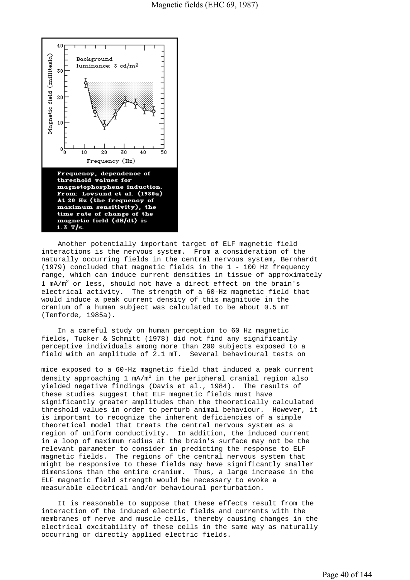

 Another potentially important target of ELF magnetic field interactions is the nervous system. From a consideration of the naturally occurring fields in the central nervous system, Bernhardt (1979) concluded that magnetic fields in the 1 - 100 Hz frequency range, which can induce current densities in tissue of approximately 1  $mA/m^2$  or less, should not have a direct effect on the brain's electrical activity. The strength of a 60-Hz magnetic field that would induce a peak current density of this magnitude in the cranium of a human subject was calculated to be about 0.5 mT (Tenforde, 1985a).

 In a careful study on human perception to 60 Hz magnetic fields, Tucker & Schmitt (1978) did not find any significantly perceptive individuals among more than 200 subjects exposed to a field with an amplitude of 2.1 mT. Several behavioural tests on

mice exposed to a 60-Hz magnetic field that induced a peak current density approaching 1 mA/m $^2$  in the peripheral cranial region also yielded negative findings (Davis et al., 1984). The results of these studies suggest that ELF magnetic fields must have significantly greater amplitudes than the theoretically calculated threshold values in order to perturb animal behaviour. However, it is important to recognize the inherent deficiencies of a simple theoretical model that treats the central nervous system as a region of uniform conductivity. In addition, the induced current in a loop of maximum radius at the brain's surface may not be the relevant parameter to consider in predicting the response to ELF magnetic fields. The regions of the central nervous system that might be responsive to these fields may have significantly smaller dimensions than the entire cranium. Thus, a large increase in the ELF magnetic field strength would be necessary to evoke a measurable electrical and/or behavioural perturbation.

 It is reasonable to suppose that these effects result from the interaction of the induced electric fields and currents with the membranes of nerve and muscle cells, thereby causing changes in the electrical excitability of these cells in the same way as naturally occurring or directly applied electric fields.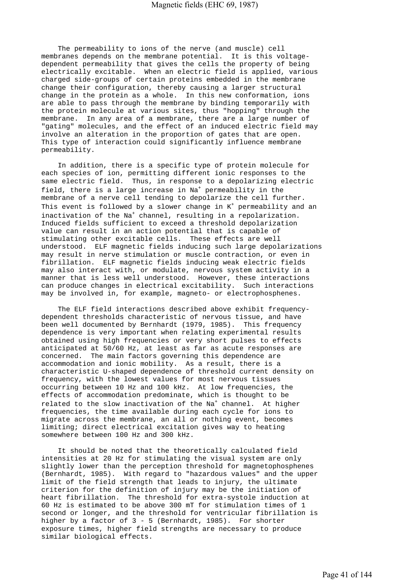The permeability to ions of the nerve (and muscle) cell membranes depends on the membrane potential. It is this voltagedependent permeability that gives the cells the property of being electrically excitable. When an electric field is applied, various charged side-groups of certain proteins embedded in the membrane change their configuration, thereby causing a larger structural change in the protein as a whole. In this new conformation, ions are able to pass through the membrane by binding temporarily with the protein molecule at various sites, thus "hopping" through the membrane. In any area of a membrane, there are a large number of "gating" molecules, and the effect of an induced electric field may involve an alteration in the proportion of gates that are open. This type of interaction could significantly influence membrane permeability.

 In addition, there is a specific type of protein molecule for each species of ion, permitting different ionic responses to the same electric field. Thus, in response to a depolarizing electric field, there is a large increase in Na<sup>+</sup> permeability in the membrane of a nerve cell tending to depolarize the cell further. This event is followed by a slower change in  $K^+$  permeability and an inactivation of the Na<sup>+</sup> channel, resulting in a repolarization. Induced fields sufficient to exceed a threshold depolarization value can result in an action potential that is capable of stimulating other excitable cells. These effects are well understood. ELF magnetic fields inducing such large depolarizations may result in nerve stimulation or muscle contraction, or even in fibrillation. ELF magnetic fields inducing weak electric fields may also interact with, or modulate, nervous system activity in a manner that is less well understood. However, these interactions can produce changes in electrical excitability. Such interactions may be involved in, for example, magneto- or electrophosphenes.

 The ELF field interactions described above exhibit frequencydependent thresholds characteristic of nervous tissue, and have been well documented by Bernhardt (1979, 1985). This frequency dependence is very important when relating experimental results obtained using high frequencies or very short pulses to effects anticipated at 50/60 Hz, at least as far as acute responses are concerned. The main factors governing this dependence are accommodation and ionic mobility. As a result, there is a characteristic U-shaped dependence of threshold current density on frequency, with the lowest values for most nervous tissues occurring between 10 Hz and 100 kHz. At low frequencies, the effects of accommodation predominate, which is thought to be related to the slow inactivation of the Na<sup>+</sup> channel. At higher frequencies, the time available during each cycle for ions to migrate across the membrane, an all or nothing event, becomes limiting; direct electrical excitation gives way to heating somewhere between 100 Hz and 300 kHz.

 It should be noted that the theoretically calculated field intensities at 20 Hz for stimulating the visual system are only slightly lower than the perception threshold for magnetophosphenes (Bernhardt, 1985). With regard to "hazardous values" and the upper limit of the field strength that leads to injury, the ultimate criterion for the definition of injury may be the initiation of heart fibrillation. The threshold for extra-systole induction at 60 Hz is estimated to be above 300 mT for stimulation times of 1 second or longer, and the threshold for ventricular fibrillation is higher by a factor of 3 - 5 (Bernhardt, 1985). For shorter exposure times, higher field strengths are necessary to produce similar biological effects.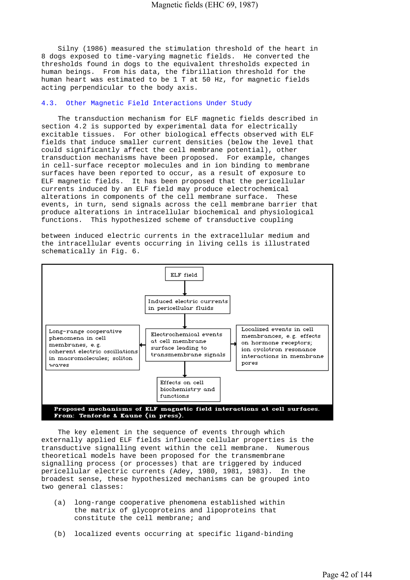Silny (1986) measured the stimulation threshold of the heart in 8 dogs exposed to time-varying magnetic fields. He converted the thresholds found in dogs to the equivalent thresholds expected in human beings. From his data, the fibrillation threshold for the human heart was estimated to be 1 T at 50 Hz, for magnetic fields acting perpendicular to the body axis.

### 4.3. Other Magnetic Field Interactions Under Study

 The transduction mechanism for ELF magnetic fields described in section 4.2 is supported by experimental data for electrically excitable tissues. For other biological effects observed with ELF fields that induce smaller current densities (below the level that could significantly affect the cell membrane potential), other transduction mechanisms have been proposed. For example, changes in cell-surface receptor molecules and in ion binding to membrane surfaces have been reported to occur, as a result of exposure to ELF magnetic fields. It has been proposed that the pericellular currents induced by an ELF field may produce electrochemical alterations in components of the cell membrane surface. These events, in turn, send signals across the cell membrane barrier that produce alterations in intracellular biochemical and physiological functions. This hypothesized scheme of transductive coupling

between induced electric currents in the extracellular medium and the intracellular events occurring in living cells is illustrated schematically in Fig. 6.



 The key element in the sequence of events through which externally applied ELF fields influence cellular properties is the transductive signalling event within the cell membrane. Numerous theoretical models have been proposed for the transmembrane signalling process (or processes) that are triggered by induced pericellular electric currents (Adey, 1980, 1981, 1983). In the broadest sense, these hypothesized mechanisms can be grouped into two general classes:

- (a) long-range cooperative phenomena established within the matrix of glycoproteins and lipoproteins that constitute the cell membrane; and
- (b) localized events occurring at specific ligand-binding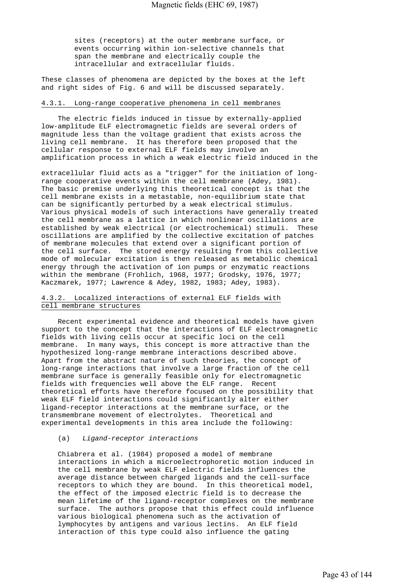sites (receptors) at the outer membrane surface, or events occurring within ion-selective channels that span the membrane and electrically couple the intracellular and extracellular fluids.

These classes of phenomena are depicted by the boxes at the left and right sides of Fig. 6 and will be discussed separately.

# 4.3.1. Long-range cooperative phenomena in cell membranes

 The electric fields induced in tissue by externally-applied low-amplitude ELF electromagnetic fields are several orders of magnitude less than the voltage gradient that exists across the living cell membrane. It has therefore been proposed that the cellular response to external ELF fields may involve an amplification process in which a weak electric field induced in the

extracellular fluid acts as a "trigger" for the initiation of longrange cooperative events within the cell membrane (Adey, 1981). The basic premise underlying this theoretical concept is that the cell membrane exists in a metastable, non-equilibrium state that can be significantly perturbed by a weak electrical stimulus. Various physical models of such interactions have generally treated the cell membrane as a lattice in which nonlinear oscillations are established by weak electrical (or electrochemical) stimuli. These oscillations are amplified by the collective excitation of patches of membrane molecules that extend over a significant portion of the cell surface. The stored energy resulting from this collective mode of molecular excitation is then released as metabolic chemical energy through the activation of ion pumps or enzymatic reactions within the membrane (Frohlich, 1968, 1977; Grodsky, 1976, 1977; Kaczmarek, 1977; Lawrence & Adey, 1982, 1983; Adey, 1983).

# 4.3.2. Localized interactions of external ELF fields with cell membrane structures

 Recent experimental evidence and theoretical models have given support to the concept that the interactions of ELF electromagnetic fields with living cells occur at specific loci on the cell membrane. In many ways, this concept is more attractive than the hypothesized long-range membrane interactions described above. Apart from the abstract nature of such theories, the concept of long-range interactions that involve a large fraction of the cell membrane surface is generally feasible only for electromagnetic fields with frequencies well above the ELF range. Recent theoretical efforts have therefore focused on the possibility that weak ELF field interactions could significantly alter either ligand-receptor interactions at the membrane surface, or the transmembrane movement of electrolytes. Theoretical and experimental developments in this area include the following:

#### (a) *Ligand-receptor interactions*

 Chiabrera et al. (1984) proposed a model of membrane interactions in which a microelectrophoretic motion induced in the cell membrane by weak ELF electric fields influences the average distance between charged ligands and the cell-surface receptors to which they are bound. In this theoretical model, the effect of the imposed electric field is to decrease the mean lifetime of the ligand-receptor complexes on the membrane surface. The authors propose that this effect could influence various biological phenomena such as the activation of lymphocytes by antigens and various lectins. An ELF field interaction of this type could also influence the gating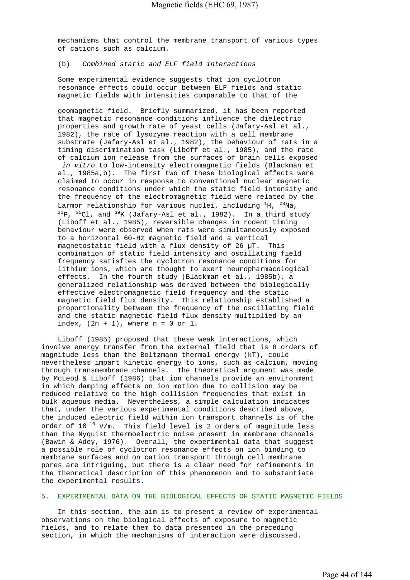mechanisms that control the membrane transport of various types of cations such as calcium.

# (b) *Combined static and ELF field interactions*

 Some experimental evidence suggests that ion cyclotron resonance effects could occur between ELF fields and static magnetic fields with intensities comparable to that of the

 geomagnetic field. Briefly summarized, it has been reported that magnetic resonance conditions influence the dielectric properties and growth rate of yeast cells (Jafary-Asl et al., 1982), the rate of lysozyme reaction with a cell membrane substrate (Jafary-Asl et al., 1982), the behaviour of rats in a timing discrimination task (Liboff et al., 1985), and the rate of calcium ion release from the surfaces of brain cells exposed  *in vitro* to low-intensity electromagnetic fields (Blackman et al., 1985a,b). The first two of these biological effects were claimed to occur in response to conventional nuclear magnetic resonance conditions under which the static field intensity and the frequency of the electromagnetic field were related by the Larmor relationship for various nuclei, including  ${}^{1}H$ ,  ${}^{23}Na$ ,  $^{31}P$ ,  $^{35}Cl$ , and  $^{39}K$  (Jafary-Asl et al., 1982). In a third study (Liboff et al., 1985), reversible changes in rodent timing behaviour were observed when rats were simultaneously exposed to a horizontal 60-Hz magnetic field and a vertical magnetostatic field with a flux density of 26 µT. This combination of static field intensity and oscillating field frequency satisfies the cyclotron resonance conditions for lithium ions, which are thought to exert neuropharmacological effects. In the fourth study (Blackman et al., 1985b), a generalized relationship was derived between the biologically effective electromagnetic field frequency and the static magnetic field flux density. This relationship established a proportionality between the frequency of the oscillating field and the static magnetic field flux density multiplied by an index,  $(2n + 1)$ , where  $n = 0$  or 1.

 Liboff (1985) proposed that these weak interactions, which involve energy transfer from the external field that is 8 orders of magnitude less than the Boltzmann thermal energy (kT), could nevertheless impart kinetic energy to ions, such as calcium, moving through transmembrane channels. The theoretical argument was made by McLeod & Liboff (1986) that ion channels provide an environment in which damping effects on ion motion due to collision may be reduced relative to the high collision frequencies that exist in bulk aqueous media. Nevertheless, a simple calculation indicates that, under the various experimental conditions described above, the induced electric field within ion transport channels is of the order of  $10^{-10}$  V/m. This field level is 2 orders of magnitude less than the Nyquist thermoelectric noise present in membrane channels (Bawin & Adey, 1976). Overall, the experimental data that suggest a possible role of cyclotron resonance effects on ion binding to membrane surfaces and on cation transport through cell membrane pores are intriguing, but there is a clear need for refinements in the theoretical description of this phenomenon and to substantiate the experimental results.

### 5. EXPERIMENTAL DATA ON THE BIOLOGICAL EFFECTS OF STATIC MAGNETIC FIELDS

 In this section, the aim is to present a review of experimental observations on the biological effects of exposure to magnetic fields, and to relate them to data presented in the preceding section, in which the mechanisms of interaction were discussed.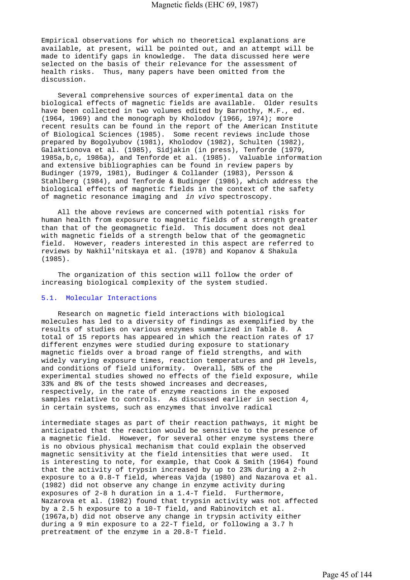Empirical observations for which no theoretical explanations are available, at present, will be pointed out, and an attempt will be made to identify gaps in knowledge. The data discussed here were selected on the basis of their relevance for the assessment of health risks. Thus, many papers have been omitted from the discussion.

 Several comprehensive sources of experimental data on the biological effects of magnetic fields are available. Older results have been collected in two volumes edited by Barnothy, M.F., ed. (1964, 1969) and the monograph by Kholodov (1966, 1974); more recent results can be found in the report of the American Institute of Biological Sciences (1985). Some recent reviews include those prepared by Bogolyubov (1981), Kholodov (1982), Schulten (1982), Galaktionova et al. (1985), Sidjakin (in press), Tenforde (1979, 1985a,b,c, 1986a), and Tenforde et al. (1985). Valuable information and extensive bibliographies can be found in review papers by Budinger (1979, 1981), Budinger & Collander (1983), Persson & Stahlberg (1984), and Tenforde & Budinger (1986), which address the biological effects of magnetic fields in the context of the safety of magnetic resonance imaging and *in vivo* spectroscopy.

 All the above reviews are concerned with potential risks for human health from exposure to magnetic fields of a strength greater than that of the geomagnetic field. This document does not deal with magnetic fields of a strength below that of the geomagnetic field. However, readers interested in this aspect are referred to reviews by Nakhil'nitskaya et al. (1978) and Kopanov & Shakula (1985).

 The organization of this section will follow the order of increasing biological complexity of the system studied.

# 5.1. Molecular Interactions

 Research on magnetic field interactions with biological molecules has led to a diversity of findings as exemplified by the results of studies on various enzymes summarized in Table 8. A total of 15 reports has appeared in which the reaction rates of 17 different enzymes were studied during exposure to stationary magnetic fields over a broad range of field strengths, and with widely varying exposure times, reaction temperatures and pH levels, and conditions of field uniformity. Overall, 58% of the experimental studies showed no effects of the field exposure, while 33% and 8% of the tests showed increases and decreases, respectively, in the rate of enzyme reactions in the exposed samples relative to controls. As discussed earlier in section 4, in certain systems, such as enzymes that involve radical

intermediate stages as part of their reaction pathways, it might be anticipated that the reaction would be sensitive to the presence of a magnetic field. However, for several other enzyme systems there is no obvious physical mechanism that could explain the observed magnetic sensitivity at the field intensities that were used. It is interesting to note, for example, that Cook & Smith (1964) found that the activity of trypsin increased by up to 23% during a 2-h exposure to a 0.8-T field, whereas Vajda (1980) and Nazarova et al. (1982) did not observe any change in enzyme activity during exposures of 2-8 h duration in a 1.4-T field. Furthermore, Nazarova et al. (1982) found that trypsin activity was not affected by a 2.5 h exposure to a 10-T field, and Rabinovitch et al. (1967a,b) did not observe any change in trypsin activity either during a 9 min exposure to a 22-T field, or following a 3.7 h pretreatment of the enzyme in a 20.8-T field.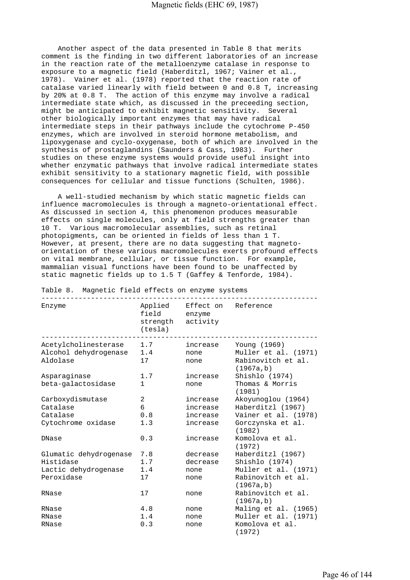Another aspect of the data presented in Table 8 that merits comment is the finding in two different laboratories of an increase in the reaction rate of the metalloenzyme catalase in response to exposure to a magnetic field (Haberditzl, 1967; Vainer et al., 1978). Vainer et al. (1978) reported that the reaction rate of catalase varied linearly with field between 0 and 0.8 T, increasing by 20% at 0.8 T. The action of this enzyme may involve a radical intermediate state which, as discussed in the preceeding section, might be anticipated to exhibit magnetic sensitivity. Several other biologically important enzymes that may have radical intermediate steps in their pathways include the cytochrome P-450 enzymes, which are involved in steroid hormone metabolism, and lipoxygenase and cyclo-oxygenase, both of which are involved in the synthesis of prostaglandins (Saunders & Cass, 1983). Further studies on these enzyme systems would provide useful insight into whether enzymatic pathways that involve radical intermediate states exhibit sensitivity to a stationary magnetic field, with possible consequences for cellular and tissue functions (Schulten, 1986).

 A well-studied mechanism by which static magnetic fields can influence macromolecules is through a magneto-orientational effect. As discussed in section 4, this phenomenon produces measurable effects on single molecules, only at field strengths greater than 10 T. Various macromolecular assemblies, such as retinal photopigments, can be oriented in fields of less than 1 T. However, at present, there are no data suggesting that magnetoorientation of these various macromolecules exerts profound effects on vital membrane, cellular, or tissue function. For example, mammalian visual functions have been found to be unaffected by static magnetic fields up to 1.5 T (Gaffey & Tenforde, 1984).

| Enzyme                 | field<br>strength activity<br>(testa) | Applied Effect on Reference<br>enzyme |                                  |
|------------------------|---------------------------------------|---------------------------------------|----------------------------------|
| Acetylcholinesterase   | 1.7                                   | increase                              | Young (1969)                     |
| Alcohol dehydrogenase  | 1.4                                   | none                                  | Muller et al. (1971)             |
| Aldolase               | 17                                    | none                                  | Rabinovitch et al.<br>(1967a, b) |
| Asparaginase           | 1.7                                   | increase                              | Shishlo (1974)                   |
| beta-galactosidase     | $\mathbf{1}$                          | none                                  | Thomas & Morris<br>(1981)        |
| Carboxydismutase       | $\overline{2}$                        | increase                              | Akoyunoglou (1964)               |
| Catalase               | 6                                     | increase                              | Haberditzl (1967)                |
| Catalase               | 0.8                                   | increase                              | Vainer et al. (1978)             |
| Cytochrome oxidase     | 1.3                                   | increase                              | Gorczynska et al.<br>(1982)      |
| DNase                  | 0.3                                   | increase                              | Komolova et al.<br>(1972)        |
| Glumatic dehydrogenase | 7.8                                   | decrease                              | Haberditzl (1967)                |
| Histidase              | 1.7                                   | decrease                              | Shishlo (1974)                   |
| Lactic dehydrogenase   | 1.4                                   | none                                  | Muller et al. (1971)             |
| Peroxidase             | 17                                    | none                                  | Rabinovitch et al.<br>(1967a, b) |
| RNase                  | 17                                    | none                                  | Rabinovitch et al.<br>(1967a, b) |
| RNase                  | 4.8                                   | none                                  | Maling et al. (1965)             |
| RNase                  | 1.4                                   | none                                  | Muller et al. (1971)             |
| RNase                  | 0.3                                   | none                                  | Komolova et al.<br>(1972)        |

Table 8. Magnetic field effects on enzyme systems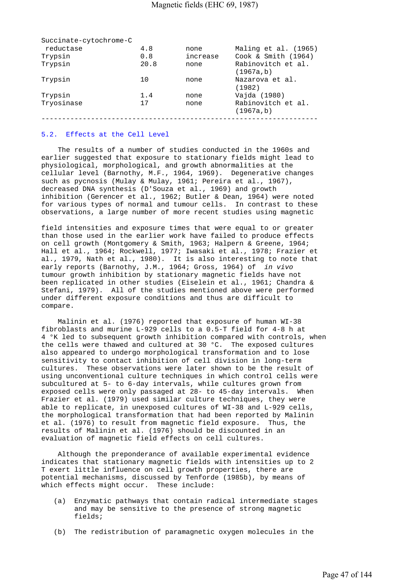| Succinate-cytochrome-C |      |          |                                  |
|------------------------|------|----------|----------------------------------|
| reductase              | 4.8  | none     | Maling et al. (1965)             |
| Trypsin                | 0.8  | increase | Cook & Smith (1964)              |
| Trypsin                | 20.8 | none     | Rabinovitch et al.<br>(1967a, b) |
| Trypsin                | 10   | none     | Nazarova et al.<br>(1982)        |
| Trypsin                | 1.4  | none     | Vajda (1980)                     |
| Tryosinase             | 17   | none     | Rabinovitch et al.<br>(1967a, b) |
|                        |      |          |                                  |

## 5.2. Effects at the Cell Level

 The results of a number of studies conducted in the 1960s and earlier suggested that exposure to stationary fields might lead to physiological, morphological, and growth abnormalities at the cellular level (Barnothy, M.F., 1964, 1969). Degenerative changes such as pycnosis (Mulay & Mulay, 1961; Pereira et al., 1967), decreased DNA synthesis (D'Souza et al., 1969) and growth inhibition (Gerencer et al., 1962; Butler & Dean, 1964) were noted for various types of normal and tumour cells. In contrast to these observations, a large number of more recent studies using magnetic

field intensities and exposure times that were equal to or greater than those used in the earlier work have failed to produce effects on cell growth (Montgomery & Smith, 1963; Halpern & Greene, 1964; Hall et al., 1964; Rockwell, 1977; Iwasaki et al., 1978; Frazier et al., 1979, Nath et al., 1980). It is also interesting to note that early reports (Barnothy, J.M., 1964; Gross, 1964) of *in vivo*  tumour growth inhibition by stationary magnetic fields have not been replicated in other studies (Eiselein et al., 1961; Chandra & Stefani, 1979). All of the studies mentioned above were performed under different exposure conditions and thus are difficult to compare.

 Malinin et al. (1976) reported that exposure of human WI-38 fibroblasts and murine L-929 cells to a 0.5-T field for 4-8 h at 4 °K led to subsequent growth inhibition compared with controls, when the cells were thawed and cultured at 30 °C. The exposed cultures also appeared to undergo morphological transformation and to lose sensitivity to contact inhibition of cell division in long-term cultures. These observations were later shown to be the result of using unconventional culture techniques in which control cells were subcultured at 5- to 6-day intervals, while cultures grown from exposed cells were only passaged at 28- to 45-day intervals. When Frazier et al. (1979) used similar culture techniques, they were able to replicate, in unexposed cultures of WI-38 and L-929 cells, the morphological transformation that had been reported by Malinin et al. (1976) to result from magnetic field exposure. Thus, the results of Malinin et al. (1976) should be discounted in an evaluation of magnetic field effects on cell cultures.

 Although the preponderance of available experimental evidence indicates that stationary magnetic fields with intensities up to 2 T exert little influence on cell growth properties, there are potential mechanisms, discussed by Tenforde (1985b), by means of which effects might occur. These include:

- (a) Enzymatic pathways that contain radical intermediate stages and may be sensitive to the presence of strong magnetic fields;
- (b) The redistribution of paramagnetic oxygen molecules in the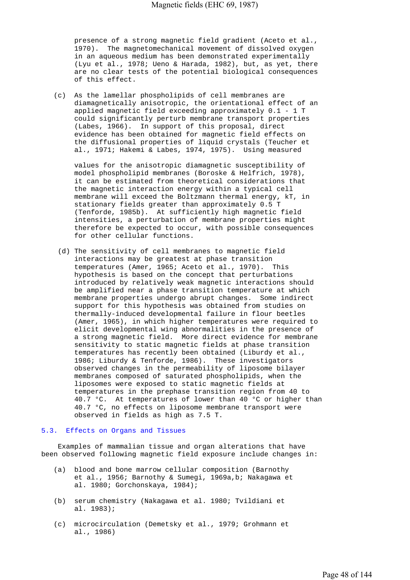presence of a strong magnetic field gradient (Aceto et al., 1970). The magnetomechanical movement of dissolved oxygen in an aqueous medium has been demonstrated experimentally (Lyu et al., 1978; Ueno & Harada, 1982), but, as yet, there are no clear tests of the potential biological consequences of this effect.

 (c) As the lamellar phospholipids of cell membranes are diamagnetically anisotropic, the orientational effect of an applied magnetic field exceeding approximately 0.1 - 1 T could significantly perturb membrane transport properties (Labes, 1966). In support of this proposal, direct evidence has been obtained for magnetic field effects on the diffusional properties of liquid crystals (Teucher et al., 1971; Hakemi & Labes, 1974, 1975). Using measured

 values for the anisotropic diamagnetic susceptibility of model phospholipid membranes (Boroske & Helfrich, 1978), it can be estimated from theoretical considerations that the magnetic interaction energy within a typical cell membrane will exceed the Boltzmann thermal energy, kT, in stationary fields greater than approximately 0.5 T (Tenforde, 1985b). At sufficiently high magnetic field intensities, a perturbation of membrane properties might therefore be expected to occur, with possible consequences for other cellular functions.

 (d) The sensitivity of cell membranes to magnetic field interactions may be greatest at phase transition temperatures (Amer, 1965; Aceto et al., 1970). This hypothesis is based on the concept that perturbations introduced by relatively weak magnetic interactions should be amplified near a phase transition temperature at which membrane properties undergo abrupt changes. Some indirect support for this hypothesis was obtained from studies on thermally-induced developmental failure in flour beetles (Amer, 1965), in which higher temperatures were required to elicit developmental wing abnormalities in the presence of a strong magnetic field. More direct evidence for membrane sensitivity to static magnetic fields at phase transition temperatures has recently been obtained (Liburdy et al., 1986; Liburdy & Tenforde, 1986). These investigators observed changes in the permeability of liposome bilayer membranes composed of saturated phospholipids, when the liposomes were exposed to static magnetic fields at temperatures in the prephase transition region from 40 to 40.7 °C. At temperatures of lower than 40 °C or higher than 40.7 °C, no effects on liposome membrane transport were observed in fields as high as 7.5 T.

### 5.3. Effects on Organs and Tissues

 Examples of mammalian tissue and organ alterations that have been observed following magnetic field exposure include changes in:

- (a) blood and bone marrow cellular composition (Barnothy et al., 1956; Barnothy & Sumegi, 1969a,b; Nakagawa et al. 1980; Gorchonskaya, 1984);
- (b) serum chemistry (Nakagawa et al. 1980; Tvildiani et al. 1983);
- (c) microcirculation (Demetsky et al., 1979; Grohmann et al., 1986)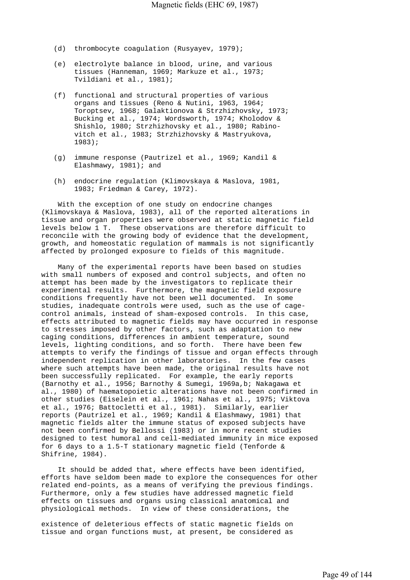- (d) thrombocyte coagulation (Rusyayev, 1979);
- (e) electrolyte balance in blood, urine, and various tissues (Hanneman, 1969; Markuze et al., 1973; Tvildiani et al., 1981);
- (f) functional and structural properties of various organs and tissues (Reno & Nutini, 1963, 1964; Toroptsev, 1968; Galaktionova & Strzhizhovsky, 1973; Bucking et al., 1974; Wordsworth, 1974; Kholodov & Shishlo, 1980; Strzhizhovsky et al., 1980; Rabino vitch et al., 1983; Strzhizhovsky & Mastryukova, 1983);
- (g) immune response (Pautrizel et al., 1969; Kandil & Elashmawy, 1981); and
- (h) endocrine regulation (Klimovskaya & Maslova, 1981, 1983; Friedman & Carey, 1972).

 With the exception of one study on endocrine changes (Klimovskaya & Maslova, 1983), all of the reported alterations in tissue and organ properties were observed at static magnetic field levels below 1 T. These observations are therefore difficult to reconcile with the growing body of evidence that the development, growth, and homeostatic regulation of mammals is not significantly affected by prolonged exposure to fields of this magnitude.

 Many of the experimental reports have been based on studies with small numbers of exposed and control subjects, and often no attempt has been made by the investigators to replicate their experimental results. Furthermore, the magnetic field exposure conditions frequently have not been well documented. In some studies, inadequate controls were used, such as the use of cagecontrol animals, instead of sham-exposed controls. In this case, effects attributed to magnetic fields may have occurred in response to stresses imposed by other factors, such as adaptation to new caging conditions, differences in ambient temperature, sound levels, lighting conditions, and so forth. There have been few attempts to verify the findings of tissue and organ effects through independent replication in other laboratories. In the few cases where such attempts have been made, the original results have not been successfully replicated. For example, the early reports (Barnothy et al., 1956; Barnothy & Sumegi, 1969a,b; Nakagawa et al., 1980) of haematopoietic alterations have not been confirmed in other studies (Eiselein et al., 1961; Nahas et al., 1975; Viktova et al., 1976; Battocletti et al., 1981). Similarly, earlier reports (Pautrizel et al., 1969; Kandil & Elashmawy, 1981) that magnetic fields alter the immune status of exposed subjects have not been confirmed by Bellossi (1983) or in more recent studies designed to test humoral and cell-mediated immunity in mice exposed for 6 days to a 1.5-T stationary magnetic field (Tenforde & Shifrine, 1984).

 It should be added that, where effects have been identified, efforts have seldom been made to explore the consequences for other related end-points, as a means of verifying the previous findings. Furthermore, only a few studies have addressed magnetic field effects on tissues and organs using classical anatomical and physiological methods. In view of these considerations, the

existence of deleterious effects of static magnetic fields on tissue and organ functions must, at present, be considered as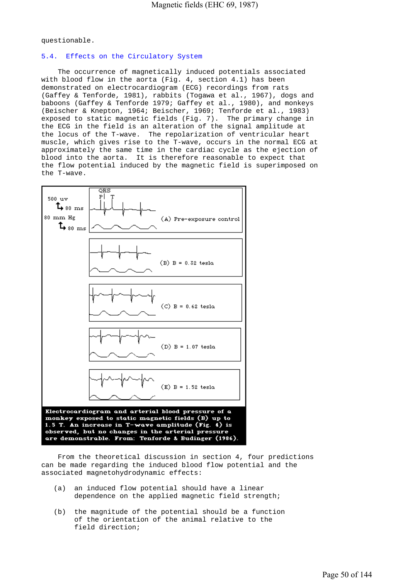questionable.

# 5.4. Effects on the Circulatory System

 The occurrence of magnetically induced potentials associated with blood flow in the aorta (Fig. 4, section 4.1) has been demonstrated on electrocardiogram (ECG) recordings from rats (Gaffey & Tenforde, 1981), rabbits (Togawa et al., 1967), dogs and baboons (Gaffey & Tenforde 1979; Gaffey et al., 1980), and monkeys (Beischer & Knepton, 1964; Beischer, 1969; Tenforde et al., 1983) exposed to static magnetic fields (Fig. 7). The primary change in the ECG in the field is an alteration of the signal amplitude at the locus of the T-wave. The repolarization of ventricular heart muscle, which gives rise to the T-wave, occurs in the normal ECG at approximately the same time in the cardiac cycle as the ejection of blood into the aorta. It is therefore reasonable to expect that the flow potential induced by the magnetic field is superimposed on the T-wave.



 From the theoretical discussion in section 4, four predictions can be made regarding the induced blood flow potential and the associated magnetohydrodynamic effects:

- (a) an induced flow potential should have a linear dependence on the applied magnetic field strength;
- (b) the magnitude of the potential should be a function of the orientation of the animal relative to the field direction;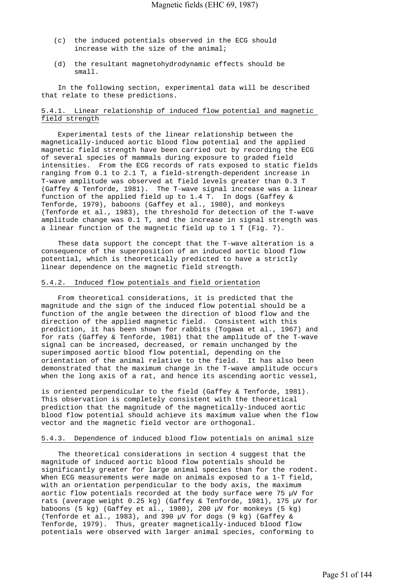- (c) the induced potentials observed in the ECG should increase with the size of the animal;
- (d) the resultant magnetohydrodynamic effects should be small.

 In the following section, experimental data will be described that relate to these predictions.

# 5.4.1. Linear relationship of induced flow potential and magnetic field strength

 Experimental tests of the linear relationship between the magnetically-induced aortic blood flow potential and the applied magnetic field strength have been carried out by recording the ECG of several species of mammals during exposure to graded field intensities. From the ECG records of rats exposed to static fields ranging from 0.1 to 2.1 T, a field-strength-dependent increase in T-wave amplitude was observed at field levels greater than 0.3 T (Gaffey & Tenforde, 1981). The T-wave signal increase was a linear function of the applied field up to 1.4 T. In dogs (Gaffey & Tenforde, 1979), baboons (Gaffey et al., 1980), and monkeys (Tenforde et al., 1983), the threshold for detection of the T-wave amplitude change was 0.1 T, and the increase in signal strength was a linear function of the magnetic field up to 1 T (Fig. 7).

 These data support the concept that the T-wave alteration is a consequence of the superposition of an induced aortic blood flow potential, which is theoretically predicted to have a strictly linear dependence on the magnetic field strength.

# 5.4.2. Induced flow potentials and field orientation

 From theoretical considerations, it is predicted that the magnitude and the sign of the induced flow potential should be a function of the angle between the direction of blood flow and the direction of the applied magnetic field. Consistent with this prediction, it has been shown for rabbits (Togawa et al., 1967) and for rats (Gaffey & Tenforde, 1981) that the amplitude of the T-wave signal can be increased, decreased, or remain unchanged by the superimposed aortic blood flow potential, depending on the orientation of the animal relative to the field. It has also been demonstrated that the maximum change in the T-wave amplitude occurs when the long axis of a rat, and hence its ascending aortic vessel,

is oriented perpendicular to the field (Gaffey & Tenforde, 1981). This observation is completely consistent with the theoretical prediction that the magnitude of the magnetically-induced aortic blood flow potential should achieve its maximum value when the flow vector and the magnetic field vector are orthogonal.

### 5.4.3. Dependence of induced blood flow potentials on animal size

 The theoretical considerations in section 4 suggest that the magnitude of induced aortic blood flow potentials should be significantly greater for large animal species than for the rodent. When ECG measurements were made on animals exposed to a 1-T field, with an orientation perpendicular to the body axis, the maximum aortic flow potentials recorded at the body surface were 75 µV for rats (average weight 0.25 kg) (Gaffey & Tenforde, 1981), 175 µV for baboons (5 kg) (Gaffey et al., 1980), 200 µV for monkeys (5 kg) (Tenforde et al., 1983), and 390 µV for dogs (9 kg) (Gaffey & Tenforde, 1979). Thus, greater magnetically-induced blood flow potentials were observed with larger animal species, conforming to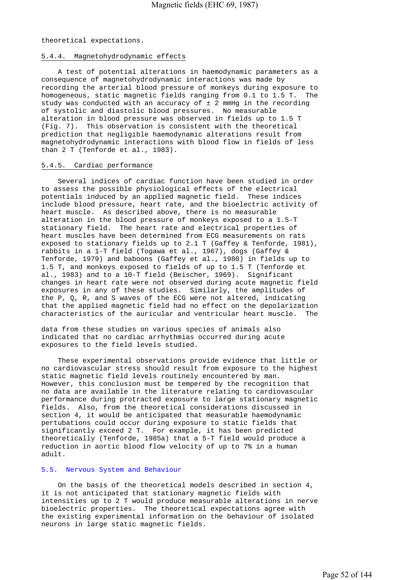theoretical expectations.

# 5.4.4. Magnetohydrodynamic effects

 A test of potential alterations in haemodynamic parameters as a consequence of magnetohydrodynamic interactions was made by recording the arterial blood pressure of monkeys during exposure to homogeneous, static magnetic fields ranging from 0.1 to 1.5 T. The study was conducted with an accuracy of  $\pm$  2 mmHg in the recording of systolic and diastolic blood pressures. No measurable alteration in blood pressure was observed in fields up to 1.5 T (Fig. 7). This observation is consistent with the theoretical prediction that negligible haemodynamic alterations result from magnetohydrodynamic interactions with blood flow in fields of less than 2 T (Tenforde et al., 1983).

#### 5.4.5. Cardiac performance

 Several indices of cardiac function have been studied in order to assess the possible physiological effects of the electrical potentials induced by an applied magnetic field. These indices include blood pressure, heart rate, and the bioelectric activity of heart muscle. As described above, there is no measurable alteration in the blood pressure of monkeys exposed to a 1.5-T stationary field. The heart rate and electrical properties of heart muscles have been determined from ECG measurements on rats exposed to stationary fields up to 2.1 T (Gaffey & Tenforde, 1981), rabbits in a 1-T field (Togawa et al., 1967), dogs (Gaffey & Tenforde, 1979) and baboons (Gaffey et al., 1980) in fields up to 1.5 T, and monkeys exposed to fields of up to 1.5 T (Tenforde et al., 1983) and to a 10-T field (Beischer, 1969). Significant changes in heart rate were not observed during acute magnetic field exposures in any of these studies. Similarly, the amplitudes of the P, Q, R, and S waves of the ECG were not altered, indicating that the applied magnetic field had no effect on the depolarization characteristics of the auricular and ventricular heart muscle. The

data from these studies on various species of animals also indicated that no cardiac arrhythmias occurred during acute exposures to the field levels studied.

 These experimental observations provide evidence that little or no cardiovascular stress should result from exposure to the highest static magnetic field levels routinely encountered by man. However, this conclusion must be tempered by the recognition that no data are available in the literature relating to cardiovascular performance during protracted exposure to large stationary magnetic fields. Also, from the theoretical considerations discussed in section 4, it would be anticipated that measurable haemodynamic pertubations could occur during exposure to static fields that significantly exceed 2 T. For example, it has been predicted theoretically (Tenforde, 1985a) that a 5-T field would produce a reduction in aortic blood flow velocity of up to 7% in a human adult.

### 5.5. Nervous System and Behaviour

 On the basis of the theoretical models described in section 4, it is not anticipated that stationary magnetic fields with intensities up to 2 T would produce measurable alterations in nerve bioelectric properties. The theoretical expectations agree with the existing experimental information on the behaviour of isolated neurons in large static magnetic fields.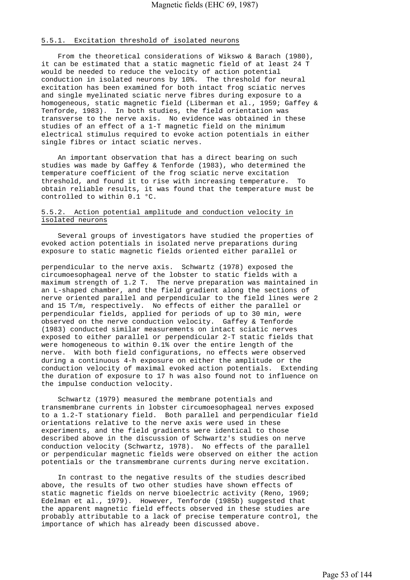# 5.5.1. Excitation threshold of isolated neurons

 From the theoretical considerations of Wikswo & Barach (1980), it can be estimated that a static magnetic field of at least 24 T would be needed to reduce the velocity of action potential conduction in isolated neurons by 10%. The threshold for neural excitation has been examined for both intact frog sciatic nerves and single myelinated sciatic nerve fibres during exposure to a homogeneous, static magnetic field (Liberman et al., 1959; Gaffey & Tenforde, 1983). In both studies, the field orientation was transverse to the nerve axis. No evidence was obtained in these studies of an effect of a 1-T magnetic field on the minimum electrical stimulus required to evoke action potentials in either single fibres or intact sciatic nerves.

 An important observation that has a direct bearing on such studies was made by Gaffey & Tenforde (1983), who determined the temperature coefficient of the frog sciatic nerve excitation threshold, and found it to rise with increasing temperature. To obtain reliable results, it was found that the temperature must be controlled to within 0.1 °C.

# 5.5.2. Action potential amplitude and conduction velocity in isolated neurons

 Several groups of investigators have studied the properties of evoked action potentials in isolated nerve preparations during exposure to static magnetic fields oriented either parallel or

perpendicular to the nerve axis. Schwartz (1978) exposed the circumoesophageal nerve of the lobster to static fields with a maximum strength of 1.2 T. The nerve preparation was maintained in an L-shaped chamber, and the field gradient along the sections of nerve oriented parallel and perpendicular to the field lines were 2 and 15 T/m, respectively. No effects of either the parallel or perpendicular fields, applied for periods of up to 30 min, were observed on the nerve conduction velocity. Gaffey & Tenforde (1983) conducted similar measurements on intact sciatic nerves exposed to either parallel or perpendicular 2-T static fields that were homogeneous to within 0.1% over the entire length of the nerve. With both field configurations, no effects were observed during a continuous 4-h exposure on either the amplitude or the conduction velocity of maximal evoked action potentials. Extending the duration of exposure to 17 h was also found not to influence on the impulse conduction velocity.

 Schwartz (1979) measured the membrane potentials and transmembrane currents in lobster circumoesophageal nerves exposed to a 1.2-T stationary field. Both parallel and perpendicular field orientations relative to the nerve axis were used in these experiments, and the field gradients were identical to those described above in the discussion of Schwartz's studies on nerve conduction velocity (Schwartz, 1978). No effects of the parallel or perpendicular magnetic fields were observed on either the action potentials or the transmembrane currents during nerve excitation.

 In contrast to the negative results of the studies described above, the results of two other studies have shown effects of static magnetic fields on nerve bioelectric activity (Reno, 1969; Edelman et al., 1979). However, Tenforde (1985b) suggested that the apparent magnetic field effects observed in these studies are probably attributable to a lack of precise temperature control, the importance of which has already been discussed above.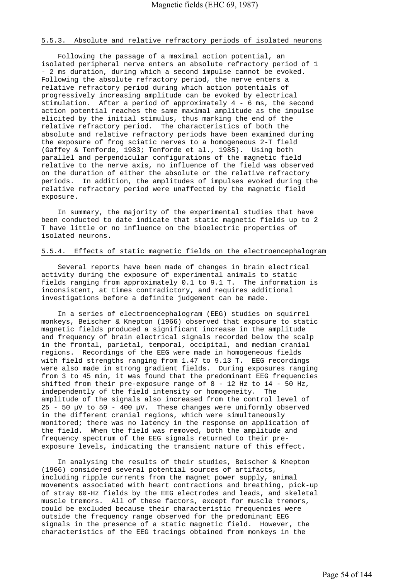## 5.5.3. Absolute and relative refractory periods of isolated neurons

 Following the passage of a maximal action potential, an isolated peripheral nerve enters an absolute refractory period of 1 - 2 ms duration, during which a second impulse cannot be evoked. Following the absolute refractory period, the nerve enters a relative refractory period during which action potentials of progressively increasing amplitude can be evoked by electrical stimulation. After a period of approximately 4 - 6 ms, the second action potential reaches the same maximal amplitude as the impulse elicited by the initial stimulus, thus marking the end of the relative refractory period. The characteristics of both the absolute and relative refractory periods have been examined during the exposure of frog sciatic nerves to a homogeneous 2-T field (Gaffey & Tenforde, 1983; Tenforde et al., 1985). Using both parallel and perpendicular configurations of the magnetic field relative to the nerve axis, no influence of the field was observed on the duration of either the absolute or the relative refractory periods. In addition, the amplitudes of impulses evoked during the relative refractory period were unaffected by the magnetic field exposure.

 In summary, the majority of the experimental studies that have been conducted to date indicate that static magnetic fields up to 2 T have little or no influence on the bioelectric properties of isolated neurons.

# 5.5.4. Effects of static magnetic fields on the electroencephalogram

 Several reports have been made of changes in brain electrical activity during the exposure of experimental animals to static fields ranging from approximately 0.1 to 9.1 T. The information is inconsistent, at times contradictory, and requires additional investigations before a definite judgement can be made.

 In a series of electroencephalogram (EEG) studies on squirrel monkeys, Beischer & Knepton (1966) observed that exposure to static magnetic fields produced a significant increase in the amplitude and frequency of brain electrical signals recorded below the scalp in the frontal, parietal, temporal, occipital, and median cranial regions. Recordings of the EEG were made in homogeneous fields with field strengths ranging from 1.47 to 9.13 T. EEG recordings were also made in strong gradient fields. During exposures ranging from 3 to 45 min, it was found that the predominant EEG frequencies shifted from their pre-exposure range of  $8 - 12$  Hz to  $14 - 50$  Hz, independently of the field intensity or homogeneity. The amplitude of the signals also increased from the control level of 25 - 50  $\mu$ V to 50 - 400  $\mu$ V. These changes were uniformly observed in the different cranial regions, which were simultaneously monitored; there was no latency in the response on application of the field. When the field was removed, both the amplitude and frequency spectrum of the EEG signals returned to their preexposure levels, indicating the transient nature of this effect.

 In analysing the results of their studies, Beischer & Knepton (1966) considered several potential sources of artifacts, including ripple currents from the magnet power supply, animal movements associated with heart contractions and breathing, pick-up of stray 60-Hz fields by the EEG electrodes and leads, and skeletal muscle tremors. All of these factors, except for muscle tremors, could be excluded because their characteristic frequencies were outside the frequency range observed for the predominant EEG signals in the presence of a static magnetic field. However, the characteristics of the EEG tracings obtained from monkeys in the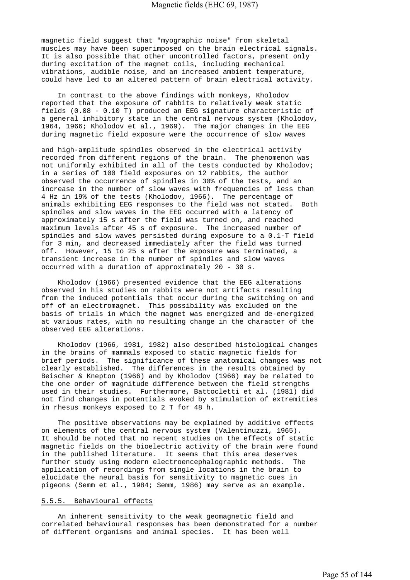magnetic field suggest that "myographic noise" from skeletal muscles may have been superimposed on the brain electrical signals. It is also possible that other uncontrolled factors, present only during excitation of the magnet coils, including mechanical vibrations, audible noise, and an increased ambient temperature, could have led to an altered pattern of brain electrical activity.

 In contrast to the above findings with monkeys, Kholodov reported that the exposure of rabbits to relatively weak static fields (0.08 - 0.10 T) produced an EEG signature characteristic of a general inhibitory state in the central nervous system (Kholodov, 1964, 1966; Kholodov et al., 1969). The major changes in the EEG during magnetic field exposure were the occurrence of slow waves

and high-amplitude spindles observed in the electrical activity recorded from different regions of the brain. The phenomenon was not uniformly exhibited in all of the tests conducted by Kholodov; in a series of 100 field exposures on 12 rabbits, the author observed the occurrence of spindles in 30% of the tests, and an increase in the number of slow waves with frequencies of less than 4 Hz in 19% of the tests (Kholodov, 1966). The percentage of animals exhibiting EEG responses to the field was not stated. Both spindles and slow waves in the EEG occurred with a latency of approximately 15 s after the field was turned on, and reached maximum levels after 45 s of exposure. The increased number of spindles and slow waves persisted during exposure to a 0.1-T field for 3 min, and decreased immediately after the field was turned off. However, 15 to 25 s after the exposure was terminated, a transient increase in the number of spindles and slow waves occurred with a duration of approximately 20 - 30 s.

 Kholodov (1966) presented evidence that the EEG alterations observed in his studies on rabbits were not artifacts resulting from the induced potentials that occur during the switching on and off of an electromagnet. This possibility was excluded on the basis of trials in which the magnet was energized and de-energized at various rates, with no resulting change in the character of the observed EEG alterations.

 Kholodov (1966, 1981, 1982) also described histological changes in the brains of mammals exposed to static magnetic fields for brief periods. The significance of these anatomical changes was not clearly established. The differences in the results obtained by Beischer & Knepton (1966) and by Kholodov (1966) may be related to the one order of magnitude difference between the field strengths used in their studies. Furthermore, Battocletti et al. (1981) did not find changes in potentials evoked by stimulation of extremities in rhesus monkeys exposed to 2 T for 48 h.

 The positive observations may be explained by additive effects on elements of the central nervous system (Valentinuzzi, 1965). It should be noted that no recent studies on the effects of static magnetic fields on the bioelectric activity of the brain were found in the published literature. It seems that this area deserves further study using modern electroencephalographic methods. The application of recordings from single locations in the brain to elucidate the neural basis for sensitivity to magnetic cues in pigeons (Semm et al., 1984; Semm, 1986) may serve as an example.

## 5.5.5. Behavioural effects

 An inherent sensitivity to the weak geomagnetic field and correlated behavioural responses has been demonstrated for a number of different organisms and animal species. It has been well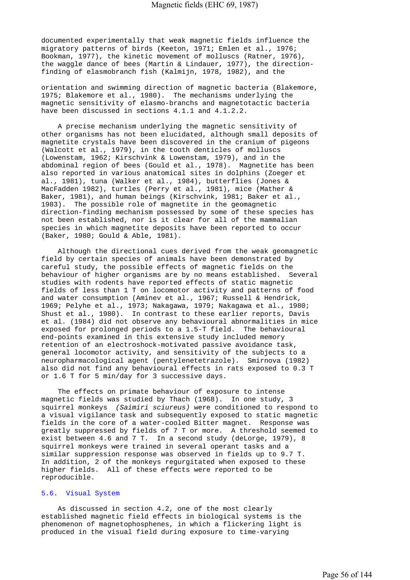documented experimentally that weak magnetic fields influence the migratory patterns of birds (Keeton, 1971; Emlen et al., 1976; Bookman, 1977), the kinetic movement of molluscs (Ratner, 1976), the waggle dance of bees (Martin & Lindauer, 1977), the directionfinding of elasmobranch fish (Kalmijn, 1978, 1982), and the

orientation and swimming direction of magnetic bacteria (Blakemore, 1975; Blakemore et al., 1980). The mechanisms underlying the magnetic sensitivity of elasmo-branchs and magnetotactic bacteria have been discussed in sections 4.1.1 and 4.1.2.2.

 A precise mechanism underlying the magnetic sensitivity of other organisms has not been elucidated, although small deposits of magnetite crystals have been discovered in the cranium of pigeons (Walcott et al., 1979), in the tooth denticles of molluscs (Lowenstam, 1962; Kirschvink & Lowenstam, 1979), and in the abdominal region of bees (Gould et al., 1978). Magnetite has been also reported in various anatomical sites in dolphins (Zoeger et al., 1981), tuna (Walker et al., 1984), butterflies (Jones & MacFadden 1982), turtles (Perry et al., 1981), mice (Mather & Baker, 1981), and human beings (Kirschvink, 1981; Baker et al., 1983). The possible role of magnetite in the geomagnetic direction-finding mechanism possessed by some of these species has not been established, nor is it clear for all of the mammalian species in which magnetite deposits have been reported to occur (Baker, 1980; Gould & Able, 1981).

 Although the directional cues derived from the weak geomagnetic field by certain species of animals have been demonstrated by careful study, the possible effects of magnetic fields on the behaviour of higher organisms are by no means established. Several studies with rodents have reported effects of static magnetic fields of less than 1 T on locomotor activity and patterns of food and water consumption (Aminev et al., 1967; Russell & Hendrick, 1969; Pelyhe et al., 1973; Nakagawa, 1979; Nakagawa et al., 1980; Shust et al., 1980). In contrast to these earlier reports, Davis et al. (1984) did not observe any behavioural abnormalities in mice exposed for prolonged periods to a 1.5-T field. The behavioural end-points examined in this extensive study included memory retention of an electroshock-motivated passive avoidance task, general locomotor activity, and sensitivity of the subjects to a neuropharmacological agent (pentylenetetrazole). Smirnova (1982) also did not find any behavioural effects in rats exposed to 0.3 T or 1.6 T for 5 min/day for 3 successive days.

 The effects on primate behaviour of exposure to intense magnetic fields was studied by Thach (1968). In one study, 3 squirrel monkeys *(Saimiri sciureus)* were conditioned to respond to a visual vigilance task and subsequently exposed to static magnetic fields in the core of a water-cooled Bitter magnet. Response was greatly suppressed by fields of 7 T or more. A threshold seemed to exist between 4.6 and 7 T. In a second study (deLorge, 1979), 8 squirrel monkeys were trained in several operant tasks and a similar suppression response was observed in fields up to 9.7 T. In addition, 2 of the monkeys regurgitated when exposed to these higher fields. All of these effects were reported to be reproducible.

### 5.6. Visual System

 As discussed in section 4.2, one of the most clearly established magnetic field effects in biological systems is the phenomenon of magnetophosphenes, in which a flickering light is produced in the visual field during exposure to time-varying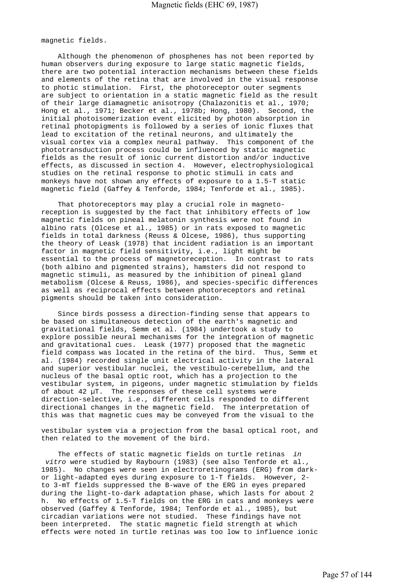magnetic fields.

 Although the phenomenon of phosphenes has not been reported by human observers during exposure to large static magnetic fields, there are two potential interaction mechanisms between these fields and elements of the retina that are involved in the visual response to photic stimulation. First, the photoreceptor outer segments are subject to orientation in a static magnetic field as the result of their large diamagnetic anisotropy (Chalazonitis et al., 1970; Hong et al., 1971; Becker et al., 1978b; Hong, 1980). Second, the initial photoisomerization event elicited by photon absorption in retinal photopigments is followed by a series of ionic fluxes that lead to excitation of the retinal neurons, and ultimately the visual cortex via a complex neural pathway. This component of the phototransduction process could be influenced by static magnetic fields as the result of ionic current distortion and/or inductive effects, as discussed in section 4. However, electrophysiological studies on the retinal response to photic stimuli in cats and monkeys have not shown any effects of exposure to a 1.5-T static magnetic field (Gaffey & Tenforde, 1984; Tenforde et al., 1985).

 That photoreceptors may play a crucial role in magnetoreception is suggested by the fact that inhibitory effects of low magnetic fields on pineal melatonin synthesis were not found in albino rats (Olcese et al., 1985) or in rats exposed to magnetic fields in total darkness (Reuss & Olcese, 1986), thus supporting the theory of Leask (1978) that incident radiation is an important factor in magnetic field sensitivity, i.e., light might be essential to the process of magnetoreception. In contrast to rats (both albino and pigmented strains), hamsters did not respond to magnetic stimuli, as measured by the inhibition of pineal gland metabolism (Olcese & Reuss, 1986), and species-specific differences as well as reciprocal effects between photoreceptors and retinal pigments should be taken into consideration.

 Since birds possess a direction-finding sense that appears to be based on simultaneous detection of the earth's magnetic and gravitational fields, Semm et al. (1984) undertook a study to explore possible neural mechanisms for the integration of magnetic and gravitational cues. Leask (1977) proposed that the magnetic field compass was located in the retina of the bird. Thus, Semm et al. (1984) recorded single unit electrical activity in the lateral and superior vestibular nuclei, the vestibulo-cerebellum, and the nucleus of the basal optic root, which has a projection to the vestibular system, in pigeons, under magnetic stimulation by fields of about 42  $\mu$ T. The responses of these cell systems were direction-selective, i.e., different cells responded to different directional changes in the magnetic field. The interpretation of this was that magnetic cues may be conveyed from the visual to the

vestibular system via a projection from the basal optical root, and then related to the movement of the bird.

 The effects of static magnetic fields on turtle retinas *in vitro* were studied by Raybourn (1983) (see also Tenforde et al., 1985). No changes were seen in electroretinograms (ERG) from darkor light-adapted eyes during exposure to 1-T fields. However, 2 to 3-mT fields suppressed the B-wave of the ERG in eyes prepared during the light-to-dark adaptation phase, which lasts for about 2 h. No effects of 1.5-T fields on the ERG in cats and monkeys were observed (Gaffey & Tenforde, 1984; Tenforde et al., 1985), but circadian variations were not studied. These findings have not been interpreted. The static magnetic field strength at which effects were noted in turtle retinas was too low to influence ionic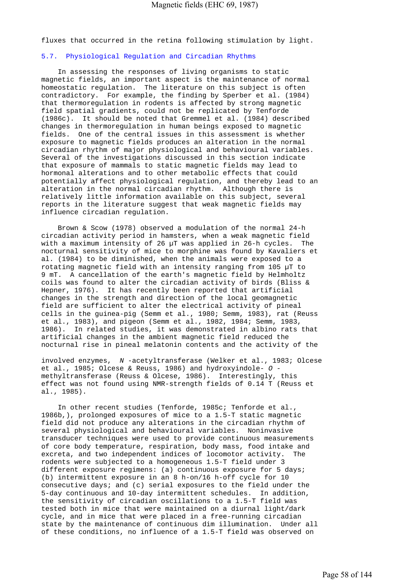fluxes that occurred in the retina following stimulation by light.

# 5.7. Physiological Regulation and Circadian Rhythms

 In assessing the responses of living organisms to static magnetic fields, an important aspect is the maintenance of normal homeostatic regulation. The literature on this subject is often contradictory. For example, the finding by Sperber et al. (1984) that thermoregulation in rodents is affected by strong magnetic field spatial gradients, could not be replicated by Tenforde (1986c). It should be noted that Gremmel et al. (1984) described changes in thermoregulation in human beings exposed to magnetic fields. One of the central issues in this assessment is whether exposure to magnetic fields produces an alteration in the normal circadian rhythm of major physiological and behavioural variables. Several of the investigations discussed in this section indicate that exposure of mammals to static magnetic fields may lead to hormonal alterations and to other metabolic effects that could potentially affect physiological regulation, and thereby lead to an alteration in the normal circadian rhythm. Although there is relatively little information available on this subject, several reports in the literature suggest that weak magnetic fields may influence circadian regulation.

 Brown & Scow (1978) observed a modulation of the normal 24-h circadian activity period in hamsters, when a weak magnetic field with a maximum intensity of 26 µT was applied in 26-h cycles. The nocturnal sensitivity of mice to morphine was found by Kavaliers et al. (1984) to be diminished, when the animals were exposed to a rotating magnetic field with an intensity ranging from 105 µT to 9 mT. A cancellation of the earth's magnetic field by Helmholtz coils was found to alter the circadian activity of birds (Bliss & Hepner, 1976). It has recently been reported that artificial changes in the strength and direction of the local geomagnetic field are sufficient to alter the electrical activity of pineal cells in the guinea-pig (Semm et al., 1980; Semm, 1983), rat (Reuss et al., 1983), and pigeon (Semm et al., 1982, 1984; Semm, 1983, 1986). In related studies, it was demonstrated in albino rats that artificial changes in the ambient magnetic field reduced the nocturnal rise in pineal melatonin contents and the activity of the

involved enzymes, *N* -acetyltransferase (Welker et al., 1983; Olcese et al., 1985; Olcese & Reuss, 1986) and hydroxyindole- *O*  methyltransferase (Reuss & Olcese, 1986). Interestingly, this effect was not found using NMR-strength fields of 0.14 T (Reuss et al., 1985).

 In other recent studies (Tenforde, 1985c; Tenforde et al., 1986b,), prolonged exposures of mice to a 1.5-T static magnetic field did not produce any alterations in the circadian rhythm of several physiological and behavioural variables. Noninvasive transducer techniques were used to provide continuous measurements of core body temperature, respiration, body mass, food intake and excreta, and two independent indices of locomotor activity. The rodents were subjected to a homogeneous 1.5-T field under 3 different exposure regimens: (a) continuous exposure for 5 days; (b) intermittent exposure in an 8 h-on/16 h-off cycle for 10 consecutive days; and (c) serial exposures to the field under the 5-day continuous and 10-day intermittent schedules. In addition, the sensitivity of circadian oscillations to a 1.5-T field was tested both in mice that were maintained on a diurnal light/dark cycle, and in mice that were placed in a free-running circadian state by the maintenance of continuous dim illumination. Under all of these conditions, no influence of a 1.5-T field was observed on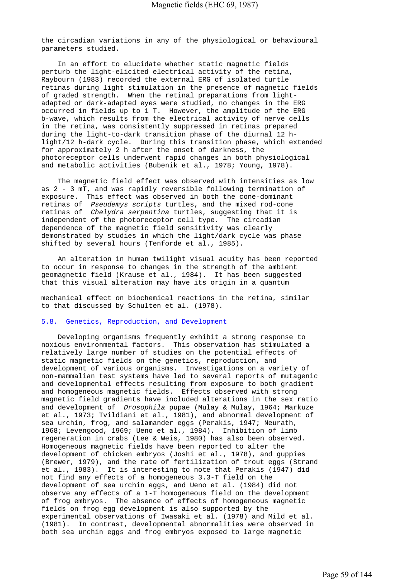the circadian variations in any of the physiological or behavioural parameters studied.

 In an effort to elucidate whether static magnetic fields perturb the light-elicited electrical activity of the retina, Raybourn (1983) recorded the external ERG of isolated turtle retinas during light stimulation in the presence of magnetic fields of graded strength. When the retinal preparations from lightadapted or dark-adapted eyes were studied, no changes in the ERG occurred in fields up to 1 T. However, the amplitude of the ERG b-wave, which results from the electrical activity of nerve cells in the retina, was consistently suppressed in retinas prepared during the light-to-dark transition phase of the diurnal 12 hlight/12 h-dark cycle. During this transition phase, which extended for approximately 2 h after the onset of darkness, the photoreceptor cells underwent rapid changes in both physiological and metabolic activities (Bubenik et al., 1978; Young, 1978).

 The magnetic field effect was observed with intensities as low as 2 - 3 mT, and was rapidly reversible following termination of exposure. This effect was observed in both the cone-dominant retinas of *Pseudemys scripts* turtles, and the mixed rod-cone retinas of *Chelydra serpentina* turtles, suggesting that it is independent of the photoreceptor cell type. The circadian dependence of the magnetic field sensitivity was clearly demonstrated by studies in which the light/dark cycle was phase shifted by several hours (Tenforde et al., 1985).

 An alteration in human twilight visual acuity has been reported to occur in response to changes in the strength of the ambient geomagnetic field (Krause et al., 1984). It has been suggested that this visual alteration may have its origin in a quantum

mechanical effect on biochemical reactions in the retina, similar to that discussed by Schulten et al. (1978).

# 5.8. Genetics, Reproduction, and Development

 Developing organisms frequently exhibit a strong response to noxious environmental factors. This observation has stimulated a relatively large number of studies on the potential effects of static magnetic fields on the genetics, reproduction, and development of various organisms. Investigations on a variety of non-mammalian test systems have led to several reports of mutagenic and developmental effects resulting from exposure to both gradient and homogeneous magnetic fields. Effects observed with strong magnetic field gradients have included alterations in the sex ratio and development of *Drosophila* pupae (Mulay & Mulay, 1964; Markuze et al., 1973; Tvildiani et al., 1981), and abnormal development of sea urchin, frog, and salamander eggs (Perakis, 1947; Neurath, 1968; Levengood, 1969; Ueno et al., 1984). Inhibition of limb regeneration in crabs (Lee & Weis, 1980) has also been observed. Homogeneous magnetic fields have been reported to alter the development of chicken embryos (Joshi et al., 1978), and guppies (Brewer, 1979), and the rate of fertilization of trout eggs (Strand et al., 1983). It is interesting to note that Perakis (1947) did not find any effects of a homogeneous 3.3-T field on the development of sea urchin eggs, and Ueno et al. (1984) did not observe any effects of a 1-T homogeneous field on the development of frog embryos. The absence of effects of homogeneous magnetic fields on frog egg development is also supported by the experimental observations of Iwasaki et al. (1978) and Mild et al. (1981). In contrast, developmental abnormalities were observed in both sea urchin eggs and frog embryos exposed to large magnetic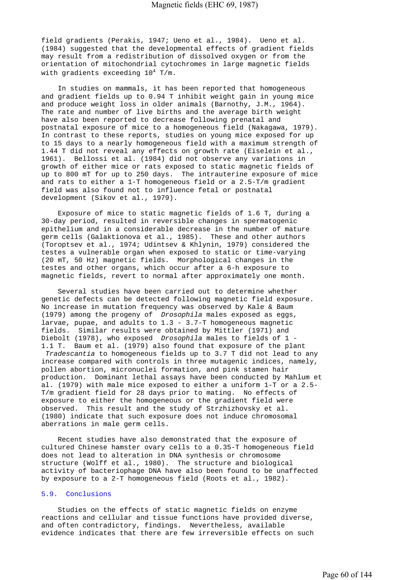field gradients (Perakis, 1947; Ueno et al., 1984). Ueno et al. (1984) suggested that the developmental effects of gradient fields may result from a redistribution of dissolved oxygen or from the orientation of mitochondrial cytochromes in large magnetic fields with gradients exceeding  $10^4$  T/m.

 In studies on mammals, it has been reported that homogeneous and gradient fields up to 0.94 T inhibit weight gain in young mice and produce weight loss in older animals (Barnothy, J.M., 1964). The rate and number of live births and the average birth weight have also been reported to decrease following prenatal and postnatal exposure of mice to a homogeneous field (Nakagawa, 1979). In contrast to these reports, studies on young mice exposed for up to 15 days to a nearly homogeneous field with a maximum strength of 1.44 T did not reveal any effects on growth rate (Eiselein et al., 1961). Bellossi et al. (1984) did not observe any variations in growth of either mice or rats exposed to static magnetic fields of up to 800 mT for up to 250 days. The intrauterine exposure of mice and rats to either a 1-T homogeneous field or a 2.5-T/m gradient field was also found not to influence fetal or postnatal development (Sikov et al., 1979).

 Exposure of mice to static magnetic fields of 1.6 T, during a 30-day period, resulted in reversible changes in spermatogenic epithelium and in a considerable decrease in the number of mature germ cells (Galaktionova et al., 1985). These and other authors (Toroptsev et al., 1974; Udintsev & Khlynin, 1979) considered the testes a vulnerable organ when exposed to static or time-varying (20 mT, 50 Hz) magnetic fields. Morphological changes in the testes and other organs, which occur after a 6-h exposure to magnetic fields, revert to normal after approximately one month.

 Several studies have been carried out to determine whether genetic defects can be detected following magnetic field exposure. No increase in mutation frequency was observed by Kale & Baum (1979) among the progeny of *Drosophila* males exposed as eggs, larvae, pupae, and adults to  $1.3 - 3.7 - T$  homogeneous magnetic fields. Similar results were obtained by Mittler (1971) and Diebolt (1978), who exposed *Drosophila* males to fields of 1 - 1.1 T. Baum et al. (1979) also found that exposure of the plant  *Tradescantia* to homogeneous fields up to 3.7 T did not lead to any increase compared with controls in three mutagenic indices, namely, pollen abortion, micronuclei formation, and pink stamen hair production. Dominant lethal assays have been conducted by Mahlum et al. (1979) with male mice exposed to either a uniform 1-T or a 2.5- T/m gradient field for 28 days prior to mating. No effects of exposure to either the homogeneous or the gradient field were observed. This result and the study of Strzhizhovsky et al. (1980) indicate that such exposure does not induce chromosomal aberrations in male germ cells.

 Recent studies have also demonstrated that the exposure of cultured Chinese hamster ovary cells to a 0.35-T homogeneous field does not lead to alteration in DNA synthesis or chromosome structure (Wolff et al., 1980). The structure and biological activity of bacteriophage DNA have also been found to be unaffected by exposure to a 2-T homogeneous field (Roots et al., 1982).

# 5.9. Conclusions

 Studies on the effects of static magnetic fields on enzyme reactions and cellular and tissue functions have provided diverse, and often contradictory, findings. Nevertheless, available evidence indicates that there are few irreversible effects on such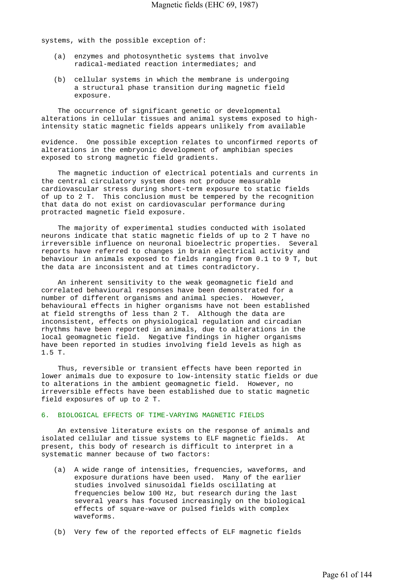systems, with the possible exception of:

- (a) enzymes and photosynthetic systems that involve radical-mediated reaction intermediates; and
- (b) cellular systems in which the membrane is undergoing a structural phase transition during magnetic field exposure.

 The occurrence of significant genetic or developmental alterations in cellular tissues and animal systems exposed to highintensity static magnetic fields appears unlikely from available

evidence. One possible exception relates to unconfirmed reports of alterations in the embryonic development of amphibian species exposed to strong magnetic field gradients.

 The magnetic induction of electrical potentials and currents in the central circulatory system does not produce measurable cardiovascular stress during short-term exposure to static fields of up to 2 T. This conclusion must be tempered by the recognition that data do not exist on cardiovascular performance during protracted magnetic field exposure.

 The majority of experimental studies conducted with isolated neurons indicate that static magnetic fields of up to 2 T have no irreversible influence on neuronal bioelectric properties. Several reports have referred to changes in brain electrical activity and behaviour in animals exposed to fields ranging from 0.1 to 9 T, but the data are inconsistent and at times contradictory.

 An inherent sensitivity to the weak geomagnetic field and correlated behavioural responses have been demonstrated for a number of different organisms and animal species. However, behavioural effects in higher organisms have not been established at field strengths of less than 2 T. Although the data are inconsistent, effects on physiological regulation and circadian rhythms have been reported in animals, due to alterations in the local geomagnetic field. Negative findings in higher organisms have been reported in studies involving field levels as high as 1.5 T.

 Thus, reversible or transient effects have been reported in lower animals due to exposure to low-intensity static fields or due to alterations in the ambient geomagnetic field. However, no irreversible effects have been established due to static magnetic field exposures of up to 2 T.

## 6. BIOLOGICAL EFFECTS OF TIME-VARYING MAGNETIC FIELDS

 An extensive literature exists on the response of animals and isolated cellular and tissue systems to ELF magnetic fields. At present, this body of research is difficult to interpret in a systematic manner because of two factors:

- (a) A wide range of intensities, frequencies, waveforms, and exposure durations have been used. Many of the earlier studies involved sinusoidal fields oscillating at frequencies below 100 Hz, but research during the last several years has focused increasingly on the biological effects of square-wave or pulsed fields with complex waveforms.
- (b) Very few of the reported effects of ELF magnetic fields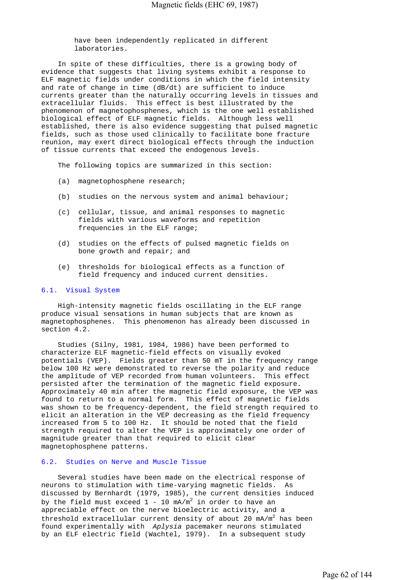have been independently replicated in different laboratories.

 In spite of these difficulties, there is a growing body of evidence that suggests that living systems exhibit a response to ELF magnetic fields under conditions in which the field intensity and rate of change in time (dB/dt) are sufficient to induce currents greater than the naturally occurring levels in tissues and extracellular fluids. This effect is best illustrated by the phenomenon of magnetophosphenes, which is the one well established biological effect of ELF magnetic fields. Although less well established, there is also evidence suggesting that pulsed magnetic fields, such as those used clinically to facilitate bone fracture reunion, may exert direct biological effects through the induction of tissue currents that exceed the endogenous levels.

The following topics are summarized in this section:

- (a) magnetophosphene research;
- (b) studies on the nervous system and animal behaviour;
- (c) cellular, tissue, and animal responses to magnetic fields with various waveforms and repetition frequencies in the ELF range;
- (d) studies on the effects of pulsed magnetic fields on bone growth and repair; and
- (e) thresholds for biological effects as a function of field frequency and induced current densities.

### 6.1. Visual System

 High-intensity magnetic fields oscillating in the ELF range produce visual sensations in human subjects that are known as magnetophosphenes. This phenomenon has already been discussed in section 4.2.

 Studies (Silny, 1981, 1984, 1986) have been performed to characterize ELF magnetic-field effects on visually evoked potentials (VEP). Fields greater than 50 mT in the frequency range below 100 Hz were demonstrated to reverse the polarity and reduce the amplitude of VEP recorded from human volunteers. This effect persisted after the termination of the magnetic field exposure. Approximately 40 min after the magnetic field exposure, the VEP was found to return to a normal form. This effect of magnetic fields was shown to be frequency-dependent, the field strength required to elicit an alteration in the VEP decreasing as the field frequency increased from 5 to 100 Hz. It should be noted that the field strength required to alter the VEP is approximately one order of magnitude greater than that required to elicit clear magnetophosphene patterns.

### 6.2. Studies on Nerve and Muscle Tissue

 Several studies have been made on the electrical response of neurons to stimulation with time-varying magnetic fields. As discussed by Bernhardt (1979, 1985), the current densities induced by the field must exceed  $1$  -  $10$  mA/m $^2$  in order to have an appreciable effect on the nerve bioelectric activity, and a threshold extracellular current density of about 20  $mA/m^2$  has been found experimentally with *Aplysia* pacemaker neurons stimulated by an ELF electric field (Wachtel, 1979). In a subsequent study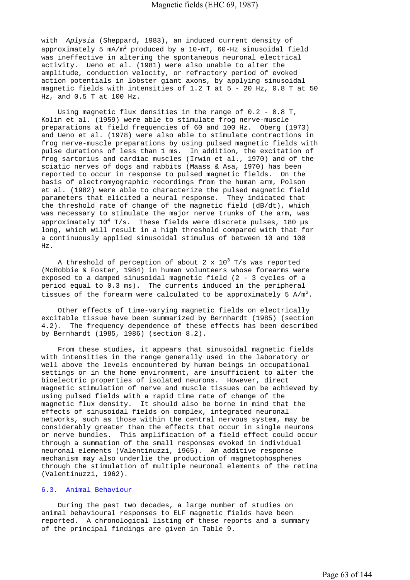with *Aplysia* (Sheppard, 1983), an induced current density of approximately 5 mA/m $^2$  produced by a 10-mT, 60-Hz sinusoidal field was ineffective in altering the spontaneous neuronal electrical activity. Ueno et al. (1981) were also unable to alter the amplitude, conduction velocity, or refractory period of evoked action potentials in lobster giant axons, by applying sinusoidal magnetic fields with intensities of 1.2 T at 5 - 20 Hz, 0.8 T at 50 Hz, and 0.5 T at 100 Hz.

Using magnetic flux densities in the range of  $0.2 - 0.8$  T, Kolin et al. (1959) were able to stimulate frog nerve-muscle preparations at field frequencies of 60 and 100 Hz. Oberg (1973) and Ueno et al. (1978) were also able to stimulate contractions in frog nerve-muscle preparations by using pulsed magnetic fields with pulse durations of less than 1 ms. In addition, the excitation of frog sartorius and cardiac muscles (Irwin et al., 1970) and of the sciatic nerves of dogs and rabbits (Maass & Asa, 1970) has been reported to occur in response to pulsed magnetic fields. On the basis of electromyographic recordings from the human arm, Polson et al. (1982) were able to characterize the pulsed magnetic field parameters that elicited a neural response. They indicated that the threshold rate of change of the magnetic field (dB/dt), which was necessary to stimulate the major nerve trunks of the arm, was approximately  $10^4$  T/s. These fields were discrete pulses, 180 µs long, which will result in a high threshold compared with that for a continuously applied sinusoidal stimulus of between 10 and 100 Hz.

A threshold of perception of about 2 x  $10^3$  T/s was reported (McRobbie & Foster, 1984) in human volunteers whose forearms were exposed to a damped sinusoidal magnetic field (2 - 3 cycles of a period equal to 0.3 ms). The currents induced in the peripheral tissues of the forearm were calculated to be approximately 5  $A/m^2$ .

 Other effects of time-varying magnetic fields on electrically excitable tissue have been summarized by Bernhardt (1985) (section 4.2). The frequency dependence of these effects has been described by Bernhardt (1985, 1986) (section 8.2).

 From these studies, it appears that sinusoidal magnetic fields with intensities in the range generally used in the laboratory or well above the levels encountered by human beings in occupational settings or in the home environment, are insufficient to alter the bioelectric properties of isolated neurons. However, direct magnetic stimulation of nerve and muscle tissues can be achieved by using pulsed fields with a rapid time rate of change of the magnetic flux density. It should also be borne in mind that the effects of sinusoidal fields on complex, integrated neuronal networks, such as those within the central nervous system, may be considerably greater than the effects that occur in single neurons or nerve bundles. This amplification of a field effect could occur through a summation of the small responses evoked in individual neuronal elements (Valentinuzzi, 1965). An additive response mechanism may also underlie the production of magnetophosphenes through the stimulation of multiple neuronal elements of the retina (Valentinuzzi, 1962).

# 6.3. Animal Behaviour

 During the past two decades, a large number of studies on animal behavioural responses to ELF magnetic fields have been reported. A chronological listing of these reports and a summary of the principal findings are given in Table 9.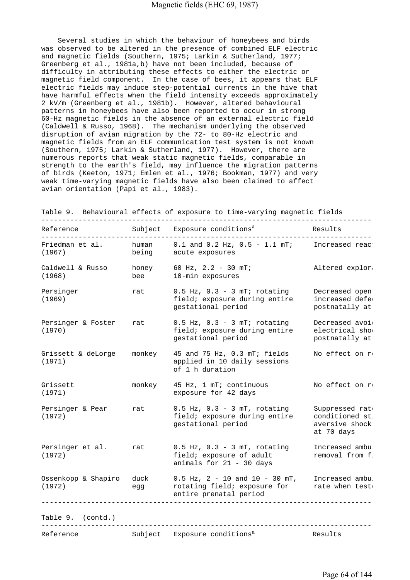Several studies in which the behaviour of honeybees and birds was observed to be altered in the presence of combined ELF electric and magnetic fields (Southern, 1975; Larkin & Sutherland, 1977; Greenberg et al., 1981a,b) have not been included, because of difficulty in attributing these effects to either the electric or magnetic field component. In the case of bees, it appears that ELF electric fields may induce step-potential currents in the hive that have harmful effects when the field intensity exceeds approximately 2 kV/m (Greenberg et al., 1981b). However, altered behavioural patterns in honeybees have also been reported to occur in strong 60-Hz magnetic fields in the absence of an external electric field (Caldwell & Russo, 1968). The mechanism underlying the observed disruption of avian migration by the 72- to 80-Hz electric and magnetic fields from an ELF communication test system is not known (Southern, 1975; Larkin & Sutherland, 1977). However, there are numerous reports that weak static magnetic fields, comparable in strength to the earth's field, may influence the migration patterns of birds (Keeton, 1971; Emlen et al., 1976; Bookman, 1977) and very weak time-varying magnetic fields have also been claimed to affect avian orientation (Papi et al., 1983).

| Reference                     | Subject        | Exposure conditions <sup>a</sup>                                                               | Results                                                           |
|-------------------------------|----------------|------------------------------------------------------------------------------------------------|-------------------------------------------------------------------|
| Friedman et al.<br>(1967)     | human<br>being | $0.1$ and $0.2$ Hz, $0.5 - 1.1$ mT;<br>acute exposures                                         | Increased reac                                                    |
| Caldwell & Russo<br>(1968)    | honey<br>bee   | 60 Hz, $2.2 - 30$ mT;<br>10-min exposures                                                      | Altered explore                                                   |
| Persinger<br>(1969)           | rat            | $0.5$ Hz, $0.3 - 3$ mT; rotating<br>field; exposure during entire<br>gestational period        | Decreased open<br>increased defe<br>postnatally at                |
| Persinger & Foster<br>(1970)  | rat            | $0.5$ Hz, $0.3 - 3$ mT; rotating<br>field; exposure during entire<br>gestational period        | Decreased avoi<br>electrical sho<br>postnatally at                |
| Grissett & deLorge<br>(1971)  | monkey         | 45 and 75 Hz, 0.3 mT; fields<br>applied in 10 daily sessions<br>of 1 h duration                | No effect on re                                                   |
| Grissett<br>(1971)            | monkey         | 45 Hz, 1 mT; continuous<br>exposure for 42 days                                                | No effect on r                                                    |
| Persinger & Pear<br>(1972)    | rat            | $0.5$ Hz, $0.3 - 3$ mT, rotating<br>field; exposure during entire<br>gestational period        | Suppressed rate<br>conditioned st<br>aversive shock<br>at 70 days |
| Persinger et al.<br>(1972)    | rat            | $0.5$ Hz, $0.3 - 3$ mT, rotating<br>field; exposure of adult<br>animals for 21 - 30 days       | Increased ambu<br>removal from f.                                 |
| Ossenkopp & Shapiro<br>(1972) | duck<br>egg    | $0.5$ Hz, $2 - 10$ and $10 - 30$ mT,<br>rotating field; exposure for<br>entire prenatal period | Increased ambu<br>rate when test                                  |
| Table 9. (contd.)             |                |                                                                                                |                                                                   |
| Reference                     | Subject        | Exposure conditions <sup>a</sup>                                                               | Results                                                           |

Table 9. Behavioural effects of exposure to time-varying magnetic fields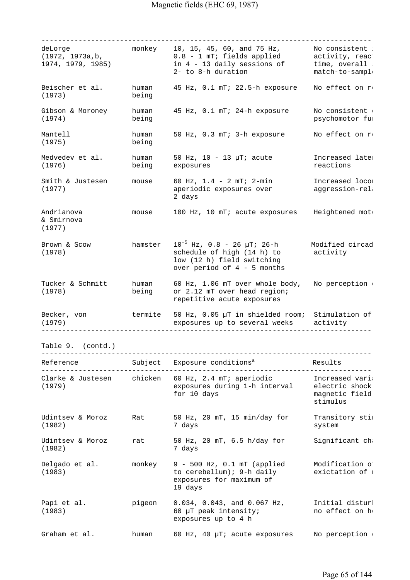| deLorge<br>(1972, 1973a, b,<br>1974, 1979, 1985) | monkey         | 10, 15, 45, 60, and 75 Hz,<br>0.8 - 1 mT; fields applied<br>in 4 - 13 daily sessions of<br>2- to 8-h duration              | No consistent<br>activity, reac<br>time, overall<br>match-to-sampl |
|--------------------------------------------------|----------------|----------------------------------------------------------------------------------------------------------------------------|--------------------------------------------------------------------|
| Beischer et al.<br>(1973)                        | human<br>being | 45 Hz, 0.1 mT; 22.5-h exposure                                                                                             | No effect on r                                                     |
| Gibson & Moroney<br>(1974)                       | human<br>being | 45 Hz, 0.1 mT; 24-h exposure                                                                                               | No consistent<br>psychomotor fu:                                   |
| Mantell<br>(1975)                                | human<br>being | 50 Hz, 0.3 mT; 3-h exposure                                                                                                | No effect on re                                                    |
| Medvedev et al.<br>(1976)                        | human<br>being | 50 Hz, $10 - 13$ $\mu$ T; acute<br>exposures                                                                               | Increased late:<br>reactions                                       |
| Smith & Justesen<br>(1977)                       | mouse          | 60 Hz, $1.4 - 2 mT$ ; $2 - min$<br>aperiodic exposures over<br>2 days                                                      | Increased locom<br>aggression-rel                                  |
| Andrianova<br>& Smirnova<br>(1977)               | mouse          | 100 Hz, 10 mT; acute exposures                                                                                             | Heightened mot                                                     |
| Brown & Scow<br>(1978)                           | hamster        | $10^{-5}$ Hz, 0.8 - 26 µT; 26-h<br>schedule of high (14 h) to<br>low (12 h) field switching<br>over period of 4 - 5 months | Modified circad<br>activity                                        |
| Tucker & Schmitt<br>(1978)                       | human<br>being | 60 Hz, 1.06 mT over whole body,<br>or 2.12 mT over head region;<br>repetitive acute exposures                              | No perception                                                      |
| Becker, von<br>(1979)                            | termite        | 50 Hz, 0.05 µT in shielded room; Stimulation of<br>exposures up to several weeks                                           | activity                                                           |
| Table 9. (contd.)                                |                |                                                                                                                            |                                                                    |
| Reference                                        |                | _____________________<br>Subject Exposure conditions <sup>a</sup>                                                          | Results                                                            |
| Clarke & Justesen chicken<br>(1979)              |                | 60 Hz, 2.4 mT; aperiodic<br>exposures during 1-h interval<br>for 10 days                                                   | Increased vari<br>electric shock<br>magnetic field<br>stimulus     |
| Udintsev & Moroz<br>(1982)                       | Rat            | 50 Hz, 20 mT, 15 min/day for<br>7 days                                                                                     | Transitory sti<br>system                                           |
| Udintsev & Moroz<br>(1982)                       | rat            | 50 Hz, 20 mT, 6.5 h/day for<br>7 days                                                                                      | Significant ch                                                     |
| Delgado et al.<br>(1983)                         | monkey         | 9 - 500 Hz, 0.1 mT (applied<br>to cerebellum); 9-h daily<br>exposures for maximum of<br>19 days                            | Modification o<br>exictation of 1                                  |
| Papi et al.<br>(1983)                            | pigeon         | $0.034$ , $0.043$ , and $0.067$ Hz,<br>60 µT peak intensity;<br>exposures up to 4 h                                        | Initial distur<br>no effect on h                                   |
| Graham et al.                                    | human          | 60 Hz, 40 µT; acute exposures                                                                                              | No perception                                                      |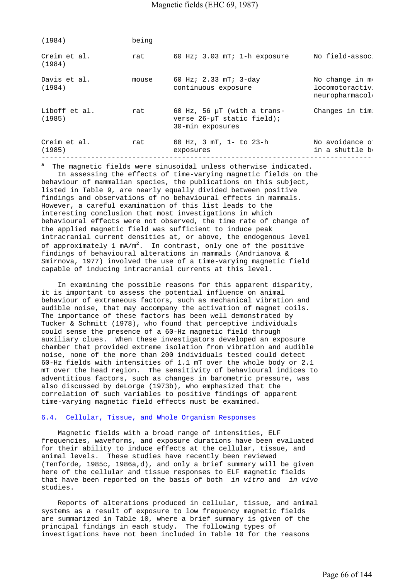| Creim et al.<br>60 Hz; $3.03$ mT; 1-h exposure<br>rat<br>(1984)<br>Davis et al.<br>60 Hz; $2.33$ mT; $3$ -day<br>mouse<br>(1984)<br>continuous exposure<br>Liboff et al.<br>60 Hz, 56 $\mu$ T (with a trans-<br>rat<br>(1985)<br>verse $26 - \mu T$ static field);<br>30-min exposures<br>Creim et al.<br>60 Hz, 3 mT, 1- to 23-h<br>rat<br>(1985)<br>exposures | (1984) | being |                                                    |
|-----------------------------------------------------------------------------------------------------------------------------------------------------------------------------------------------------------------------------------------------------------------------------------------------------------------------------------------------------------------|--------|-------|----------------------------------------------------|
|                                                                                                                                                                                                                                                                                                                                                                 |        |       | No field-assoc                                     |
|                                                                                                                                                                                                                                                                                                                                                                 |        |       | No change in m<br>locomotoractiv<br>neuropharmacol |
|                                                                                                                                                                                                                                                                                                                                                                 |        |       | Changes in tim                                     |
|                                                                                                                                                                                                                                                                                                                                                                 |        |       | No avoidance o<br>in a shuttle b                   |

a The magnetic fields were sinusoidal unless otherwise indicated.

 In assessing the effects of time-varying magnetic fields on the behaviour of mammalian species, the publications on this subject, listed in Table 9, are nearly equally divided between positive findings and observations of no behavioural effects in mammals. However, a careful examination of this list leads to the interesting conclusion that most investigations in which behavioural effects were not observed, the time rate of change of the applied magnetic field was sufficient to induce peak intracranial current densities at, or above, the endogenous level of approximately 1 mA/m<sup>2</sup>. In contrast, only one of the positive findings of behavioural alterations in mammals (Andrianova & Smirnova, 1977) involved the use of a time-varying magnetic field capable of inducing intracranial currents at this level.

 In examining the possible reasons for this apparent disparity, it is important to assess the potential influence on animal behaviour of extraneous factors, such as mechanical vibration and audible noise, that may accompany the activation of magnet coils. The importance of these factors has been well demonstrated by Tucker & Schmitt (1978), who found that perceptive individuals could sense the presence of a 60-Hz magnetic field through auxiliary clues. When these investigators developed an exposure chamber that provided extreme isolation from vibration and audible noise, none of the more than 200 individuals tested could detect 60-Hz fields with intensities of 1.1 mT over the whole body or 2.1 mT over the head region. The sensitivity of behavioural indices to adventitious factors, such as changes in barometric pressure, was also discussed by deLorge (1973b), who emphasized that the correlation of such variables to positive findings of apparent time-varying magnetic field effects must be examined.

### 6.4. Cellular, Tissue, and Whole Organism Responses

 Magnetic fields with a broad range of intensities, ELF frequencies, waveforms, and exposure durations have been evaluated for their ability to induce effects at the cellular, tissue, and animal levels. These studies have recently been reviewed (Tenforde, 1985c, 1986a,d), and only a brief summary will be given here of the cellular and tissue responses to ELF magnetic fields that have been reported on the basis of both *in vitro* and *in vivo*  studies.

 Reports of alterations produced in cellular, tissue, and animal systems as a result of exposure to low frequency magnetic fields are summarized in Table 10, where a brief summary is given of the principal findings in each study. The following types of investigations have not been included in Table 10 for the reasons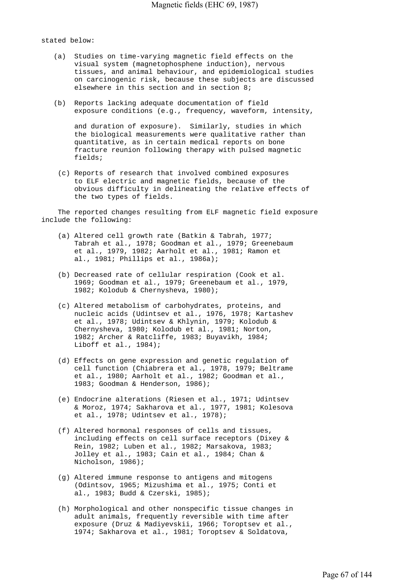stated below:

- (a) Studies on time-varying magnetic field effects on the visual system (magnetophosphene induction), nervous tissues, and animal behaviour, and epidemiological studies on carcinogenic risk, because these subjects are discussed elsewhere in this section and in section 8;
- (b) Reports lacking adequate documentation of field exposure conditions (e.g., frequency, waveform, intensity,

 and duration of exposure). Similarly, studies in which the biological measurements were qualitative rather than quantitative, as in certain medical reports on bone fracture reunion following therapy with pulsed magnetic fields;

 (c) Reports of research that involved combined exposures to ELF electric and magnetic fields, because of the obvious difficulty in delineating the relative effects of the two types of fields.

 The reported changes resulting from ELF magnetic field exposure include the following:

- (a) Altered cell growth rate (Batkin & Tabrah, 1977; Tabrah et al., 1978; Goodman et al., 1979; Greenebaum et al., 1979, 1982; Aarholt et al., 1981; Ramon et al., 1981; Phillips et al., 1986a);
	- (b) Decreased rate of cellular respiration (Cook et al. 1969; Goodman et al., 1979; Greenebaum et al., 1979, 1982; Kolodub & Chernysheva, 1980);
	- (c) Altered metabolism of carbohydrates, proteins, and nucleic acids (Udintsev et al., 1976, 1978; Kartashev et al., 1978; Udintsev & Khlynin, 1979; Kolodub & Chernysheva, 1980; Kolodub et al., 1981; Norton, 1982; Archer & Ratcliffe, 1983; Buyavikh, 1984; Liboff et al., 1984);
	- (d) Effects on gene expression and genetic regulation of cell function (Chiabrera et al., 1978, 1979; Beltrame et al., 1980; Aarholt et al., 1982; Goodman et al., 1983; Goodman & Henderson, 1986);
	- (e) Endocrine alterations (Riesen et al., 1971; Udintsev & Moroz, 1974; Sakharova et al., 1977, 1981; Kolesova et al., 1978; Udintsev et al., 1978);
	- (f) Altered hormonal responses of cells and tissues, including effects on cell surface receptors (Dixey & Rein, 1982; Luben et al., 1982; Marsakova, 1983; Jolley et al., 1983; Cain et al., 1984; Chan & Nicholson, 1986);
	- (g) Altered immune response to antigens and mitogens (Odintsov, 1965; Mizushima et al., 1975; Conti et al., 1983; Budd & Czerski, 1985);
	- (h) Morphological and other nonspecific tissue changes in adult animals, frequently reversible with time after exposure (Druz & Madiyevskii, 1966; Toroptsev et al., 1974; Sakharova et al., 1981; Toroptsev & Soldatova,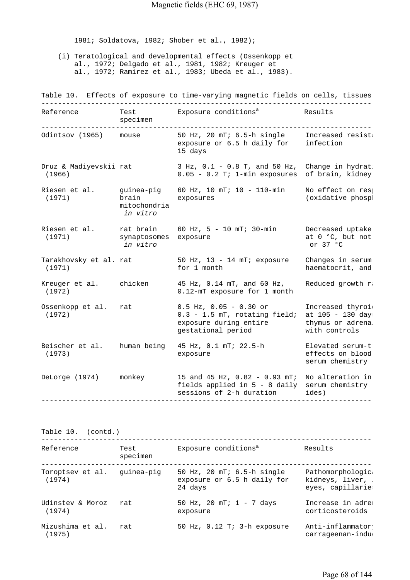1981; Soldatova, 1982; Shober et al., 1982);

 (i) Teratological and developmental effects (Ossenkopp et al., 1972; Delgado et al., 1981, 1982; Kreuger et al., 1972; Ramirez et al., 1983; Ubeda et al., 1983).

Table 10. Effects of exposure to time-varying magnetic fields on cells, tissues --------------------------------------------------------------------------------- Reference Test Exposure conditions<sup>a</sup> Results specimen --------------------------------------------------------------------------------- Odintsov (1965) mouse 50 Hz, 20 mT; 6.5-h single Increased resista exposure or 6.5 h daily for infection 15 days Druz & Madiyevskii rat 3 Hz, 0.1 - 0.8 T, and 50 Hz, Change in hydrat (1966) 0.05 - 0.2 T; 1-min exposures of brain, kidney, Riesen et al. guinea-pig 60 Hz, 10 mT; 10 - 110-min No effect on resp (1971) brain exposures (oxidative phosph mitochondria  *in vitro*  Riesen et al. rat brain 60 Hz,  $5 - 10$  mT;  $30$ -min Decreased uptake (1971) synaptosomes exposure at  $0$  °C, but not (1971) synaptosomes exposure at  $0 \text{ }^{\circ}$ C, but not in vitro at  $0 \text{ }^{\circ}$ C, but not in vitro at  $0 \text{ }^{\circ}$ C at  $0 \text{ }^{\circ}$ C  *in vitro* or 37 °C Tarakhovsky et al. rat 50 Hz, 13 - 14 mT; exposure Changes in serum<br>
for 1 month thaematocrit, and (1971) for 1 month haematocrit, and haematocrit, and Kreuger et al. chicken  $45$  Hz, 0.14 mT, and 60 Hz, Reduced growth  $r_i$  (1972) 0.12-mT exposure for 1 month Ossenkopp et al. rat  $0.5$  Hz, 0.05 - 0.30 or Increased thyroid  $(1972)$  0.3 - 1.5 mT, rotating field; at 105 - 130 days exposure during entire thymus or adrenal gestational period with controls Beischer et al. human being  $45$  Hz, 0.1 mT; 22.5-h Elevated serum-t. (1973) exposure effects on blood serum chemistry DeLorge (1974) monkey 15 and 45 Hz, 0.82 - 0.93 mT; No alteration in fields applied in 5 - 8 daily serum chemistry ( sessions of 2-h duration ides) ---------------------------------------------------------------------------------

Table 10. (contd.)

--------------------------------------------------------------------------------- Reference Test Exposure conditions<sup>a</sup> Results specimen --------------------------------------------------------------------------------- Toroptsev et al. guinea-pig 50 Hz, 20 mT; 6.5-h single Pathomorphologica (1974) exposure or 6.5 h daily for kidneys, liver, l 24 days eyes, capillaries Udinstev & Moroz rat 50 Hz, 20 mT; 1 - 7 days Increase in adren (1974) exposure corticosteroids Mizushima et al. rat 50 Hz, 0.12 T; 3-h exposure Anti-inflammatory (1975) carrageenan-induc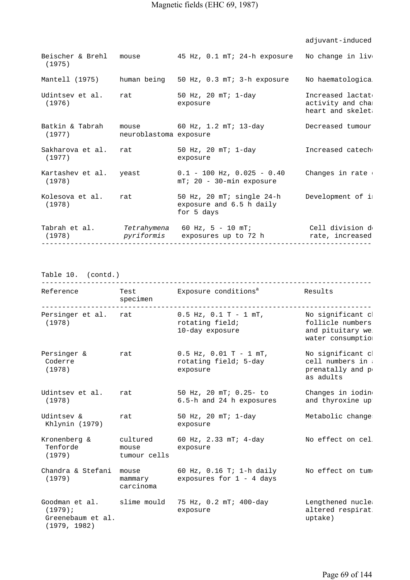|                                  |                        |                                                                     | adjuvant-induced                                          |
|----------------------------------|------------------------|---------------------------------------------------------------------|-----------------------------------------------------------|
| Beischer & Brehl<br>(1975)       | mouse                  | 45 Hz, 0.1 mT; 24-h exposure                                        | No change in liv                                          |
| Mantell (1975)                   |                        | human being 50 Hz, 0.3 mT; 3-h exposure                             | No haematologica                                          |
| Udintsev et al.<br>(1976)        | rat                    | 50 Hz, 20 mT; 1-day<br>exposure                                     | Increased lactat<br>activity and cha:<br>heart and skelet |
| Batkin & Tabrah<br>(1977)        | neuroblastoma exposure | mouse 60 Hz, 1.2 mT; 13-day                                         | Decreased tumour                                          |
| Sakharova et al.<br>(1977)       | rat                    | 50 Hz, 20 mT; 1-day<br>exposure                                     | Increased catech                                          |
| Kartashev et al. yeast<br>(1978) |                        | $0.1 - 100$ Hz, $0.025 - 0.40$<br>$mT$ ; 20 - 30-min exposure       | Changes in rate                                           |
| Kolesova et al.<br>(1978)        | rat                    | 50 Hz, 20 mT; single 24-h<br>exposure and 6.5 h daily<br>for 5 days | Development of i                                          |
| (1978)                           | pyriformis             | Tabrah et al. Tetrahymena 60 Hz, 5 - 10 mT;<br>exposures up to 72 h | Cell division d<br>rate, increased                        |

Table 10. (contd.)

| Reference                                                         | specimen                      | Test Exposure conditions <sup>a</sup>                             | Results                                                                        |
|-------------------------------------------------------------------|-------------------------------|-------------------------------------------------------------------|--------------------------------------------------------------------------------|
| Persinger et al.<br>(1978)                                        | rat                           | $0.5$ Hz, $0.1$ T - $1$ mT,<br>rotating field;<br>10-day exposure | No significant cl<br>follicle numbers<br>and pituitary we<br>water consumptio: |
| Persinger &<br>Coderre<br>(1978)                                  | rat                           | $0.5$ Hz, $0.01$ T - 1 mT,<br>rotating field; 5-day<br>exposure   | No significant cl<br>cell numbers in<br>prenatally and p<br>as adults          |
| Udintsey et al.<br>(1978)                                         | rat                           | 50 Hz, 20 mT; 0.25- to<br>6.5-h and 24 h exposures                | Changes in iodin<br>and thyroxine up                                           |
| Udintsev &<br>Khlynin (1979)                                      | rat                           | 50 Hz, 20 mT; 1-day<br>exposure                                   | Metabolic change                                                               |
| Kronenberg &<br>Tenforde<br>(1979)                                | mouse<br>tumour cells         | cultured 60 Hz, 2.33 mT; 4-day<br>exposure                        | No effect on cel                                                               |
| Chandra & Stefani<br>(1979)                                       | mouse<br>mammary<br>carcinoma | 60 Hz, 0.16 T; 1-h daily<br>exposures for $1 - 4$ days            | No effect on tum                                                               |
| Goodman et al.<br>$(1979)$ ;<br>Greenebaum et al.<br>(1979, 1982) |                               | slime mould 75 Hz, 0.2 mT; 400-day<br>exposure                    | Lengthened nucle<br>altered respirat<br>uptake)                                |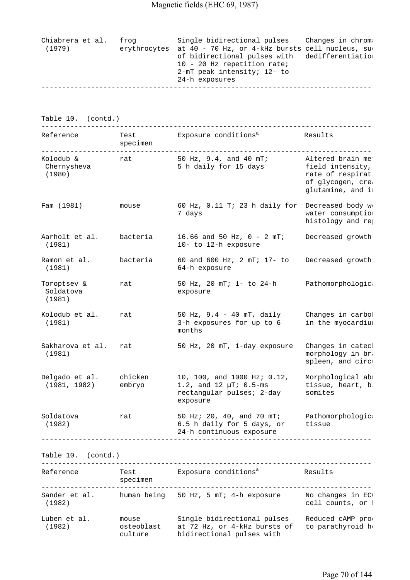| Chiabrera et al.<br>(1979) |  | frog | Single bidirectional pulses Changes in chrom.<br>erythrocytes at 40 - 70 Hz, or 4-kHz bursts cell nucleus, su<br>of bidirectional pulses with dedifferentiation<br>10 - 20 Hz repetition rate;<br>2-mT peak intensity; 12- to<br>24-h exposures |
|----------------------------|--|------|-------------------------------------------------------------------------------------------------------------------------------------------------------------------------------------------------------------------------------------------------|
|                            |  |      |                                                                                                                                                                                                                                                 |

Table 10. (contd.)

| Reference                          | Test<br>specimen  | Exposure conditions <sup>a</sup>                                                                    | Results                                                                                           |
|------------------------------------|-------------------|-----------------------------------------------------------------------------------------------------|---------------------------------------------------------------------------------------------------|
| Kolodub &<br>Chernysheva<br>(1980) | rat               | 50 Hz, 9.4, and 40 mT;<br>5 h daily for 15 days                                                     | Altered brain me<br>field intensity,<br>rate of respirat<br>of glycogen, crea<br>glutamine, and i |
| Fam (1981)                         | mouse             | 60 Hz, 0.11 T; 23 h daily for<br>7 days                                                             | Decreased body w<br>water consumptio:<br>histology and rej                                        |
| Aarholt et al.<br>(1981)           | bacteria          | 16.66 and 50 Hz, $0 - 2 mT$ ;<br>10- to 12-h exposure                                               | Decreased growth                                                                                  |
| Ramon et al.<br>(1981)             | bacteria          | 60 and 600 Hz, 2 mT; 17- to<br>64-h exposure                                                        | Decreased growth                                                                                  |
| Toroptsev &<br>Soldatova<br>(1981) | rat               | 50 Hz, 20 mT; 1- to 24-h<br>exposure                                                                | Pathomorphologic                                                                                  |
| Kolodub et al.<br>(1981)           | rat               | 50 Hz, 9.4 - 40 mT, daily<br>3-h exposures for up to 6<br>months                                    | Changes in carbol<br>in the myocardium                                                            |
| Sakharova et al.<br>(1981)         | rat               | 50 Hz, 20 mT, 1-day exposure                                                                        | Changes in catecl<br>morphology in br.<br>spleen, and circ                                        |
| Delgado et al.<br>(1981, 1982)     | chicken<br>embryo | 10, 100, and 1000 Hz; 0.12,<br>1.2, and 12 $\mu$ T; 0.5-ms<br>rectangular pulses; 2-day<br>exposure | Morphological ab:<br>tissue, heart, b.<br>somites                                                 |
| Soldatova<br>(1982)                | rat               | 50 Hz; 20, 40, and 70 mT;<br>6.5 h daily for 5 days, or<br>24-h continuous exposure                 | Pathomorphologic<br>tissue                                                                        |
|                                    |                   |                                                                                                     |                                                                                                   |

Table 10. (contd.)

| Reference               | Test<br>specimen               | Exposure conditions <sup>a</sup>                                                         | Results                               |
|-------------------------|--------------------------------|------------------------------------------------------------------------------------------|---------------------------------------|
| Sander et al.<br>(1982) | human being                    | 50 Hz, 5 mT; 4-h exposure                                                                | No changes in EC<br>cell counts, or l |
| Luben et al.<br>(1982)  | mouse<br>osteoblast<br>culture | Single bidirectional pulses<br>at 72 Hz, or 4-kHz bursts of<br>bidirectional pulses with | Reduced cAMP pro<br>to parathyroid h  |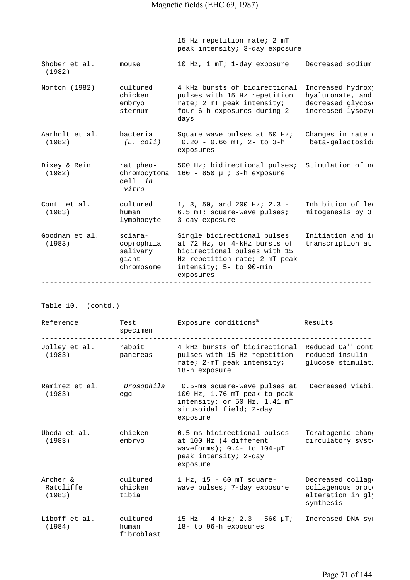15 Hz repetition rate; 2 mT peak intensity; 3-day exposure Shober et al. mouse 10 Hz, 1 mT; 1-day exposure Decreased sodium (1982) Norton (1982) cultured 4 kHz bursts of bidirectional Increased hydroxy chicken pulses with 15 Hz repetition hyaluronate, and embryo rate; 2 mT peak intensity; decreased glycoso sternum four 6-h exposures during 2 increased lysozym days Aarholt et al. bacteria Square wave pulses at 50 Hz; Changes in rate (1982) *(E. coli)* 0.20 - 0.66 mT, 2- to 3-h beta-galactosida exposures Dixey & Rein rat pheo- 500 Hz; bidirectional pulses; Stimulation of no (1982) chromocytoma 160 - 850 µT; 3-h exposure cell *in vitro*  Conti et al. cultured  $1, 3, 50,$  and 200 Hz; 2.3 - Inhibition of lequal (1983) human 6.5 mT; square-wave pulses; mitogenesis by 3 lymphocyte 3-day exposure Goodman et al.  $\qquad$  sciara- $\qquad$  Single bidirectional pulses  $\qquad$  Initiation and im (1983) coprophila at 72 Hz, or 4-kHz bursts of transcription at salivary bidirectional pulses with 15 giant Hz repetition rate; 2 mT peak chromosome intensity; 5- to 90-min exposures ---------------------------------------------------------------------------------

Table 10. (contd.)

| Reference                       | Test<br>specimen                | Exposure conditions <sup>a</sup>                                                                                                           | Results                                                                |
|---------------------------------|---------------------------------|--------------------------------------------------------------------------------------------------------------------------------------------|------------------------------------------------------------------------|
| Jolley et al.<br>(1983)         | rabbit<br>pancreas              | 4 kHz bursts of bidirectional Reduced Ca <sup>++</sup> cont<br>pulses with 15-Hz repetition<br>rate; 2-mT peak intensity;<br>18-h exposure | reduced insulin :<br>glucose stimulat                                  |
| Ramirez et al.<br>(1983)        | Drosophila<br>edd               | 0.5-ms square-wave pulses at<br>100 Hz, 1.76 mT peak-to-peak<br>intensity; or 50 Hz, 1.41 mT<br>sinusoidal field; 2-day<br>exposure        | Decreased viabi                                                        |
| Ubeda et al.<br>(1983)          | chicken<br>embryo               | 0.5 ms bidirectional pulses<br>at 100 Hz (4 different<br>waveforms); $0.4$ - to $104 - \mu T$<br>peak intensity; 2-day<br>exposure         | Teratogenic chan<br>circulatory syst                                   |
| Archer &<br>Ratcliffe<br>(1983) | cultured<br>chicken<br>tibia    | 1 Hz, 15 - 60 mT square-<br>wave pulses; 7-day exposure                                                                                    | Decreased collage<br>collagenous prot<br>alteration in gl<br>synthesis |
| Liboff et al.<br>(1984)         | cultured<br>human<br>fibroblast | 15 Hz - 4 kHz; $2.3$ - 560 $\mu$ T;<br>18- to 96-h exposures                                                                               | Increased DNA sy:                                                      |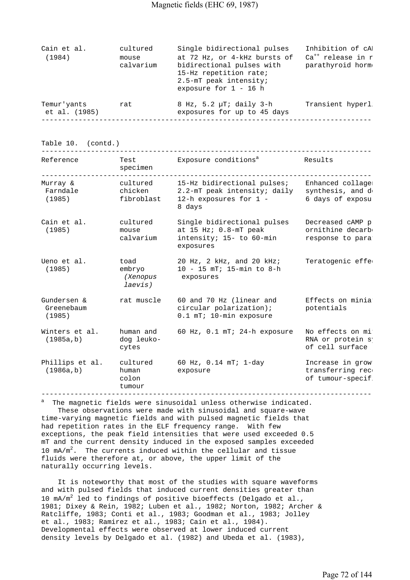| Cain et al.                  | cultured           | Single bidirectional pulses                                                                                                              | Inhibition of cA                                  |
|------------------------------|--------------------|------------------------------------------------------------------------------------------------------------------------------------------|---------------------------------------------------|
| (1984)                       | mouse<br>calvarium | at 72 Hz, or 4-kHz bursts of<br>bidirectional pulses with<br>15-Hz repetition rate;<br>2.5-mT peak intensity;<br>exposure for $1 - 16$ h | Ca <sup>++</sup> release in r<br>parathyroid horm |
| Temur'yants<br>et al. (1985) | rat                | $8$ Hz, $5.2$ $\mu$ T; daily 3-h<br>exposures for up to 45 days                                                                          | Transient hyperl                                  |
|                              |                    |                                                                                                                                          |                                                   |

Table 10. (contd.)

| Reference                           | Test<br>specimen                             | Exposure conditions <sup>a</sup>                                                                | Results                                                   |
|-------------------------------------|----------------------------------------------|-------------------------------------------------------------------------------------------------|-----------------------------------------------------------|
| Murray &<br>Farndale<br>(1985)      | cultured<br>chicken<br>fibroblast            | 15-Hz bidirectional pulses;<br>2.2-mT peak intensity; daily<br>12-h exposures for 1 -<br>8 days | Enhanced collage:<br>synthesis, and d<br>6 days of exposu |
| Cain et al.<br>(1985)               | cultured<br>mouse<br>calvarium               | Single bidirectional pulses<br>at 15 Hz; 0.8-mT peak<br>intensity; 15- to 60-min<br>exposures   | Decreased cAMP p:<br>ornithine decarb<br>response to para |
| Ueno et al.<br>(1985)               | toad<br>embryo<br><i>(Xenopus</i><br>laevis) | 20 Hz, 2 kHz, and 20 kHz;<br>10 - 15 mT; 15-min to 8-h<br>exposures                             | Teratogenic effe                                          |
| Gundersen &<br>Greenebaum<br>(1985) | rat muscle                                   | 60 and 70 Hz (linear and<br>circular polarization);<br>0.1 mT; 10-min exposure                  | Effects on minia<br>potentials                            |
| Winters et al.<br>(1985a, b)        | human and<br>dog leuko-<br>cytes             | 60 Hz, 0.1 mT; 24-h exposure                                                                    | No effects on mi<br>RNA or protein s<br>of cell surface : |
| Phillips et al.<br>(1986a, b)       | cultured<br>human<br>colon<br>tumour         | 60 Hz, $0.14$ mT; $1$ -day<br>exposure                                                          | Increase in grow<br>transferring rec<br>of tumour-specif  |

a The magnetic fields were sinusoidal unless otherwise indicated. These observations were made with sinusoidal and square-wave time-varying magnetic fields and with pulsed magnetic fields that had repetition rates in the ELF frequency range. With few exceptions, the peak field intensities that were used exceeded 0.5 mT and the current density induced in the exposed samples exceeded 10  $mA/m^2$ . The currents induced within the cellular and tissue fluids were therefore at, or above, the upper limit of the naturally occurring levels.

 It is noteworthy that most of the studies with square waveforms and with pulsed fields that induced current densities greater than 10  $mA/m^2$  led to findings of positive bioeffects (Delgado et al., 1981; Dixey & Rein, 1982; Luben et al., 1982; Norton, 1982; Archer & Ratcliffe, 1983; Conti et al., 1983; Goodman et al., 1983; Jolley et al., 1983; Ramirez et al., 1983; Cain et al., 1984). Developmental effects were observed at lower induced current density levels by Delgado et al. (1982) and Ubeda et al. (1983),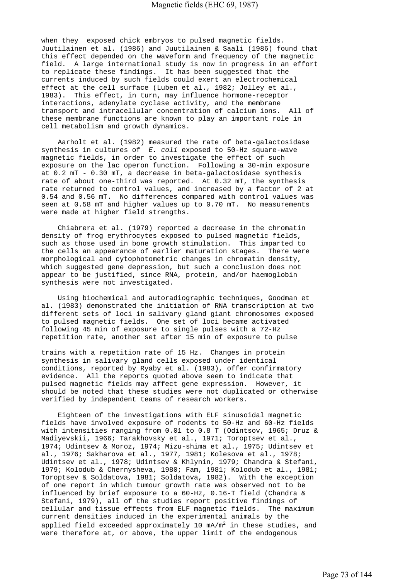when they exposed chick embryos to pulsed magnetic fields. Juutilainen et al. (1986) and Juutilainen & Saali (1986) found that this effect depended on the waveform and frequency of the magnetic field. A large international study is now in progress in an effort to replicate these findings. It has been suggested that the currents induced by such fields could exert an electrochemical effect at the cell surface (Luben et al., 1982; Jolley et al., 1983). This effect, in turn, may influence hormone-receptor interactions, adenylate cyclase activity, and the membrane transport and intracellular concentration of calcium ions. All of these membrane functions are known to play an important role in cell metabolism and growth dynamics.

 Aarholt et al. (1982) measured the rate of beta-galactosidase synthesis in cultures of *E. coli* exposed to 50-Hz square-wave magnetic fields, in order to investigate the effect of such exposure on the lac operon function. Following a 30-min exposure at 0.2 mT - 0.30 mT, a decrease in beta-galactosidase synthesis rate of about one-third was reported. At 0.32 mT, the synthesis rate returned to control values, and increased by a factor of 2 at 0.54 and 0.56 mT. No differences compared with control values was seen at 0.58 mT and higher values up to 0.70 mT. No measurements were made at higher field strengths.

 Chiabrera et al. (1979) reported a decrease in the chromatin density of frog erythrocytes exposed to pulsed magnetic fields, such as those used in bone growth stimulation. This imparted to the cells an appearance of earlier maturation stages. There were morphological and cytophotometric changes in chromatin density, which suggested gene depression, but such a conclusion does not appear to be justified, since RNA, protein, and/or haemoglobin synthesis were not investigated.

 Using biochemical and autoradiographic techniques, Goodman et al. (1983) demonstrated the initiation of RNA transcription at two different sets of loci in salivary gland giant chromosomes exposed to pulsed magnetic fields. One set of loci became activated following 45 min of exposure to single pulses with a 72-Hz repetition rate, another set after 15 min of exposure to pulse

trains with a repetition rate of 15 Hz. Changes in protein synthesis in salivary gland cells exposed under identical conditions, reported by Ryaby et al. (1983), offer confirmatory evidence. All the reports quoted above seem to indicate that pulsed magnetic fields may affect gene expression. However, it should be noted that these studies were not duplicated or otherwise verified by independent teams of research workers.

 Eighteen of the investigations with ELF sinusoidal magnetic fields have involved exposure of rodents to 50-Hz and 60-Hz fields with intensities ranging from 0.01 to 0.8 T (Odintsov, 1965; Druz & Madiyevskii, 1966; Tarakhovsky et al., 1971; Toroptsev et al., 1974; Udintsev & Moroz, 1974; Mizu-shima et al., 1975; Udintsev et al., 1976; Sakharova et al., 1977, 1981; Kolesova et al., 1978; Udintsev et al., 1978; Udintsev & Khlynin, 1979; Chandra & Stefani, 1979; Kolodub & Chernysheva, 1980; Fam, 1981; Kolodub et al., 1981; Toroptsev & Soldatova, 1981; Soldatova, 1982). With the exception of one report in which tumour growth rate was observed not to be influenced by brief exposure to a 60-Hz, 0.16-T field (Chandra & Stefani, 1979), all of the studies report positive findings of cellular and tissue effects from ELF magnetic fields. The maximum current densities induced in the experimental animals by the applied field exceeded approximately 10 mA/ $\mathfrak{m}^2$  in these studies, and were therefore at, or above, the upper limit of the endogenous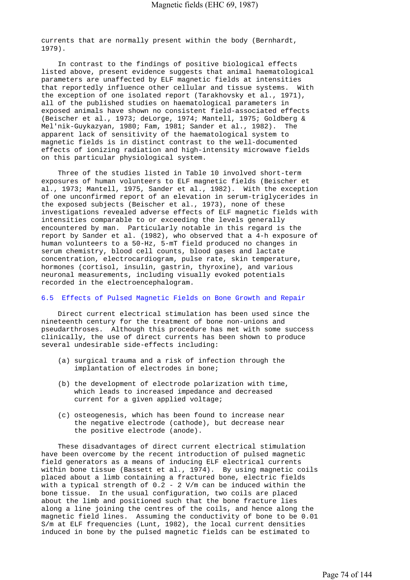currents that are normally present within the body (Bernhardt, 1979).

 In contrast to the findings of positive biological effects listed above, present evidence suggests that animal haematological parameters are unaffected by ELF magnetic fields at intensities that reportedly influence other cellular and tissue systems. With the exception of one isolated report (Tarakhovsky et al., 1971), all of the published studies on haematological parameters in exposed animals have shown no consistent field-associated effects (Beischer et al., 1973; deLorge, 1974; Mantell, 1975; Goldberg & Mel'nik-Guykazyan, 1980; Fam, 1981; Sander et al., 1982). The apparent lack of sensitivity of the haematological system to magnetic fields is in distinct contrast to the well-documented effects of ionizing radiation and high-intensity microwave fields on this particular physiological system.

 Three of the studies listed in Table 10 involved short-term exposures of human volunteers to ELF magnetic fields (Beischer et al., 1973; Mantell, 1975, Sander et al., 1982). With the exception of one unconfirmed report of an elevation in serum-triglycerides in the exposed subjects (Beischer et al., 1973), none of these investigations revealed adverse effects of ELF magnetic fields with intensities comparable to or exceeding the levels generally encountered by man. Particularly notable in this regard is the report by Sander et al. (1982), who observed that a 4-h exposure of human volunteers to a 50-Hz, 5-mT field produced no changes in serum chemistry, blood cell counts, blood gases and lactate concentration, electrocardiogram, pulse rate, skin temperature, hormones (cortisol, insulin, gastrin, thyroxine), and various neuronal measurements, including visually evoked potentials recorded in the electroencephalogram.

# 6.5 Effects of Pulsed Magnetic Fields on Bone Growth and Repair

 Direct current electrical stimulation has been used since the nineteenth century for the treatment of bone non-unions and pseudarthroses. Although this procedure has met with some success clinically, the use of direct currents has been shown to produce several undesirable side-effects including:

- (a) surgical trauma and a risk of infection through the implantation of electrodes in bone;
- (b) the development of electrode polarization with time, which leads to increased impedance and decreased current for a given applied voltage;
- (c) osteogenesis, which has been found to increase near the negative electrode (cathode), but decrease near the positive electrode (anode).

 These disadvantages of direct current electrical stimulation have been overcome by the recent introduction of pulsed magnetic field generators as a means of inducing ELF electrical currents within bone tissue (Bassett et al., 1974). By using magnetic coils placed about a limb containing a fractured bone, electric fields with a typical strength of  $0.2 - 2$  V/m can be induced within the bone tissue. In the usual configuration, two coils are placed about the limb and positioned such that the bone fracture lies along a line joining the centres of the coils, and hence along the magnetic field lines. Assuming the conductivity of bone to be 0.01 S/m at ELF frequencies (Lunt, 1982), the local current densities induced in bone by the pulsed magnetic fields can be estimated to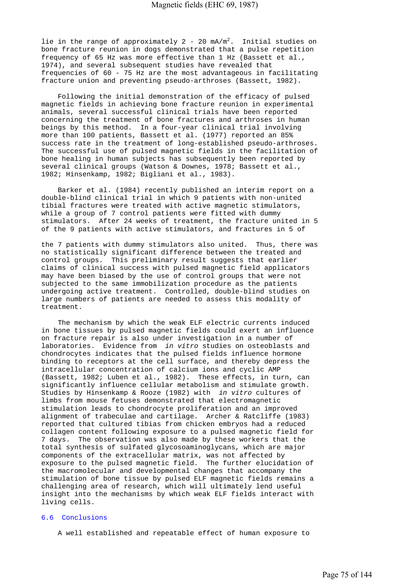lie in the range of approximately  $2$  -  $20$  mA/m<sup>2</sup>. Initial studies on bone fracture reunion in dogs demonstrated that a pulse repetition frequency of 65 Hz was more effective than 1 Hz (Bassett et al., 1974), and several subsequent studies have revealed that frequencies of 60 - 75 Hz are the most advantageous in facilitating fracture union and preventing pseudo-arthroses (Bassett, 1982).

 Following the initial demonstration of the efficacy of pulsed magnetic fields in achieving bone fracture reunion in experimental animals, several successful clinical trials have been reported concerning the treatment of bone fractures and arthroses in human beings by this method. In a four-year clinical trial involving more than 100 patients, Bassett et al. (1977) reported an 85% success rate in the treatment of long-established pseudo-arthroses. The successful use of pulsed magnetic fields in the facilitation of bone healing in human subjects has subsequently been reported by several clinical groups (Watson & Downes, 1978; Bassett et al., 1982; Hinsenkamp, 1982; Bigliani et al., 1983).

 Barker et al. (1984) recently published an interim report on a double-blind clinical trial in which 9 patients with non-united tibial fractures were treated with active magnetic stimulators, while a group of 7 control patients were fitted with dummy stimulators. After 24 weeks of treatment, the fracture united in 5 of the 9 patients with active stimulators, and fractures in 5 of

the 7 patients with dummy stimulators also united. Thus, there was no statistically significant difference between the treated and control groups. This preliminary result suggests that earlier claims of clinical success with pulsed magnetic field applicators may have been biased by the use of control groups that were not subjected to the same immobilization procedure as the patients undergoing active treatment. Controlled, double-blind studies on large numbers of patients are needed to assess this modality of treatment.

 The mechanism by which the weak ELF electric currents induced in bone tissues by pulsed magnetic fields could exert an influence on fracture repair is also under investigation in a number of laboratories. Evidence from *in vitro* studies on osteoblasts and chondrocytes indicates that the pulsed fields influence hormone binding to receptors at the cell surface, and thereby depress the intracellular concentration of calcium ions and cyclic AMP (Bassett, 1982; Luben et al., 1982). These effects, in turn, can significantly influence cellular metabolism and stimulate growth. Studies by Hinsenkamp & Rooze (1982) with *in vitro* cultures of limbs from mouse fetuses demonstrated that electromagnetic stimulation leads to chondrocyte proliferation and an improved alignment of trabeculae and cartilage. Archer & Ratcliffe (1983) reported that cultured tibias from chicken embryos had a reduced collagen content following exposure to a pulsed magnetic field for 7 days. The observation was also made by these workers that the total synthesis of sulfated glycosoaminoglycans, which are major components of the extracellular matrix, was not affected by exposure to the pulsed magnetic field. The further elucidation of the macromolecular and developmental changes that accompany the stimulation of bone tissue by pulsed ELF magnetic fields remains a challenging area of research, which will ultimately lend useful insight into the mechanisms by which weak ELF fields interact with living cells.

## 6.6 Conclusions

A well established and repeatable effect of human exposure to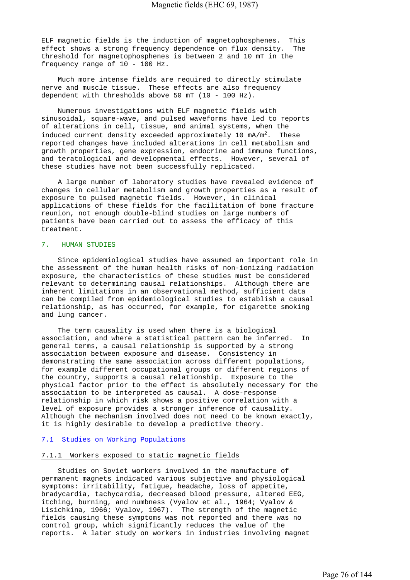ELF magnetic fields is the induction of magnetophosphenes. This effect shows a strong frequency dependence on flux density. The threshold for magnetophosphenes is between 2 and 10 mT in the frequency range of 10 - 100 Hz.

 Much more intense fields are required to directly stimulate nerve and muscle tissue. These effects are also frequency dependent with thresholds above 50 mT (10 - 100 Hz).

 Numerous investigations with ELF magnetic fields with sinusoidal, square-wave, and pulsed waveforms have led to reports of alterations in cell, tissue, and animal systems, when the induced current density exceeded approximately 10  $mA/m^2$ . These reported changes have included alterations in cell metabolism and growth properties, gene expression, endocrine and immune functions, and teratological and developmental effects. However, several of these studies have not been successfully replicated.

 A large number of laboratory studies have revealed evidence of changes in cellular metabolism and growth properties as a result of exposure to pulsed magnetic fields. However, in clinical applications of these fields for the facilitation of bone fracture reunion, not enough double-blind studies on large numbers of patients have been carried out to assess the efficacy of this treatment.

# 7. HUMAN STUDIES

 Since epidemiological studies have assumed an important role in the assessment of the human health risks of non-ionizing radiation exposure, the characteristics of these studies must be considered relevant to determining causal relationships. Although there are inherent limitations in an observational method, sufficient data can be compiled from epidemiological studies to establish a causal relationship, as has occurred, for example, for cigarette smoking and lung cancer.

 The term causality is used when there is a biological association, and where a statistical pattern can be inferred. In general terms, a causal relationship is supported by a strong association between exposure and disease. Consistency in demonstrating the same association across different populations, for example different occupational groups or different regions of the country, supports a causal relationship. Exposure to the physical factor prior to the effect is absolutely necessary for the association to be interpreted as causal. A dose-response relationship in which risk shows a positive correlation with a level of exposure provides a stronger inference of causality. Although the mechanism involved does not need to be known exactly, it is highly desirable to develop a predictive theory.

## 7.1 Studies on Working Populations

## 7.1.1 Workers exposed to static magnetic fields

 Studies on Soviet workers involved in the manufacture of permanent magnets indicated various subjective and physiological symptoms: irritability, fatigue, headache, loss of appetite, bradycardia, tachycardia, decreased blood pressure, altered EEG, itching, burning, and numbness (Vyalov et al., 1964; Vyalov & Lisichkina, 1966; Vyalov, 1967). The strength of the magnetic fields causing these symptoms was not reported and there was no control group, which significantly reduces the value of the reports. A later study on workers in industries involving magnet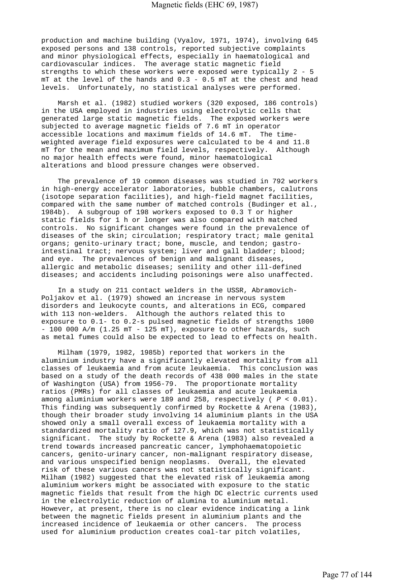production and machine building (Vyalov, 1971, 1974), involving 645 exposed persons and 138 controls, reported subjective complaints and minor physiological effects, especially in haematological and cardiovascular indices. The average static magnetic field strengths to which these workers were exposed were typically 2 - 5 mT at the level of the hands and 0.3 - 0.5 mT at the chest and head levels. Unfortunately, no statistical analyses were performed.

 Marsh et al. (1982) studied workers (320 exposed, 186 controls) in the USA employed in industries using electrolytic cells that generated large static magnetic fields. The exposed workers were subjected to average magnetic fields of 7.6 mT in operator accessible locations and maximum fields of 14.6 mT. The timeweighted average field exposures were calculated to be 4 and 11.8 mT for the mean and maximum field levels, respectively. Although no major health effects were found, minor haematological alterations and blood pressure changes were observed.

 The prevalence of 19 common diseases was studied in 792 workers in high-energy accelerator laboratories, bubble chambers, calutrons (isotope separation facilities), and high-field magnet facilities, compared with the same number of matched controls (Budinger et al., 1984b). A subgroup of 198 workers exposed to 0.3 T or higher static fields for 1 h or longer was also compared with matched controls. No significant changes were found in the prevalence of diseases of the skin; circulation; respiratory tract; male genital organs; genito-urinary tract; bone, muscle, and tendon; gastrointestinal tract; nervous system; liver and gall bladder; blood; and eye. The prevalences of benign and malignant diseases, allergic and metabolic diseases; senility and other ill-defined diseases; and accidents including poisonings were also unaffected.

 In a study on 211 contact welders in the USSR, Abramovich-Poljakov et al. (1979) showed an increase in nervous system disorders and leukocyte counts, and alterations in ECG, compared with 113 non-welders. Although the authors related this to exposure to 0.1- to 0.2-s pulsed magnetic fields of strengths 1000 -  $100 000 A/m (1.25 mT - 125 mT)$ , exposure to other hazards, such as metal fumes could also be expected to lead to effects on health.

 Milham (1979, 1982, 1985b) reported that workers in the aluminium industry have a significantly elevated mortality from all classes of leukaemia and from acute leukaemia. This conclusion was based on a study of the death records of 438 000 males in the state of Washington (USA) from 1956-79. The proportionate mortality ratios (PMRs) for all classes of leukaemia and acute leukaemia among aluminium workers were 189 and 258, respectively ( *P* < 0.01). This finding was subsequently confirmed by Rockette & Arena (1983), though their broader study involving 14 aluminium plants in the USA showed only a small overall excess of leukaemia mortality with a standardized mortality ratio of 127.9, which was not statistically significant. The study by Rockette & Arena (1983) also revealed a trend towards increased pancreatic cancer, lymphohaematopoietic cancers, genito-urinary cancer, non-malignant respiratory disease, and various unspecified benign neoplasms. Overall, the elevated risk of these various cancers was not statistically significant. Milham (1982) suggested that the elevated risk of leukaemia among aluminium workers might be associated with exposure to the static magnetic fields that result from the high DC electric currents used in the electrolytic reduction of alumina to aluminium metal. However, at present, there is no clear evidence indicating a link between the magnetic fields present in aluminium plants and the increased incidence of leukaemia or other cancers. The process used for aluminium production creates coal-tar pitch volatiles,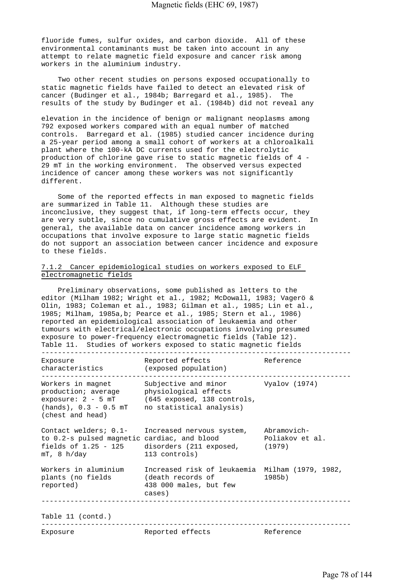fluoride fumes, sulfur oxides, and carbon dioxide. All of these environmental contaminants must be taken into account in any attempt to relate magnetic field exposure and cancer risk among workers in the aluminium industry.

 Two other recent studies on persons exposed occupationally to static magnetic fields have failed to detect an elevated risk of cancer (Budinger et al., 1984b; Barregard et al., 1985). The results of the study by Budinger et al. (1984b) did not reveal any

elevation in the incidence of benign or malignant neoplasms among 792 exposed workers compared with an equal number of matched controls. Barregard et al. (1985) studied cancer incidence during a 25-year period among a small cohort of workers at a chloroalkali plant where the 100-kA DC currents used for the electrolytic production of chlorine gave rise to static magnetic fields of 4 - 29 mT in the working environment. The observed versus expected incidence of cancer among these workers was not significantly different.

 Some of the reported effects in man exposed to magnetic fields are summarized in Table 11. Although these studies are inconclusive, they suggest that, if long-term effects occur, they are very subtle, since no cumulative gross effects are evident. In general, the available data on cancer incidence among workers in occupations that involve exposure to large static magnetic fields do not support an association between cancer incidence and exposure to these fields.

# 7.1.2 Cancer epidemiological studies on workers exposed to ELF electromagnetic fields

 Preliminary observations, some published as letters to the editor (Milham 1982; Wright et al., 1982; McDowall, 1983; Vagerö & Olin, 1983; Coleman et al., 1983; Gilman et al., 1985; Lin et al., 1985; Milham, 1985a,b; Pearce et al., 1985; Stern et al., 1986) reported an epidemiological association of leukaemia and other tumours with electrical/electronic occupations involving presumed exposure to power-frequency electromagnetic fields (Table 12). Table 11. Studies of workers exposed to static magnetic fields

| Exposure<br>characteristics                                                                                                               | Reported effects<br>(exposed population)                                                                                                                                                             | Reference |
|-------------------------------------------------------------------------------------------------------------------------------------------|------------------------------------------------------------------------------------------------------------------------------------------------------------------------------------------------------|-----------|
| Workers in magnet<br>production; average bhysiological effects<br>$(hands)$ , $0.3 - 0.5 mT$ no statistical analysis)<br>(chest and head) | Subjective and minor Vyalov (1974)<br>exposure: 2 - 5 mT (645 exposed, 138 controls,                                                                                                                 |           |
| $mT$ , 8 h/day                                                                                                                            | Contact welders; 0.1- Increased nervous system, Abramovich-<br>to 0.2-s pulsed magnetic cardiac, and blood Poliakov et al.<br>fields of $1.25 - 125$ disorders (211 exposed, (1979)<br>113 controls) |           |
| Workers in aluminium<br>reported)                                                                                                         | Increased risk of leukaemia Milham (1979, 1982,<br>438 000 males, but few<br>cases)                                                                                                                  | 1985b)    |
| Table 11 (contd.)                                                                                                                         |                                                                                                                                                                                                      |           |
| Exposure                                                                                                                                  | Reported effects                                                                                                                                                                                     | Reference |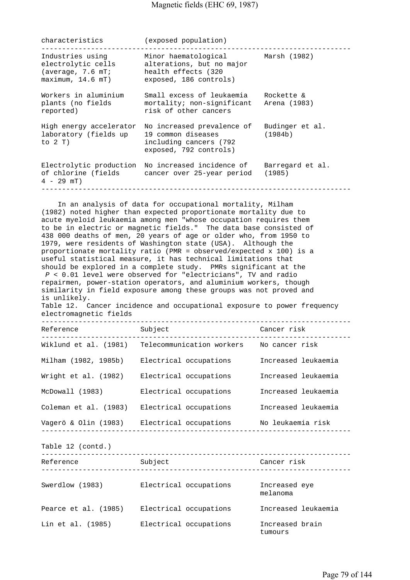characteristics (exposed population)

| Industries using<br>electrolytic cells<br>(average, 7.6 mT)<br>maximum, 14.6 mT) | Minor haematological<br>alterations, but no major<br>health effects (320<br>exposed, 186 controls)   | Marsh (1982)               |
|----------------------------------------------------------------------------------|------------------------------------------------------------------------------------------------------|----------------------------|
| Workers in aluminium<br>plants (no fields<br>reported)                           | Small excess of leukaemia<br>mortality; non-significant Arena (1983)<br>risk of other cancers        | Rockette &                 |
| High energy accelerator<br>laboratory (fields up<br>to $2T$ )                    | No increased prevalence of<br>19 common diseases<br>including cancers (792<br>exposed, 792 controls) | Budinger et al.<br>(1984b) |
| of chlorine (fields<br>$4 - 29$ mT)                                              | Electrolytic production No increased incidence of<br>cancer over 25-year period                      | Barregard et al.<br>(1985) |

 In an analysis of data for occupational mortality, Milham (1982) noted higher than expected proportionate mortality due to acute myeloid leukaemia among men "whose occupation requires them to be in electric or magnetic fields." The data base consisted of 438 000 deaths of men, 20 years of age or older who, from 1950 to 1979, were residents of Washington state (USA). Although the proportionate mortality ratio (PMR = observed/expected x 100) is a useful statistical measure, it has technical limitations that should be explored in a complete study. PMRs significant at the  *P* < 0.01 level were observed for "electricians", TV and radio repairmen, power-station operators, and aluminium workers, though similarity in field exposure among these groups was not proved and is unlikely. Table 12. Cancer incidence and occupational exposure to power frequency electromagnetic fields --------------------------------------------------------------------------- Reference Subject Cancer risk --------------------------------------------------------------------------- Wiklund et al. (1981) Telecommunication workers Mo cancer risk Milham (1982, 1985b) Electrical occupations Increased leukaemia Wright et al. (1982) Electrical occupations Increased leukaemia McDowall (1983) Electrical occupations Increased leukaemia Coleman et al. (1983) Electrical occupations Increased leukaemia Vagerö & Olin (1983) Electrical occupations No leukaemia risk --------------------------------------------------------------------------- Table 12 (contd.) --------------------------------------------------------------------------- Reference Subject Subject Cancer risk --------------------------------------------------------------------------- Swerdlow (1983) Electrical occupations Increased eye melanoma Pearce et al. (1985) Electrical occupations Increased leukaemia Lin et al. (1985) Electrical occupations Increased brain tumours that is a state of the state of the state of the state of the state of the state of the state of the state of the state of the state of the state of the state of the state of the state of the state of the state of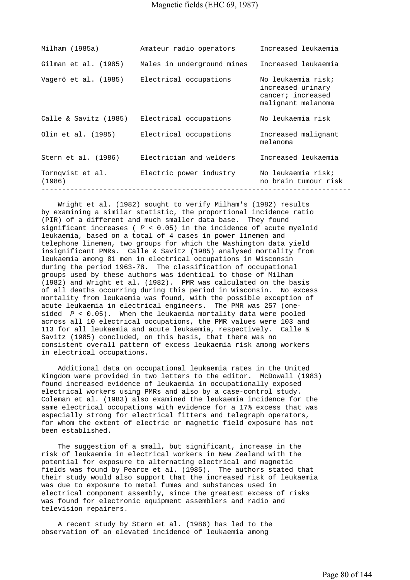| Milham (1985a)                               | Amateur radio operators                     | Increased leukaemia                                                                |
|----------------------------------------------|---------------------------------------------|------------------------------------------------------------------------------------|
| Gilman et al. (1985)                         | Males in underground mines                  | Increased leukaemia                                                                |
| Vagerö et al. (1985) Electrical occupations  |                                             | No leukaemia risk;<br>increased urinary<br>cancer; increased<br>malignant melanoma |
| Calle & Savitz (1985) Electrical occupations |                                             | No leukaemia risk                                                                  |
| Olin et al. (1985) Electrical occupations    |                                             | Increased malignant<br>melanoma                                                    |
|                                              | Stern et al. (1986) Electrician and welders | Increased leukaemia                                                                |
| Tornqvist et al.<br>(1986)                   | Electric power industry                     | No leukaemia risk;<br>no brain tumour risk                                         |
|                                              |                                             |                                                                                    |

 Wright et al. (1982) sought to verify Milham's (1982) results by examining a similar statistic, the proportional incidence ratio (PIR) of a different and much smaller data base. They found significant increases ( *P* < 0.05) in the incidence of acute myeloid leukaemia, based on a total of 4 cases in power linemen and telephone linemen, two groups for which the Washington data yield insignificant PMRs. Calle & Savitz (1985) analysed mortality from leukaemia among 81 men in electrical occupations in Wisconsin during the period 1963-78. The classification of occupational groups used by these authors was identical to those of Milham (1982) and Wright et al. (1982). PMR was calculated on the basis of all deaths occurring during this period in Wisconsin. No excess mortality from leukaemia was found, with the possible exception of acute leukaemia in electrical engineers. The PMR was 257 (onesided *P* < 0.05). When the leukaemia mortality data were pooled across all 10 electrical occupations, the PMR values were 103 and 113 for all leukaemia and acute leukaemia, respectively. Calle & Savitz (1985) concluded, on this basis, that there was no consistent overall pattern of excess leukaemia risk among workers in electrical occupations.

 Additional data on occupational leukaemia rates in the United Kingdom were provided in two letters to the editor. McDowall (1983) found increased evidence of leukaemia in occupationally exposed electrical workers using PMRs and also by a case-control study. Coleman et al. (1983) also examined the leukaemia incidence for the same electrical occupations with evidence for a 17% excess that was especially strong for electrical fitters and telegraph operators, for whom the extent of electric or magnetic field exposure has not been established.

 The suggestion of a small, but significant, increase in the risk of leukaemia in electrical workers in New Zealand with the potential for exposure to alternating electrical and magnetic fields was found by Pearce et al. (1985). The authors stated that their study would also support that the increased risk of leukaemia was due to exposure to metal fumes and substances used in electrical component assembly, since the greatest excess of risks was found for electronic equipment assemblers and radio and television repairers.

 A recent study by Stern et al. (1986) has led to the observation of an elevated incidence of leukaemia among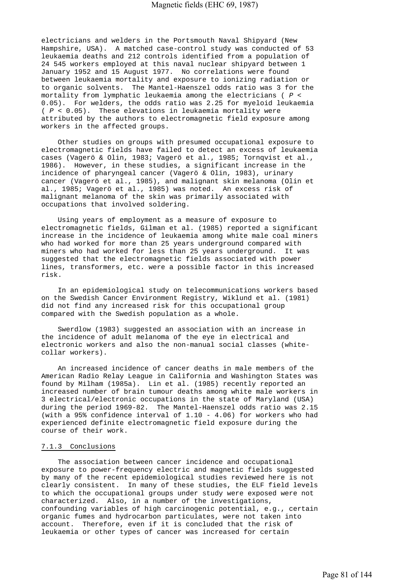electricians and welders in the Portsmouth Naval Shipyard (New Hampshire, USA). A matched case-control study was conducted of 53 leukaemia deaths and 212 controls identified from a population of 24 545 workers employed at this naval nuclear shipyard between 1 January 1952 and 15 August 1977. No correlations were found between leukaemia mortality and exposure to ionizing radiation or to organic solvents. The Mantel-Haenszel odds ratio was 3 for the mortality from lymphatic leukaemia among the electricians ( *P* < 0.05). For welders, the odds ratio was 2.25 for myeloid leukaemia ( *P* < 0.05). These elevations in leukaemia mortality were attributed by the authors to electromagnetic field exposure among workers in the affected groups.

 Other studies on groups with presumed occupational exposure to electromagnetic fields have failed to detect an excess of leukaemia cases (Vagerö & Olin, 1983; Vagerö et al., 1985; Tornqvist et al., 1986). However, in these studies, a significant increase in the incidence of pharyngeal cancer (Vagerö & Olin, 1983), urinary cancer (Vagerö et al., 1985), and malignant skin melanoma (Olin et al., 1985; Vagerö et al., 1985) was noted. An excess risk of malignant melanoma of the skin was primarily associated with occupations that involved soldering.

 Using years of employment as a measure of exposure to electromagnetic fields, Gilman et al. (1985) reported a significant increase in the incidence of leukaemia among white male coal miners who had worked for more than 25 years underground compared with miners who had worked for less than 25 years underground. It was suggested that the electromagnetic fields associated with power lines, transformers, etc. were a possible factor in this increased risk.

 In an epidemiological study on telecommunications workers based on the Swedish Cancer Environment Registry, Wiklund et al. (1981) did not find any increased risk for this occupational group compared with the Swedish population as a whole.

 Swerdlow (1983) suggested an association with an increase in the incidence of adult melanoma of the eye in electrical and electronic workers and also the non-manual social classes (whitecollar workers).

 An increased incidence of cancer deaths in male members of the American Radio Relay League in California and Washington States was found by Milham (1985a). Lin et al. (1985) recently reported an increased number of brain tumour deaths among white male workers in 3 electrical/electronic occupations in the state of Maryland (USA) during the period 1969-82. The Mantel-Haenszel odds ratio was 2.15 (with a 95% confidence interval of  $1.10 - 4.06$ ) for workers who had experienced definite electromagnetic field exposure during the course of their work.

#### 7.1.3 Conclusions

 The association between cancer incidence and occupational exposure to power-frequency electric and magnetic fields suggested by many of the recent epidemiological studies reviewed here is not clearly consistent. In many of these studies, the ELF field levels to which the occupational groups under study were exposed were not characterized. Also, in a number of the investigations, confounding variables of high carcinogenic potential, e.g., certain organic fumes and hydrocarbon particulates, were not taken into account. Therefore, even if it is concluded that the risk of leukaemia or other types of cancer was increased for certain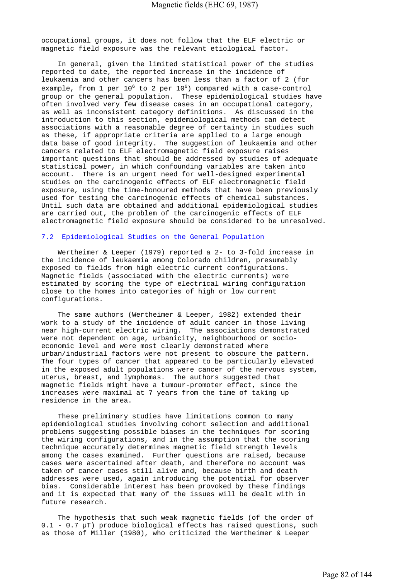occupational groups, it does not follow that the ELF electric or magnetic field exposure was the relevant etiological factor.

 In general, given the limited statistical power of the studies reported to date, the reported increase in the incidence of leukaemia and other cancers has been less than a factor of 2 (for example, from 1 per  $10^6$  to 2 per  $10^6$ ) compared with a case-control group or the general population. These epidemiological studies have often involved very few disease cases in an occupational category, as well as inconsistent category definitions. As discussed in the introduction to this section, epidemiological methods can detect associations with a reasonable degree of certainty in studies such as these, if appropriate criteria are applied to a large enough data base of good integrity. The suggestion of leukaemia and other cancers related to ELF electromagnetic field exposure raises important questions that should be addressed by studies of adequate statistical power, in which confounding variables are taken into account. There is an urgent need for well-designed experimental studies on the carcinogenic effects of ELF electromagnetic field exposure, using the time-honoured methods that have been previously used for testing the carcinogenic effects of chemical substances. Until such data are obtained and additional epidemiological studies are carried out, the problem of the carcinogenic effects of ELF electromagnetic field exposure should be considered to be unresolved.

# 7.2 Epidemiological Studies on the General Population

 Wertheimer & Leeper (1979) reported a 2- to 3-fold increase in the incidence of leukaemia among Colorado children, presumably exposed to fields from high electric current configurations. Magnetic fields (associated with the electric currents) were estimated by scoring the type of electrical wiring configuration close to the homes into categories of high or low current configurations.

 The same authors (Wertheimer & Leeper, 1982) extended their work to a study of the incidence of adult cancer in those living near high-current electric wiring. The associations demonstrated were not dependent on age, urbanicity, neighbourhood or socioeconomic level and were most clearly demonstrated where urban/industrial factors were not present to obscure the pattern. The four types of cancer that appeared to be particularly elevated in the exposed adult populations were cancer of the nervous system, uterus, breast, and lymphomas. The authors suggested that magnetic fields might have a tumour-promoter effect, since the increases were maximal at 7 years from the time of taking up residence in the area.

 These preliminary studies have limitations common to many epidemiological studies involving cohort selection and additional problems suggesting possible biases in the techniques for scoring the wiring configurations, and in the assumption that the scoring technique accurately determines magnetic field strength levels among the cases examined. Further questions are raised, because cases were ascertained after death, and therefore no account was taken of cancer cases still alive and, because birth and death addresses were used, again introducing the potential for observer bias. Considerable interest has been provoked by these findings and it is expected that many of the issues will be dealt with in future research.

 The hypothesis that such weak magnetic fields (of the order of  $0.1$  -  $0.7$   $\mu$ T) produce biological effects has raised questions, such as those of Miller (1980), who criticized the Wertheimer & Leeper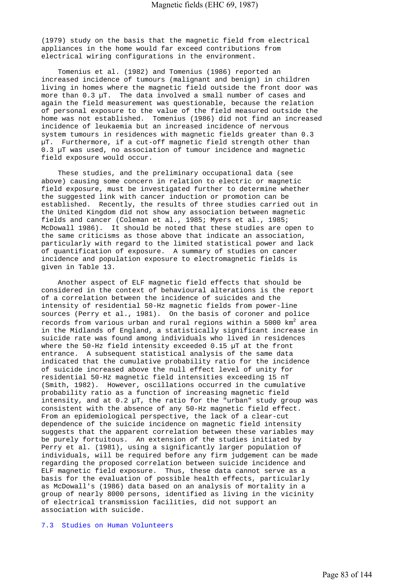(1979) study on the basis that the magnetic field from electrical appliances in the home would far exceed contributions from electrical wiring configurations in the environment.

 Tomenius et al. (1982) and Tomenius (1986) reported an increased incidence of tumours (malignant and benign) in children living in homes where the magnetic field outside the front door was more than 0.3 µT. The data involved a small number of cases and again the field measurement was questionable, because the relation of personal exposure to the value of the field measured outside the home was not established. Tomenius (1986) did not find an increased incidence of leukaemia but an increased incidence of nervous system tumours in residences with magnetic fields greater than 0.3 µT. Furthermore, if a cut-off magnetic field strength other than 0.3 µT was used, no association of tumour incidence and magnetic field exposure would occur.

 These studies, and the preliminary occupational data (see above) causing some concern in relation to electric or magnetic field exposure, must be investigated further to determine whether the suggested link with cancer induction or promotion can be established. Recently, the results of three studies carried out in the United Kingdom did not show any association between magnetic fields and cancer (Coleman et al., 1985; Myers et al., 1985; McDowall 1986). It should be noted that these studies are open to the same criticisms as those above that indicate an association, particularly with regard to the limited statistical power and lack of quantification of exposure. A summary of studies on cancer incidence and population exposure to electromagnetic fields is given in Table 13.

 Another aspect of ELF magnetic field effects that should be considered in the context of behavioural alterations is the report of a correlation between the incidence of suicides and the intensity of residential 50-Hz magnetic fields from power-line sources (Perry et al., 1981). On the basis of coroner and police records from various urban and rural regions within a 5000  $\textsf{km}^2$  area in the Midlands of England, a statistically significant increase in suicide rate was found among individuals who lived in residences where the 50-Hz field intensity exceeded 0.15 uT at the front entrance. A subsequent statistical analysis of the same data indicated that the cumulative probability ratio for the incidence of suicide increased above the null effect level of unity for residential 50-Hz magnetic field intensities exceeding 15 nT (Smith, 1982). However, oscillations occurred in the cumulative probability ratio as a function of increasing magnetic field intensity, and at 0.2 µT, the ratio for the "urban" study group was consistent with the absence of any 50-Hz magnetic field effect. From an epidemiological perspective, the lack of a clear-cut dependence of the suicide incidence on magnetic field intensity suggests that the apparent correlation between these variables may be purely fortuitous. An extension of the studies initiated by Perry et al. (1981), using a significantly larger population of individuals, will be required before any firm judgement can be made regarding the proposed correlation between suicide incidence and ELF magnetic field exposure. Thus, these data cannot serve as a basis for the evaluation of possible health effects, particularly as McDowall's (1986) data based on an analysis of mortality in a group of nearly 8000 persons, identified as living in the vicinity of electrical transmission facilities, did not support an association with suicide.

#### 7.3 Studies on Human Volunteers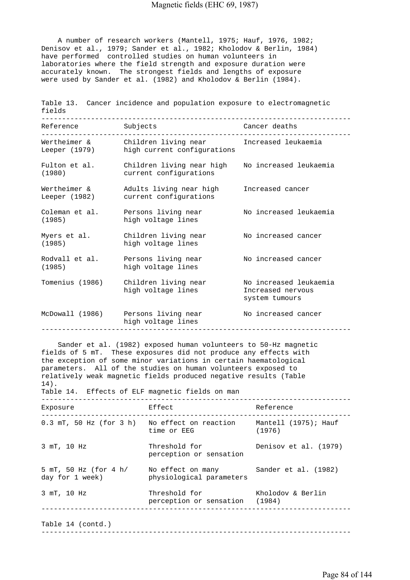A number of research workers (Mantell, 1975; Hauf, 1976, 1982; Denisov et al., 1979; Sander et al., 1982; Kholodov & Berlin, 1984) have performed controlled studies on human volunteers in laboratories where the field strength and exposure duration were accurately known. The strongest fields and lengths of exposure were used by Sander et al. (1982) and Kholodov & Berlin (1984).

| fields                        | Table 13. Cancer incidence and population exposure to electromagnetic                              |                                                               |
|-------------------------------|----------------------------------------------------------------------------------------------------|---------------------------------------------------------------|
| Reference                     | Subjects                                                                                           | Cancer deaths                                                 |
|                               | Wertheimer & Children living near Increased leukaemia<br>Leeper (1979) high current configurations |                                                               |
| Fulton et al.<br>(1980)       | Children living near high<br>current configurations                                                | No increased leukaemia                                        |
| Wertheimer &<br>Leeper (1982) | Adults living near high<br>current configurations                                                  | Increased cancer                                              |
| Coleman et al.<br>(1985)      | Persons living near<br>high voltage lines                                                          | No increased leukaemia                                        |
| Myers et al.<br>(1985)        | Children living near<br>high voltage lines                                                         | No increased cancer                                           |
| Rodvall et al.<br>(1985)      | Persons living near<br>high voltage lines                                                          | No increased cancer                                           |
| Tomenius (1986)               | Children living near<br>high voltage lines                                                         | No increased leukaemia<br>Increased nervous<br>system tumours |
|                               | McDowall (1986) Persons living near<br>high voltage lines                                          | No increased cancer<br>_____________________________________  |

 Sander et al. (1982) exposed human volunteers to 50-Hz magnetic fields of 5 mT. These exposures did not produce any effects with the exception of some minor variations in certain haematological parameters. All of the studies on human volunteers exposed to relatively weak magnetic fields produced negative results (Table 14). Table 14. Effects of ELF magnetic fields on man --------------------------------------------------------------------------- Exposure **Effect** Effect Reference --------------------------------------------------------------------------- 0.3 mT, 50 Hz (for 3 h) No effect on reaction Mantell (1975); Hauf time or EEG (1976) 3 mT, 10 Hz Threshold for Denisov et al. (1979) perception or sensation 5 mT, 50 Hz (for 4 h/ No effect on many Sander et al. (1982)<br>day for 1 week) bhysiological parameters physiological parameters 3 mT, 10 Hz Threshold for Kholodov & Berlin perception or sensation (1984) --------------------------------------------------------------------------- Table 14 (contd.) ---------------------------------------------------------------------------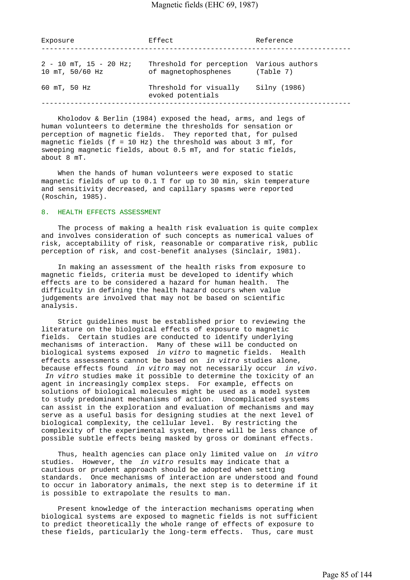| Exposure                                          | Effect                                                           | Reference    |
|---------------------------------------------------|------------------------------------------------------------------|--------------|
| $2 - 10$ mT, $15 - 20$ Hz;<br>$10$ mT, $50/60$ Hz | Threshold for perception Various authors<br>of magnetophosphenes | (Table 7)    |
| 60 mT, 50 Hz                                      | Threshold for visually<br>evoked potentials                      | Silny (1986) |

 Kholodov & Berlin (1984) exposed the head, arms, and legs of human volunteers to determine the thresholds for sensation or perception of magnetic fields. They reported that, for pulsed magnetic fields (f = 10 Hz) the threshold was about 3 mT, for sweeping magnetic fields, about 0.5 mT, and for static fields, about 8 mT.

 When the hands of human volunteers were exposed to static magnetic fields of up to 0.1 T for up to 30 min, skin temperature and sensitivity decreased, and capillary spasms were reported (Roschin, 1985).

#### 8. HEALTH EFFECTS ASSESSMENT

 The process of making a health risk evaluation is quite complex and involves consideration of such concepts as numerical values of risk, acceptability of risk, reasonable or comparative risk, public perception of risk, and cost-benefit analyses (Sinclair, 1981).

 In making an assessment of the health risks from exposure to magnetic fields, criteria must be developed to identify which effects are to be considered a hazard for human health. The difficulty in defining the health hazard occurs when value judgements are involved that may not be based on scientific analysis.

 Strict guidelines must be established prior to reviewing the literature on the biological effects of exposure to magnetic fields. Certain studies are conducted to identify underlying mechanisms of interaction. Many of these will be conducted on biological systems exposed *in vitro* to magnetic fields. Health effects assessments cannot be based on *in vitro* studies alone, because effects found *in vitro* may not necessarily occur *in vivo.* 

 *In vitro* studies make it possible to determine the toxicity of an agent in increasingly complex steps. For example, effects on solutions of biological molecules might be used as a model system to study predominant mechanisms of action. Uncomplicated systems can assist in the exploration and evaluation of mechanisms and may serve as a useful basis for designing studies at the next level of biological complexity, the cellular level. By restricting the complexity of the experimental system, there will be less chance of possible subtle effects being masked by gross or dominant effects.

 Thus, health agencies can place only limited value on *in vitro*  studies. However, the *in vitro* results may indicate that a cautious or prudent approach should be adopted when setting standards. Once mechanisms of interaction are understood and found to occur in laboratory animals, the next step is to determine if it is possible to extrapolate the results to man.

 Present knowledge of the interaction mechanisms operating when biological systems are exposed to magnetic fields is not sufficient to predict theoretically the whole range of effects of exposure to these fields, particularly the long-term effects. Thus, care must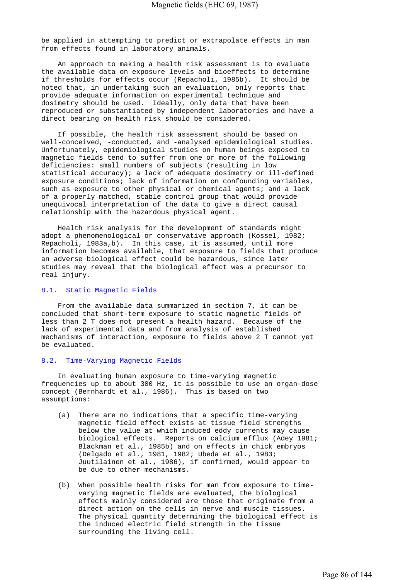be applied in attempting to predict or extrapolate effects in man from effects found in laboratory animals.

 An approach to making a health risk assessment is to evaluate the available data on exposure levels and bioeffects to determine if thresholds for effects occur (Repacholi, 1985b). It should be noted that, in undertaking such an evaluation, only reports that provide adequate information on experimental technique and dosimetry should be used. Ideally, only data that have been reproduced or substantiated by independent laboratories and have a direct bearing on health risk should be considered.

 If possible, the health risk assessment should be based on well-conceived, -conducted, and -analysed epidemiological studies. Unfortunately, epidemiological studies on human beings exposed to magnetic fields tend to suffer from one or more of the following deficiencies: small numbers of subjects (resulting in low statistical accuracy); a lack of adequate dosimetry or ill-defined exposure conditions; lack of information on confounding variables, such as exposure to other physical or chemical agents; and a lack of a properly matched, stable control group that would provide unequivocal interpretation of the data to give a direct causal relationship with the hazardous physical agent.

 Health risk analysis for the development of standards might adopt a phenomenological or conservative approach (Kossel, 1982; Repacholi, 1983a,b). In this case, it is assumed, until more information becomes available, that exposure to fields that produce an adverse biological effect could be hazardous, since later studies may reveal that the biological effect was a precursor to real injury.

# 8.1. Static Magnetic Fields

 From the available data summarized in section 7, it can be concluded that short-term exposure to static magnetic fields of less than 2 T does not present a health hazard. Because of the lack of experimental data and from analysis of established mechanisms of interaction, exposure to fields above 2 T cannot yet be evaluated.

#### 8.2. Time-Varying Magnetic Fields

 In evaluating human exposure to time-varying magnetic frequencies up to about 300 Hz, it is possible to use an organ-dose concept (Bernhardt et al., 1986). This is based on two assumptions:

- (a) There are no indications that a specific time-varying magnetic field effect exists at tissue field strengths below the value at which induced eddy currents may cause biological effects. Reports on calcium efflux (Adey 1981; Blackman et al., 1985b) and on effects in chick embryos (Delgado et al., 1981, 1982; Ubeda et al., 1983; Juutilainen et al., 1986), if confirmed, would appear to be due to other mechanisms.
- (b) When possible health risks for man from exposure to time varying magnetic fields are evaluated, the biological effects mainly considered are those that originate from a direct action on the cells in nerve and muscle tissues. The physical quantity determining the biological effect is the induced electric field strength in the tissue surrounding the living cell.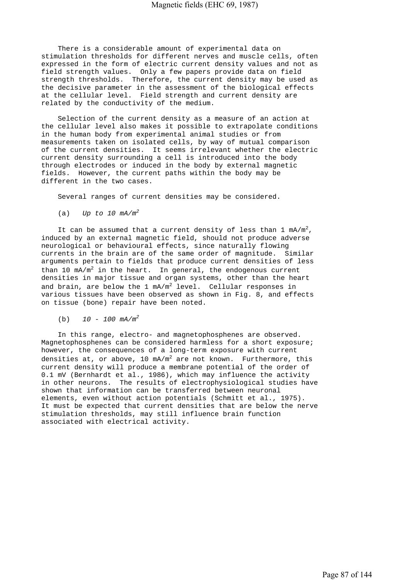There is a considerable amount of experimental data on stimulation thresholds for different nerves and muscle cells, often expressed in the form of electric current density values and not as field strength values. Only a few papers provide data on field strength thresholds. Therefore, the current density may be used as the decisive parameter in the assessment of the biological effects at the cellular level. Field strength and current density are related by the conductivity of the medium.

 Selection of the current density as a measure of an action at the cellular level also makes it possible to extrapolate conditions in the human body from experimental animal studies or from measurements taken on isolated cells, by way of mutual comparison of the current densities. It seems irrelevant whether the electric current density surrounding a cell is introduced into the body through electrodes or induced in the body by external magnetic fields. However, the current paths within the body may be different in the two cases.

Several ranges of current densities may be considered.

(a) *Up to 10 mA/m<sup>2</sup>*

It can be assumed that a current density of less than 1  $mA/m^2$ , induced by an external magnetic field, should not produce adverse neurological or behavioural effects, since naturally flowing currents in the brain are of the same order of magnitude. Similar arguments pertain to fields that produce current densities of less than 10  $mA/m^2$  in the heart. In general, the endogenous current densities in major tissue and organ systems, other than the heart and brain, are below the 1 mA/m<sup>2</sup> level. Cellular responses in various tissues have been observed as shown in Fig. 8, and effects on tissue (bone) repair have been noted.

(b) *10 - 100 mA/m<sup>2</sup>*

 In this range, electro- and magnetophosphenes are observed. Magnetophosphenes can be considered harmless for a short exposure; however, the consequences of a long-term exposure with current densities at, or above, 10 mA/m $^2$  are not known. Furthermore, this current density will produce a membrane potential of the order of 0.1 mV (Bernhardt et al., 1986), which may influence the activity in other neurons. The results of electrophysiological studies have shown that information can be transferred between neuronal elements, even without action potentials (Schmitt et al., 1975). It must be expected that current densities that are below the nerve stimulation thresholds, may still influence brain function associated with electrical activity.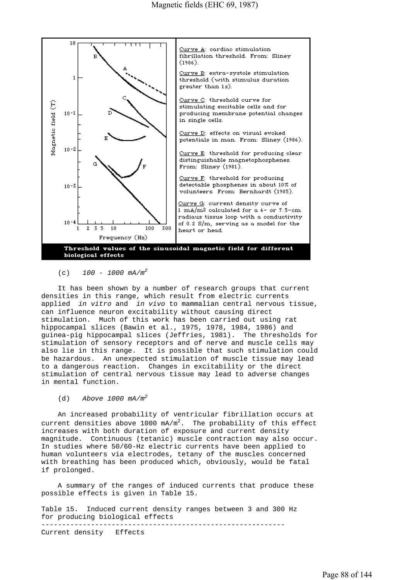

(c) *100 - 1000 mA/m<sup>2</sup>*

 It has been shown by a number of research groups that current densities in this range, which result from electric currents applied *in vitro* and *in vivo* to mammalian central nervous tissue, can influence neuron excitability without causing direct stimulation. Much of this work has been carried out using rat hippocampal slices (Bawin et al., 1975, 1978, 1984, 1986) and guinea-pig hippocampal slices (Jeffries, 1981). The thresholds for stimulation of sensory receptors and of nerve and muscle cells may also lie in this range. It is possible that such stimulation could be hazardous. An unexpected stimulation of muscle tissue may lead to a dangerous reaction. Changes in excitability or the direct stimulation of central nervous tissue may lead to adverse changes in mental function.

#### (d) *Above 1000 mA/m<sup>2</sup>*

 An increased probability of ventricular fibrillation occurs at current densities above 1000  $mA/m^2$ . The probability of this effect increases with both duration of exposure and current density magnitude. Continuous (tetanic) muscle contraction may also occur. In studies where 50/60-Hz electric currents have been applied to human volunteers via electrodes, tetany of the muscles concerned with breathing has been produced which, obviously, would be fatal if prolonged.

 A summary of the ranges of induced currents that produce these possible effects is given in Table 15.

Table 15. Induced current density ranges between 3 and 300 Hz for producing biological effects ----------------------------------------------------------- Current density Effects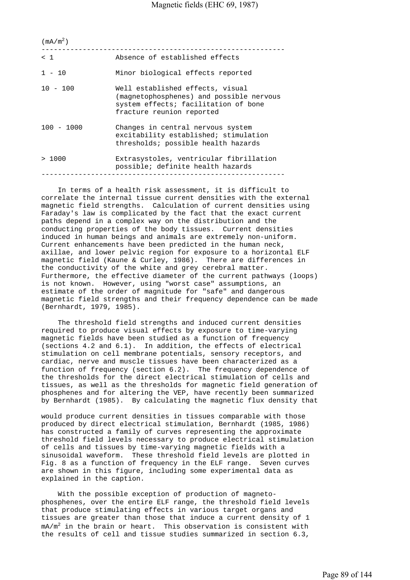| (mA/m <sup>2</sup> ) |                                                                                                                                                   |
|----------------------|---------------------------------------------------------------------------------------------------------------------------------------------------|
| < 1                  | Absence of established effects                                                                                                                    |
| $1 - 10$             | Minor biological effects reported                                                                                                                 |
| $10 - 100$           | Well established effects, visual<br>(magnetophosphenes) and possible nervous<br>system effects; facilitation of bone<br>fracture reunion reported |
| $100 - 1000$         | Changes in central nervous system<br>excitability established; stimulation<br>thresholds; possible health hazards                                 |
| >1000                | Extrasystoles, ventricular fibrillation<br>possible; definite health hazards                                                                      |
|                      |                                                                                                                                                   |

 In terms of a health risk assessment, it is difficult to correlate the internal tissue current densities with the external magnetic field strengths. Calculation of current densities using Faraday's law is complicated by the fact that the exact current paths depend in a complex way on the distribution and the conducting properties of the body tissues. Current densities induced in human beings and animals are extremely non-uniform. Current enhancements have been predicted in the human neck, axillae, and lower pelvic region for exposure to a horizontal ELF magnetic field (Kaune & Curley, 1986). There are differences in the conductivity of the white and grey cerebral matter. Furthermore, the effective diameter of the current pathways (loops) is not known. However, using "worst case" assumptions, an estimate of the order of magnitude for "safe" and dangerous magnetic field strengths and their frequency dependence can be made (Bernhardt, 1979, 1985).

 The threshold field strengths and induced current densities required to produce visual effects by exposure to time-varying magnetic fields have been studied as a function of frequency (sections 4.2 and 6.1). In addition, the effects of electrical stimulation on cell membrane potentials, sensory receptors, and cardiac, nerve and muscle tissues have been characterized as a function of frequency (section 6.2). The frequency dependence of the thresholds for the direct electrical stimulation of cells and tissues, as well as the thresholds for magnetic field generation of phosphenes and for altering the VEP, have recently been summarized by Bernhardt (1985). By calculating the magnetic flux density that

would produce current densities in tissues comparable with those produced by direct electrical stimulation, Bernhardt (1985, 1986) has constructed a family of curves representing the approximate threshold field levels necessary to produce electrical stimulation of cells and tissues by time-varying magnetic fields with a sinusoidal waveform. These threshold field levels are plotted in Fig. 8 as a function of frequency in the ELF range. Seven curves are shown in this figure, including some experimental data as explained in the caption.

 With the possible exception of production of magnetophosphenes, over the entire ELF range, the threshold field levels that produce stimulating effects in various target organs and tissues are greater than those that induce a current density of 1  $\texttt{mA/m}^2$  in the brain or heart. This observation is consistent with the results of cell and tissue studies summarized in section 6.3,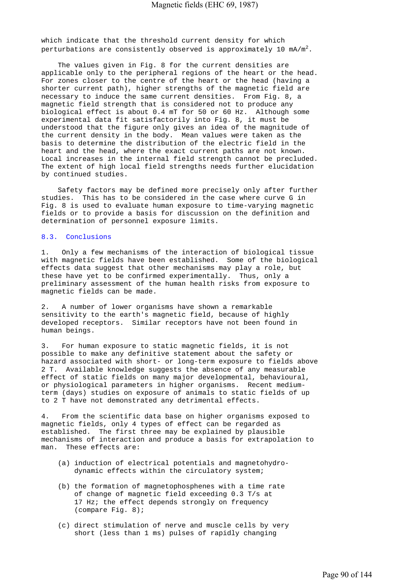which indicate that the threshold current density for which perturbations are consistently observed is approximately 10 mA/m $^2.$ 

 The values given in Fig. 8 for the current densities are applicable only to the peripheral regions of the heart or the head. For zones closer to the centre of the heart or the head (having a shorter current path), higher strengths of the magnetic field are necessary to induce the same current densities. From Fig. 8, a magnetic field strength that is considered not to produce any biological effect is about 0.4 mT for 50 or 60 Hz. Although some experimental data fit satisfactorily into Fig. 8, it must be understood that the figure only gives an idea of the magnitude of the current density in the body. Mean values were taken as the basis to determine the distribution of the electric field in the heart and the head, where the exact current paths are not known. Local increases in the internal field strength cannot be precluded. The extent of high local field strengths needs further elucidation by continued studies.

 Safety factors may be defined more precisely only after further studies. This has to be considered in the case where curve G in Fig. 8 is used to evaluate human exposure to time-varying magnetic fields or to provide a basis for discussion on the definition and determination of personnel exposure limits.

## 8.3. Conclusions

1. Only a few mechanisms of the interaction of biological tissue with magnetic fields have been established. Some of the biological effects data suggest that other mechanisms may play a role, but these have yet to be confirmed experimentally. Thus, only a preliminary assessment of the human health risks from exposure to magnetic fields can be made.

2. A number of lower organisms have shown a remarkable sensitivity to the earth's magnetic field, because of highly developed receptors. Similar receptors have not been found in human beings.

3. For human exposure to static magnetic fields, it is not possible to make any definitive statement about the safety or hazard associated with short- or long-term exposure to fields above 2 T. Available knowledge suggests the absence of any measurable effect of static fields on many major developmental, behavioural, or physiological parameters in higher organisms. Recent mediumterm (days) studies on exposure of animals to static fields of up to 2 T have not demonstrated any detrimental effects.

4. From the scientific data base on higher organisms exposed to magnetic fields, only 4 types of effect can be regarded as established. The first three may be explained by plausible mechanisms of interaction and produce a basis for extrapolation to man. These effects are:

- (a) induction of electrical potentials and magnetohydro dynamic effects within the circulatory system;
- (b) the formation of magnetophosphenes with a time rate of change of magnetic field exceeding 0.3 T/s at 17 Hz; the effect depends strongly on frequency (compare Fig. 8);
- (c) direct stimulation of nerve and muscle cells by very short (less than 1 ms) pulses of rapidly changing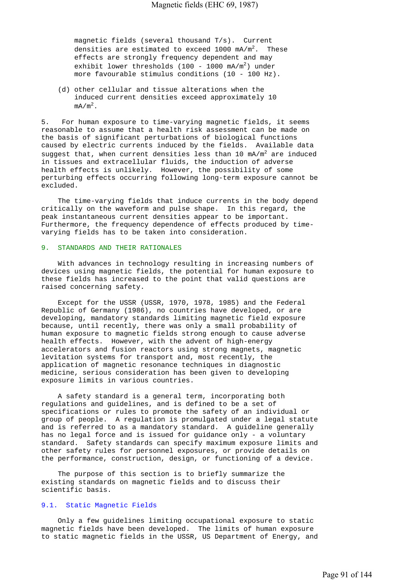magnetic fields (several thousand T/s). Current densities are estimated to exceed 1000 mA/m<sup>2</sup>. These effects are strongly frequency dependent and may exhibit lower thresholds (100 - 1000 mA/m<sup>2</sup>) under more favourable stimulus conditions (10 - 100 Hz).

 (d) other cellular and tissue alterations when the induced current densities exceed approximately 10  $mA/m<sup>2</sup>$ .

5. For human exposure to time-varying magnetic fields, it seems reasonable to assume that a health risk assessment can be made on the basis of significant perturbations of biological functions caused by electric currents induced by the fields. Available data suggest that, when current densities less than 10 mA/m<sup>2</sup> are induced in tissues and extracellular fluids, the induction of adverse health effects is unlikely. However, the possibility of some perturbing effects occurring following long-term exposure cannot be excluded.

 The time-varying fields that induce currents in the body depend critically on the waveform and pulse shape. In this regard, the peak instantaneous current densities appear to be important. Furthermore, the frequency dependence of effects produced by timevarying fields has to be taken into consideration.

#### 9. STANDARDS AND THEIR RATIONALES

 With advances in technology resulting in increasing numbers of devices using magnetic fields, the potential for human exposure to these fields has increased to the point that valid questions are raised concerning safety.

 Except for the USSR (USSR, 1970, 1978, 1985) and the Federal Republic of Germany (1986), no countries have developed, or are developing, mandatory standards limiting magnetic field exposure because, until recently, there was only a small probability of human exposure to magnetic fields strong enough to cause adverse health effects. However, with the advent of high-energy accelerators and fusion reactors using strong magnets, magnetic levitation systems for transport and, most recently, the application of magnetic resonance techniques in diagnostic medicine, serious consideration has been given to developing exposure limits in various countries.

 A safety standard is a general term, incorporating both regulations and guidelines, and is defined to be a set of specifications or rules to promote the safety of an individual or group of people. A regulation is promulgated under a legal statute and is referred to as a mandatory standard. A guideline generally has no legal force and is issued for guidance only - a voluntary standard. Safety standards can specify maximum exposure limits and other safety rules for personnel exposures, or provide details on the performance, construction, design, or functioning of a device.

 The purpose of this section is to briefly summarize the existing standards on magnetic fields and to discuss their scientific basis.

## 9.1. Static Magnetic Fields

 Only a few guidelines limiting occupational exposure to static magnetic fields have been developed. The limits of human exposure to static magnetic fields in the USSR, US Department of Energy, and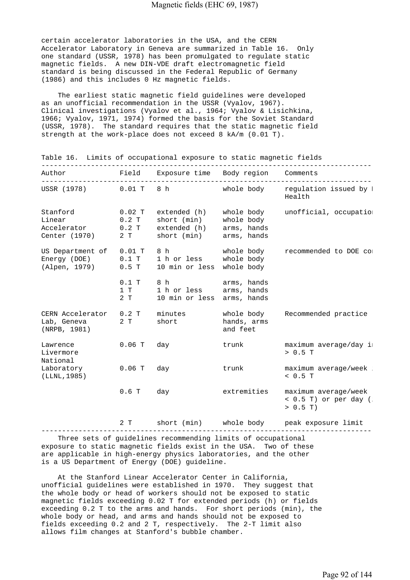certain accelerator laboratories in the USA, and the CERN Accelerator Laboratory in Geneva are summarized in Table 16. Only one standard (USSR, 1978) has been promulgated to regulate static magnetic fields. A new DIN-VDE draft electromagnetic field standard is being discussed in the Federal Republic of Germany (1986) and this includes 0 Hz magnetic fields.

 The earliest static magnetic field guidelines were developed as an unofficial recommendation in the USSR (Vyalov, 1967). Clinical investigations (Vyalov et al., 1964; Vyalov & Lisichkina, 1966; Vyalov, 1971, 1974) formed the basis for the Soviet Standard (USSR, 1978). The standard requires that the static magnetic field strength at the work-place does not exceed 8 kA/m (0.01 T).

| Author                                                    |                                      | Field Exposure time Body region Comments                                         |                                       |                                                             |
|-----------------------------------------------------------|--------------------------------------|----------------------------------------------------------------------------------|---------------------------------------|-------------------------------------------------------------|
| USSR (1978)                                               | $0.01$ T                             | 8 h                                                                              | whole body                            | regulation issued by I<br>Health                            |
| Stanford<br>Linear<br>Accelerator<br>Center (1970)        | $0.02$ T<br>$0.2$ T<br>$0.2$ T<br>2T | extended (h) whole body<br>short (min) whole body<br>extended (h)<br>short (min) | arms, hands<br>arms, hands            | unofficial, occupation                                      |
| US Department of<br>Energy $(DOE)$ 0.1 T<br>(Alpen, 1979) | $0.01$ T<br>$0.5$ T                  | 8 h<br>1 h or less whole body<br>10 min or less whole body                       | whole body                            | recommended to DOE co:                                      |
|                                                           | $0.1$ T<br>1 T<br>2 T                | 8h<br>1 h or less<br>10 min or less arms, hands                                  | arms, hands<br>arms, hands            |                                                             |
| CERN Accelerator<br>Lab, Geneva<br>(NRPB, 1981)           | $0.2$ T<br>2T                        | minutes<br>short                                                                 | whole body<br>hands, arms<br>and feet | Recommended practice                                        |
| Lawrence<br>Livermore<br>National                         | $0.06$ T                             | day                                                                              | trunk                                 | maximum average/day i:<br>> 0.5 T                           |
| Laboratory<br>(LLNL, 1985)                                | $0.06$ T                             | day                                                                              | trunk                                 | maximum average/week<br>< 0.5 T                             |
|                                                           | $0.6$ T                              | day                                                                              | extremities                           | maximum average/week<br>$<$ 0.5 T) or per day (<br>> 0.5 T) |
|                                                           | 2 T                                  | short (min)                                                                      | whole body                            | peak exposure limit                                         |

Table 16. Limits of occupational exposure to static magnetic fields

 Three sets of guidelines recommending limits of occupational exposure to static magnetic fields exist in the USA. Two of these are applicable in high-energy physics laboratories, and the other is a US Department of Energy (DOE) guideline.

 At the Stanford Linear Accelerator Center in California, unofficial guidelines were established in 1970. They suggest that the whole body or head of workers should not be exposed to static magnetic fields exceeding 0.02 T for extended periods (h) or fields exceeding 0.2 T to the arms and hands. For short periods (min), the whole body or head, and arms and hands should not be exposed to fields exceeding 0.2 and 2 T, respectively. The 2-T limit also allows film changes at Stanford's bubble chamber.

---------------------------------------------------------------------------------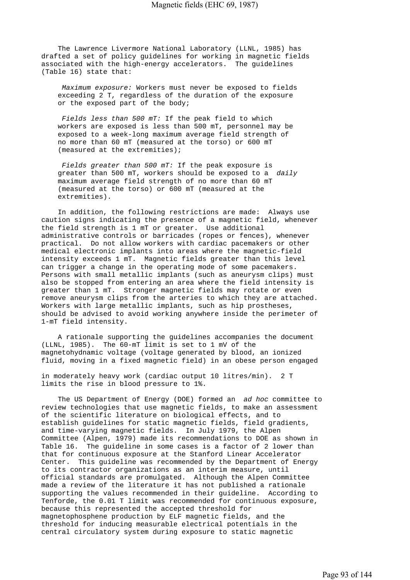The Lawrence Livermore National Laboratory (LLNL, 1985) has drafted a set of policy guidelines for working in magnetic fields associated with the high-energy accelerators. The guidelines (Table 16) state that:

 *Maximum exposure:* Workers must never be exposed to fields exceeding 2 T, regardless of the duration of the exposure or the exposed part of the body;

 *Fields less than 500 mT:* If the peak field to which workers are exposed is less than 500 mT, personnel may be exposed to a week-long maximum average field strength of no more than 60 mT (measured at the torso) or 600 mT (measured at the extremities);

 *Fields greater than 500 mT:* If the peak exposure is greater than 500 mT, workers should be exposed to a *daily* maximum average field strength of no more than 60 mT (measured at the torso) or 600 mT (measured at the extremities).

 In addition, the following restrictions are made: Always use caution signs indicating the presence of a magnetic field, whenever the field strength is 1 mT or greater. Use additional administrative controls or barricades (ropes or fences), whenever practical. Do not allow workers with cardiac pacemakers or other medical electronic implants into areas where the magnetic-field intensity exceeds 1 mT. Magnetic fields greater than this level can trigger a change in the operating mode of some pacemakers. Persons with small metallic implants (such as aneurysm clips) must also be stopped from entering an area where the field intensity is greater than 1 mT. Stronger magnetic fields may rotate or even remove aneurysm clips from the arteries to which they are attached. Workers with large metallic implants, such as hip prostheses, should be advised to avoid working anywhere inside the perimeter of 1-mT field intensity.

 A rationale supporting the guidelines accompanies the document (LLNL, 1985). The 60-mT limit is set to 1 mV of the magnetohydnamic voltage (voltage generated by blood, an ionized fluid, moving in a fixed magnetic field) in an obese person engaged

in moderately heavy work (cardiac output 10 litres/min). 2 T limits the rise in blood pressure to 1%.

 The US Department of Energy (DOE) formed an *ad hoc* committee to review technologies that use magnetic fields, to make an assessment of the scientific literature on biological effects, and to establish guidelines for static magnetic fields, field gradients, and time-varying magnetic fields. In July 1979, the Alpen Committee (Alpen, 1979) made its recommendations to DOE as shown in Table 16. The guideline in some cases is a factor of 2 lower than that for continuous exposure at the Stanford Linear Accelerator Center. This guideline was recommended by the Department of Energy to its contractor organizations as an interim measure, until official standards are promulgated. Although the Alpen Committee made a review of the literature it has not published a rationale supporting the values recommended in their guideline. According to Tenforde, the 0.01 T limit was recommended for continuous exposure, because this represented the accepted threshold for magnetophosphene production by ELF magnetic fields, and the threshold for inducing measurable electrical potentials in the central circulatory system during exposure to static magnetic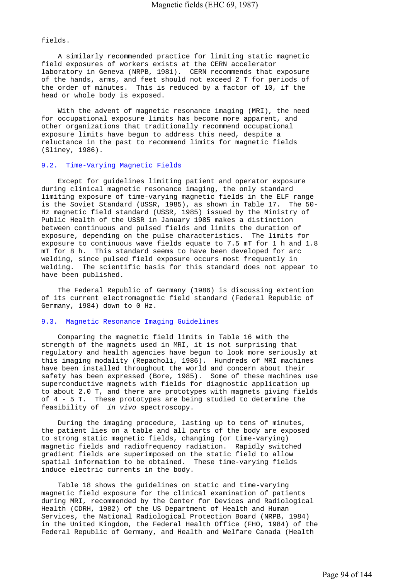fields.

 A similarly recommended practice for limiting static magnetic field exposures of workers exists at the CERN accelerator laboratory in Geneva (NRPB, 1981). CERN recommends that exposure of the hands, arms, and feet should not exceed 2 T for periods of the order of minutes. This is reduced by a factor of 10, if the head or whole body is exposed.

 With the advent of magnetic resonance imaging (MRI), the need for occupational exposure limits has become more apparent, and other organizations that traditionally recommend occupational exposure limits have begun to address this need, despite a reluctance in the past to recommend limits for magnetic fields (Sliney, 1986).

## 9.2. Time-Varying Magnetic Fields

 Except for guidelines limiting patient and operator exposure during clinical magnetic resonance imaging, the only standard limiting exposure of time-varying magnetic fields in the ELF range is the Soviet Standard (USSR, 1985), as shown in Table 17. The 50- Hz magnetic field standard (USSR, 1985) issued by the Ministry of Public Health of the USSR in January 1985 makes a distinction between continuous and pulsed fields and limits the duration of exposure, depending on the pulse characteristics. The limits for exposure to continuous wave fields equate to 7.5 mT for 1 h and 1.8 mT for 8 h. This standard seems to have been developed for arc welding, since pulsed field exposure occurs most frequently in welding. The scientific basis for this standard does not appear to have been published.

 The Federal Republic of Germany (1986) is discussing extention of its current electromagnetic field standard (Federal Republic of Germany, 1984) down to 0 Hz.

# 9.3. Magnetic Resonance Imaging Guidelines

 Comparing the magnetic field limits in Table 16 with the strength of the magnets used in MRI, it is not surprising that regulatory and health agencies have begun to look more seriously at this imaging modality (Repacholi, 1986). Hundreds of MRI machines have been installed throughout the world and concern about their safety has been expressed (Bore, 1985). Some of these machines use superconductive magnets with fields for diagnostic application up to about 2.0 T, and there are prototypes with magnets giving fields of 4 - 5 T. These prototypes are being studied to determine the feasibility of *in vivo* spectroscopy.

 During the imaging procedure, lasting up to tens of minutes, the patient lies on a table and all parts of the body are exposed to strong static magnetic fields, changing (or time-varying) magnetic fields and radiofrequency radiation. Rapidly switched gradient fields are superimposed on the static field to allow spatial information to be obtained. These time-varying fields induce electric currents in the body.

 Table 18 shows the guidelines on static and time-varying magnetic field exposure for the clinical examination of patients during MRI, recommended by the Center for Devices and Radiological Health (CDRH, 1982) of the US Department of Health and Human Services, the National Radiological Protection Board (NRPB, 1984) in the United Kingdom, the Federal Health Office (FHO, 1984) of the Federal Republic of Germany, and Health and Welfare Canada (Health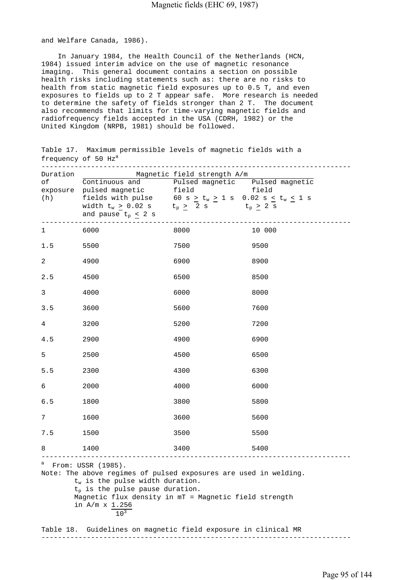and Welfare Canada, 1986).

 In January 1984, the Health Council of the Netherlands (HCN, 1984) issued interim advice on the use of magnetic resonance imaging. This general document contains a section on possible health risks including statements such as: there are no risks to health from static magnetic field exposures up to 0.5 T, and even exposures to fields up to 2 T appear safe. More research is needed to determine the safety of fields stronger than 2 T. The document also recommends that limits for time-varying magnetic fields and radiofrequency fields accepted in the USA (CDRH, 1982) or the United Kingdom (NRPB, 1981) should be followed.

Table 17. Maximum permissible levels of magnetic fields with a frequency of 50 Hz<sup>a</sup>

|                                                                                                                                                                                                                                                                              | Duration Magnetic field strength A/m<br>of Continuous and Pulsed magnetic Pulsed magnetic |      |        |  |  |
|------------------------------------------------------------------------------------------------------------------------------------------------------------------------------------------------------------------------------------------------------------------------------|-------------------------------------------------------------------------------------------|------|--------|--|--|
|                                                                                                                                                                                                                                                                              |                                                                                           |      |        |  |  |
|                                                                                                                                                                                                                                                                              | exposure pulsed magnetic field field                                                      |      |        |  |  |
|                                                                                                                                                                                                                                                                              | (h) fields with pulse $60 s \ge t_w \ge 1 s 0.02 s \le t_w \le 1 s$                       |      |        |  |  |
|                                                                                                                                                                                                                                                                              | width $t_w > 0.02$ s $t_p \geq 2$ s $t_p \geq 2$ s                                        |      |        |  |  |
|                                                                                                                                                                                                                                                                              | and pause $t_p < 2 s$                                                                     |      |        |  |  |
| $1 \quad \blacksquare$                                                                                                                                                                                                                                                       | 6000                                                                                      | 8000 | 10 000 |  |  |
| 1.5                                                                                                                                                                                                                                                                          | 5500                                                                                      | 7500 | 9500   |  |  |
| $\overline{a}$                                                                                                                                                                                                                                                               | 4900                                                                                      | 6900 | 8900   |  |  |
| 2.5                                                                                                                                                                                                                                                                          | 4500                                                                                      | 6500 | 8500   |  |  |
| 3                                                                                                                                                                                                                                                                            | 4000                                                                                      | 6000 | 8000   |  |  |
| 3.5                                                                                                                                                                                                                                                                          | 3600                                                                                      | 5600 | 7600   |  |  |
| 4                                                                                                                                                                                                                                                                            | 3200                                                                                      | 5200 | 7200   |  |  |
| 4.5                                                                                                                                                                                                                                                                          | 2900                                                                                      | 4900 | 6900   |  |  |
| 5                                                                                                                                                                                                                                                                            | 2500                                                                                      | 4500 | 6500   |  |  |
| 5.5                                                                                                                                                                                                                                                                          | 2300                                                                                      | 4300 | 6300   |  |  |
| 6                                                                                                                                                                                                                                                                            | 2000                                                                                      | 4000 | 6000   |  |  |
| $6.5$                                                                                                                                                                                                                                                                        | 1800                                                                                      | 3800 | 5800   |  |  |
| 7                                                                                                                                                                                                                                                                            | 1600                                                                                      | 3600 | 5600   |  |  |
| 7.5                                                                                                                                                                                                                                                                          | 1500                                                                                      | 3500 | 5500   |  |  |
| 8                                                                                                                                                                                                                                                                            | 1400<br>----------                                                                        | 3400 | 5400   |  |  |
| $^a$ From: USSR (1985).<br>Note: The above regimes of pulsed exposures are used in welding.<br>$t_w$ is the pulse width duration.<br>$t_p$ is the pulse pause duration.<br>Magnetic flux density in mT = Magnetic field strength<br>in $A/m \times 1.256$<br>10 <sup>3</sup> |                                                                                           |      |        |  |  |
| Table 18.                                                                                                                                                                                                                                                                    | Guidelines on magnetic field exposure in clinical MR                                      |      |        |  |  |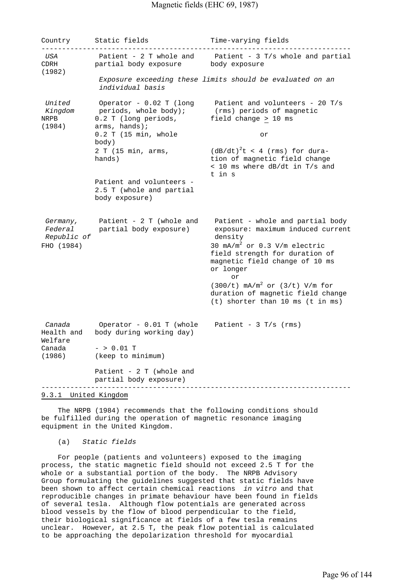Country Static fields Time-varying fields ---------------------------------------------------------------------------  *USA* Patient - 2 T whole and Patient - 3 T/s whole and partial CDRH partial body exposure body exposure (1982)  *Exposure exceeding these limits should be evaluated on an individual basis United* Operator - 0.02 T (long Patient and volunteers - 20 T/s  *Kingdom* periods, whole body); (rms) periods of magnetic NRPB 0.2 T (long periods, field change > 10 ms (1984) arms, hands); 0.2 T (15 min, whole or body) 2 T (15 min, arms,  $(dB/dt)^{2}t < 4$  (rms) for durahands) tion of magnetic field change < 10 ms where dB/dt in T/s and t in s Patient and volunteers - 2.5 T (whole and partial body exposure)  *Germany,* Patient - 2 T (whole and Patient - whole and partial body  *Federal* partial body exposure) exposure: maximum induced current  *Republic of* density  $FHO (1984)$ 30  $mA/m^2$  or 0.3 V/m electric field strength for duration of magnetic field change of 10 ms or longer or  $(300/t)$  mA/m<sup>2</sup> or  $(3/t)$  V/m for duration of magnetic field change (t) shorter than 10 ms (t in ms)  *Canada* Operator - 0.01 T (whole Patient - 3 T/s (rms) Health and body during working day) Welfare<br>Canada  $-$  > 0.01 T (1986) (keep to minimum) Patient - 2 T (whole and partial body exposure) ---------------------------------------------------------------------------

9.3.1 United Kingdom

 The NRPB (1984) recommends that the following conditions should be fulfilled during the operation of magnetic resonance imaging equipment in the United Kingdom.

(a) *Static fields*

 For people (patients and volunteers) exposed to the imaging process, the static magnetic field should not exceed 2.5 T for the whole or a substantial portion of the body. The NRPB Advisory Group formulating the guidelines suggested that static fields have been shown to affect certain chemical reactions *in vitro* and that reproducible changes in primate behaviour have been found in fields of several tesla. Although flow potentials are generated across blood vessels by the flow of blood perpendicular to the field, their biological significance at fields of a few tesla remains unclear. However, at 2.5 T, the peak flow potential is calculated to be approaching the depolarization threshold for myocardial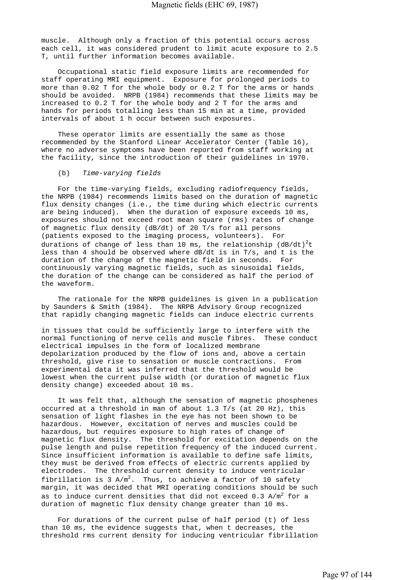muscle. Although only a fraction of this potential occurs across each cell, it was considered prudent to limit acute exposure to 2.5 T, until further information becomes available.

 Occupational static field exposure limits are recommended for staff operating MRI equipment. Exposure for prolonged periods to more than 0.02 T for the whole body or 0.2 T for the arms or hands should be avoided. NRPB (1984) recommends that these limits may be increased to 0.2 T for the whole body and 2 T for the arms and hands for periods totalling less than 15 min at a time, provided intervals of about 1 h occur between such exposures.

 These operator limits are essentially the same as those recommended by the Stanford Linear Accelerator Center (Table 16), where no adverse symptoms have been reported from staff working at the facility, since the introduction of their guidelines in 1970.

#### (b) *Time-varying fields*

 For the time-varying fields, excluding radiofrequency fields, the NRPB (1984) recommends limits based on the duration of magnetic flux density changes (i.e., the time during which electric currents are being induced). When the duration of exposure exceeds 10 ms, exposures should not exceed root mean square (rms) rates of change of magnetic flux density (dB/dt) of 20 T/s for all persons (patients exposed to the imaging process, volunteers). For durations of change of less than 10 ms, the relationship  $\left(\text{dB}/\text{dt}\right)^2$ t less than 4 should be observed where dB/dt is in T/s, and t is the duration of the change of the magnetic field in seconds. For continuously varying magnetic fields, such as sinusoidal fields, the duration of the change can be considered as half the period of the waveform.

 The rationale for the NRPB guidelines is given in a publication by Saunders & Smith (1984). The NRPB Advisory Group recognized that rapidly changing magnetic fields can induce electric currents

in tissues that could be sufficiently large to interfere with the normal functioning of nerve cells and muscle fibres. These conduct electrical impulses in the form of localized membrane depolarization produced by the flow of ions and, above a certain threshold, give rise to sensation or muscle contractions. From experimental data it was inferred that the threshold would be lowest when the current pulse width (or duration of magnetic flux density change) exceeded about 10 ms.

 It was felt that, although the sensation of magnetic phosphenes occurred at a threshold in man of about 1.3 T/s (at 20 Hz), this sensation of light flashes in the eye has not been shown to be hazardous. However, excitation of nerves and muscles could be hazardous, but requires exposure to high rates of change of magnetic flux density. The threshold for excitation depends on the pulse length and pulse repetition frequency of the induced current. Since insufficient information is available to define safe limits, they must be derived from effects of electric currents applied by electrodes. The threshold current density to induce ventricular fibrillation is 3  $A/m^2$ . Thus, to achieve a factor of 10 safety margin, it was decided that MRI operating conditions should be such as to induce current densities that did not exceed  $0.3\,$  A/m $^2$  for a duration of magnetic flux density change greater than 10 ms.

 For durations of the current pulse of half period (t) of less than 10 ms, the evidence suggests that, when t decreases, the threshold rms current density for inducing ventricular fibrillation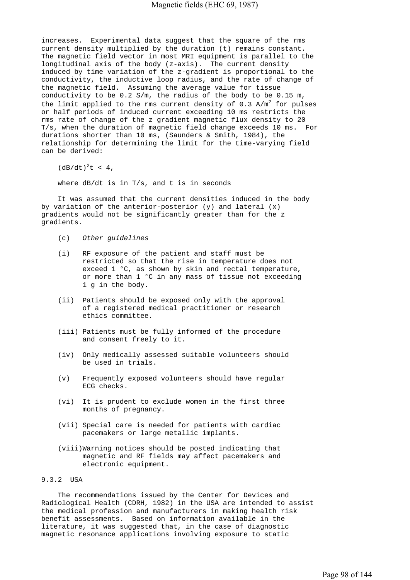increases. Experimental data suggest that the square of the rms current density multiplied by the duration (t) remains constant. The magnetic field vector in most MRI equipment is parallel to the longitudinal axis of the body (z-axis). The current density induced by time variation of the z-gradient is proportional to the conductivity, the inductive loop radius, and the rate of change of the magnetic field. Assuming the average value for tissue conductivity to be 0.2 S/m, the radius of the body to be 0.15 m, the limit applied to the rms current density of  $0.3$  A/m<sup>2</sup> for pulses or half periods of induced current exceeding 10 ms restricts the rms rate of change of the z gradient magnetic flux density to 20 T/s, when the duration of magnetic field change exceeds 10 ms. For durations shorter than 10 ms, (Saunders & Smith, 1984), the relationship for determining the limit for the time-varying field can be derived:

 $(dB/dt)^{2}t < 4$ ,

where dB/dt is in T/s, and t is in seconds

 It was assumed that the current densities induced in the body by variation of the anterior-posterior  $(y)$  and lateral  $(x)$ gradients would not be significantly greater than for the z gradients.

- (c) *Other guidelines*
- (i) RF exposure of the patient and staff must be restricted so that the rise in temperature does not exceed 1 °C, as shown by skin and rectal temperature, or more than 1 °C in any mass of tissue not exceeding 1 g in the body.
- (ii) Patients should be exposed only with the approval of a registered medical practitioner or research ethics committee.
- (iii) Patients must be fully informed of the procedure and consent freely to it.
- (iv) Only medically assessed suitable volunteers should be used in trials.
- (v) Frequently exposed volunteers should have regular ECG checks.
- (vi) It is prudent to exclude women in the first three months of pregnancy.
- (vii) Special care is needed for patients with cardiac pacemakers or large metallic implants.
- (viii)Warning notices should be posted indicating that magnetic and RF fields may affect pacemakers and electronic equipment.

## 9.3.2 USA

 The recommendations issued by the Center for Devices and Radiological Health (CDRH, 1982) in the USA are intended to assist the medical profession and manufacturers in making health risk benefit assessments. Based on information available in the literature, it was suggested that, in the case of diagnostic magnetic resonance applications involving exposure to static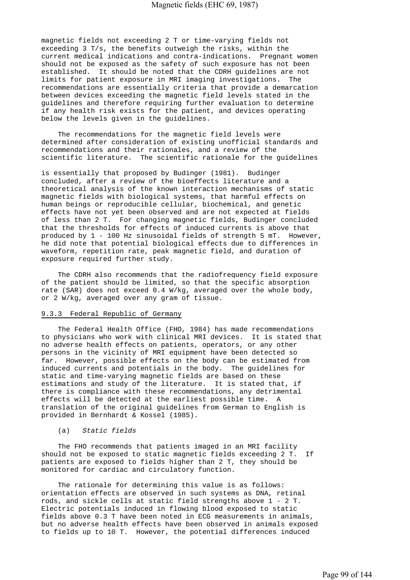magnetic fields not exceeding 2 T or time-varying fields not exceeding 3 T/s, the benefits outweigh the risks, within the current medical indications and contra-indications. Pregnant women should not be exposed as the safety of such exposure has not been established. It should be noted that the CDRH guidelines are not limits for patient exposure in MRI imaging investigations. The recommendations are essentially criteria that provide a demarcation between devices exceeding the magnetic field levels stated in the guidelines and therefore requiring further evaluation to determine if any health risk exists for the patient, and devices operating below the levels given in the guidelines.

 The recommendations for the magnetic field levels were determined after consideration of existing unofficial standards and recommendations and their rationales, and a review of the scientific literature. The scientific rationale for the guidelines

is essentially that proposed by Budinger (1981). Budinger concluded, after a review of the bioeffects literature and a theoretical analysis of the known interaction mechanisms of static magnetic fields with biological systems, that harmful effects on human beings or reproducible cellular, biochemical, and genetic effects have not yet been observed and are not expected at fields of less than 2 T. For changing magnetic fields, Budinger concluded that the thresholds for effects of induced currents is above that produced by 1 - 100 Hz sinusoidal fields of strength 5 mT. However, he did note that potential biological effects due to differences in waveform, repetition rate, peak magnetic field, and duration of exposure required further study.

 The CDRH also recommends that the radiofrequency field exposure of the patient should be limited, so that the specific absorption rate (SAR) does not exceed 0.4 W/kg, averaged over the whole body, or 2 W/kg, averaged over any gram of tissue.

# 9.3.3 Federal Republic of Germany

 The Federal Health Office (FHO, 1984) has made recommendations to physicians who work with clinical MRI devices. It is stated that no adverse health effects on patients, operators, or any other persons in the vicinity of MRI equipment have been detected so far. However, possible effects on the body can be estimated from induced currents and potentials in the body. The guidelines for static and time-varying magnetic fields are based on these estimations and study of the literature. It is stated that, if there is compliance with these recommendations, any detrimental effects will be detected at the earliest possible time. A translation of the original guidelines from German to English is provided in Bernhardt & Kossel (1985).

#### (a) *Static fields*

 The FHO recommends that patients imaged in an MRI facility should not be exposed to static magnetic fields exceeding 2 T. If patients are exposed to fields higher than 2 T, they should be monitored for cardiac and circulatory function.

 The rationale for determining this value is as follows: orientation effects are observed in such systems as DNA, retinal rods, and sickle cells at static field strengths above 1 - 2 T. Electric potentials induced in flowing blood exposed to static fields above 0.3 T have been noted in ECG measurements in animals, but no adverse health effects have been observed in animals exposed to fields up to 10 T. However, the potential differences induced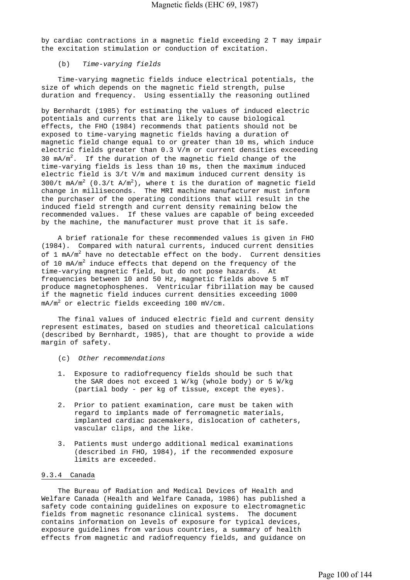by cardiac contractions in a magnetic field exceeding 2 T may impair the excitation stimulation or conduction of excitation.

# (b) *Time-varying fields*

 Time-varying magnetic fields induce electrical potentials, the size of which depends on the magnetic field strength, pulse duration and frequency. Using essentially the reasoning outlined

by Bernhardt (1985) for estimating the values of induced electric potentials and currents that are likely to cause biological effects, the FHO (1984) recommends that patients should not be exposed to time-varying magnetic fields having a duration of magnetic field change equal to or greater than 10 ms, which induce electric fields greater than 0.3 V/m or current densities exceeding 30  $mA/m^2$ . If the duration of the magnetic field change of the time-varying fields is less than 10 ms, then the maximum induced electric field is 3/t V/m and maximum induced current density is  $300/t$  mA/m<sup>2</sup> (0.3/t A/m<sup>2</sup>), where t is the duration of magnetic field change in milliseconds. The MRI machine manufacturer must inform the purchaser of the operating conditions that will result in the induced field strength and current density remaining below the recommended values. If these values are capable of being exceeded by the machine, the manufacturer must prove that it is safe.

 A brief rationale for these recommended values is given in FHO (1984). Compared with natural currents, induced current densities of 1 mA/m $^2$  have no detectable effect on the body. Current densities of 10  $mA/m^2$  induce effects that depend on the frequency of the time-varying magnetic field, but do not pose hazards. At frequencies between 10 and 50 Hz, magnetic fields above 5 mT produce magnetophosphenes. Ventricular fibrillation may be caused if the magnetic field induces current densities exceeding 1000  $\texttt{mA/m}^2$  or electric fields exceeding 100 mV/cm.

 The final values of induced electric field and current density represent estimates, based on studies and theoretical calculations (described by Bernhardt, 1985), that are thought to provide a wide margin of safety.

- (c) *Other recommendations*
- 1. Exposure to radiofrequency fields should be such that the SAR does not exceed 1 W/kg (whole body) or 5 W/kg (partial body - per kg of tissue, except the eyes).
- 2. Prior to patient examination, care must be taken with regard to implants made of ferromagnetic materials, implanted cardiac pacemakers, dislocation of catheters, vascular clips, and the like.
- Patients must undergo additional medical examinations (described in FHO, 1984), if the recommended exposure limits are exceeded.

### 9.3.4 Canada

 The Bureau of Radiation and Medical Devices of Health and Welfare Canada (Health and Welfare Canada, 1986) has published a safety code containing guidelines on exposure to electromagnetic fields from magnetic resonance clinical systems. The document contains information on levels of exposure for typical devices, exposure guidelines from various countries, a summary of health effects from magnetic and radiofrequency fields, and guidance on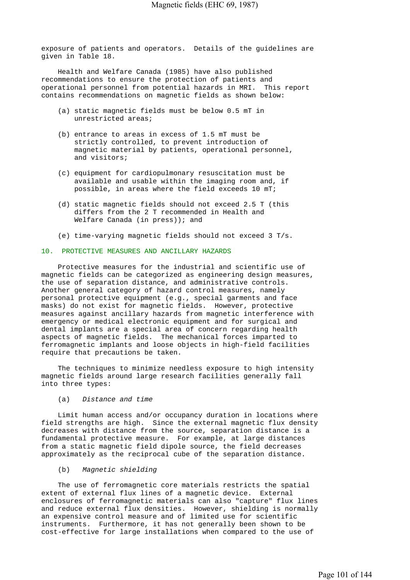exposure of patients and operators. Details of the guidelines are given in Table 18.

 Health and Welfare Canada (1985) have also published recommendations to ensure the protection of patients and operational personnel from potential hazards in MRI. This report contains recommendations on magnetic fields as shown below:

- (a) static magnetic fields must be below 0.5 mT in unrestricted areas;
- (b) entrance to areas in excess of 1.5 mT must be strictly controlled, to prevent introduction of magnetic material by patients, operational personnel, and visitors;
- (c) equipment for cardiopulmonary resuscitation must be available and usable within the imaging room and, if possible, in areas where the field exceeds 10 mT;
- (d) static magnetic fields should not exceed 2.5 T (this differs from the 2 T recommended in Health and Welfare Canada (in press)); and
- (e) time-varying magnetic fields should not exceed 3 T/s.

#### 10. PROTECTIVE MEASURES AND ANCILLARY HAZARDS

 Protective measures for the industrial and scientific use of magnetic fields can be categorized as engineering design measures, the use of separation distance, and administrative controls. Another general category of hazard control measures, namely personal protective equipment (e.g., special garments and face masks) do not exist for magnetic fields. However, protective measures against ancillary hazards from magnetic interference with emergency or medical electronic equipment and for surgical and dental implants are a special area of concern regarding health aspects of magnetic fields. The mechanical forces imparted to ferromagnetic implants and loose objects in high-field facilities require that precautions be taken.

 The techniques to minimize needless exposure to high intensity magnetic fields around large research facilities generally fall into three types:

#### (a) *Distance and time*

 Limit human access and/or occupancy duration in locations where field strengths are high. Since the external magnetic flux density decreases with distance from the source, separation distance is a fundamental protective measure. For example, at large distances from a static magnetic field dipole source, the field decreases approximately as the reciprocal cube of the separation distance.

### (b) *Magnetic shielding*

 The use of ferromagnetic core materials restricts the spatial extent of external flux lines of a magnetic device. External enclosures of ferromagnetic materials can also "capture" flux lines and reduce external flux densities. However, shielding is normally an expensive control measure and of limited use for scientific instruments. Furthermore, it has not generally been shown to be cost-effective for large installations when compared to the use of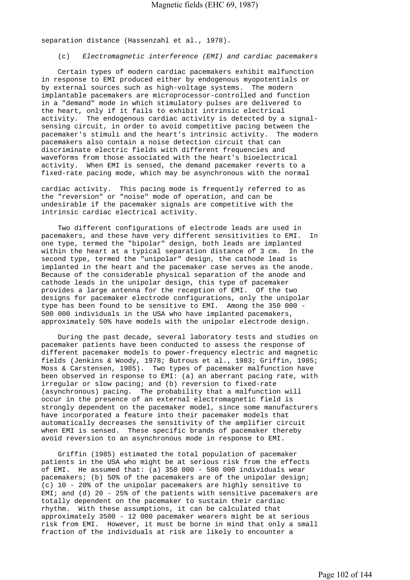separation distance (Hassenzahl et al., 1978).

(c) *Electromagnetic interference (EMI) and cardiac pacemakers*

 Certain types of modern cardiac pacemakers exhibit malfunction in response to EMI produced either by endogenous myopotentials or by external sources such as high-voltage systems. The modern implantable pacemakers are microprocessor-controlled and function in a "demand" mode in which stimulatory pulses are delivered to the heart, only if it fails to exhibit intrinsic electrical activity. The endogenous cardiac activity is detected by a signalsensing circuit, in order to avoid competitive pacing between the pacemaker's stimuli and the heart's intrinsic activity. The modern pacemakers also contain a noise detection circuit that can discriminate electric fields with different frequencies and waveforms from those associated with the heart's bioelectrical activity. When EMI is sensed, the demand pacemaker reverts to a fixed-rate pacing mode, which may be asynchronous with the normal

cardiac activity. This pacing mode is frequently referred to as the "reversion" or "noise" mode of operation, and can be undesirable if the pacemaker signals are competitive with the intrinsic cardiac electrical activity.

 Two different configurations of electrode leads are used in pacemakers, and these have very different sensitivities to EMI. In one type, termed the "bipolar" design, both leads are implanted within the heart at a typical separation distance of 3 cm. In the second type, termed the "unipolar" design, the cathode lead is implanted in the heart and the pacemaker case serves as the anode. Because of the considerable physical separation of the anode and cathode leads in the unipolar design, this type of pacemaker provides a large antenna for the reception of EMI. Of the two designs for pacemaker electrode configurations, only the unipolar type has been found to be sensitive to EMI. Among the 350 000 - 500 000 individuals in the USA who have implanted pacemakers, approximately 50% have models with the unipolar electrode design.

 During the past decade, several laboratory tests and studies on pacemaker patients have been conducted to assess the response of different pacemaker models to power-frequency electric and magnetic fields (Jenkins & Woody, 1978; Butrous et al., 1983; Griffin, 1985; Moss & Carstensen, 1985). Two types of pacemaker malfunction have been observed in response to EMI: (a) an aberrant pacing rate, with irregular or slow pacing; and (b) reversion to fixed-rate (asynchronous) pacing. The probability that a malfunction will occur in the presence of an external electromagnetic field is strongly dependent on the pacemaker model, since some manufacturers have incorporated a feature into their pacemaker models that automatically decreases the sensitivity of the amplifier circuit when EMI is sensed. These specific brands of pacemaker thereby avoid reversion to an asynchronous mode in response to EMI.

 Griffin (1985) estimated the total population of pacemaker patients in the USA who might be at serious risk from the effects of EMI. He assumed that: (a) 350 000 - 500 000 individuals wear pacemakers; (b) 50% of the pacemakers are of the unipolar design; (c) 10 - 20% of the unipolar pacemakers are highly sensitive to EMI; and (d)  $20 - 25$  of the patients with sensitive pacemakers are totally dependent on the pacemaker to sustain their cardiac rhythm. With these assumptions, it can be calculated that approximately 3500 - 12 000 pacemaker wearers might be at serious risk from EMI. However, it must be borne in mind that only a small fraction of the individuals at risk are likely to encounter a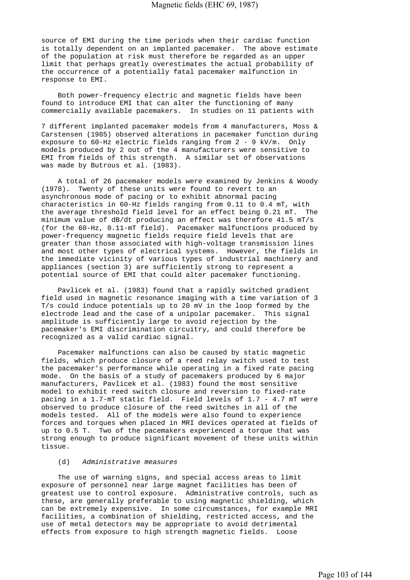source of EMI during the time periods when their cardiac function is totally dependent on an implanted pacemaker. The above estimate of the population at risk must therefore be regarded as an upper limit that perhaps greatly overestimates the actual probability of the occurrence of a potentially fatal pacemaker malfunction in response to EMI.

 Both power-frequency electric and magnetic fields have been found to introduce EMI that can alter the functioning of many commercially available pacemakers. In studies on 11 patients with

7 different implanted pacemaker models from 4 manufacturers, Moss & Carstensen (1985) observed alterations in pacemaker function during exposure to 60-Hz electric fields ranging from 2 - 9 kV/m. Only models produced by 2 out of the 4 manufacturers were sensitive to EMI from fields of this strength. A similar set of observations was made by Butrous et al. (1983).

 A total of 26 pacemaker models were examined by Jenkins & Woody (1978). Twenty of these units were found to revert to an asynchronous mode of pacing or to exhibit abnormal pacing characteristics in 60-Hz fields ranging from 0.11 to 0.4 mT, with the average threshold field level for an effect being 0.21 mT. The minimum value of dB/dt producing an effect was therefore 41.5 mT/s (for the 60-Hz, 0.11-mT field). Pacemaker malfunctions produced by power-frequency magnetic fields require field levels that are greater than those associated with high-voltage transmission lines and most other types of electrical systems. However, the fields in the immediate vicinity of various types of industrial machinery and appliances (section 3) are sufficiently strong to represent a potential source of EMI that could alter pacemaker functioning.

 Pavlicek et al. (1983) found that a rapidly switched gradient field used in magnetic resonance imaging with a time variation of 3 T/s could induce potentials up to 20 mV in the loop formed by the electrode lead and the case of a unipolar pacemaker. This signal amplitude is sufficiently large to avoid rejection by the pacemaker's EMI discrimination circuitry, and could therefore be recognized as a valid cardiac signal.

 Pacemaker malfunctions can also be caused by static magnetic fields, which produce closure of a reed relay switch used to test the pacemaker's performance while operating in a fixed rate pacing mode. On the basis of a study of pacemakers produced by 6 major manufacturers, Pavlicek et al. (1983) found the most sensitive model to exhibit reed switch closure and reversion to fixed-rate pacing in a 1.7-mT static field. Field levels of 1.7 - 4.7 mT were observed to produce closure of the reed switches in all of the models tested. All of the models were also found to experience forces and torques when placed in MRI devices operated at fields of up to 0.5 T. Two of the pacemakers experienced a torque that was strong enough to produce significant movement of these units within tissue.

## (d) *Administrative measures*

 The use of warning signs, and special access areas to limit exposure of personnel near large magnet facilities has been of greatest use to control exposure. Administrative controls, such as these, are generally preferable to using magnetic shielding, which can be extremely expensive. In some circumstances, for example MRI facilities, a combination of shielding, restricted access, and the use of metal detectors may be appropriate to avoid detrimental effects from exposure to high strength magnetic fields. Loose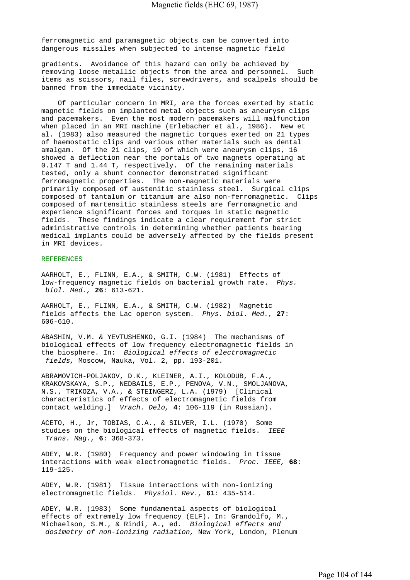ferromagnetic and paramagnetic objects can be converted into dangerous missiles when subjected to intense magnetic field

gradients. Avoidance of this hazard can only be achieved by removing loose metallic objects from the area and personnel. Such items as scissors, nail files, screwdrivers, and scalpels should be banned from the immediate vicinity.

 Of particular concern in MRI, are the forces exerted by static magnetic fields on implanted metal objects such as aneurysm clips and pacemakers. Even the most modern pacemakers will malfunction when placed in an MRI machine (Erlebacher et al., 1986). New et al. (1983) also measured the magnetic torques exerted on 21 types of haemostatic clips and various other materials such as dental amalgam. Of the 21 clips, 19 of which were aneurysm clips, 16 showed a deflection near the portals of two magnets operating at 0.147 T and 1.44 T, respectively. Of the remaining materials tested, only a shunt connector demonstrated significant ferromagnetic properties. The non-magnetic materials were primarily composed of austenitic stainless steel. Surgical clips composed of tantalum or titanium are also non-ferromagnetic. Clips composed of martensitic stainless steels are ferromagnetic and experience significant forces and torques in static magnetic fields. These findings indicate a clear requirement for strict administrative controls in determining whether patients bearing medical implants could be adversely affected by the fields present in MRI devices.

#### REFERENCES

AARHOLT, E., FLINN, E.A., & SMITH, C.W. (1981) Effects of low-frequency magnetic fields on bacterial growth rate. *Phys. biol. Med.,* **26**: 613-621.

AARHOLT, E., FLINN, E.A., & SMITH, C.W. (1982) Magnetic fields affects the Lac operon system. *Phys. biol. Med.,* **27**: 606-610.

ABASHIN, V.M. & YEVTUSHENKO, G.I. (1984) The mechanisms of biological effects of low frequency electromagnetic fields in the biosphere. In: *Biological effects of electromagnetic fields,* Moscow, Nauka, Vol. 2, pp. 193-201.

ABRAMOVICH-POLJAKOV, D.K., KLEINER, A.I., KOLODUB, F.A., KRAKOVSKAYA, S.P., NEDBAILS, E.P., PENOVA, V.N., SMOLJANOVA, N.S., TRIKOZA, V.A., & STEINGERZ, L.A. (1979) [Clinical characteristics of effects of electromagnetic fields from contact welding.] *Vrach. Delo,* **4**: 106-119 (in Russian).

ACETO, H., Jr, TOBIAS, C.A., & SILVER, I.L. (1970) Some studies on the biological effects of magnetic fields. *IEEE Trans. Mag.,* **6**: 368-373.

ADEY, W.R. (1980) Frequency and power windowing in tissue interactions with weak electromagnetic fields. *Proc. IEEE,* **68**: 119-125.

ADEY, W.R. (1981) Tissue interactions with non-ionizing electromagnetic fields. *Physiol. Rev.,* **61**: 435-514.

ADEY, W.R. (1983) Some fundamental aspects of biological effects of extremely low frequency (ELF). In: Grandolfo, M., Michaelson, S.M., & Rindi, A., ed. *Biological effects and dosimetry of non-ionizing radiation,* New York, London, Plenum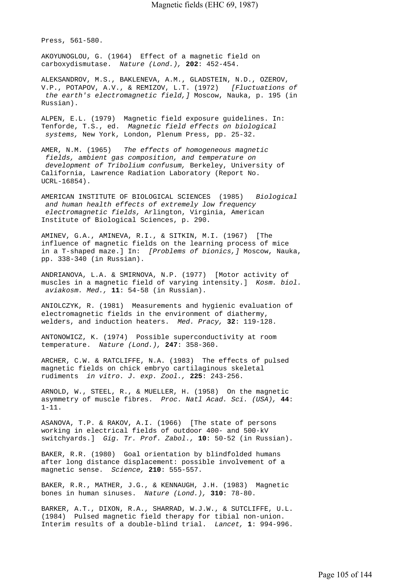Press, 561-580.

AKOYUNOGLOU, G. (1964) Effect of a magnetic field on carboxydismutase. *Nature (Lond.),* **202**: 452-454.

ALEKSANDROV, M.S., BAKLENEVA, A.M., GLADSTEIN, N.D., OZEROV, V.P., POTAPOV, A.V., & REMIZOV, L.T. (1972) *[Fluctuations of the earth's electromagnetic field,]* Moscow, Nauka, p. 195 (in Russian).

ALPEN, E.L. (1979) Magnetic field exposure guidelines. In: Tenforde, T.S., ed. *Magnetic field effects on biological systems,* New York, London, Plenum Press, pp. 25-32.

AMER, N.M. (1965) *The effects of homogeneous magnetic fields, ambient gas composition, and temperature on development of Tribolium confusum,* Berkeley, University of California, Lawrence Radiation Laboratory (Report No. UCRL-16854).

AMERICAN INSTITUTE OF BIOLOGICAL SCIENCES (1985) *Biological and human health effects of extremely low frequency electromagnetic fields,* Arlington, Virginia, American Institute of Biological Sciences, p. 290.

AMINEV, G.A., AMINEVA, R.I., & SITKIN, M.I. (1967) [The influence of magnetic fields on the learning process of mice in a T-shaped maze.] In: *[Problems of bionics,]* Moscow, Nauka, pp. 338-340 (in Russian).

ANDRIANOVA, L.A. & SMIRNOVA, N.P. (1977) [Motor activity of muscles in a magnetic field of varying intensity.] *Kosm. biol. aviakosm. Med.,* **11**: 54-58 (in Russian).

ANIOLCZYK, R. (1981) Measurements and hygienic evaluation of electromagnetic fields in the environment of diathermy, welders, and induction heaters. *Med. Pracy,* **32**: 119-128.

ANTONOWICZ, K. (1974) Possible superconductivity at room temperature. *Nature (Lond.),* **247**: 358-360.

ARCHER, C.W. & RATCLIFFE, N.A. (1983) The effects of pulsed magnetic fields on chick embryo cartilaginous skeletal rudiments *in vitro. J. exp. Zool.,* **225**: 243-256.

ARNOLD, W., STEEL, R., & MUELLER, H. (1958) On the magnetic asymmetry of muscle fibres. *Proc. Natl Acad. Sci. (USA),* **44**: 1-11.

ASANOVA, T.P. & RAKOV, A.I. (1966) [The state of persons working in electrical fields of outdoor 400- and 500-kV switchyards.] *Gig. Tr. Prof. Zabol.,* **10**: 50-52 (in Russian).

BAKER, R.R. (1980) Goal orientation by blindfolded humans after long distance displacement: possible involvement of a magnetic sense. *Science,* **210**: 555-557.

BAKER, R.R., MATHER, J.G., & KENNAUGH, J.H. (1983) Magnetic bones in human sinuses. *Nature (Lond.),* **310**: 78-80.

BARKER, A.T., DIXON, R.A., SHARRAD, W.J.W., & SUTCLIFFE, U.L. (1984) Pulsed magnetic field therapy for tibial non-union. Interim results of a double-blind trial. *Lancet,* **1**: 994-996.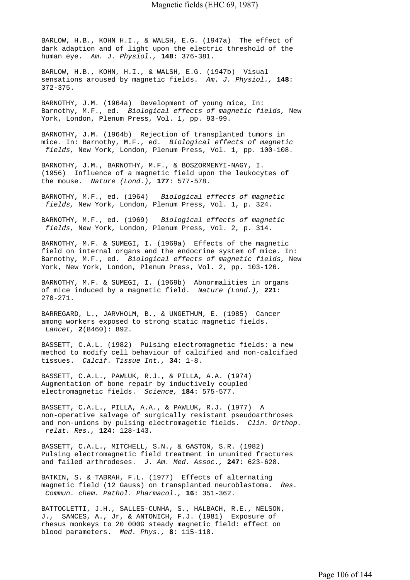BARLOW, H.B., KOHN H.I., & WALSH, E.G. (1947a) The effect of dark adaption and of light upon the electric threshold of the human eye. *Am. J. Physiol.,* **148**: 376-381.

BARLOW, H.B., KOHN, H.I., & WALSH, E.G. (1947b) Visual sensations aroused by magnetic fields. *Am. J. Physiol.,* **148**: 372-375.

BARNOTHY, J.M. (1964a) Development of young mice, In: Barnothy, M.F., ed. *Biological effects of magnetic fields,* New York, London, Plenum Press, Vol. 1, pp. 93-99.

BARNOTHY, J.M. (1964b) Rejection of transplanted tumors in mice. In: Barnothy, M.F., ed. *Biological effects of magnetic fields,* New York, London, Plenum Press, Vol. 1, pp. 100-108.

BARNOTHY, J.M., BARNOTHY, M.F., & BOSZORMENYI-NAGY, I. (1956) Influence of a magnetic field upon the leukocytes of the mouse. *Nature (Lond.),* **177**: 577-578.

BARNOTHY, M.F., ed. (1964) *Biological effects of magnetic fields,* New York, London, Plenum Press, Vol. 1, p. 324.

BARNOTHY, M.F., ed. (1969) *Biological effects of magnetic fields,* New York, London, Plenum Press, Vol. 2, p. 314.

BARNOTHY, M.F. & SUMEGI, I. (1969a) Effects of the magnetic field on internal organs and the endocrine system of mice. In: Barnothy, M.F., ed. *Biological effects of magnetic fields,* New York, New York, London, Plenum Press, Vol. 2, pp. 103-126.

BARNOTHY, M.F. & SUMEGI, I. (1969b) Abnormalities in organs of mice induced by a magnetic field. *Nature (Lond.),* **221**: 270-271.

BARREGARD, L., JARVHOLM, B., & UNGETHUM, E. (1985) Cancer among workers exposed to strong static magnetic fields.  *Lancet,* **2**(8460): 892.

BASSETT, C.A.L. (1982) Pulsing electromagnetic fields: a new method to modify cell behaviour of calcified and non-calcified tissues. *Calcif. Tissue Int.,* **34**: 1-8.

BASSETT, C.A.L., PAWLUK, R.J., & PILLA, A.A. (1974) Augmentation of bone repair by inductively coupled electromagnetic fields. *Science,* **184**: 575-577.

BASSETT, C.A.L., PILLA, A.A., & PAWLUK, R.J. (1977) A non-operative salvage of surgically resistant pseudoarthroses and non-unions by pulsing electromagetic fields. *Clin. Orthop. relat. Res.,* **124**: 128-143.

BASSETT, C.A.L., MITCHELL, S.N., & GASTON, S.R. (1982) Pulsing electromagnetic field treatment in ununited fractures and failed arthrodeses. *J. Am. Med. Assoc.,* **247**: 623-628.

BATKIN, S. & TABRAH, F.L. (1977) Effects of alternating magnetic field (12 Gauss) on transplanted neuroblastoma. *Res. Commun. chem. Pathol. Pharmacol.,* **16**: 351-362.

BATTOCLETTI, J.H., SALLES-CUNHA, S., HALBACH, R.E., NELSON, J., SANCES, A., Jr, & ANTONICH, F.J. (1981) Exposure of rhesus monkeys to 20 000G steady magnetic field: effect on blood parameters. *Med. Phys.,* **8**: 115-118.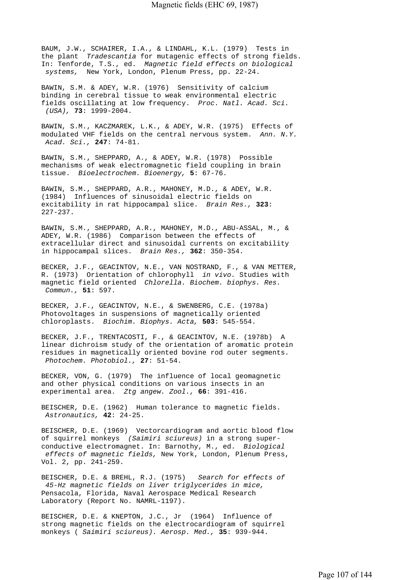BAUM, J.W., SCHAIRER, I.A., & LINDAHL, K.L. (1979) Tests in the plant *Tradescantia* for mutagenic effects of strong fields. In: Tenforde, T.S., ed. *Magnetic field effects on biological systems,* New York, London, Plenum Press, pp. 22-24.

BAWIN, S.M. & ADEY, W.R. (1976) Sensitivity of calcium binding in cerebral tissue to weak environmental electric fields oscillating at low frequency. *Proc. Natl. Acad. Sci. (USA),* **73**: 1999-2004.

BAWIN, S.M., KACZMAREK, L.K., & ADEY, W.R. (1975) Effects of modulated VHF fields on the central nervous system. *Ann. N.Y. Acad. Sci.,* **247**: 74-81.

BAWIN, S.M., SHEPPARD, A., & ADEY, W.R. (1978) Possible mechanisms of weak electromagnetic field coupling in brain tissue. *Bioelectrochem. Bioenergy,* **5**: 67-76.

BAWIN, S.M., SHEPPARD, A.R., MAHONEY, M.D., & ADEY, W.R. (1984) Influences of sinusoidal electric fields on excitability in rat hippocampal slice. *Brain Res.,* **323**: 227-237.

BAWIN, S.M., SHEPPARD, A.R., MAHONEY, M.D., ABU-ASSAL, M., & ADEY, W.R. (1986) Comparison between the effects of extracellular direct and sinusoidal currents on excitability in hippocampal slices. *Brain Res.,* **362**: 350-354.

BECKER, J.F., GEACINTOV, N.E., VAN NOSTRAND, F., & VAN METTER, R. (1973) Orientation of chlorophyll *in vivo.* Studies with magnetic field oriented *Chlorella. Biochem. biophys. Res. Commun.,* **51**: 597.

BECKER, J.F., GEACINTOV, N.E., & SWENBERG, C.E. (1978a) Photovoltages in suspensions of magnetically oriented chloroplasts. *Biochim. Biophys. Acta,* **503**: 545-554.

BECKER, J.F., TRENTACOSTI, F., & GEACINTOV, N.E. (1978b) A linear dichroism study of the orientation of aromatic protein residues in magnetically oriented bovine rod outer segments.  *Photochem. Photobiol.,* **27**: 51-54.

BECKER, VON, G. (1979) The influence of local geomagnetic and other physical conditions on various insects in an experimental area. *Ztg angew. Zool.,* **66**: 391-416.

BEISCHER, D.E. (1962) Human tolerance to magnetic fields.  *Astronautics,* **42**: 24-25.

BEISCHER, D.E. (1969) Vectorcardiogram and aortic blood flow of squirrel monkeys *(Saimiri sciureus)* in a strong superconductive electromagnet. In: Barnothy, M., ed. *Biological effects of magnetic fields,* New York, London, Plenum Press, Vol. 2, pp. 241-259.

BEISCHER, D.E. & BREHL, R.J. (1975) *Search for effects of 45-Hz magnetic fields on liver triglycerides in mice,*  Pensacola, Florida, Naval Aerospace Medical Research Laboratory (Report No. NAMRL-1197).

BEISCHER, D.E. & KNEPTON, J.C., Jr (1964) Influence of strong magnetic fields on the electrocardiogram of squirrel monkeys ( *Saimiri sciureus). Aerosp. Med.,* **35**: 939-944.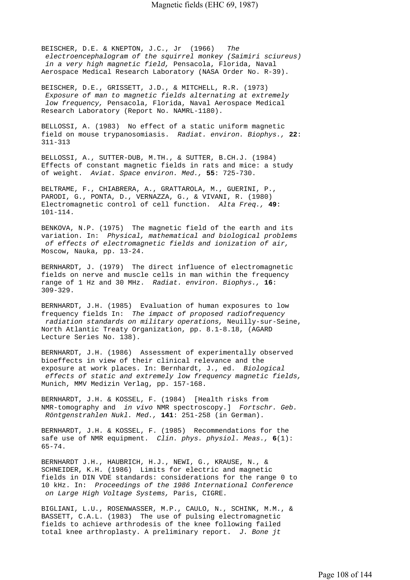BEISCHER, D.E. & KNEPTON, J.C., Jr (1966) *The electroencephalogram of the squirrel monkey (Saimiri sciureus) in a very high magnetic field,* Pensacola, Florida, Naval Aerospace Medical Research Laboratory (NASA Order No. R-39).

BEISCHER, D.E., GRISSETT, J.D., & MITCHELL, R.R. (1973)  *Exposure of man to magnetic fields alternating at extremely low frequency,* Pensacola, Florida, Naval Aerospace Medical Research Laboratory (Report No. NAMRL-1180).

BELLOSSI, A. (1983) No effect of a static uniform magnetic field on mouse trypanosomiasis. *Radiat. environ. Biophys.,* **22**: 311-313

BELLOSSI, A., SUTTER-DUB, M.TH., & SUTTER, B.CH.J. (1984) Effects of constant magnetic fields in rats and mice: a study of weight. *Aviat. Space environ. Med.,* **55**: 725-730.

BELTRAME, F., CHIABRERA, A., GRATTAROLA, M., GUERINI, P., PARODI, G., PONTA, D., VERNAZZA, G., & VIVANI, R. (1980) Electromagnetic control of cell function. *Alta Freq.,* **49**: 101-114.

BENKOVA, N.P. (1975) The magnetic field of the earth and its variation. In: *Physical, mathematical and biological problems of effects of electromagnetic fields and ionization of air,*  Moscow, Nauka, pp. 13-24.

BERNHARDT, J. (1979) The direct influence of electromagnetic fields on nerve and muscle cells in man within the frequency range of 1 Hz and 30 MHz. *Radiat. environ. Biophys.,* **16**: 309-329.

BERNHARDT, J.H. (1985) Evaluation of human exposures to low frequency fields In: *The impact of proposed radiofrequency radiation standards on military operations,* Neuilly-sur-Seine, North Atlantic Treaty Organization, pp. 8.1-8.18, (AGARD Lecture Series No. 138).

BERNHARDT, J.H. (1986) Assessment of experimentally observed bioeffects in view of their clinical relevance and the exposure at work places. In: Bernhardt, J., ed. *Biological effects of static and extremely low frequency magnetic fields,*  Munich, MMV Medizin Verlag, pp. 157-168.

BERNHARDT, J.H. & KOSSEL, F. (1984) [Health risks from NMR-tomography and *in vivo* NMR spectroscopy.] *Fortschr. Geb. Röntgenstrahlen Nukl. Med.,* **141**: 251-258 (in German).

BERNHARDT, J.H. & KOSSEL, F. (1985) Recommendations for the safe use of NMR equipment. *Clin. phys. physiol. Meas.,* **6**(1): 65-74.

BERNHARDT J.H., HAUBRICH, H.J., NEWI, G., KRAUSE, N., & SCHNEIDER, K.H. (1986) Limits for electric and magnetic fields in DIN VDE standards: considerations for the range 0 to 10 kHz. In: *Proceedings of the 1986 International Conference on Large High Voltage Systems,* Paris, CIGRE.

BIGLIANI, L.U., ROSENWASSER, M.P., CAULO, N., SCHINK, M.M., & BASSETT, C.A.L. (1983) The use of pulsing electromagnetic fields to achieve arthrodesis of the knee following failed total knee arthroplasty. A preliminary report. *J. Bone jt*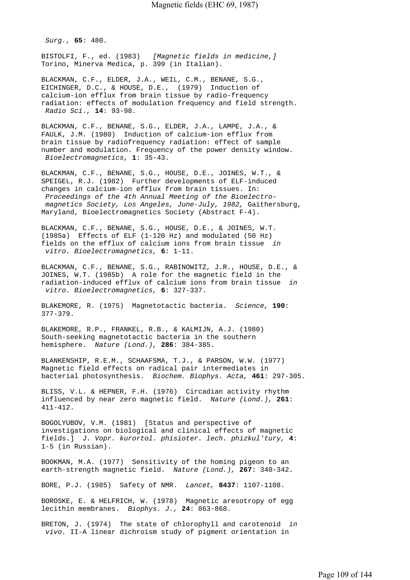*Surg.,* **65**: 480.

BISTOLFI, F., ed. (1983) *[Magnetic fields in medicine,]*  Torino, Minerva Medica, p. 399 (in Italian).

BLACKMAN, C.F., ELDER, J.A., WEIL, C.M., BENANE, S.G., EICHINGER, D.C., & HOUSE, D.E., (1979) Induction of calcium-ion efflux from brain tissue by radio-frequency radiation: effects of modulation frequency and field strength.  *Radio Sci.,* **14**: 93-98.

BLACKMAN, C.F., BENANE, S.G., ELDER, J.A., LAMPE, J.A., & FAULK, J.M. (1980) Induction of calcium-ion efflux from brain tissue by radiofrequency radiation: effect of sample number and modulation. Frequency of the power density window.  *Bioelectromagnetics,* **1**: 35-43.

BLACKMAN, C.F., BENANE, S.G., HOUSE, D.E., JOINES, W.T., & SPEIGEL, R.J. (1982) Further developments of ELF-induced changes in calcium-ion efflux from brain tissues. In:  *Proceedings of the 4th Annual Meeting of the Bioelectro magnetics Society, Los Angeles, June-July, 1982,* Gaithersburg, Maryland, Bioelectromagnetics Society (Abstract F-4).

BLACKMAN, C.F., BENANE, S.G., HOUSE, D.E., & JOINES, W.T. (1985a) Effects of ELF (1-120 Hz) and modulated (50 Hz) fields on the efflux of calcium ions from brain tissue *in vitro. Bioelectromagnetics,* **6**: 1-11.

BLACKMAN, C.F., BENANE, S.G., RABINOWITZ, J.R., HOUSE, D.E., & JOINES, W.T. (1985b) A role for the magnetic field in the radiation-induced efflux of calcium ions from brain tissue *in vitro. Bioelectromagnetics,* **6**: 327-337.

BLAKEMORE, R. (1975) Magnetotactic bacteria. *Science,* **190**: 377-379.

BLAKEMORE, R.P., FRANKEL, R.B., & KALMIJN, A.J. (1980) South-seeking magnetotactic bacteria in the southern hemisphere. *Nature (Lond.),* **286**: 384-385.

BLANKENSHIP, R.E.M., SCHAAFSMA, T.J., & PARSON, W.W. (1977) Magnetic field effects on radical pair intermediates in bacterial photosynthesis. *Biochem. Biophys. Acta,* **461**: 297-305.

BLISS, V.L. & HEPNER, F.H. (1976) Circadian activity rhythm influenced by near zero magnetic field. *Nature (Lond.),* **261**: 411-412.

BOGOLYUBOV, V.M. (1981) [Status and perspective of investigations on biological and clinical effects of magnetic fields.] *J. Vopr. kurortol. phisioter. lech. phizkul'tury,* **4**: 1-5 (in Russian).

BOOKMAN, M.A. (1977) Sensitivity of the homing pigeon to an earth-strength magnetic field. *Nature (Lond.),* **267**: 340-342.

BORE, P.J. (1985) Safety of NMR. *Lancet,* **8437**: 1107-1108.

BOROSKE, E. & HELFRICH, W. (1978) Magnetic aresotropy of egg lecithin membranes. *Biophys. J.,* **24**: 863-868.

BRETON, J. (1974) The state of chlorophyll and carotenoid *in vivo.* II-A linear dichroism study of pigment orientation in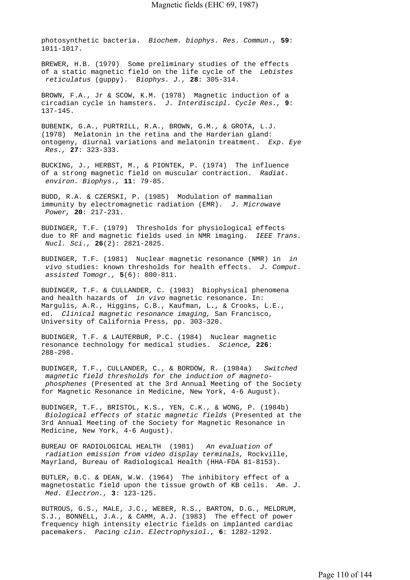photosynthetic bacteria. *Biochem. biophys. Res. Commun.,* **59**: 1011-1017.

BREWER, H.B. (1979) Some preliminary studies of the effects of a static magnetic field on the life cycle of the *Lebistes reticulatus* (guppy). *Biophys. J.,* **28**: 305-314.

BROWN, F.A., Jr & SCOW, K.M. (1978) Magnetic induction of a circadian cycle in hamsters. *J. Interdiscipl. Cycle Res.,* **9**: 137-145.

BUBENIK, G.A., PURTRILL, R.A., BROWN, G.M., & GROTA, L.J. (1978) Melatonin in the retina and the Harderian gland: ontogeny, diurnal variations and melatonin treatment. *Exp. Eye Res.,* **27**: 323-333.

BUCKING, J., HERBST, M., & PIONTEK, P. (1974) The influence of a strong magnetic field on muscular contraction. *Radiat. environ. Biophys.,* **11**: 79-85.

BUDD, R.A. & CZERSKI, P. (1985) Modulation of mammalian immunity by electromagnetic radiation (EMR). *J. Microwave Power,* **20**: 217-231.

BUDINGER, T.F. (1979) Thresholds for physiological effects due to RF and magnetic fields used in NMR imaging. *IEEE Trans. Nucl. Sci.,* **26**(2): 2821-2825.

BUDINGER, T.F. (1981) Nuclear magnetic resonance (NMR) in *in vivo* studies: known thresholds for health effects. *J. Comput. assisted Tomogr.,* **5**(6): 800-811.

BUDINGER, T.F. & CULLANDER, C. (1983) Biophysical phenomena and health hazards of *in vivo* magnetic resonance. In: Margulis, A.R., Higgins, C.B., Kaufman, L., & Crooks, L.E., ed. *Clinical magnetic resonance imaging,* San Francisco, University of California Press, pp. 303-320.

BUDINGER, T.F. & LAUTERBUR, P.C. (1984) Nuclear magnetic resonance technology for medical studies. *Science,* **226**: 288-298.

BUDINGER, T.F., CULLANDER, C., & BORDOW, R. (1984a) *Switched magnetic field thresholds for the induction of magneto phosphenes* (Presented at the 3rd Annual Meeting of the Society for Magnetic Resonance in Medicine, New York, 4-6 August).

BUDINGER, T.F., BRISTOL, K.S., YEN, C.K., & WONG, P. (1984b)  *Biological effects of static magnetic fields* (Presented at the 3rd Annual Meeting of the Society for Magnetic Resonance in Medicine, New York, 4-6 August).

BUREAU OF RADIOLOGICAL HEALTH (1981) *An evaluation of radiation emission from video display terminals,* Rockville, Mayrland, Bureau of Radiological Health (HHA-FDA 81-8153).

BUTLER, B.C. & DEAN, W.W. (1964) The inhibitory effect of a magnetostatic field upon the tissue growth of KB cells. *Am. J. Med. Electron.,* **3**: 123-125.

BUTROUS, G.S., MALE, J.C., WEBER, R.S., BARTON, D.G., MELDRUM, S.J., BONNELL, J.A., & CAMM, A.J. (1983) The effect of power frequency high intensity electric fields on implanted cardiac pacemakers. *Pacing clin. Electrophysiol.,* **6**: 1282-1292.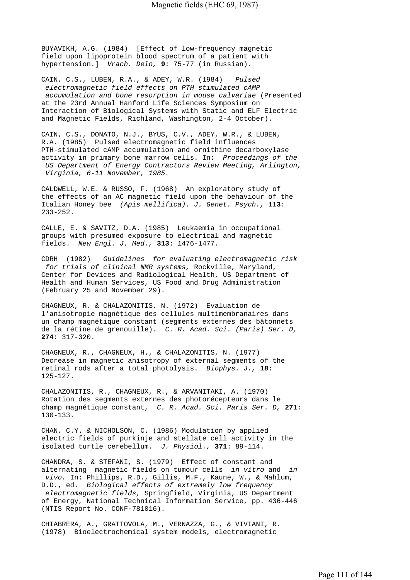BUYAVIKH, A.G. (1984) [Effect of low-frequency magnetic field upon lipoprotein blood spectrum of a patient with hypertension.] *Vrach. Delo,* **9**: 75-77 (in Russian).

CAIN, C.S., LUBEN, R.A., & ADEY, W.R. (1984) *Pulsed electromagnetic field effects on PTH stimulated cAMP accumulation and bone resorption in mouse calvariae* (Presented at the 23rd Annual Hanford Life Sciences Symposium on Interaction of Biological Systems with Static and ELF Electric and Magnetic Fields, Richland, Washington, 2-4 October).

CAIN, C.S., DONATO, N.J., BYUS, C.V., ADEY, W.R., & LUBEN, R.A. (1985) Pulsed electromagnetic field influences PTH-stimulated cAMP accumulation and ornithine decarboxylase activity in primary bone marrow cells. In: *Proceedings of the US Department of Energy Contractors Review Meeting, Arlington, Virginia, 6-11 November, 1985.*

CALDWELL, W.E. & RUSSO, F. (1968) An exploratory study of the effects of an AC magnetic field upon the behaviour of the Italian Honey bee *(Apis mellifica). J. Genet. Psych.,* **113**: 233-252.

CALLE, E. & SAVITZ, D.A. (1985) Leukaemia in occupational groups with presumed exposure to electrical and magnetic fields. *New Engl. J. Med.,* **313**: 1476-1477.

CDRH (1982) *Guidelines for evaluating electromagnetic risk for trials of clinical NMR systems,* Rockville, Maryland, Center for Devices and Radiological Health, US Department of Health and Human Services, US Food and Drug Administration (February 25 and November 29).

CHAGNEUX, R. & CHALAZONITIS, N. (1972) Evaluation de l'anisotropie magnétique des cellules multimembranaires dans un champ magnétique constant (segments externes des bâtonnets de la rétine de grenouille). *C. R. Acad. Sci. (Paris) Ser. D,*  **274**: 317-320.

CHAGNEUX, R., CHAGNEUX, H., & CHALAZONITIS, N. (1977) Decrease in magnetic anisotropy of external segments of the retinal rods after a total photolysis. *Biophys. J.,* **18**: 125-127.

CHALAZONITIS, R., CHAGNEUX, R., & ARVANITAKI, A. (1970) Rotation des segments externes des photorécepteurs dans le champ magnétique constant, *C. R. Acad. Sci. Paris Ser. D,* **271**: 130-133.

CHAN, C.Y. & NICHOLSON, C. (1986) Modulation by applied electric fields of purkinje and stellate cell activity in the isolated turtle cerebellum. *J. Physiol.,* **371**: 89-114.

CHANDRA, S. & STEFANI, S. (1979) Effect of constant and alternating magnetic fields on tumour cells *in vitro* and *in vivo.* In: Phillips, R.D., Gillis, M.F., Kaune, W., & Mahlum, D.D., ed. *Biological effects of extremely low frequency electromagnetic fields,* Springfield, Virginia, US Department of Energy, National Technical Information Service, pp. 436-446 (NTIS Report No. CONF-781016).

CHIABRERA, A., GRATTOVOLA, M., VERNAZZA, G., & VIVIANI, R. (1978) Bioelectrochemical system models, electromagnetic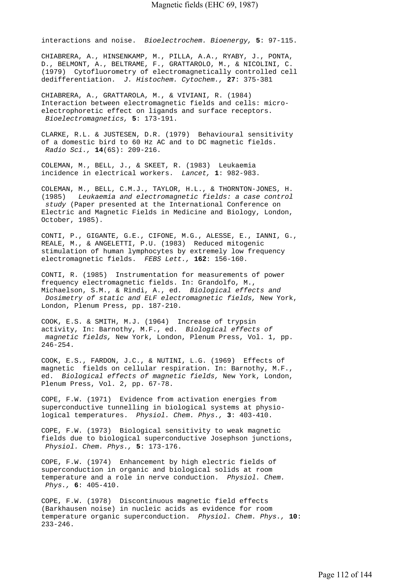interactions and noise. *Bioelectrochem. Bioenergy,* **5**: 97-115.

CHIABRERA, A., HINSENKAMP, M., PILLA, A.A., RYABY, J., PONTA, D., BELMONT, A., BELTRAME, F., GRATTAROLO, M., & NICOLINI, C. (1979) Cytofluorometry of electromagnetically controlled cell dedifferentiation. *J. Histochem. Cytochem.,* **27**: 375-381

CHIABRERA, A., GRATTAROLA, M., & VIVIANI, R. (1984) Interaction between electromagnetic fields and cells: microelectrophoretic effect on ligands and surface receptors.  *Bioelectromagnetics,* **5**: 173-191.

CLARKE, R.L. & JUSTESEN, D.R. (1979) Behavioural sensitivity of a domestic bird to 60 Hz AC and to DC magnetic fields.  *Radio Sci.,* **14**(6S): 209-216.

COLEMAN, M., BELL, J., & SKEET, R. (1983) Leukaemia incidence in electrical workers. *Lancet,* **1**: 982-983.

COLEMAN, M., BELL, C.M.J., TAYLOR, H.L., & THORNTON-JONES, H. (1985) *Leukaemia and electromagnetic fields: a case control study* (Paper presented at the International Conference on Electric and Magnetic Fields in Medicine and Biology, London, October, 1985).

CONTI, P., GIGANTE, G.E., CIFONE, M.G., ALESSE, E., IANNI, G., REALE, M., & ANGELETTI, P.U. (1983) Reduced mitogenic stimulation of human lymphocytes by extremely low frequency electromagnetic fields. *FEBS Lett.,* **162**: 156-160.

CONTI, R. (1985) Instrumentation for measurements of power frequency electromagnetic fields. In: Grandolfo, M., Michaelson, S.M., & Rindi, A., ed. *Biological effects and Dosimetry of static and ELF electromagnetic fields,* New York, London, Plenum Press, pp. 187-210.

COOK, E.S. & SMITH, M.J. (1964) Increase of trypsin activity, In: Barnothy, M.F., ed. *Biological effects of magnetic fields,* New York, London, Plenum Press, Vol. 1, pp. 246-254.

COOK, E.S., FARDON, J.C., & NUTINI, L.G. (1969) Effects of magnetic fields on cellular respiration. In: Barnothy, M.F., ed. *Biological effects of magnetic fields,* New York, London, Plenum Press, Vol. 2, pp. 67-78.

COPE, F.W. (1971) Evidence from activation energies from superconductive tunnelling in biological systems at physiological temperatures. *Physiol. Chem. Phys.,* **3**: 403-410.

COPE, F.W. (1973) Biological sensitivity to weak magnetic fields due to biological superconductive Josephson junctions,  *Physiol. Chem. Phys.,* **5**: 173-176.

COPE, F.W. (1974) Enhancement by high electric fields of superconduction in organic and biological solids at room temperature and a role in nerve conduction. *Physiol. Chem. Phys.,* **6**: 405-410.

COPE, F.W. (1978) Discontinuous magnetic field effects (Barkhausen noise) in nucleic acids as evidence for room temperature organic superconduction. *Physiol. Chem. Phys.,* **10**: 233-246.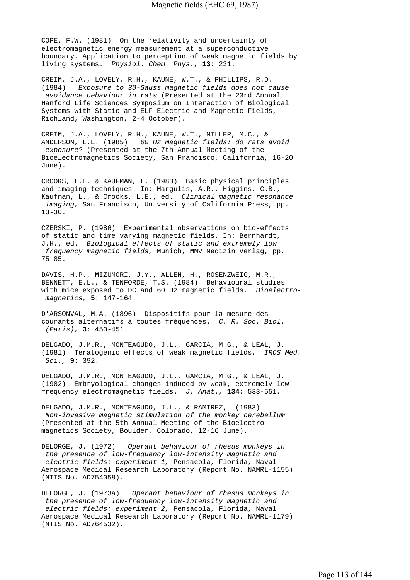COPE, F.W. (1981) On the relativity and uncertainty of electromagnetic energy measurement at a superconductive boundary. Application to perception of weak magnetic fields by living systems. *Physiol. Chem. Phys.,* **13**: 231.

CREIM, J.A., LOVELY, R.H., KAUNE, W.T., & PHILLIPS, R.D. (1984) *Exposure to 30-Gauss magnetic fields does not cause avoidance behaviour in rats* (Presented at the 23rd Annual Hanford Life Sciences Symposium on Interaction of Biological Systems with Static and ELF Electric and Magnetic Fields, Richland, Washington, 2-4 October).

CREIM, J.A., LOVELY, R.H., KAUNE, W.T., MILLER, M.C., & ANDERSON, L.E. (1985) *60 Hz magnetic fields: do rats avoid exposure?* (Presented at the 7th Annual Meeting of the Bioelectromagnetics Society, San Francisco, California, 16-20 June).

CROOKS, L.E. & KAUFMAN, L. (1983) Basic physical principles and imaging techniques. In: Margulis, A.R., Higgins, C.B., Kaufman, L., & Crooks, L.E., ed. *Clinical magnetic resonance imaging,* San Francisco, University of California Press, pp.  $13 - 30.$ 

CZERSKI, P. (1986) Experimental observations on bio-effects of static and time varying magnetic fields. In: Bernhardt, J.H., ed. *Biological effects of static and extremely low frequency magnetic fields,* Munich, MMV Medizin Verlag, pp. 75-85.

DAVIS, H.P., MIZUMORI, J.Y., ALLEN, H., ROSENZWEIG, M.R., BENNETT, E.L., & TENFORDE, T.S. (1984) Behavioural studies with mice exposed to DC and 60 Hz magnetic fields. *Bioelectro magnetics,* **5**: 147-164.

D'ARSONVAL, M.A. (1896) Dispositifs pour la mesure des courants alternatifs à toutes fréquences. *C. R. Soc. Biol. (Paris),* **3**: 450-451.

DELGADO, J.M.R., MONTEAGUDO, J.L., GARCIA, M.G., & LEAL, J. (1981) Teratogenic effects of weak magnetic fields. *IRCS Med. Sci.,* **9**: 392.

DELGADO, J.M.R., MONTEAGUDO, J.L., GARCIA, M.G., & LEAL, J. (1982) Embryological changes induced by weak, extremely low frequency electromagnetic fields. *J. Anat.,* **134**: 533-551.

DELGADO, J.M.R., MONTEAGUDO, J.L., & RAMIREZ, (1983)  *Non-invasive magnetic stimulation of the monkey cerebellum*  (Presented at the 5th Annual Meeting of the Bioelectromagnetics Society, Boulder, Colorado, 12-16 June).

DELORGE, J. (1972) *Operant behaviour of rhesus monkeys in the presence of low-frequency low-intensity magnetic and electric fields: experiment 1,* Pensacola, Florida, Naval Aerospace Medical Research Laboratory (Report No. NAMRL-1155) (NTIS No. AD754058).

DELORGE, J. (1973a) *Operant behaviour of rhesus monkeys in the presence of low-frequency low-intensity magnetic and electric fields: experiment 2,* Pensacola, Florida, Naval Aerospace Medical Research Laboratory (Report No. NAMRL-1179) (NTIS No. AD764532).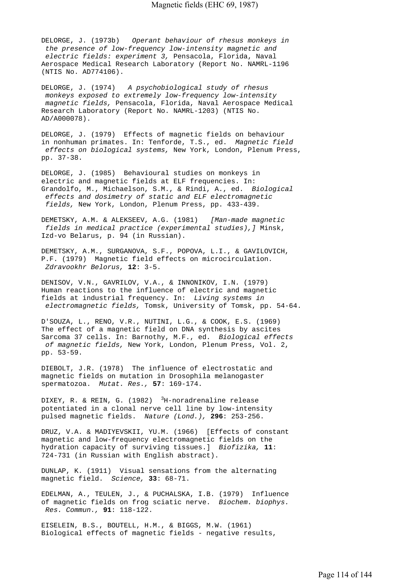DELORGE, J. (1973b) *Operant behaviour of rhesus monkeys in the presence of low-frequency low-intensity magnetic and electric fields: experiment 3,* Pensacola, Florida, Naval Aerospace Medical Research Laboratory (Report No. NAMRL-1196 (NTIS No. AD774106).

DELORGE, J. (1974) *A psychobiological study of rhesus monkeys exposed to extremely low-frequency low-intensity magnetic fields,* Pensacola, Florida, Naval Aerospace Medical Research Laboratory (Report No. NAMRL-1203) (NTIS No. AD/A000078).

DELORGE, J. (1979) Effects of magnetic fields on behaviour in nonhuman primates. In: Tenforde, T.S., ed. *Magnetic field effects on biological systems,* New York, London, Plenum Press, pp. 37-38.

DELORGE, J. (1985) Behavioural studies on monkeys in electric and magnetic fields at ELF frequencies. In: Grandolfo, M., Michaelson, S.M., & Rindi, A., ed. *Biological effects and dosimetry of static and ELF electromagnetic fields,* New York, London, Plenum Press, pp. 433-439.

DEMETSKY, A.M. & ALEKSEEV, A.G. (1981) *[Man-made magnetic fields in medical practice (experimental studies),]* Minsk, Izd-vo Belarus, p. 94 (in Russian).

DEMETSKY, A.M., SURGANOVA, S.F., POPOVA, L.I., & GAVILOVICH, P.F. (1979) Magnetic field effects on microcirculation.  *Zdravookhr Belorus,* **12**: 3-5.

DENISOV, V.N., GAVRILOV, V.A., & INNONIKOV, I.N. (1979) Human reactions to the influence of electric and magnetic fields at industrial frequency. In: *Living systems in electromagnetic fields,* Tomsk, University of Tomsk, pp. 54-64.

D'SOUZA, L., RENO, V.R., NUTINI, L.G., & COOK, E.S. (1969) The effect of a magnetic field on DNA synthesis by ascites Sarcoma 37 cells. In: Barnothy, M.F., ed. *Biological effects of magnetic fields,* New York, London, Plenum Press, Vol. 2, pp. 53-59.

DIEBOLT, J.R. (1978) The influence of electrostatic and magnetic fields on mutation in Drosophila melanogaster spermatozoa. *Mutat. Res.,* **57**: 169-174.

DIXEY, R. & REIN, G.  $(1982)$  <sup>3</sup>H-noradrenaline release potentiated in a clonal nerve cell line by low-intensity pulsed magnetic fields. *Nature (Lond.),* **296**: 253-256.

DRUZ, V.A. & MADIYEVSKII, YU.M. (1966) [Effects of constant magnetic and low-frequency electromagnetic fields on the hydration capacity of surviving tissues.] *Biofizika,* **11**: 724-731 (in Russian with English abstract).

DUNLAP, K. (1911) Visual sensations from the alternating magnetic field. *Science,* **33**: 68-71.

EDELMAN, A., TEULEN, J., & PUCHALSKA, I.B. (1979) Influence of magnetic fields on frog sciatic nerve. *Biochem. biophys. Res. Commun.,* **91**: 118-122.

EISELEIN, B.S., BOUTELL, H.M., & BIGGS, M.W. (1961) Biological effects of magnetic fields - negative results,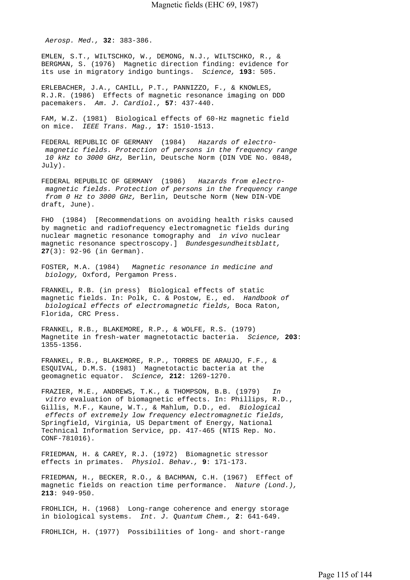*Aerosp. Med.,* **32**: 383-386.

EMLEN, S.T., WILTSCHKO, W., DEMONG, N.J., WILTSCHKO, R., & BERGMAN, S. (1976) Magnetic direction finding: evidence for its use in migratory indigo buntings. *Science,* **193**: 505.

ERLEBACHER, J.A., CAHILL, P.T., PANNIZZO, F., & KNOWLES, R.J.R. (1986) Effects of magnetic resonance imaging on DDD pacemakers. *Am. J. Cardiol.,* **57**: 437-440.

FAM, W.Z. (1981) Biological effects of 60-Hz magnetic field on mice. *IEEE Trans. Mag.,* **17**: 1510-1513.

FEDERAL REPUBLIC OF GERMANY (1984) *Hazards of electro magnetic fields. Protection of persons in the frequency range 10 kHz to 3000 GHz,* Berlin, Deutsche Norm (DIN VDE No. 0848, July).

FEDERAL REPUBLIC OF GERMANY (1986) *Hazards from electro magnetic fields. Protection of persons in the frequency range from 0 Hz to 3000 GHz,* Berlin, Deutsche Norm (New DIN-VDE draft, June).

FHO (1984) [Recommendations on avoiding health risks caused by magnetic and radiofrequency electromagnetic fields during nuclear magnetic resonance tomography and *in vivo* nuclear magnetic resonance spectroscopy.] *Bundesgesundheitsblatt,*  **27**(3): 92-96 (in German).

FOSTER, M.A. (1984) *Magnetic resonance in medicine and biology,* Oxford, Pergamon Press.

FRANKEL, R.B. (in press) Biological effects of static magnetic fields. In: Polk, C. & Postow, E., ed. *Handbook of biological effects of electromagnetic fields,* Boca Raton, Florida, CRC Press.

FRANKEL, R.B., BLAKEMORE, R.P., & WOLFE, R.S. (1979) Magnetite in fresh-water magnetotactic bacteria. *Science,* **203**: 1355-1356.

FRANKEL, R.B., BLAKEMORE, R.P., TORRES DE ARAUJO, F.F., & ESQUIVAL, D.M.S. (1981) Magnetotactic bacteria at the geomagnetic equator. *Science,* **212**: 1269-1270.

FRAZIER, M.E., ANDREWS, T.K., & THOMPSON, B.B. (1979) *In vitro* evaluation of biomagnetic effects. In: Phillips, R.D., Gillis, M.F., Kaune, W.T., & Mahlum, D.D., ed. *Biological effects of extremely low frequency electromagnetic fields,*  Springfield, Virginia, US Department of Energy, National Technical Information Service, pp. 417-465 (NTIS Rep. No. CONF-781016).

FRIEDMAN, H. & CAREY, R.J. (1972) Biomagnetic stressor effects in primates. *Physiol. Behav.,* **9**: 171-173.

FRIEDMAN, H., BECKER, R.O., & BACHMAN, C.H. (1967) Effect of magnetic fields on reaction time performance. *Nature (Lond.),*  **213**: 949-950.

FROHLICH, H. (1968) Long-range coherence and energy storage in biological systems. *Int. J. Quantum Chem.,* **2**: 641-649.

FROHLICH, H. (1977) Possibilities of long- and short-range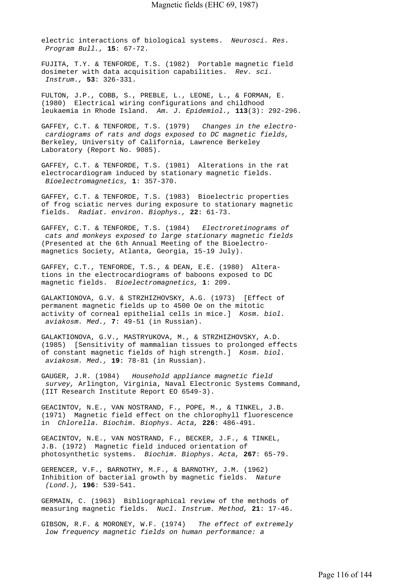electric interactions of biological systems. *Neurosci. Res. Program Bull.,* **15**: 67-72.

FUJITA, T.Y. & TENFORDE, T.S. (1982) Portable magnetic field dosimeter with data acquisition capabilities. *Rev. sci. Instrum.,* **53**: 326-331.

FULTON, J.P., COBB, S., PREBLE, L., LEONE, L., & FORMAN, E. (1980) Electrical wiring configurations and childhood leukaemia in Rhode Island. *Am. J. Epidemiol.,* **113**(3): 292-296.

GAFFEY, C.T. & TENFORDE, T.S. (1979) *Changes in the electro cardiograms of rats and dogs exposed to DC magnetic fields,*  Berkeley, University of California, Lawrence Berkeley Laboratory (Report No. 9085).

GAFFEY, C.T. & TENFORDE, T.S. (1981) Alterations in the rat electrocardiogram induced by stationary magnetic fields.  *Bioelectromagnetics,* **1**: 357-370.

GAFFEY, C.T. & TENFORDE, T.S. (1983) Bioelectric properties of frog sciatic nerves during exposure to stationary magnetic fields. *Radiat. environ. Biophys.,* **22**: 61-73.

GAFFEY, C.T. & TENFORDE, T.S. (1984) *Electroretinograms of cats and monkeys exposed to large stationary magnetic fields*  (Presented at the 6th Annual Meeting of the Bioelectromagnetics Society, Atlanta, Georgia, 15-19 July).

GAFFEY, C.T., TENFORDE, T.S., & DEAN, E.E. (1980) Alterations in the electrocardiograms of baboons exposed to DC magnetic fields. *Bioelectromagnetics,* **1**: 209.

GALAKTIONOVA, G.V. & STRZHIZHOVSKY, A.G. (1973) [Effect of permanent magnetic fields up to 4500 Oe on the mitotic activity of corneal epithelial cells in mice.] *Kosm. biol. aviakosm. Med.,* **7**: 49-51 (in Russian).

GALAKTIONOVA, G.V., MASTRYUKOVA, M., & STRZHIZHOVSKY, A.D. (1985) [Sensitivity of mammalian tissues to prolonged effects of constant magnetic fields of high strength.] *Kosm. biol. aviakosm. Med.,* **19**: 78-81 (in Russian).

GAUGER, J.R. (1984) *Household appliance magnetic field survey,* Arlington, Virginia, Naval Electronic Systems Command, (IIT Research Institute Report EO 6549-3).

GEACINTOV, N.E., VAN NOSTRAND, F., POPE, M., & TINKEL, J.B. (1971) Magnetic field effect on the chlorophyll fluorescence in *Chlorella. Biochim. Biophys. Acta,* **226**: 486-491.

GEACINTOV, N.E., VAN NOSTRAND, F., BECKER, J.F., & TINKEL, J.B. (1972) Magnetic field induced orientation of photosynthetic systems. *Biochim. Biophys. Acta,* **267**: 65-79.

GERENCER, V.F., BARNOTHY, M.F., & BARNOTHY, J.M. (1962) Inhibition of bacterial growth by magnetic fields. *Nature (Lond.),* **196**: 539-541.

GERMAIN, C. (1963) Bibliographical review of the methods of measuring magnetic fields. *Nucl. Instrum. Method,* **21**: 17-46.

GIBSON, R.F. & MORONEY, W.F. (1974) *The effect of extremely low frequency magnetic fields on human performance: a*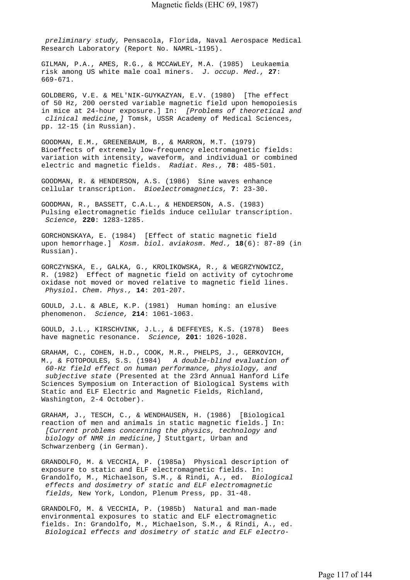*preliminary study,* Pensacola, Florida, Naval Aerospace Medical Research Laboratory (Report No. NAMRL-1195).

GILMAN, P.A., AMES, R.G., & MCCAWLEY, M.A. (1985) Leukaemia risk among US white male coal miners. *J. occup. Med.,* **27**: 669-671.

GOLDBERG, V.E. & MEL'NIK-GUYKAZYAN, E.V. (1980) [The effect of 50 Hz, 200 oersted variable magnetic field upon hemopoiesis in mice at 24-hour exposure.] In: *[Problems of theoretical and clinical medicine,]* Tomsk, USSR Academy of Medical Sciences, pp. 12-15 (in Russian).

GOODMAN, E.M., GREENEBAUM, B., & MARRON, M.T. (1979) Bioeffects of extremely low-frequency electromagnetic fields: variation with intensity, waveform, and individual or combined electric and magnetic fields. *Radiat. Res.,* **78**: 485-501.

GOODMAN, R. & HENDERSON, A.S. (1986) Sine waves enhance cellular transcription. *Bioelectromagnetics,* **7**: 23-30.

GOODMAN, R., BASSETT, C.A.L., & HENDERSON, A.S. (1983) Pulsing electromagnetic fields induce cellular transcription.  *Science,* **220**: 1283-1285.

GORCHONSKAYA, E. (1984) [Effect of static magnetic field upon hemorrhage.] *Kosm. biol. aviakosm. Med.,* **18**(6): 87-89 (in Russian).

GORCZYNSKA, E., GALKA, G., KROLIKOWSKA, R., & WEGRZYNOWICZ, R. (1982) Effect of magnetic field on activity of cytochrome oxidase not moved or moved relative to magnetic field lines.  *Physiol. Chem. Phys.,* **14**: 201-207.

GOULD, J.L. & ABLE, K.P. (1981) Human homing: an elusive phenomenon. *Science,* **214**: 1061-1063.

GOULD, J.L., KIRSCHVINK, J.L., & DEFFEYES, K.S. (1978) Bees have magnetic resonance. *Science,* **201**: 1026-1028.

GRAHAM, C., COHEN, H.D., COOK, M.R., PHELPS, J., GERKOVICH, M., & FOTOPOULES, S.S. (1984) *A double-blind evaluation of 60-Hz field effect on human performance, physiology, and subjective state* (Presented at the 23rd Annual Hanford Life Sciences Symposium on Interaction of Biological Systems with Static and ELF Electric and Magnetic Fields, Richland, Washington, 2-4 October).

GRAHAM, J., TESCH, C., & WENDHAUSEN, H. (1986) [Biological reaction of men and animals in static magnetic fields.] In:  *[Current problems concerning the physics, technology and biology of NMR in medicine,]* Stuttgart, Urban and Schwarzenberg (in German).

GRANDOLFO, M. & VECCHIA, P. (1985a) Physical description of exposure to static and ELF electromagnetic fields. In: Grandolfo, M., Michaelson, S.M., & Rindi, A., ed. *Biological effects and dosimetry of static and ELF electromagnetic fields,* New York, London, Plenum Press, pp. 31-48.

GRANDOLFO, M. & VECCHIA, P. (1985b) Natural and man-made environmental exposures to static and ELF electromagnetic fields. In: Grandolfo, M., Michaelson, S.M., & Rindi, A., ed.  *Biological effects and dosimetry of static and ELF electro-*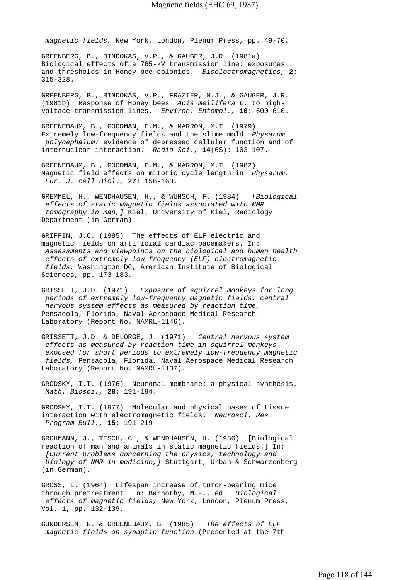*magnetic fields,* New York, London, Plenum Press, pp. 49-70.

GREENBERG, B., BINDOKAS, V.P., & GAUGER, J.R. (1981a) Biological effects of a 765-kV transmission line: exposures and thresholds in Honey bee colonies. *Bioelectromagnetics,* **2**: 315-328.

GREENBERG, B., BINDOKAS, V.P., FRAZIER, M.J., & GAUGER, J.R. (1981b) Response of Honey bees *Apis mellifera L.* to highvoltage transmission lines. *Environ. Entomol.,* **10**: 600-610.

GREENEBAUM, B., GOODMAN, E.M., & MARRON, M.T. (1979) Extremely low-frequency fields and the slime mold *Physarum polycephalum:* evidence of depressed cellular function and of internuclear interaction. *Radio Sci.,* **14**(6S): 103-107.

GREENEBAUM, B., GOODMAN, E.M., & MARRON, M.T. (1982) Magnetic field effects on mitotic cycle length in *Physarum. Eur. J. cell Biol.,* **27**: 156-160.

GREMMEL, H., WENDHAUSEN, H., & WUNSCH, F. (1984) *[Biological effects of static magnetic fields associated with NMR tomography in man,]* Kiel, University of Kiel, Radiology Department (in German).

GRIFFIN, J.C. (1985) The effects of ELF electric and magnetic fields on artificial cardiac pacemakers. In:  *Assessments and viewpoints on the biological and human health effects of extremely low frequency (ELF) electromagnetic fields,* Washington DC, American Institute of Biological Sciences, pp. 173-183.

GRISSETT, J.D. (1971) *Exposure of squirrel monkeys for long periods of extremely low-frequency magnetic fields: central nervous system effects as measured by reaction time,*  Pensacola, Florida, Naval Aerospace Medical Research Laboratory (Report No. NAMRL-1146).

GRISSETT, J.D. & DELORGE, J. (1971) *Central nervous system effects as measured by reaction time in squirrel monkeys exposed for short periods to extremely low-frequency magnetic fields,* Pensacola, Florida, Naval Aerospace Medical Research Laboratory (Report No. NAMRL-1137).

GRODSKY, I.T. (1976) Neuronal membrane: a physical synthesis.  *Math. Biosci.,* **28**: 191-194.

GRODSKY, I.T. (1977) Molecular and physical bases of tissue interaction with electromagnetic fields. *Neurosci. Res. Program Bull.,* **15**: 191-219

GROHMANN, J., TESCH, C., & WENDHAUSEN, H. (1986) [Biological reaction of man and animals in static magnetic fields.] In:  *[Current problems concerning the physics, technology and biology of NMR in medicine,]* Stuttgart, Urban & Schwarzenberg (in German).

GROSS, L. (1964) Lifespan increase of tumor-bearing mice through pretreatment. In: Barnothy, M.F., ed. *Biological effects of magnetic fields,* New York, London, Plenum Press, Vol. 1, pp. 132-139.

GUNDERSEN, R. & GREENEBAUM, B. (1985) *The effects of ELF magnetic fields on synaptic function* (Presented at the 7th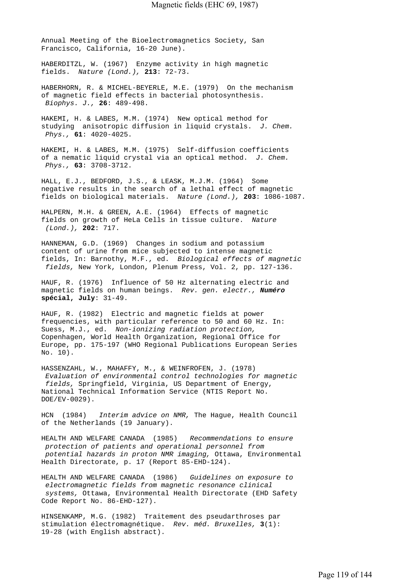Annual Meeting of the Bioelectromagnetics Society, San Francisco, California, 16-20 June).

HABERDITZL, W. (1967) Enzyme activity in high magnetic fields. *Nature (Lond.),* **213**: 72-73.

HABERHORN, R. & MICHEL-BEYERLE, M.E. (1979) On the mechanism of magnetic field effects in bacterial photosynthesis.  *Biophys. J.,* **26**: 489-498.

HAKEMI, H. & LABES, M.M. (1974) New optical method for studying anisotropic diffusion in liquid crystals. *J. Chem. Phys.,* **61**: 4020-4025.

HAKEMI, H. & LABES, M.M. (1975) Self-diffusion coefficients of a nematic liquid crystal via an optical method. *J. Chem. Phys.,* **63**: 3708-3712.

HALL, E.J., BEDFORD, J.S., & LEASK, M.J.M. (1964) Some negative results in the search of a lethal effect of magnetic fields on biological materials. *Nature (Lond.),* **203**: 1086-1087.

HALPERN, M.H. & GREEN, A.E. (1964) Effects of magnetic fields on growth of HeLa Cells in tissue culture. *Nature (Lond.),* **202**: 717.

HANNEMAN, G.D. (1969) Changes in sodium and potassium content of urine from mice subjected to intense magnetic fields, In: Barnothy, M.F., ed. *Biological effects of magnetic fields,* New York, London, Plenum Press, Vol. 2, pp. 127-136.

HAUF, R. (1976) Influence of 50 Hz alternating electric and magnetic fields on human beings. *Rev. gen. electr., Numéro*  **spécial, July**: 31-49.

HAUF, R. (1982) Electric and magnetic fields at power frequencies, with particular reference to 50 and 60 Hz. In: Suess, M.J., ed. *Non-ionizing radiation protection,*  Copenhagen, World Health Organization, Regional Office for Europe, pp. 175-197 (WHO Regional Publications European Series No. 10).

HASSENZAHL, W., MAHAFFY, M., & WEINFROFEN, J. (1978)  *Evaluation of environmental control technologies for magnetic fields,* Springfield, Virginia, US Department of Energy, National Technical Information Service (NTIS Report No. DOE/EV-0029).

HCN (1984) *Interim advice on NMR,* The Hague, Health Council of the Netherlands (19 January).

HEALTH AND WELFARE CANADA (1985) *Recommendations to ensure protection of patients and operational personnel from potential hazards in proton NMR imaging,* Ottawa, Environmental Health Directorate, p. 17 (Report 85-EHD-124).

HEALTH AND WELFARE CANADA (1986) *Guidelines on exposure to electromagnetic fields from magnetic resonance clinical systems,* Ottawa, Environmental Health Directorate (EHD Safety Code Report No. 86-EHD-127).

HINSENKAMP, M.G. (1982) Traitement des pseudarthroses par stimulation électromagnétique. *Rev. méd. Bruxelles,* **3**(1): 19-28 (with English abstract).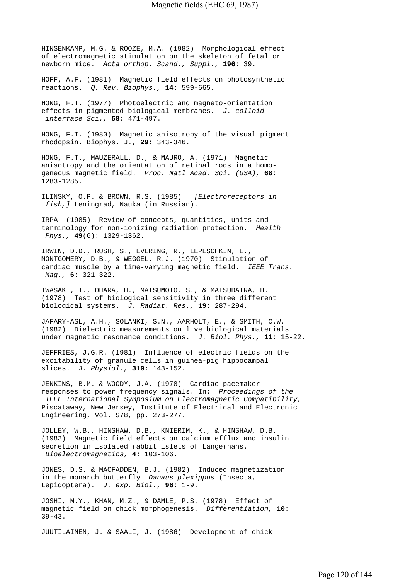HINSENKAMP, M.G. & ROOZE, M.A. (1982) Morphological effect of electromagnetic stimulation on the skeleton of fetal or newborn mice. *Acta orthop. Scand., Suppl.,* **196**: 39.

HOFF, A.F. (1981) Magnetic field effects on photosynthetic reactions. *Q. Rev. Biophys.,* **14**: 599-665.

HONG, F.T. (1977) Photoelectric and magneto-orientation effects in pigmented biological membranes. *J. colloid interface Sci.,* **58**: 471-497.

HONG, F.T. (1980) Magnetic anisotropy of the visual pigment rhodopsin. Biophys. J., **29**: 343-346.

HONG, F.T., MAUZERALL, D., & MAURO, A. (1971) Magnetic anisotropy and the orientation of retinal rods in a homogeneous magnetic field. *Proc. Natl Acad. Sci. (USA),* **68**: 1283-1285.

ILINSKY, O.P. & BROWN, R.S. (1985) *[Electroreceptors in fish,]* Leningrad, Nauka (in Russian).

IRPA (1985) Review of concepts, quantities, units and terminology for non-ionizing radiation protection. *Health Phys.,* **49**(6): 1329-1362.

IRWIN, D.D., RUSH, S., EVERING, R., LEPESCHKIN, E., MONTGOMERY, D.B., & WEGGEL, R.J. (1970) Stimulation of cardiac muscle by a time-varying magnetic field. *IEEE Trans. Mag.,* **6**: 321-322.

IWASAKI, T., OHARA, H., MATSUMOTO, S., & MATSUDAIRA, H. (1978) Test of biological sensitivity in three different biological systems. *J. Radiat. Res.,* **19**: 287-294.

JAFARY-ASL, A.H., SOLANKI, S.N., AARHOLT, E., & SMITH, C.W. (1982) Dielectric measurements on live biological materials under magnetic resonance conditions. *J. Biol. Phys.,* **11**: 15-22.

JEFFRIES, J.G.R. (1981) Influence of electric fields on the excitability of granule cells in guinea-pig hippocampal slices. *J. Physiol.,* **319**: 143-152.

JENKINS, B.M. & WOODY, J.A. (1978) Cardiac pacemaker responses to power frequency signals. In: *Proceedings of the IEEE International Symposium on Electromagnetic Compatibility,*  Piscataway, New Jersey, Institute of Electrical and Electronic Engineering, Vol. S78, pp. 273-277.

JOLLEY, W.B., HINSHAW, D.B., KNIERIM, K., & HINSHAW, D.B. (1983) Magnetic field effects on calcium efflux and insulin secretion in isolated rabbit islets of Langerhans.  *Bioelectromagnetics,* **4**: 103-106.

JONES, D.S. & MACFADDEN, B.J. (1982) Induced magnetization in the monarch butterfly *Danaus plexippus* (Insecta, Lepidoptera). *J. exp. Biol.,* **96**: 1-9.

JOSHI, M.Y., KHAN, M.Z., & DAMLE, P.S. (1978) Effect of magnetic field on chick morphogenesis. *Differentiation,* **10**: 39-43.

JUUTILAINEN, J. & SAALI, J. (1986) Development of chick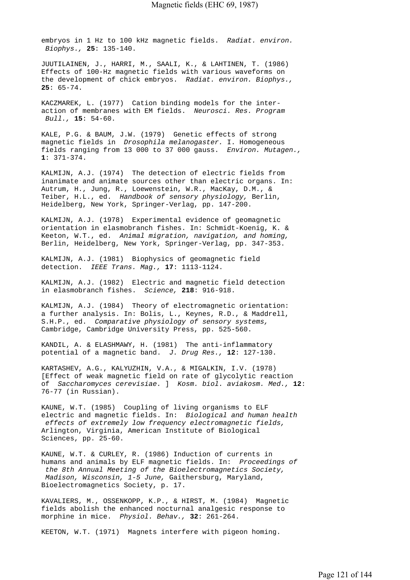embryos in 1 Hz to 100 kHz magnetic fields. *Radiat. environ. Biophys.,* **25**: 135-140.

JUUTILAINEN, J., HARRI, M., SAALI, K., & LAHTINEN, T. (1986) Effects of 100-Hz magnetic fields with various waveforms on the development of chick embryos. *Radiat. environ. Biophys.,*  **25**: 65-74.

KACZMAREK, L. (1977) Cation binding models for the interaction of membranes with EM fields. *Neurosci. Res. Program Bull.,* **15**: 54-60.

KALE, P.G. & BAUM, J.W. (1979) Genetic effects of strong magnetic fields in *Drosophila melanogaster.* I. Homogeneous fields ranging from 13 000 to 37 000 gauss. *Environ. Mutagen.,*  **1**: 371-374.

KALMIJN, A.J. (1974) The detection of electric fields from inanimate and animate sources other than electric organs. In: Autrum, H., Jung, R., Loewenstein, W.R., MacKay, D.M., & Teiber, H.L., ed. *Handbook of sensory physiology,* Berlin, Heidelberg, New York, Springer-Verlag, pp. 147-200.

KALMIJN, A.J. (1978) Experimental evidence of geomagnetic orientation in elasmobranch fishes. In: Schmidt-Koenig, K. & Keeton, W.T., ed. *Animal migration, navigation, and homing,*  Berlin, Heidelberg, New York, Springer-Verlag, pp. 347-353.

KALMIJN, A.J. (1981) Biophysics of geomagnetic field detection. *IEEE Trans. Mag.,* **17**: 1113-1124.

KALMIJN, A.J. (1982) Electric and magnetic field detection in elasmobranch fishes. *Science,* **218**: 916-918.

KALMIJN, A.J. (1984) Theory of electromagnetic orientation: a further analysis. In: Bolis, L., Keynes, R.D., & Maddrell, S.H.P., ed. *Comparative physiology of sensory systems,*  Cambridge, Cambridge University Press, pp. 525-560.

KANDIL, A. & ELASHMAWY, H. (1981) The anti-inflammatory potential of a magnetic band. *J. Drug Res.,* **12**: 127-130.

KARTASHEV, A.G., KALYUZHIN, V.A., & MIGALKIN, I.V. (1978) [Effect of weak magnetic field on rate of glycolytic reaction of *Saccharomyces cerevisiae.* ] *Kosm. biol. aviakosm. Med.,* **12**: 76-77 (in Russian).

KAUNE, W.T. (1985) Coupling of living organisms to ELF electric and magnetic fields. In: *Biological and human health effects of extremely low frequency electromagnetic fields,*  Arlington, Virginia, American Institute of Biological Sciences, pp. 25-60.

KAUNE, W.T. & CURLEY, R. (1986) Induction of currents in humans and animals by ELF magnetic fields. In: *Proceedings of the 8th Annual Meeting of the Bioelectromagnetics Society, Madison, Wisconsin, 1-5 June,* Gaithersburg, Maryland, Bioelectromagnetics Society, p. 17.

KAVALIERS, M., OSSENKOPP, K.P., & HIRST, M. (1984) Magnetic fields abolish the enhanced nocturnal analgesic response to morphine in mice. *Physiol. Behav.,* **32**: 261-264.

KEETON, W.T. (1971) Magnets interfere with pigeon homing.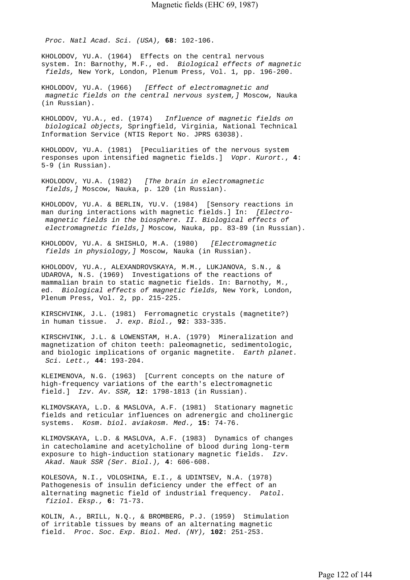*Proc. Natl Acad. Sci. (USA),* **68**: 102-106.

KHOLODOV, YU.A. (1964) Effects on the central nervous system. In: Barnothy, M.F., ed. *Biological effects of magnetic fields,* New York, London, Plenum Press, Vol. 1, pp. 196-200.

KHOLODOV, YU.A. (1966) *[Effect of electromagnetic and magnetic fields on the central nervous system,]* Moscow, Nauka (in Russian).

KHOLODOV, YU.A., ed. (1974) *Influence of magnetic fields on biological objects,* Springfield, Virginia, National Technical Information Service (NTIS Report No. JPRS 63038).

KHOLODOV, YU.A. (1981) [Peculiarities of the nervous system responses upon intensified magnetic fields.] *Vopr. Kurort.*, **4**: 5-9 (in Russian).

KHOLODOV, YU.A. (1982) *[The brain in electromagnetic fields,]* Moscow, Nauka, p. 120 (in Russian).

KHOLODOV, YU.A. & BERLIN, YU.V. (1984) [Sensory reactions in man during interactions with magnetic fields.] In: *[Electro magnetic fields in the biosphere. II. Biological effects of electromagnetic fields,]* Moscow, Nauka, pp. 83-89 (in Russian).

KHOLODOV, YU.A. & SHISHLO, M.A. (1980) *[Electromagnetic fields in physiology,]* Moscow, Nauka (in Russian).

KHOLODOV, YU.A., ALEXANDROVSKAYA, M.M., LUKJANOVA, S.N., & UDAROVA, N.S. (1969) Investigations of the reactions of mammalian brain to static magnetic fields. In: Barnothy, M., ed. *Biological effects of magnetic fields,* New York, London, Plenum Press, Vol. 2, pp. 215-225.

KIRSCHVINK, J.L. (1981) Ferromagnetic crystals (magnetite?) in human tissue. *J. exp. Biol.,* **92**: 333-335.

KIRSCHVINK, J.L. & LOWENSTAM, H.A. (1979) Mineralization and magnetization of chiton teeth: paleomagnetic, sedimentologic, and biologic implications of organic magnetite. *Earth planet. Sci. Lett.,* **44**: 193-204.

KLEIMENOVA, N.G. (1963) [Current concepts on the nature of high-frequency variations of the earth's electromagnetic field.] *Izv. Av. SSR,* **12**: 1798-1813 (in Russian).

KLIMOVSKAYA, L.D. & MASLOVA, A.F. (1981) Stationary magnetic fields and reticular influences on adrenergic and cholinergic systems. *Kosm. biol. aviakosm. Med.,* **15**: 74-76.

KLIMOVSKAYA, L.D. & MASLOVA, A.F. (1983) Dynamics of changes in catecholamine and acetylcholine of blood during long-term exposure to high-induction stationary magnetic fields. *Izv. Akad. Nauk SSR (Ser. Biol.),* **4**: 606-608.

KOLESOVA, N.I., VOLOSHINA, E.I., & UDINTSEV, N.A. (1978) Pathogenesis of insulin deficiency under the effect of an alternating magnetic field of industrial frequency. *Patol. fiziol. Eksp.,* **6**: 71-73.

KOLIN, A., BRILL, N.Q., & BROMBERG, P.J. (1959) Stimulation of irritable tissues by means of an alternating magnetic field. *Proc. Soc. Exp. Biol. Med. (NY),* **102**: 251-253.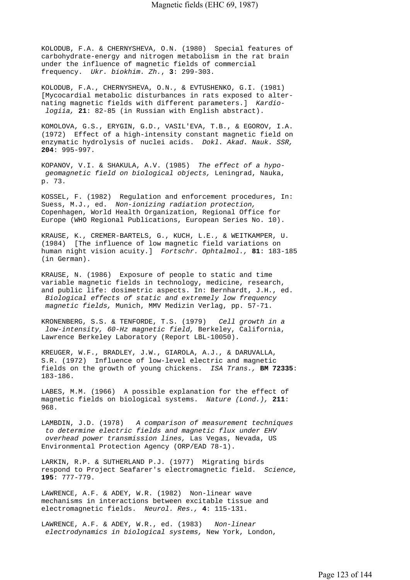KOLODUB, F.A. & CHERNYSHEVA, O.N. (1980) Special features of carbohydrate-energy and nitrogen metabolism in the rat brain under the influence of magnetic fields of commercial frequency. *Ukr. biokhim. Zh.*, **3**: 299-303.

KOLODUB, F.A., CHERNYSHEVA, O.N., & EVTUSHENKO, G.I. (1981) [Mycocardial metabolic disturbances in rats exposed to alternating magnetic fields with different parameters.] *Kardio logiia,* **21**: 82-85 (in Russian with English abstract).

KOMOLOVA, G.S., ERYGIN, G.D., VASIL'EVA, T.B., & EGOROV, I.A. (1972) Effect of a high-intensity constant magnetic field on enzymatic hydrolysis of nuclei acids. *Dokl. Akad. Nauk. SSR,*  **204**: 995-997.

KOPANOV, V.I. & SHAKULA, A.V. (1985) *The effect of a hypo geomagnetic field on biological objects,* Leningrad, Nauka, p. 73.

KOSSEL, F. (1982) Regulation and enforcement procedures, In: Suess, M.J., ed. *Non-ionizing radiation protection,*  Copenhagen, World Health Organization, Regional Office for Europe (WHO Regional Publications, European Series No. 10).

KRAUSE, K., CREMER-BARTELS, G., KUCH, L.E., & WEITKAMPER, U. (1984) [The influence of low magnetic field variations on human night vision acuity.] *Fortschr. Ophtalmol.,* **81**: 183-185 (in German).

KRAUSE, N. (1986) Exposure of people to static and time variable magnetic fields in technology, medicine, research, and public life: dosimetric aspects. In: Bernhardt, J.H., ed.  *Biological effects of static and extremely low frequency magnetic fields,* Munich, MMV Medizin Verlag, pp. 57-71.

KRONENBERG, S.S. & TENFORDE, T.S. (1979) *Cell growth in a low-intensity, 60-Hz magnetic field,* Berkeley, California, Lawrence Berkeley Laboratory (Report LBL-10050).

KREUGER, W.F., BRADLEY, J.W., GIAROLA, A.J., & DARUVALLA, S.R. (1972) Influence of low-level electric and magnetic fields on the growth of young chickens. *ISA Trans.,* **BM 72335**: 183-186.

LABES, M.M. (1966) A possible explanation for the effect of magnetic fields on biological systems. *Nature (Lond.),* **211**: 968.

LAMBDIN, J.D. (1978) *A comparison of measurement techniques to determine electric fields and magnetic flux under EHV overhead power transmission lines,* Las Vegas, Nevada, US Environmental Protection Agency (ORP/EAD 78-1).

LARKIN, R.P. & SUTHERLAND P.J. (1977) Migrating birds respond to Project Seafarer's electromagnetic field. *Science,*  **195**: 777-779.

LAWRENCE, A.F. & ADEY, W.R. (1982) Non-linear wave mechanisms in interactions between excitable tissue and electromagnetic fields. *Neurol. Res.,* **4**: 115-131.

LAWRENCE, A.F. & ADEY, W.R., ed. (1983) *Non-linear electrodynamics in biological systems,* New York, London,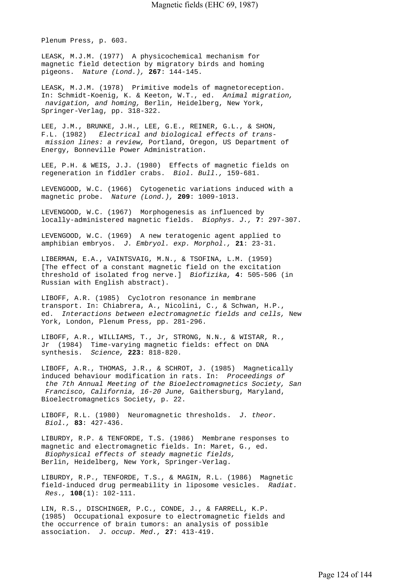Plenum Press, p. 603.

LEASK, M.J.M. (1977) A physicochemical mechanism for magnetic field detection by migratory birds and homing pigeons. *Nature (Lond.),* **267**: 144-145.

LEASK, M.J.M. (1978) Primitive models of magnetoreception. In: Schmidt-Koenig, K. & Keeton, W.T., ed. *Animal migration, navigation, and homing,* Berlin, Heidelberg, New York, Springer-Verlag, pp. 318-322.

LEE, J.M., BRUNKE, J.H., LEE, G.E., REINER, G.L., & SHON, F.L. (1982) *Electrical and biological effects of trans mission lines: a review,* Portland, Oregon, US Department of Energy, Bonneville Power Administration.

LEE, P.H. & WEIS, J.J. (1980) Effects of magnetic fields on regeneration in fiddler crabs. *Biol. Bull.,* 159-681.

LEVENGOOD, W.C. (1966) Cytogenetic variations induced with a magnetic probe. *Nature (Lond.),* **209**: 1009-1013.

LEVENGOOD, W.C. (1967) Morphogenesis as influenced by locally-administered magnetic fields. *Biophys. J.,* **7**: 297-307.

LEVENGOOD, W.C. (1969) A new teratogenic agent applied to amphibian embryos. *J. Embryol. exp. Morphol.,* **21**: 23-31.

LIBERMAN, E.A., VAINTSVAIG, M.N., & TSOFINA, L.M. (1959) [The effect of a constant magnetic field on the excitation threshold of isolated frog nerve.] *Biofizika,* **4**: 505-506 (in Russian with English abstract).

LIBOFF, A.R. (1985) Cyclotron resonance in membrane transport. In: Chiabrera, A., Nicolini, C., & Schwan, H.P., ed. *Interactions between electromagnetic fields and cells,* New York, London, Plenum Press, pp. 281-296.

LIBOFF, A.R., WILLIAMS, T., Jr, STRONG, N.N., & WISTAR, R., Jr (1984) Time-varying magnetic fields: effect on DNA synthesis. *Science,* **223**: 818-820.

LIBOFF, A.R., THOMAS, J.R., & SCHROT, J. (1985) Magnetically induced behaviour modification in rats. In: *Proceedings of the 7th Annual Meeting of the Bioelectromagnetics Society, San Francisco, California, 16-20 June,* Gaithersburg, Maryland, Bioelectromagnetics Society, p. 22.

LIBOFF, R.L. (1980) Neuromagnetic thresholds. *J. theor. Biol.,* **83**: 427-436.

LIBURDY, R.P. & TENFORDE, T.S. (1986) Membrane responses to magnetic and electromagnetic fields. In: Maret, G., ed.  *Biophysical effects of steady magnetic fields,*  Berlin, Heidelberg, New York, Springer-Verlag.

LIBURDY, R.P., TENFORDE, T.S., & MAGIN, R.L. (1986) Magnetic field-induced drug permeability in liposome vesicles. *Radiat. Res.,* **108**(1): 102-111.

LIN, R.S., DISCHINGER, P.C., CONDE, J., & FARRELL, K.P. (1985) Occupational exposure to electromagnetic fields and the occurrence of brain tumors: an analysis of possible association. *J. occup. Med.,* **27**: 413-419.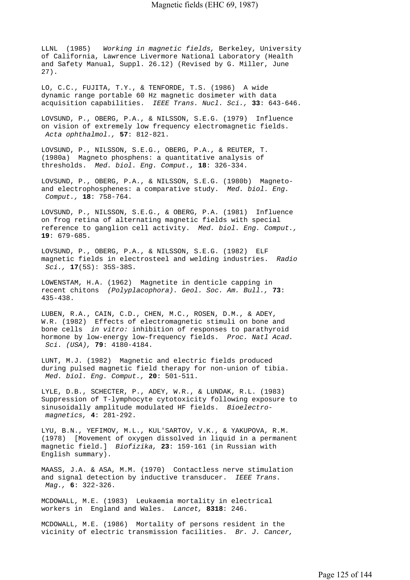LLNL (1985) *Working in magnetic fields,* Berkeley, University of California, Lawrence Livermore National Laboratory (Health and Safety Manual, Suppl. 26.12) (Revised by G. Miller, June 27).

LO, C.C., FUJITA, T.Y., & TENFORDE, T.S. (1986) A wide dynamic range portable 60 Hz magnetic dosimeter with data acquisition capabilities. *IEEE Trans. Nucl. Sci.,* **33**: 643-646.

LOVSUND, P., OBERG, P.A., & NILSSON, S.E.G. (1979) Influence on vision of extremely low frequency electromagnetic fields.  *Acta ophthalmol.,* **57**: 812-821.

LOVSUND, P., NILSSON, S.E.G., OBERG, P.A., & REUTER, T. (1980a) Magneto phosphens: a quantitative analysis of thresholds. *Med. biol. Eng. Comput.,* **18**: 326-334.

LOVSUND, P., OBERG, P.A., & NILSSON, S.E.G. (1980b) Magnetoand electrophosphenes: a comparative study. *Med. biol. Eng. Comput.,* **18**: 758-764.

LOVSUND, P., NILSSON, S.E.G., & OBERG, P.A. (1981) Influence on frog retina of alternating magnetic fields with special reference to ganglion cell activity. *Med. biol. Eng. Comput.,*  **19**: 679-685.

LOVSUND, P., OBERG, P.A., & NILSSON, S.E.G. (1982) ELF magnetic fields in electrosteel and welding industries. *Radio Sci.,* **17**(5S): 35S-38S.

LOWENSTAM, H.A. (1962) Magnetite in denticle capping in recent chitons *(Polyplacophora). Geol. Soc. Am. Bull.,* **73**: 435-438.

LUBEN, R.A., CAIN, C.D., CHEN, M.C., ROSEN, D.M., & ADEY, W.R. (1982) Effects of electromagnetic stimuli on bone and bone cells *in vitro:* inhibition of responses to parathyroid hormone by low-energy low-frequency fields. *Proc. Natl Acad. Sci. (USA),* **79**: 4180-4184.

LUNT, M.J. (1982) Magnetic and electric fields produced during pulsed magnetic field therapy for non-union of tibia.  *Med. biol. Eng. Comput.,* **20**: 501-511.

LYLE, D.B., SCHECTER, P., ADEY, W.R., & LUNDAK, R.L. (1983) Suppression of T-lymphocyte cytotoxicity following exposure to sinusoidally amplitude modulated HF fields. *Bioelectro magnetics,* **4**: 281-292.

LYU, B.N., YEFIMOV, M.L., KUL'SARTOV, V.K., & YAKUPOVA, R.M. (1978) [Movement of oxygen dissolved in liquid in a permanent magnetic field.] *Biofizika,* **23**: 159-161 (in Russian with English summary).

MAASS, J.A. & ASA, M.M. (1970) Contactless nerve stimulation and signal detection by inductive transducer. *IEEE Trans. Mag.,* **6**: 322-326.

MCDOWALL, M.E. (1983) Leukaemia mortality in electrical workers in England and Wales. *Lancet,* **8318**: 246.

MCDOWALL, M.E. (1986) Mortality of persons resident in the vicinity of electric transmission facilities. *Br. J. Cancer,*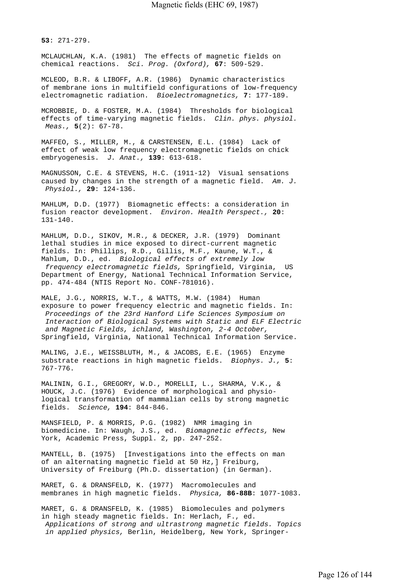**53**: 271-279.

MCLAUCHLAN, K.A. (1981) The effects of magnetic fields on chemical reactions. *Sci. Prog. (Oxford),* **67**: 509-529.

MCLEOD, B.R. & LIBOFF, A.R. (1986) Dynamic characteristics of membrane ions in multifield configurations of low-frequency electromagnetic radiation. *Bioelectromagnetics,* **7**: 177-189.

MCROBBIE, D. & FOSTER, M.A. (1984) Thresholds for biological effects of time-varying magnetic fields. *Clin. phys. physiol. Meas.,* **5**(2): 67-78.

MAFFEO, S., MILLER, M., & CARSTENSEN, E.L. (1984) Lack of effect of weak low frequency electromagnetic fields on chick embryogenesis. *J. Anat.,* **139**: 613-618.

MAGNUSSON, C.E. & STEVENS, H.C. (1911-12) Visual sensations caused by changes in the strength of a magnetic field. *Am. J. Physiol.,* **29**: 124-136.

MAHLUM, D.D. (1977) Biomagnetic effects: a consideration in fusion reactor development. *Environ. Health Perspect.,* **20**: 131-140.

MAHLUM, D.D., SIKOV, M.R., & DECKER, J.R. (1979) Dominant lethal studies in mice exposed to direct-current magnetic fields. In: Phillips, R.D., Gillis, M.F., Kaune, W.T., & Mahlum, D.D., ed. *Biological effects of extremely low frequency electromagnetic fields,* Springfield, Virginia, US Department of Energy, National Technical Information Service, pp. 474-484 (NTIS Report No. CONF-781016).

MALE, J.G., NORRIS, W.T., & WATTS, M.W. (1984) Human exposure to power frequency electric and magnetic fields. In:  *Proceedings of the 23rd Hanford Life Sciences Symposium on Interaction of Biological Systems with Static and ELF Electric and Magnetic Fields, ichland, Washington, 2-4 October,*  Springfield, Virginia, National Technical Information Service.

MALING, J.E., WEISSBLUTH, M., & JACOBS, E.E. (1965) Enzyme substrate reactions in high magnetic fields. *Biophys. J.,* **5**: 767-776.

MALININ, G.I., GREGORY, W.D., MORELLI, L., SHARMA, V.K., & HOUCK, J.C. (1976) Evidence of morphological and physiological transformation of mammalian cells by strong magnetic fields. *Science,* **194**: 844-846.

MANSFIELD, P. & MORRIS, P.G. (1982) NMR imaging in biomedicine. In: Waugh, J.S., ed. *Biomagnetic effects,* New York, Academic Press, Suppl. 2, pp. 247-252.

MANTELL, B. (1975) [Investigations into the effects on man of an alternating magnetic field at 50 Hz,] Freiburg, University of Freiburg (Ph.D. dissertation) (in German).

MARET, G. & DRANSFELD, K. (1977) Macromolecules and membranes in high magnetic fields. *Physica,* **86-88B**: 1077-1083.

MARET, G. & DRANSFELD, K. (1985) Biomolecules and polymers in high steady magnetic fields. In: Herlach, F., ed.  *Applications of strong and ultrastrong magnetic fields. Topics in applied physics,* Berlin, Heidelberg, New York, Springer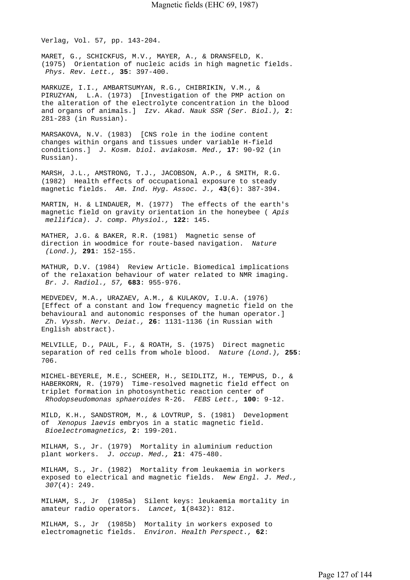Verlag, Vol. 57, pp. 143-204.

MARET, G., SCHICKFUS, M.V., MAYER, A., & DRANSFELD, K. (1975) Orientation of nucleic acids in high magnetic fields.  *Phys. Rev. Lett.,* **35**: 397-400.

MARKUZE, I.I., AMBARTSUMYAN, R.G., CHIBRIKIN, V.M., & PIRUZYAN, L.A. (1973) [Investigation of the PMP action on the alteration of the electrolyte concentration in the blood and organs of animals.] *Izv. Akad. Nauk SSR (Ser. Biol.),* **2**: 281-283 (in Russian).

MARSAKOVA, N.V. (1983) [CNS role in the iodine content changes within organs and tissues under variable H-field conditions.] *J. Kosm. biol. aviakosm. Med.,* **17**: 90-92 (in Russian).

MARSH, J.L., AMSTRONG, T.J., JACOBSON, A.P., & SMITH, R.G. (1982) Health effects of occupational exposure to steady magnetic fields. *Am. Ind. Hyg. Assoc. J.,* **43**(6): 387-394.

MARTIN, H. & LINDAUER, M. (1977) The effects of the earth's magnetic field on gravity orientation in the honeybee ( *Apis mellifica). J. comp. Physiol.,* **122**: 145.

MATHER, J.G. & BAKER, R.R. (1981) Magnetic sense of direction in woodmice for route-based navigation. *Nature (Lond.),* **291**: 152-155.

MATHUR, D.V. (1984) Review Article. Biomedical implications of the relaxation behaviour of water related to NMR imaging.  *Br. J. Radiol., 57,* **683**: 955-976.

MEDVEDEV, M.A., URAZAEV, A.M., & KULAKOV, I.U.A. (1976) [Effect of a constant and low frequency magnetic field on the behavioural and autonomic responses of the human operator.]  *Zh. Vyssh. Nerv. Deiat.,* **26**: 1131-1136 (in Russian with English abstract).

MELVILLE, D., PAUL, F., & ROATH, S. (1975) Direct magnetic separation of red cells from whole blood. *Nature (Lond.),* **255**: 706.

MICHEL-BEYERLE, M.E., SCHEER, H., SEIDLITZ, H., TEMPUS, D., & HABERKORN, R. (1979) Time-resolved magnetic field effect on triplet formation in photosynthetic reaction center of  *Rhodopseudomonas sphaeroides* R-26. *FEBS Lett.,* **100**: 9-12.

MILD, K.H., SANDSTROM, M., & LOVTRUP, S. (1981) Development of *Xenopus laevis* embryos in a static magnetic field.  *Bioelectromagnetics,* **2**: 199-201.

MILHAM, S., Jr. (1979) Mortality in aluminium reduction plant workers. *J. occup. Med.,* **21**: 475-480.

MILHAM, S., Jr. (1982) Mortality from leukaemia in workers exposed to electrical and magnetic fields. *New Engl. J. Med., 307*(4): 249.

MILHAM, S., Jr (1985a) Silent keys: leukaemia mortality in amateur radio operators. *Lancet,* **1**(8432): 812.

MILHAM, S., Jr (1985b) Mortality in workers exposed to electromagnetic fields. *Environ. Health Perspect.,* **62**: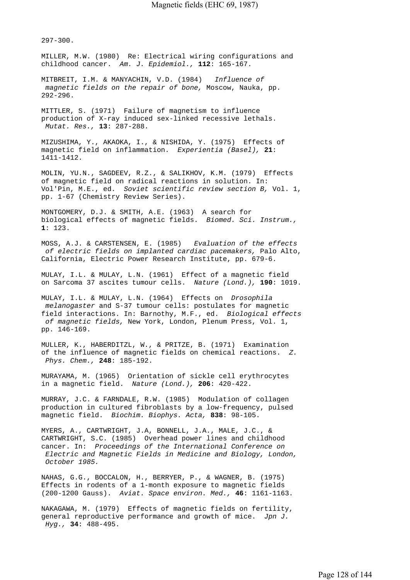297-300.

MILLER, M.W. (1980) Re: Electrical wiring configurations and childhood cancer. *Am. J. Epidemiol.,* **112**: 165-167.

MITBREIT, I.M. & MANYACHIN, V.D. (1984) *Influence of magnetic fields on the repair of bone,* Moscow, Nauka, pp. 292-296.

MITTLER, S. (1971) Failure of magnetism to influence production of X-ray induced sex-linked recessive lethals.  *Mutat. Res.,* **13**: 287-288.

MIZUSHIMA, Y., AKAOKA, I., & NISHIDA, Y. (1975) Effects of magnetic field on inflammation. *Experientia (Basel),* **21**: 1411-1412.

MOLIN, YU.N., SAGDEEV, R.Z., & SALIKHOV, K.M. (1979) Effects of magnetic field on radical reactions in solution. In: Vol'Pin, M.E., ed. *Soviet scientific review section B,* Vol. 1, pp. 1-67 (Chemistry Review Series).

MONTGOMERY, D.J. & SMITH, A.E. (1963) A search for biological effects of magnetic fields. *Biomed. Sci. Instrum.,*  **1**: 123.

MOSS, A.J. & CARSTENSEN, E. (1985) *Evaluation of the effects of electric fields on implanted cardiac pacemakers,* Palo Alto, California, Electric Power Research Institute, pp. 679-6.

MULAY, I.L. & MULAY, L.N. (1961) Effect of a magnetic field on Sarcoma 37 ascites tumour cells. *Nature (Lond.),* **190**: 1019.

MULAY, I.L. & MULAY, L.N. (1964) Effects on *Drosophila melanogaster* and S-37 tumour cells: postulates for magnetic field interactions. In: Barnothy, M.F., ed. *Biological effects of magnetic fields,* New York, London, Plenum Press, Vol. 1, pp. 146-169.

MULLER, K., HABERDITZL, W., & PRITZE, B. (1971) Examination of the influence of magnetic fields on chemical reactions. *Z. Phys. Chem.,* **248**: 185-192.

MURAYAMA, M. (1965) Orientation of sickle cell erythrocytes in a magnetic field. *Nature (Lond.),* **206**: 420-422.

MURRAY, J.C. & FARNDALE, R.W. (1985) Modulation of collagen production in cultured fibroblasts by a low-frequency, pulsed magnetic field. *Biochim. Biophys. Acta,* **838**: 98-105.

MYERS, A., CARTWRIGHT, J.A, BONNELL, J.A., MALE, J.C., & CARTWRIGHT, S.C. (1985) Overhead power lines and childhood cancer. In: *Proceedings of the International Conference on Electric and Magnetic Fields in Medicine and Biology, London, October 1985.*

NAHAS, G.G., BOCCALON, H., BERRYER, P., & WAGNER, B. (1975) Effects in rodents of a 1-month exposure to magnetic fields (200-1200 Gauss). *Aviat. Space environ. Med.,* **46**: 1161-1163.

NAKAGAWA, M. (1979) Effects of magnetic fields on fertility, general reproductive performance and growth of mice. *Jpn J. Hyg.,* **34**: 488-495.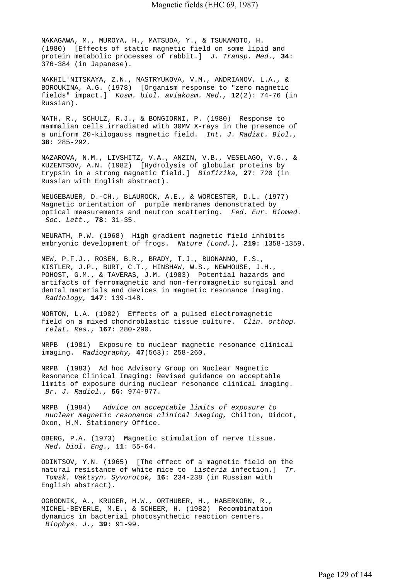NAKAGAWA, M., MUROYA, H., MATSUDA, Y., & TSUKAMOTO, H. (1980) [Effects of static magnetic field on some lipid and protein metabolic processes of rabbit.] *J. Transp. Med.,* **34**: 376-384 (in Japanese).

NAKHIL'NITSKAYA, Z.N., MASTRYUKOVA, V.M., ANDRIANOV, L.A., & BOROUKINA, A.G. (1978) [Organism response to "zero magnetic fields" impact.] *Kosm. biol. aviakosm. Med.,* **12**(2): 74-76 (in Russian).

NATH, R., SCHULZ, R.J., & BONGIORNI, P. (1980) Response to mammalian cells irradiated with 30MV X-rays in the presence of a uniform 20-kilogauss magnetic field. *Int. J. Radiat. Biol.,*  **38**: 285-292.

NAZAROVA, N.M., LIVSHITZ, V.A., ANZIN, V.B., VESELAGO, V.G., & KUZENTSOV, A.N. (1982) [Hydrolysis of globular proteins by trypsin in a strong magnetic field.] *Biofizika,* **27**: 720 (in Russian with English abstract).

NEUGEBAUER, D.-CH., BLAUROCK, A.E., & WORCESTER, D.L. (1977) Magnetic orientation of purple membranes demonstrated by optical measurements and neutron scattering. *Fed. Eur. Biomed. Soc. Lett.,* **78**: 31-35.

NEURATH, P.W. (1968) High gradient magnetic field inhibits embryonic development of frogs. *Nature (Lond.),* **219**: 1358-1359.

NEW, P.F.J., ROSEN, B.R., BRADY, T.J., BUONANNO, F.S., KISTLER, J.P., BURT, C.T., HINSHAW, W.S., NEWHOUSE, J.H., POHOST, G.M., & TAVERAS, J.M. (1983) Potential hazards and artifacts of ferromagnetic and non-ferromagnetic surgical and dental materials and devices in magnetic resonance imaging.  *Radiology,* **147**: 139-148.

NORTON, L.A. (1982) Effects of a pulsed electromagnetic field on a mixed chondroblastic tissue culture. *Clin. orthop. relat. Res.,* **167**: 280-290.

NRPB (1981) Exposure to nuclear magnetic resonance clinical imaging. *Radiography,* **47**(563): 258-260.

NRPB (1983) Ad hoc Advisory Group on Nuclear Magnetic Resonance Clinical Imaging: Revised guidance on acceptable limits of exposure during nuclear resonance clinical imaging.  *Br. J. Radiol.,* **56**: 974-977.

NRPB (1984) *Advice on acceptable limits of exposure to nuclear magnetic resonance clinical imaging,* Chilton, Didcot, Oxon, H.M. Stationery Office.

OBERG, P.A. (1973) Magnetic stimulation of nerve tissue.  *Med. biol. Eng.,* **11**: 55-64.

ODINTSOV, Y.N. (1965) [The effect of a magnetic field on the natural resistance of white mice to *Listeria* infection.] *Tr. Tomsk. Vaktsyn. Syvorotok,* **16**: 234-238 (in Russian with English abstract).

OGRODNIK, A., KRUGER, H.W., ORTHUBER, H., HABERKORN, R., MICHEL-BEYERLE, M.E., & SCHEER, H. (1982) Recombination dynamics in bacterial photosynthetic reaction centers.  *Biophys. J.,* **39**: 91-99.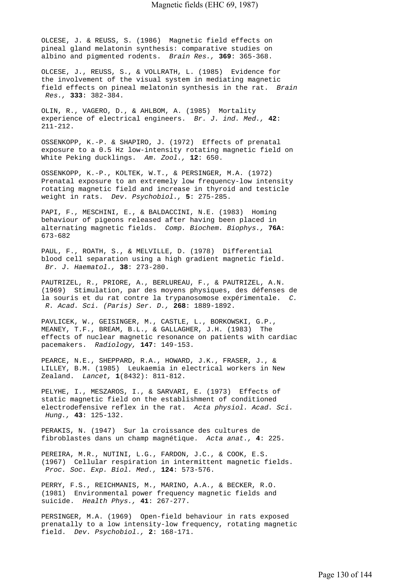OLCESE, J. & REUSS, S. (1986) Magnetic field effects on pineal gland melatonin synthesis: comparative studies on albino and pigmented rodents. *Brain Res.,* **369**: 365-368.

OLCESE, J., REUSS, S., & VOLLRATH, L. (1985) Evidence for the involvement of the visual system in mediating magnetic field effects on pineal melatonin synthesis in the rat. *Brain Res.,* **333**: 382-384.

OLIN, R., VAGERO, D., & AHLBOM, A. (1985) Mortality experience of electrical engineers. *Br. J. ind. Med.,* **42**: 211-212.

OSSENKOPP, K.-P. & SHAPIRO, J. (1972) Effects of prenatal exposure to a 0.5 Hz low-intensity rotating magnetic field on White Peking ducklings. *Am. Zool.,* **12**: 650.

OSSENKOPP, K.-P., KOLTEK, W.T., & PERSINGER, M.A. (1972) Prenatal exposure to an extremely low frequency-low intensity rotating magnetic field and increase in thyroid and testicle weight in rats. *Dev. Psychobiol.,* **5**: 275-285.

PAPI, F., MESCHINI, E., & BALDACCINI, N.E. (1983) Homing behaviour of pigeons released after having been placed in alternating magnetic fields. *Comp. Biochem. Biophys.,* **76A**: 673-682

PAUL, F., ROATH, S., & MELVILLE, D. (1978) Differential blood cell separation using a high gradient magnetic field.  *Br. J. Haematol.,* **38**: 273-280.

PAUTRIZEL, R., PRIORE, A., BERLUREAU, F., & PAUTRIZEL, A.N. (1969) Stimulation, par des moyens physiques, des défenses de la souris et du rat contre la trypanosomose expérimentale. *C. R. Acad. Sci. (Paris) Ser. D.,* **268**: 1889-1892.

PAVLICEK, W., GEISINGER, M., CASTLE, L., BORKOWSKI, G.P., MEANEY, T.F., BREAM, B.L., & GALLAGHER, J.H. (1983) The effects of nuclear magnetic resonance on patients with cardiac pacemakers. *Radiology,* **147**: 149-153.

PEARCE, N.E., SHEPPARD, R.A., HOWARD, J.K., FRASER, J., & LILLEY, B.M. (1985) Leukaemia in electrical workers in New Zealand. *Lancet,* **1**(8432): 811-812.

PELYHE, I., MESZAROS, I., & SARVARI, E. (1973) Effects of static magnetic field on the establishment of conditioned electrodefensive reflex in the rat. *Acta physiol. Acad. Sci. Hung.,* **43**: 125-132.

PERAKIS, N. (1947) Sur la croissance des cultures de fibroblastes dans un champ magnétique. *Acta anat.,* **4**: 225.

PEREIRA, M.R., NUTINI, L.G., FARDON, J.C., & COOK, E.S. (1967) Cellular respiration in intermittent magnetic fields.  *Proc. Soc. Exp. Biol. Med.,* **124**: 573-576.

PERRY, F.S., REICHMANIS, M., MARINO, A.A., & BECKER, R.O. (1981) Environmental power frequency magnetic fields and suicide. *Health Phys.,* **41**: 267-277.

PERSINGER, M.A. (1969) Open-field behaviour in rats exposed prenatally to a low intensity-low frequency, rotating magnetic field. *Dev. Psychobiol.,* **2**: 168-171.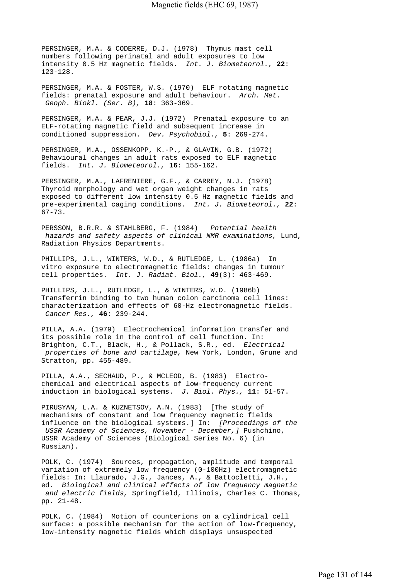PERSINGER, M.A. & CODERRE, D.J. (1978) Thymus mast cell numbers following perinatal and adult exposures to low intensity 0.5 Hz magnetic fields. *Int. J. Biometeorol.,* **22**: 123-128.

PERSINGER, M.A. & FOSTER, W.S. (1970) ELF rotating magnetic fields: prenatal exposure and adult behaviour. *Arch. Met. Geoph. Biokl. (Ser. B),* **18**: 363-369.

PERSINGER, M.A. & PEAR, J.J. (1972) Prenatal exposure to an ELF-rotating magnetic field and subsequent increase in conditioned suppression. *Dev. Psychobiol.,* **5**: 269-274.

PERSINGER, M.A., OSSENKOPP, K.-P., & GLAVIN, G.B. (1972) Behavioural changes in adult rats exposed to ELF magnetic fields. *Int. J. Biometeorol.,* **16**: 155-162.

PERSINGER, M.A., LAFRENIERE, G.F., & CARREY, N.J. (1978) Thyroid morphology and wet organ weight changes in rats exposed to different low intensity 0.5 Hz magnetic fields and pre-experimental caging conditions. *Int. J. Biometeorol.,* **22**: 67-73.

PERSSON, B.R.R. & STAHLBERG, F. (1984) *Potential health hazards and safety aspects of clinical NMR examinations,* Lund, Radiation Physics Departments.

PHILLIPS, J.L., WINTERS, W.D., & RUTLEDGE, L. (1986a) In vitro exposure to electromagnetic fields: changes in tumour cell properties. *Int. J. Radiat. Biol.,* **49**(3): 463-469.

PHILLIPS, J.L., RUTLEDGE, L., & WINTERS, W.D. (1986b) Transferrin binding to two human colon carcinoma cell lines: characterization and effects of 60-Hz electromagnetic fields.  *Cancer Res.,* **46**: 239-244.

PILLA, A.A. (1979) Electrochemical information transfer and its possible role in the control of cell function. In: Brighton, C.T., Black, H., & Pollack, S.R., ed. *Electrical properties of bone and cartilage,* New York, London, Grune and Stratton, pp. 455-489.

PILLA, A.A., SECHAUD, P., & MCLEOD, B. (1983) Electrochemical and electrical aspects of low-frequency current induction in biological systems. *J. Biol. Phys.,* **11**: 51-57.

PIRUSYAN, L.A. & KUZNETSOV, A.N. (1983) [The study of mechanisms of constant and low frequency magnetic fields influence on the biological systems.] In: *[Proceedings of the USSR Academy of Sciences, November - December,]* Pushchino, USSR Academy of Sciences (Biological Series No. 6) (in Russian).

POLK, C. (1974) Sources, propagation, amplitude and temporal variation of extremely low frequency (0-100Hz) electromagnetic fields: In: Llaurado, J.G., Jances, A., & Battocletti, J.H., ed. *Biological and clinical effects of low frequency magnetic and electric fields,* Springfield, Illinois, Charles C. Thomas, pp. 21-48.

POLK, C. (1984) Motion of counterions on a cylindrical cell surface: a possible mechanism for the action of low-frequency, low-intensity magnetic fields which displays unsuspected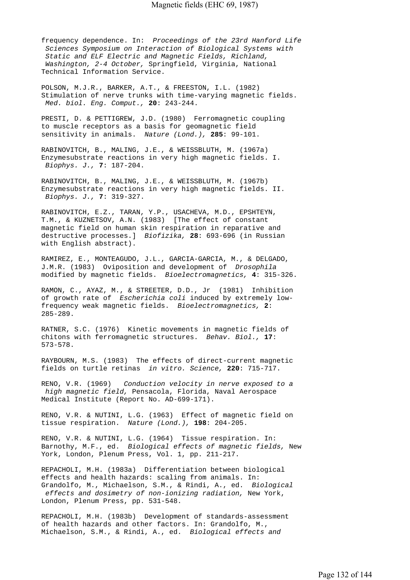frequency dependence. In: *Proceedings of the 23rd Hanford Life Sciences Symposium on Interaction of Biological Systems with Static and ELF Electric and Magnetic Fields, Richland, Washington, 2-4 October,* Springfield, Virginia, National Technical Information Service.

POLSON, M.J.R., BARKER, A.T., & FREESTON, I.L. (1982) Stimulation of nerve trunks with time-varying magnetic fields.  *Med. biol. Eng. Comput.,* **20**: 243-244.

PRESTI, D. & PETTIGREW, J.D. (1980) Ferromagnetic coupling to muscle receptors as a basis for geomagnetic field sensitivity in animals. *Nature (Lond.),* **285**: 99-101.

RABINOVITCH, B., MALING, J.E., & WEISSBLUTH, M. (1967a) Enzymesubstrate reactions in very high magnetic fields. I.  *Biophys. J.,* **7**: 187-204.

RABINOVITCH, B., MALING, J.E., & WEISSBLUTH, M. (1967b) Enzymesubstrate reactions in very high magnetic fields. II.  *Biophys. J.,* **7**: 319-327.

RABINOVITCH, E.Z., TARAN, Y.P., USACHEVA, M.D., EPSHTEYN, T.M., & KUZNETSOV, A.N. (1983) [The effect of constant magnetic field on human skin respiration in reparative and destructive processes.] *Biofizika,* **28**: 693-696 (in Russian with English abstract).

RAMIREZ, E., MONTEAGUDO, J.L., GARCIA-GARCIA, M., & DELGADO, J.M.R. (1983) Oviposition and development of *Drosophila*  modified by magnetic fields. *Bioelectromagnetics,* **4**: 315-326.

RAMON, C., AYAZ, M., & STREETER, D.D., Jr (1981) Inhibition of growth rate of *Escherichia coli* induced by extremely lowfrequency weak magnetic fields. *Bioelectromagnetics,* **2**: 285-289.

RATNER, S.C. (1976) Kinetic movements in magnetic fields of chitons with ferromagnetic structures. *Behav. Biol.,* **17**: 573-578.

RAYBOURN, M.S. (1983) The effects of direct-current magnetic fields on turtle retinas *in vitro. Science,* **220**: 715-717.

RENO, V.R. (1969) *Conduction velocity in nerve exposed to a high magnetic field,* Pensacola, Florida, Naval Aerospace Medical Institute (Report No. AD-699-171).

RENO, V.R. & NUTINI, L.G. (1963) Effect of magnetic field on tissue respiration. *Nature (Lond.),* **198**: 204-205.

RENO, V.R. & NUTINI, L.G. (1964) Tissue respiration. In: Barnothy, M.F., ed. *Biological effects of magnetic fields,* New York, London, Plenum Press, Vol. 1, pp. 211-217.

REPACHOLI, M.H. (1983a) Differentiation between biological effects and health hazards: scaling from animals. In: Grandolfo, M., Michaelson, S.M., & Rindi, A., ed. *Biological effects and dosimetry of non-ionizing radiation,* New York, London, Plenum Press, pp. 531-548.

REPACHOLI, M.H. (1983b) Development of standards-assessment of health hazards and other factors. In: Grandolfo, M., Michaelson, S.M., & Rindi, A., ed. *Biological effects and*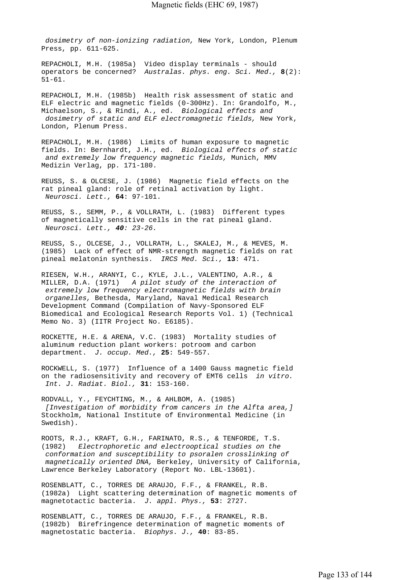*dosimetry of non-ionizing radiation,* New York, London, Plenum Press, pp. 611-625.

REPACHOLI, M.H. (1985a) Video display terminals - should operators be concerned? *Australas. phys. eng. Sci. Med.,* **8**(2): 51-61.

REPACHOLI, M.H. (1985b) Health risk assessment of static and ELF electric and magnetic fields (0-300Hz). In: Grandolfo, M., Michaelson, S., & Rindi, A., ed. *Biological effects and dosimetry of static and ELF electromagnetic fields,* New York, London, Plenum Press.

REPACHOLI, M.H. (1986) Limits of human exposure to magnetic fields. In: Bernhardt, J.H., ed. *Biological effects of static and extremely low frequency magnetic fields,* Munich, MMV Medizin Verlag, pp. 171-180.

REUSS, S. & OLCESE, J. (1986) Magnetic field effects on the rat pineal gland: role of retinal activation by light.  *Neurosci. Lett.,* **64**: 97-101.

REUSS, S., SEMM, P., & VOLLRATH, L. (1983) Different types of magnetically sensitive cells in the rat pineal gland.  *Neurosci. Lett., 40: 23-26.*

REUSS, S., OLCESE, J., VOLLRATH, L., SKALEJ, M., & MEVES, M. (1985) Lack of effect of NMR-strength magnetic fields on rat pineal melatonin synthesis. *IRCS Med. Sci.,* **13**: 471.

RIESEN, W.H., ARANYI, C., KYLE, J.L., VALENTINO, A.R., & MILLER, D.A. (1971) *A pilot study of the interaction of extremely low frequency electromagnetic fields with brain organelles,* Bethesda, Maryland, Naval Medical Research Development Command (Compilation of Navy-Sponsored ELF Biomedical and Ecological Research Reports Vol. 1) (Technical Memo No. 3) (IITR Project No. E6185).

ROCKETTE, H.E. & ARENA, V.C. (1983) Mortality studies of aluminum reduction plant workers: potroom and carbon department. *J. occup. Med.,* **25**: 549-557.

ROCKWELL, S. (1977) Influence of a 1400 Gauss magnetic field on the radiosensitivity and recovery of EMT6 cells *in vitro. Int. J. Radiat. Biol.,* **31**: 153-160.

RODVALL, Y., FEYCHTING, M., & AHLBOM, A. (1985)  *[Investigation of morbidity from cancers in the Alfta area,]*  Stockholm, National Institute of Environmental Medicine (in Swedish).

ROOTS, R.J., KRAFT, G.H., FARINATO, R.S., & TENFORDE, T.S. (1982) *Electrophoretic and electrooptical studies on the conformation and susceptibility to psoralen crosslinking of magnetically oriented DNA,* Berkeley, University of California, Lawrence Berkeley Laboratory (Report No. LBL-13601).

ROSENBLATT, C., TORRES DE ARAUJO, F.F., & FRANKEL, R.B. (1982a) Light scattering determination of magnetic moments of magnetotactic bacteria. *J. appl. Phys.,* **53**: 2727.

ROSENBLATT, C., TORRES DE ARAUJO, F.F., & FRANKEL, R.B. (1982b) Birefringence determination of magnetic moments of magnetostatic bacteria. *Biophys. J.,* **40**: 83-85.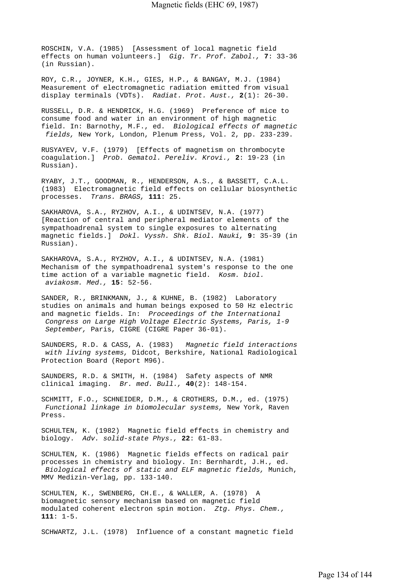ROSCHIN, V.A. (1985) [Assessment of local magnetic field effects on human volunteers.] *Gig. Tr. Prof. Zabol.,* **7**: 33-36 (in Russian).

ROY, C.R., JOYNER, K.H., GIES, H.P., & BANGAY, M.J. (1984) Measurement of electromagnetic radiation emitted from visual display terminals (VDTs). *Radiat. Prot. Aust.,* **2**(1): 26-30.

RUSSELL, D.R. & HENDRICK, H.G. (1969) Preference of mice to consume food and water in an environment of high magnetic field. In: Barnothy, M.F., ed. *Biological effects of magnetic fields,* New York, London, Plenum Press, Vol. 2, pp. 233-239.

RUSYAYEV, V.F. (1979) [Effects of magnetism on thrombocyte coagulation.] *Prob. Gematol. Pereliv. Krovi.,* **2**: 19-23 (in Russian).

RYABY, J.T., GOODMAN, R., HENDERSON, A.S., & BASSETT, C.A.L. (1983) Electromagnetic field effects on cellular biosynthetic processes. *Trans. BRAGS,* **111**: 25.

SAKHAROVA, S.A., RYZHOV, A.I., & UDINTSEV, N.A. (1977) [Reaction of central and peripheral mediator elements of the sympathoadrenal system to single exposures to alternating magnetic fields.] *Dokl. Vyssh. Shk. Biol. Nauki,* **9**: 35-39 (in Russian).

SAKHAROVA, S.A., RYZHOV, A.I., & UDINTSEV, N.A. (1981) Mechanism of the sympathoadrenal system's response to the one time action of a variable magnetic field. *Kosm. biol. aviakosm. Med.,* **15**: 52-56.

SANDER, R., BRINKMANN, J., & KUHNE, B. (1982) Laboratory studies on animals and human beings exposed to 50 Hz electric and magnetic fields. In: *Proceedings of the International Congress on Large High Voltage Electric Systems, Paris, 1-9 September,* Paris, CIGRE (CIGRE Paper 36-01).

SAUNDERS, R.D. & CASS, A. (1983) *Magnetic field interactions with living systems,* Didcot, Berkshire, National Radiological Protection Board (Report M96).

SAUNDERS, R.D. & SMITH, H. (1984) Safety aspects of NMR clinical imaging. *Br. med. Bull.,* **40**(2): 148-154.

SCHMITT, F.O., SCHNEIDER, D.M., & CROTHERS, D.M., ed. (1975)  *Functional linkage in biomolecular systems,* New York, Raven Press.

SCHULTEN, K. (1982) Magnetic field effects in chemistry and biology. *Adv. solid-state Phys.,* **22**: 61-83.

SCHULTEN, K. (1986) Magnetic fields effects on radical pair processes in chemistry and biology. In: Bernhardt, J.H., ed.  *Biological effects of static and ELF magnetic fields,* Munich, MMV Medizin-Verlag, pp. 133-140.

SCHULTEN, K., SWENBERG, CH.E., & WALLER, A. (1978) A biomagnetic sensory mechanism based on magnetic field modulated coherent electron spin motion. *Ztg. Phys. Chem.,*  **111**: 1-5.

SCHWARTZ, J.L. (1978) Influence of a constant magnetic field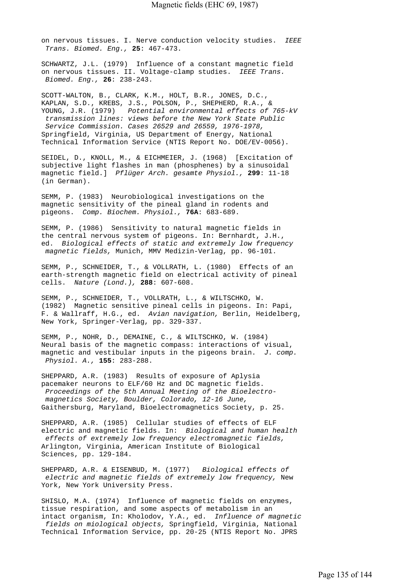on nervous tissues. I. Nerve conduction velocity studies. *IEEE Trans. Biomed. Eng.,* **25**: 467-473.

SCHWARTZ, J.L. (1979) Influence of a constant magnetic field on nervous tissues. II. Voltage-clamp studies. *IEEE Trans. Biomed. Eng.,* **26**: 238-243.

SCOTT-WALTON, B., CLARK, K.M., HOLT, B.R., JONES, D.C., KAPLAN, S.D., KREBS, J.S., POLSON, P., SHEPHERD, R.A., & YOUNG, J.R. (1979) *Potential environmental effects of 765-kV transmission lines: views before the New York State Public Service Commission. Cases 26529 and 26559, 1976-1978,*  Springfield, Virginia, US Department of Energy, National Technical Information Service (NTIS Report No. DOE/EV-0056).

SEIDEL, D., KNOLL, M., & EICHMEIER, J. (1968) [Excitation of subjective light flashes in man (phosphenes) by a sinusoidal magnetic field.] *Pflüger Arch. gesamte Physiol.,* **299**: 11-18 (in German).

SEMM, P. (1983) Neurobiological investigations on the magnetic sensitivity of the pineal gland in rodents and pigeons. *Comp. Biochem. Physiol.,* **76A**: 683-689.

SEMM, P. (1986) Sensitivity to natural magnetic fields in the central nervous system of pigeons. In: Bernhardt, J.H., ed. *Biological effects of static and extremely low frequency magnetic fields,* Munich, MMV Medizin-Verlag, pp. 96-101.

SEMM, P., SCHNEIDER, T., & VOLLRATH, L. (1980) Effects of an earth-strength magnetic field on electrical activity of pineal cells. *Nature (Lond.),* **288**: 607-608.

SEMM, P., SCHNEIDER, T., VOLLRATH, L., & WILTSCHKO, W. (1982) Magnetic sensitive pineal cells in pigeons. In: Papi, F. & Wallraff, H.G., ed. *Avian navigation,* Berlin, Heidelberg, New York, Springer-Verlag, pp. 329-337.

SEMM, P., NOHR, D., DEMAINE, C., & WILTSCHKO, W. (1984) Neural basis of the magnetic compass: interactions of visual, magnetic and vestibular inputs in the pigeons brain. *J. comp. Physiol. A.,* **155**: 283-288.

SHEPPARD, A.R. (1983) Results of exposure of Aplysia pacemaker neurons to ELF/60 Hz and DC magnetic fields.  *Proceedings of the 5th Annual Meeting of the Bioelectro magnetics Society, Boulder, Colorado, 12-16 June,*  Gaithersburg, Maryland, Bioelectromagnetics Society, p. 25.

SHEPPARD, A.R. (1985) Cellular studies of effects of ELF electric and magnetic fields. In: *Biological and human health effects of extremely low frequency electromagnetic fields,*  Arlington, Virginia, American Institute of Biological Sciences, pp. 129-184.

SHEPPARD, A.R. & EISENBUD, M. (1977) *Biological effects of electric and magnetic fields of extremely low frequency,* New York, New York University Press.

SHISLO, M.A. (1974) Influence of magnetic fields on enzymes, tissue respiration, and some aspects of metabolism in an intact organism, In: Kholodov, Y.A., ed. *Influence of magnetic fields on miological objects,* Springfield, Virginia, National Technical Information Service, pp. 20-25 (NTIS Report No. JPRS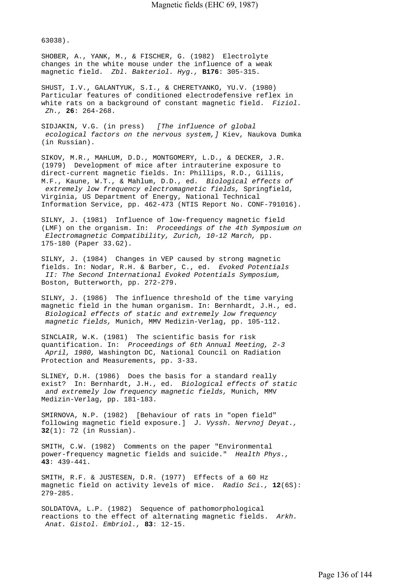63038).

SHOBER, A., YANK, M., & FISCHER, G. (1982) Electrolyte changes in the white mouse under the influence of a weak magnetic field. *Zbl. Bakteriol. Hyg.,* **B176**: 305-315.

SHUST, I.V., GALANTYUK, S.I., & CHERETYANKO, YU.V. (1980) Particular features of conditioned electrodefensive reflex in white rats on a background of constant magnetic field. *Fiziol. Zh.,* **26**: 264-268.

SIDJAKIN, V.G. (in press) *[The influence of global ecological factors on the nervous system,]* Kiev, Naukova Dumka (in Russian).

SIKOV, M.R., MAHLUM, D.D., MONTGOMERY, L.D., & DECKER, J.R. (1979) Development of mice after intrauterine exposure to direct-current magnetic fields. In: Phillips, R.D., Gillis, M.F., Kaune, W.T., & Mahlum, D.D., ed. *Biological effects of extremely low frequency electromagnetic fields,* Springfield, Virginia, US Department of Energy, National Technical Information Service, pp. 462-473 (NTIS Report No. CONF-791016).

SILNY, J. (1981) Influence of low-frequency magnetic field (LMF) on the organism. In: *Proceedings of the 4th Symposium on Electromagnetic Compatibility, Zurich, 10-12 March,* pp. 175-180 (Paper 33.G2).

SILNY, J. (1984) Changes in VEP caused by strong magnetic fields. In: Nodar, R.H. & Barber, C., ed. *Evoked Potentials II: The Second International Evoked Potentials Symposium,*  Boston, Butterworth, pp. 272-279.

SILNY, J. (1986) The influence threshold of the time varying magnetic field in the human organism. In: Bernhardt, J.H., ed.  *Biological effects of static and extremely low frequency magnetic fields,* Munich, MMV Medizin-Verlag, pp. 105-112.

SINCLAIR, W.K. (1981) The scientific basis for risk quantification. In: *Proceedings of 6th Annual Meeting, 2-3 April, 1980,* Washington DC, National Council on Radiation Protection and Measurements, pp. 3-33.

SLINEY, D.H. (1986) Does the basis for a standard really exist? In: Bernhardt, J.H., ed. *Biological effects of static and extremely low frequency magnetic fields,* Munich, MMV Medizin-Verlag, pp. 181-183.

SMIRNOVA, N.P. (1982) [Behaviour of rats in "open field" following magnetic field exposure.] *J. Vyssh. Nervnoj Deyat.,*  **32**(1): 72 (in Russian).

SMITH, C.W. (1982) Comments on the paper "Environmental power-frequency magnetic fields and suicide." *Health Phys.,*  **43**: 439-441.

SMITH, R.F. & JUSTESEN, D.R. (1977) Effects of a 60 Hz magnetic field on activity levels of mice. *Radio Sci.,* **12**(6S): 279-285.

SOLDATOVA, L.P. (1982) Sequence of pathomorphological reactions to the effect of alternating magnetic fields. *Arkh. Anat. Gistol. Embriol.,* **83**: 12-15.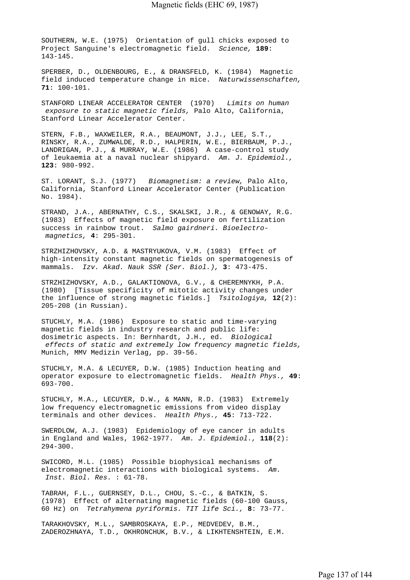SOUTHERN, W.E. (1975) Orientation of gull chicks exposed to Project Sanguine's electromagnetic field. *Science,* **189**: 143-145.

SPERBER, D., OLDENBOURG, E., & DRANSFELD, K. (1984) Magnetic field induced temperature change in mice. *Naturwissenschaften,*  **71**: 100-101.

STANFORD LINEAR ACCELERATOR CENTER (1970) *Limits on human exposure to static magnetic fields,* Palo Alto, California, Stanford Linear Accelerator Center.

STERN, F.B., WAXWEILER, R.A., BEAUMONT, J.J., LEE, S.T., RINSKY, R.A., ZUMWALDE, R.D., HALPERIN, W.E., BIERBAUM, P.J., LANDRIGAN, P.J., & MURRAY, W.E. (1986) A case-control study of leukaemia at a naval nuclear shipyard. *Am. J. Epidemiol.,*  **123**: 980-992.

ST. LORANT, S.J. (1977) *Biomagnetism: a review,* Palo Alto, California, Stanford Linear Accelerator Center (Publication No. 1984).

STRAND, J.A., ABERNATHY, C.S., SKALSKI, J.R., & GENOWAY, R.G. (1983) Effects of magnetic field exposure on fertilization success in rainbow trout. *Salmo gairdneri. Bioelectro magnetics,* **4**: 295-301.

STRZHIZHOVSKY, A.D. & MASTRYUKOVA, V.M. (1983) Effect of high-intensity constant magnetic fields on spermatogenesis of mammals. *Izv. Akad. Nauk SSR (Ser. Biol.),* **3**: 473-475.

STRZHIZHOVSKY, A.D., GALAKTIONOVA, G.V., & CHEREMNYKH, P.A. (1980) [Tissue specificity of mitotic activity changes under the influence of strong magnetic fields.] *Tsitologiya,* **12**(2): 205-208 (in Russian).

STUCHLY, M.A. (1986) Exposure to static and time-varying magnetic fields in industry research and public life: dosimetric aspects. In: Bernhardt, J.H., ed. *Biological effects of static and extremely low frequency magnetic fields,*  Munich, MMV Medizin Verlag, pp. 39-56.

STUCHLY, M.A. & LECUYER, D.W. (1985) Induction heating and operator exposure to electromagnetic fields. *Health Phys.,* **49**: 693-700.

STUCHLY, M.A., LECUYER, D.W., & MANN, R.D. (1983) Extremely low frequency electromagnetic emissions from video display terminals and other devices. *Health Phys.,* **45**: 713-722.

SWERDLOW, A.J. (1983) Epidemiology of eye cancer in adults in England and Wales, 1962-1977. *Am. J. Epidemiol.,* **118**(2): 294-300.

SWICORD, M.L. (1985) Possible biophysical mechanisms of electromagnetic interactions with biological systems. *Am. Inst. Biol. Res.* : 61-78.

TABRAH, F.L., GUERNSEY, D.L., CHOU, S.-C., & BATKIN, S. (1978) Effect of alternating magnetic fields (60-100 Gauss, 60 Hz) on *Tetrahymena pyriformis. TIT life Sci.,* **8**: 73-77.

TARAKHOVSKY, M.L., SAMBROSKAYA, E.P., MEDVEDEV, B.M., ZADEROZHNAYA, T.D., OKHRONCHUK, B.V., & LIKHTENSHTEIN, E.M.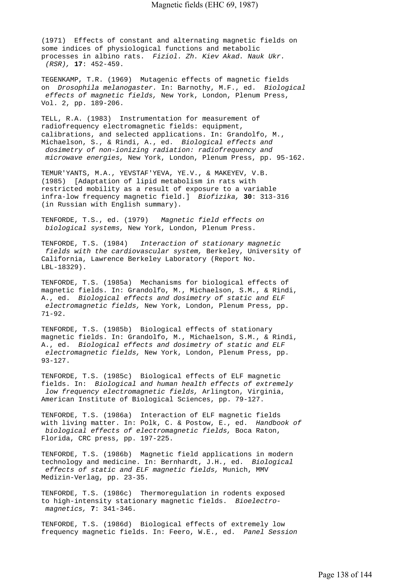(1971) Effects of constant and alternating magnetic fields on some indices of physiological functions and metabolic processes in albino rats. *Fiziol. Zh. Kiev Akad. Nauk Ukr. (RSR),* **17**: 452-459.

TEGENKAMP, T.R. (1969) Mutagenic effects of magnetic fields on *Drosophila melanogaster.* In: Barnothy, M.F., ed. *Biological effects of magnetic fields,* New York, London, Plenum Press, Vol. 2, pp. 189-206.

TELL, R.A. (1983) Instrumentation for measurement of radiofrequency electromagnetic fields: equipment, calibrations, and selected applications. In: Grandolfo, M., Michaelson, S., & Rindi, A., ed. *Biological effects and dosimetry of non-ionizing radiation: radiofrequency and microwave energies,* New York, London, Plenum Press, pp. 95-162.

TEMUR'YANTS, M.A., YEVSTAF'YEVA, YE.V., & MAKEYEV, V.B. (1985) [Adaptation of lipid metabolism in rats with restricted mobility as a result of exposure to a variable infra-low frequency magnetic field.] *Biofizika,* **30**: 313-316 (in Russian with English summary).

TENFORDE, T.S., ed. (1979) *Magnetic field effects on biological systems,* New York, London, Plenum Press.

TENFORDE, T.S. (1984) *Interaction of stationary magnetic fields with the cardiovascular system,* Berkeley, University of California, Lawrence Berkeley Laboratory (Report No. LBL-18329).

TENFORDE, T.S. (1985a) Mechanisms for biological effects of magnetic fields. In: Grandolfo, M., Michaelson, S.M., & Rindi, A., ed. *Biological effects and dosimetry of static and ELF electromagnetic fields,* New York, London, Plenum Press, pp. 71-92.

TENFORDE, T.S. (1985b) Biological effects of stationary magnetic fields. In: Grandolfo, M., Michaelson, S.M., & Rindi, A., ed. *Biological effects and dosimetry of static and ELF electromagnetic fields,* New York, London, Plenum Press, pp. 93-127.

TENFORDE, T.S. (1985c) Biological effects of ELF magnetic fields. In: *Biological and human health effects of extremely low frequency electromagnetic fields,* Arlington, Virginia, American Institute of Biological Sciences, pp. 79-127.

TENFORDE, T.S. (1986a) Interaction of ELF magnetic fields with living matter. In: Polk, C. & Postow, E., ed. *Handbook of biological effects of electromagnetic fields,* Boca Raton, Florida, CRC press, pp. 197-225.

TENFORDE, T.S. (1986b) Magnetic field applications in modern technology and medicine. In: Bernhardt, J.H., ed. *Biological effects of static and ELF magnetic fields,* Munich, MMV Medizin-Verlag, pp. 23-35.

TENFORDE, T.S. (1986c) Thermoregulation in rodents exposed to high-intensity stationary magnetic fields. *Bioelectro magnetics,* **7**: 341-346.

TENFORDE, T.S. (1986d) Biological effects of extremely low frequency magnetic fields. In: Feero, W.E., ed. *Panel Session*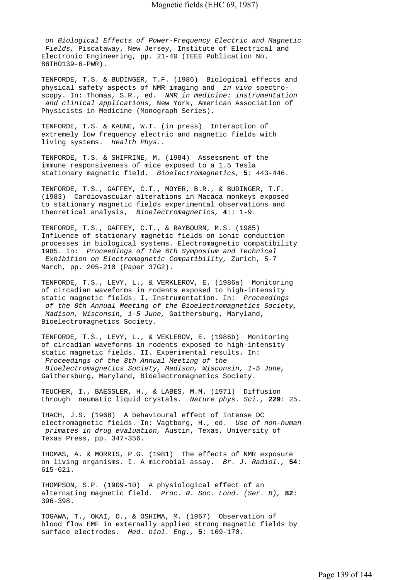*on Biological Effects of Power-Frequency Electric and Magnetic Fields,* Piscataway, New Jersey, Institute of Electrical and Electronic Engineering, pp. 21-40 (IEEE Publication No. 86THO139-6-PWR).

TENFORDE, T.S. & BUDINGER, T.F. (1986) Biological effects and physical safety aspects of NMR imaging and *in vivo* spectroscopy. In: Thomas, S.R., ed. *NMR in medicine: instrumentation and clinical applications,* New York, American Association of Physicists in Medicine (Monograph Series).

TENFORDE, T.S. & KAUNE, W.T. (in press) Interaction of extremely low frequency electric and magnetic fields with living systems. *Health Phys..*

TENFORDE, T.S. & SHIFRINE, M. (1984) Assessment of the immune responsiveness of mice exposed to a 1.5 Tesla stationary magnetic field. *Bioelectromagnetics,* **5**: 443-446.

TENFORDE, T.S., GAFFEY, C.T., MOYER, B.R., & BUDINGER, T.F. (1983) Cardiovascular alterations in Macaca monkeys exposed to stationary magnetic fields experimental observations and theoretical analysis, *Bioelectromagnetics,* **4**:: 1-9.

TENFORDE, T.S., GAFFEY, C.T., & RAYBOURN, M.S. (1985) Influence of stationary magnetic fields on ionic conduction processes in biological systems. Electromagnetic compatibility 1985. In: *Proceedings of the 6th Symposium and Technical Exhibition on Electromagnetic Compatibility,* Zurich, 5-7 March, pp. 205-210 (Paper 37G2).

TENFORDE, T.S., LEVY, L., & VERKLEROV, E. (1986a) Monitoring of circadian waveforms in rodents exposed to high-intensity static magnetic fields. I. Instrumentation. In: *Proceedings of the 8th Annual Meeting of the Bioelectromagnetics Society, Madison, Wisconsin, 1-5 June,* Gaithersburg, Maryland, Bioelectromagnetics Society.

TENFORDE, T.S., LEVY, L., & VEKLEROV, E. (1986b) Monitoring of circadian waveforms in rodents exposed to high-intensity static magnetic fields. II. Experimental results. In:  *Proceedings of the 8th Annual Meeting of the* 

 *Bioelectromagnetics Society, Madison, Wisconsin, 1-5 June,*  Gaithersburg, Maryland, Bioelectromagnetics Society.

TEUCHER, I., BAESSLER, H., & LABES, M.M. (1971) Diffusion through neumatic liquid crystals. *Nature phys. Sci.,* **229**: 25.

THACH, J.S. (1968) A behavioural effect of intense DC electromagnetic fields. In: Vagtborg, H., ed. *Use of non-human primates in drug evaluation,* Austin, Texas, University of Texas Press, pp. 347-356.

THOMAS, A. & MORRIS, P.G. (1981) The effects of NMR exposure on living organisms. I. A microbial assay. *Br. J. Radiol.,* **54**: 615-621.

THOMPSON, S.P. (1909-10) A physiological effect of an alternating magnetic field. *Proc. R. Soc. Lond. (Ser. B),* **82**: 396-398.

TOGAWA, T., OKAI, O., & OSHIMA, M. (1967) Observation of blood flow EMF in externally applied strong magnetic fields by surface electrodes. *Med. biol. Eng.,* **5**: 169-170.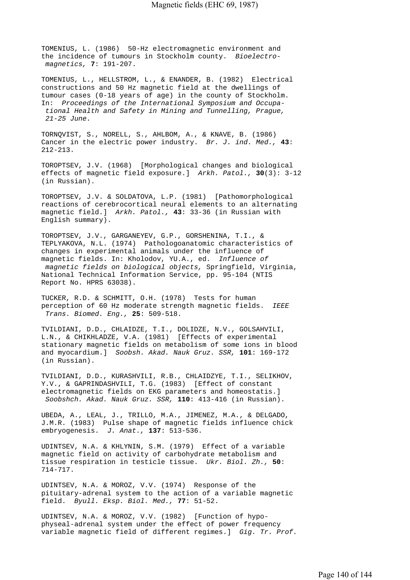TOMENIUS, L. (1986) 50-Hz electromagnetic environment and the incidence of tumours in Stockholm county. *Bioelectro magnetics,* **7**: 191-207.

TOMENIUS, L., HELLSTROM, L., & ENANDER, B. (1982) Electrical constructions and 50 Hz magnetic field at the dwellings of tumour cases (0-18 years of age) in the county of Stockholm. In: *Proceedings of the International Symposium and Occupa tional Health and Safety in Mining and Tunnelling, Prague, 21-25 June.*

TORNQVIST, S., NORELL, S., AHLBOM, A., & KNAVE, B. (1986) Cancer in the electric power industry. *Br. J. ind. Med.,* **43**: 212-213.

TOROPTSEV, J.V. (1968) [Morphological changes and biological effects of magnetic field exposure.] *Arkh. Patol.,* **30**(3): 3-12 (in Russian).

TOROPTSEV, J.V. & SOLDATOVA, L.P. (1981) [Pathomorphological reactions of cerebrocortical neural elements to an alternating magnetic field.] *Arkh. Patol.,* **43**: 33-36 (in Russian with English summary).

TOROPTSEV, J.V., GARGANEYEV, G.P., GORSHENINA, T.I., & TEPLYAKOVA, N.L. (1974) Pathologoanatomic characteristics of changes in experimental animals under the influence of magnetic fields. In: Kholodov, YU.A., ed. *Influence of magnetic fields on biological objects,* Springfield, Virginia, National Technical Information Service, pp. 95-104 (NTIS Report No. HPRS 63038).

TUCKER, R.D. & SCHMITT, O.H. (1978) Tests for human perception of 60 Hz moderate strength magnetic fields. *IEEE Trans. Biomed. Eng.,* **25**: 509-518.

TVILDIANI, D.D., CHLAIDZE, T.I., DOLIDZE, N.V., GOLSAHVILI, L.N., & CHIKHLADZE, V.A. (1981) [Effects of experimental stationary magnetic fields on metabolism of some ions in blood and myocardium.] *Soobsh. Akad. Nauk Gruz. SSR,* **101**: 169-172 (in Russian).

TVILDIANI, D.D., KURASHVILI, R.B., CHLAIDZYE, T.I., SELIKHOV, Y.V., & GAPRINDASHVILI, T.G. (1983) [Effect of constant electromagnetic fields on EKG parameters and homeostatis.]  *Soobshch. Akad. Nauk Gruz. SSR,* **110**: 413-416 (in Russian).

UBEDA, A., LEAL, J., TRILLO, M.A., JIMENEZ, M.A., & DELGADO, J.M.R. (1983) Pulse shape of magnetic fields influence chick embryogenesis. *J. Anat.,* **137**: 513-536.

UDINTSEV, N.A. & KHLYNIN, S.M. (1979) Effect of a variable magnetic field on activity of carbohydrate metabolism and tissue respiration in testicle tissue. *Ukr. Biol. Zh.,* **50**: 714-717.

UDINTSEV, N.A. & MOROZ, V.V. (1974) Response of the pituitary-adrenal system to the action of a variable magnetic field. *Byull. Eksp. Biol. Med.,* **77**: 51-52.

UDINTSEV, N.A. & MOROZ, V.V. (1982) [Function of hypophyseal-adrenal system under the effect of power frequency variable magnetic field of different regimes.] *Gig. Tr. Prof.*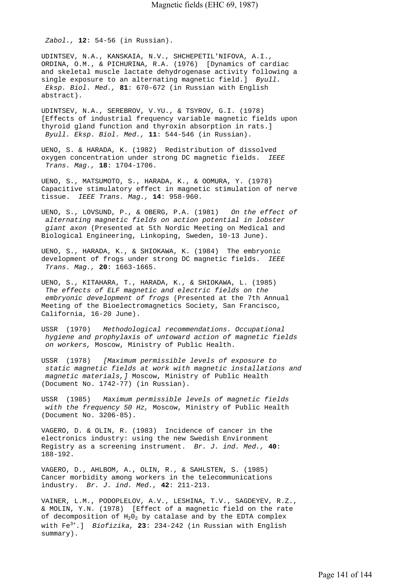*Zabol.,* **12**: 54-56 (in Russian).

UDINTSEV, N.A., KANSKAIA, N.V., SHCHEPETIL'NIFOVA, A.I., ORDINA, O.M., & PICHURINA, R.A. (1976) [Dynamics of cardiac and skeletal muscle lactate dehydrogenase activity following a single exposure to an alternating magnetic field.] *Byull. Eksp. Biol. Med.,* **81**: 670-672 (in Russian with English abstract).

UDINTSEV, N.A., SEREBROV, V.YU., & TSYROV, G.I. (1978) [Effects of industrial frequency variable magnetic fields upon thyroid gland function and thyroxin absorption in rats.]  *Byull. Eksp. Biol. Med.,* **11**: 544-546 (in Russian).

UENO, S. & HARADA, K. (1982) Redistribution of dissolved oxygen concentration under strong DC magnetic fields. *IEEE Trans. Mag.,* **18**: 1704-1706.

UENO, S., MATSUMOTO, S., HARADA, K., & OOMURA, Y. (1978) Capacitive stimulatory effect in magnetic stimulation of nerve tissue. *IEEE Trans. Mag.,* **14**: 958-960.

UENO, S., LOVSUND, P., & OBERG, P.A. (1981) *On the effect of alternating magnetic fields on action potential in lobster giant axon* (Presented at 5th Nordic Meeting on Medical and Biological Engineering, Linkoping, Sweden, 10-13 June).

UENO, S., HARADA, K., & SHIOKAWA, K. (1984) The embryonic development of frogs under strong DC magnetic fields. *IEEE Trans. Mag.,* **20**: 1663-1665.

UENO, S., KITAHARA, T., HARADA, K., & SHIOKAWA, L. (1985)  *The effects of ELF magnetic and electric fields on the embryonic development of frogs* (Presented at the 7th Annual Meeting of the Bioelectromagnetics Society, San Francisco, California, 16-20 June).

USSR (1970) *Methodological recommendations. Occupational hygiene and prophylaxis of untoward action of magnetic fields on workers,* Moscow, Ministry of Public Health.

USSR (1978) *[Maximum permissible levels of exposure to static magnetic fields at work with magnetic installations and magnetic materials,]* Moscow, Ministry of Public Health (Document No. 1742-77) (in Russian).

USSR (1985) *Maximum permissible levels of magnetic fields with the frequency 50 Hz,* Moscow, Ministry of Public Health (Document No. 3206-85).

VAGERO, D. & OLIN, R. (1983) Incidence of cancer in the electronics industry: using the new Swedish Environment Registry as a screening instrument. *Br. J. ind. Med.,* **40**: 188-192.

VAGERO, D., AHLBOM, A., OLIN, R., & SAHLSTEN, S. (1985) Cancer morbidity among workers in the telecommunications industry. *Br. J. ind. Med.,* **42**: 211-213.

VAINER, L.M., PODOPLELOV, A.V., LESHINA, T.V., SAGDEYEV, R.Z., & MOLIN, Y.N. (1978) [Effect of a magnetic field on the rate of decomposition of  $H_20_2$  by catalase and by the EDTA complex with Fe3+.] *Biofizika,* **23**: 234-242 (in Russian with English summary).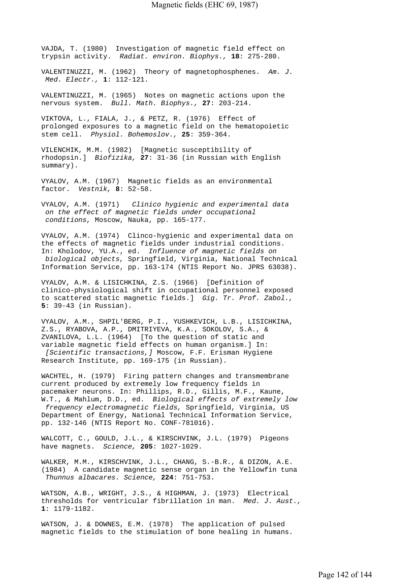VAJDA, T. (1980) Investigation of magnetic field effect on trypsin activity. *Radiat. environ. Biophys.,* **18**: 275-280.

VALENTINUZZI, M. (1962) Theory of magnetophosphenes. *Am. J. Med. Electr.,* **1**: 112-121.

VALENTINUZZI, M. (1965) Notes on magnetic actions upon the nervous system. *Bull. Math. Biophys.,* **27**: 203-214.

VIKTOVA, L., FIALA, J., & PETZ, R. (1976) Effect of prolonged exposures to a magnetic field on the hematopoietic stem cell. *Physiol. Bohemoslov.,* **25**: 359-364.

VILENCHIK, M.M. (1982) [Magnetic susceptibility of rhodopsin.] *Biofizika,* **27**: 31-36 (in Russian with English summary).

VYALOV, A.M. (1967) Magnetic fields as an environmental factor. *Vestnik,* **8**: 52-58.

VYALOV, A.M. (1971) *Clinico hygienic and experimental data on the effect of magnetic fields under occupational conditions,* Moscow, Nauka, pp. 165-177.

VYALOV, A.M. (1974) Clinco-hygienic and experimental data on the effects of magnetic fields under industrial conditions. In: Kholodov, YU.A., ed. *Influence of magnetic fields on biological objects,* Springfield, Virginia, National Technical Information Service, pp. 163-174 (NTIS Report No. JPRS 63038).

VYALOV, A.M. & LISICHKINA, Z.S. (1966) [Definition of clinico-physiological shift in occupational personnel exposed to scattered static magnetic fields.] *Gig. Tr. Prof. Zabol.,*  **5**: 39-43 (in Russian).

VYALOV, A.M., SHPIL'BERG, P.I., YUSHKEVICH, L.B., LISICHKINA, Z.S., RYABOVA, A.P., DMITRIYEVA, K.A., SOKOLOV, S.A., & ZVANILOVA, L.L. (1964) [To the question of static and variable magnetic field effects on human organism.] In:  *[Scientific transactions,]* Moscow, F.F. Erisman Hygiene Research Institute, pp. 169-175 (in Russian).

WACHTEL, H. (1979) Firing pattern changes and transmembrane current produced by extremely low frequency fields in pacemaker neurons. In: Phillips, R.D., Gillis, M.F., Kaune, W.T., & Mahlum, D.D., ed. *Biological effects of extremely low frequency electromagnetic fields,* Springfield, Virginia, US Department of Energy, National Technical Information Service, pp. 132-146 (NTIS Report No. CONF-781016).

WALCOTT, C., GOULD, J.L., & KIRSCHVINK, J.L. (1979) Pigeons have magnets. *Science,* **205**: 1027-1029.

WALKER, M.M., KIRSCHVINK, J.L., CHANG, S.-B.R., & DIZON, A.E. (1984) A candidate magnetic sense organ in the Yellowfin tuna  *Thunnus albacares. Science,* **224**: 751-753.

WATSON, A.B., WRIGHT, J.S., & HIGHMAN, J. (1973) Electrical thresholds for ventricular fibrillation in man. *Med. J. Aust.,*  **1**: 1179-1182.

WATSON, J. & DOWNES, E.M. (1978) The application of pulsed magnetic fields to the stimulation of bone healing in humans.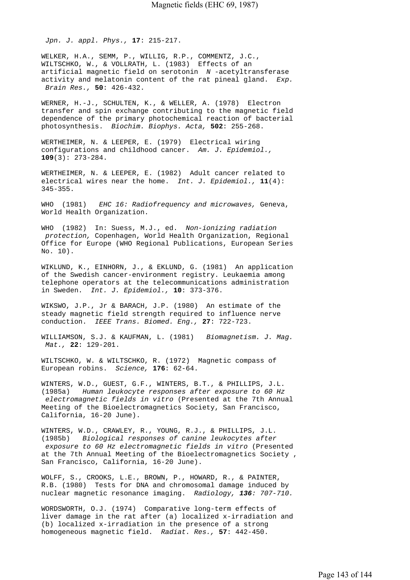*Jpn. J. appl. Phys.,* **17**: 215-217.

WELKER, H.A., SEMM, P., WILLIG, R.P., COMMENTZ, J.C., WILTSCHKO, W., & VOLLRATH, L. (1983) Effects of an artificial magnetic field on serotonin *N* -acetyltransferase activity and melatonin content of the rat pineal gland. *Exp. Brain Res.,* **50**: 426-432.

WERNER, H.-J., SCHULTEN, K., & WELLER, A. (1978) Electron transfer and spin exchange contributing to the magnetic field dependence of the primary photochemical reaction of bacterial photosynthesis. *Biochim. Biophys. Acta,* **502**: 255-268.

WERTHEIMER, N. & LEEPER, E. (1979) Electrical wiring configurations and childhood cancer. *Am. J. Epidemiol.,*  **109**(3): 273-284.

WERTHEIMER, N. & LEEPER, E. (1982) Adult cancer related to electrical wires near the home. *Int. J. Epidemiol.,* **11**(4): 345-355.

WHO (1981) *EHC 16: Radiofrequency and microwaves,* Geneva, World Health Organization.

WHO (1982) In: Suess, M.J., ed. *Non-ionizing radiation protection,* Copenhagen, World Health Organization, Regional Office for Europe (WHO Regional Publications, European Series No. 10).

WIKLUND, K., EINHORN, J., & EKLUND, G. (1981) An application of the Swedish cancer-environment registry. Leukaemia among telephone operators at the telecommunications administration in Sweden. *Int. J. Epidemiol.,* **10**: 373-376.

WIKSWO, J.P., Jr & BARACH, J.P. (1980) An estimate of the steady magnetic field strength required to influence nerve conduction. *IEEE Trans. Biomed. Eng.,* **27**: 722-723.

WILLIAMSON, S.J. & KAUFMAN, L. (1981) *Biomagnetism. J. Mag. Mat.,* **22**: 129-201.

WILTSCHKO, W. & WILTSCHKO, R. (1972) Magnetic compass of European robins. *Science,* **176**: 62-64.

WINTERS, W.D., GUEST, G.F., WINTERS, B.T., & PHILLIPS, J.L. (1985a) *Human leukocyte responses after exposure to 60 Hz electromagnetic fields in vitro* (Presented at the 7th Annual Meeting of the Bioelectromagnetics Society, San Francisco, California, 16-20 June).

WINTERS, W.D., CRAWLEY, R., YOUNG, R.J., & PHILLIPS, J.L. (1985b) *Biological responses of canine leukocytes after exposure to 60 Hz electromagnetic fields in vitro* (Presented at the 7th Annual Meeting of the Bioelectromagnetics Society , San Francisco, California, 16-20 June).

WOLFF, S., CROOKS, L.E., BROWN, P., HOWARD, R., & PAINTER, R.B. (1980) Tests for DNA and chromosomal damage induced by nuclear magnetic resonance imaging. *Radiology, 136: 707-710.*

WORDSWORTH, O.J. (1974) Comparative long-term effects of liver damage in the rat after (a) localized x-irradiation and (b) localized x-irradiation in the presence of a strong homogeneous magnetic field. *Radiat. Res.,* **57**: 442-450.